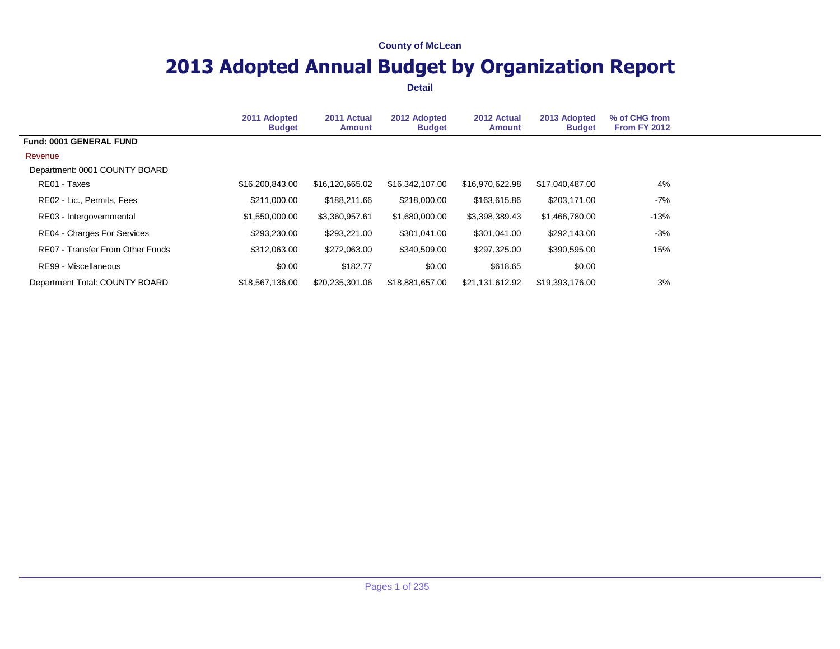# **2013 Adopted Annual Budget by Organization Report**

|                                    | 2011 Adopted<br><b>Budget</b> | 2011 Actual<br>Amount | 2012 Adopted<br><b>Budget</b> | 2012 Actual<br><b>Amount</b> | 2013 Adopted<br><b>Budget</b> | % of CHG from<br><b>From FY 2012</b> |  |
|------------------------------------|-------------------------------|-----------------------|-------------------------------|------------------------------|-------------------------------|--------------------------------------|--|
| Fund: 0001 GENERAL FUND            |                               |                       |                               |                              |                               |                                      |  |
| Revenue                            |                               |                       |                               |                              |                               |                                      |  |
| Department: 0001 COUNTY BOARD      |                               |                       |                               |                              |                               |                                      |  |
| RE01 - Taxes                       | \$16,200,843.00               | \$16,120,665.02       | \$16,342,107.00               | \$16.970.622.98              | \$17,040,487.00               | 4%                                   |  |
| RE02 - Lic., Permits, Fees         | \$211,000.00                  | \$188,211.66          | \$218,000,00                  | \$163,615.86                 | \$203,171.00                  | -7%                                  |  |
| RE03 - Intergovernmental           | \$1,550,000.00                | \$3,360,957.61        | \$1,680,000.00                | \$3,398,389.43               | \$1,466,780.00                | $-13%$                               |  |
| <b>RE04 - Charges For Services</b> | \$293,230.00                  | \$293,221.00          | \$301.041.00                  | \$301,041.00                 | \$292,143.00                  | $-3%$                                |  |
| RE07 - Transfer From Other Funds   | \$312,063.00                  | \$272,063.00          | \$340,509.00                  | \$297,325.00                 | \$390,595.00                  | 15%                                  |  |
| RE99 - Miscellaneous               | \$0.00                        | \$182.77              | \$0.00                        | \$618.65                     | \$0.00                        |                                      |  |
| Department Total: COUNTY BOARD     | \$18,567,136.00               | \$20,235,301.06       | \$18,881,657.00               | \$21,131,612.92              | \$19,393,176.00               | 3%                                   |  |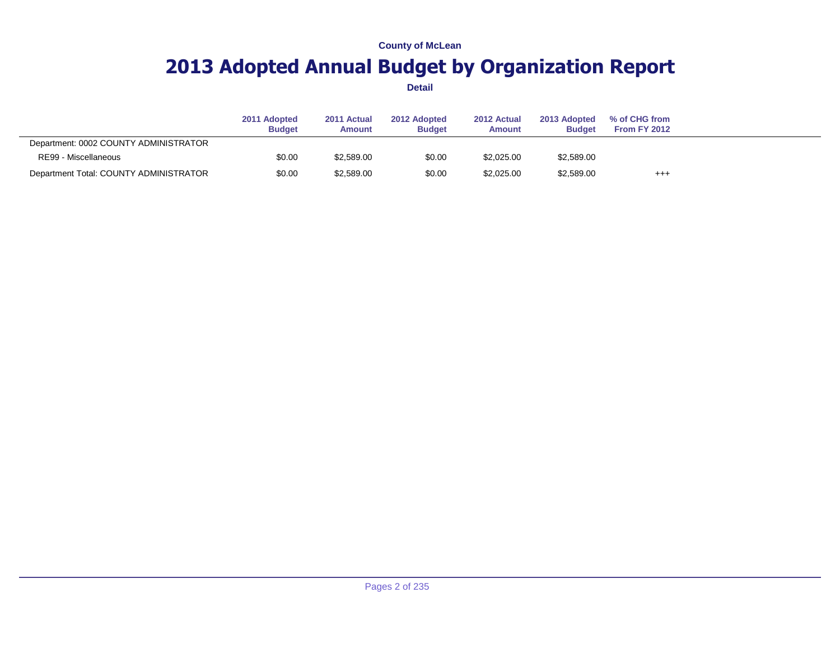# **2013 Adopted Annual Budget by Organization Report**

|                                        | 2011 Adopted<br><b>Budget</b> | 2011 Actual<br><b>Amount</b> | 2012 Adopted<br><b>Budget</b> | 2012 Actual<br><b>Amount</b> | 2013 Adopted<br><b>Budget</b> | % of CHG from<br>From FY 2012 |  |
|----------------------------------------|-------------------------------|------------------------------|-------------------------------|------------------------------|-------------------------------|-------------------------------|--|
| Department: 0002 COUNTY ADMINISTRATOR  |                               |                              |                               |                              |                               |                               |  |
| RE99 - Miscellaneous                   | \$0.00                        | \$2,589.00                   | \$0.00                        | \$2,025,00                   | \$2,589.00                    |                               |  |
| Department Total: COUNTY ADMINISTRATOR | \$0.00                        | \$2,589.00                   | \$0.00                        | \$2,025,00                   | \$2,589.00                    | $^{+++}$                      |  |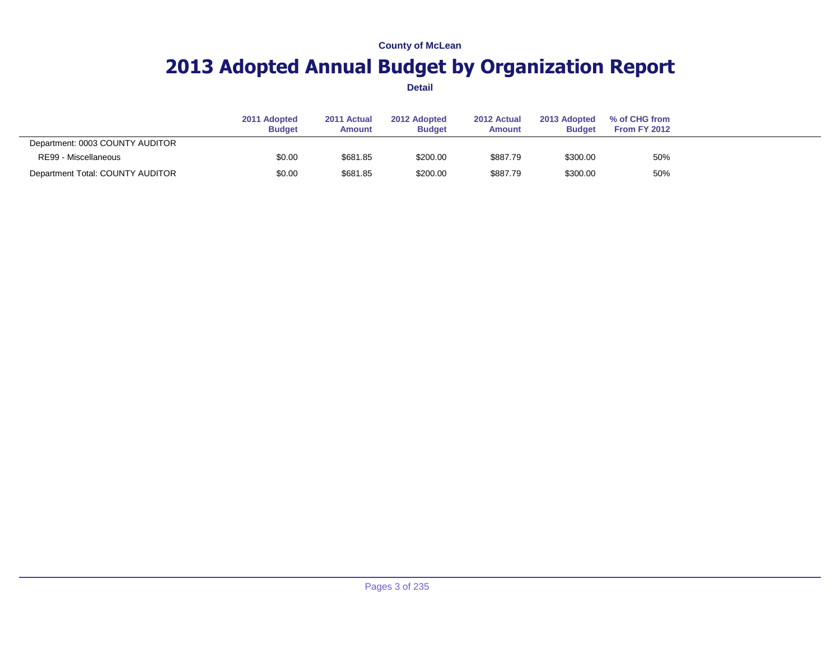# **2013 Adopted Annual Budget by Organization Report**

|                                  | 2011 Adopted<br><b>Budget</b> | 2011 Actual<br><b>Amount</b> | 2012 Adopted<br><b>Budget</b> | 2012 Actual<br><b>Amount</b> | 2013 Adopted<br><b>Budget</b> | % of CHG from<br>From FY 2012 |  |
|----------------------------------|-------------------------------|------------------------------|-------------------------------|------------------------------|-------------------------------|-------------------------------|--|
| Department: 0003 COUNTY AUDITOR  |                               |                              |                               |                              |                               |                               |  |
| RE99 - Miscellaneous             | \$0.00                        | \$681.85                     | \$200.00                      | \$887.79                     | \$300.00                      | 50%                           |  |
| Department Total: COUNTY AUDITOR | \$0.00                        | \$681.85                     | \$200.00                      | \$887.79                     | \$300.00                      | 50%                           |  |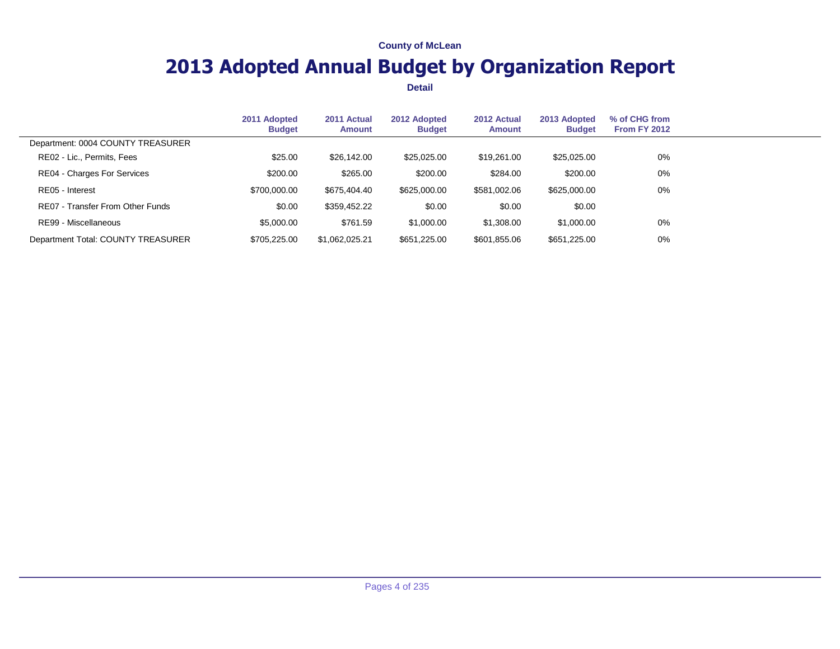# **2013 Adopted Annual Budget by Organization Report**

|                                    | 2011 Adopted<br><b>Budget</b> | 2011 Actual<br><b>Amount</b> | 2012 Adopted<br><b>Budget</b> | 2012 Actual<br><b>Amount</b> | 2013 Adopted<br><b>Budget</b> | % of CHG from<br><b>From FY 2012</b> |  |
|------------------------------------|-------------------------------|------------------------------|-------------------------------|------------------------------|-------------------------------|--------------------------------------|--|
| Department: 0004 COUNTY TREASURER  |                               |                              |                               |                              |                               |                                      |  |
| RE02 - Lic., Permits, Fees         | \$25.00                       | \$26,142.00                  | \$25,025,00                   | \$19,261,00                  | \$25,025.00                   | $0\%$                                |  |
| RE04 - Charges For Services        | \$200.00                      | \$265.00                     | \$200.00                      | \$284.00                     | \$200.00                      | 0%                                   |  |
| RE05 - Interest                    | \$700,000.00                  | \$675.404.40                 | \$625,000.00                  | \$581,002.06                 | \$625,000.00                  | $0\%$                                |  |
| RE07 - Transfer From Other Funds   | \$0.00                        | \$359,452.22                 | \$0.00                        | \$0.00                       | \$0.00                        |                                      |  |
| RE99 - Miscellaneous               | \$5,000.00                    | \$761.59                     | \$1,000.00                    | \$1,308.00                   | \$1,000.00                    | $0\%$                                |  |
| Department Total: COUNTY TREASURER | \$705,225.00                  | \$1,062,025.21               | \$651,225.00                  | \$601,855.06                 | \$651,225.00                  | $0\%$                                |  |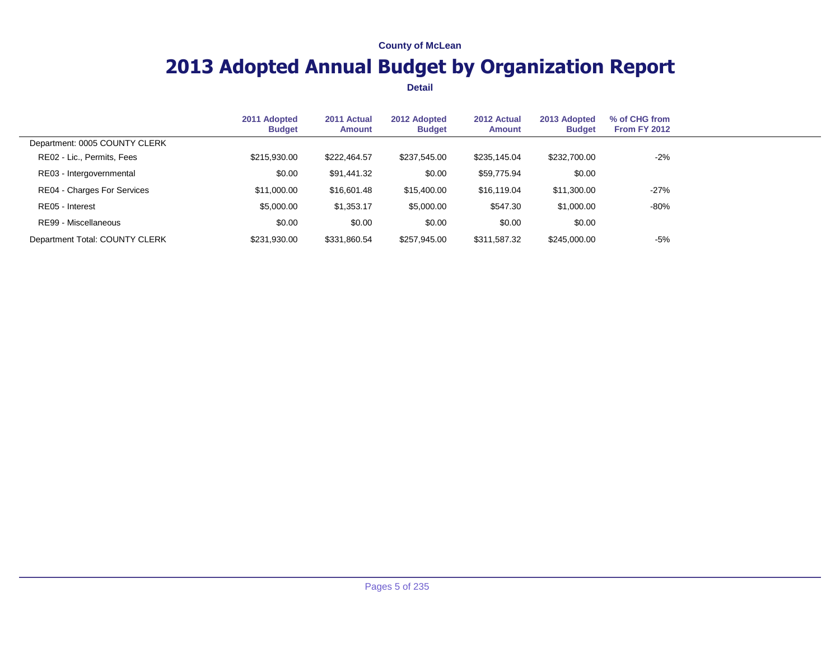# **2013 Adopted Annual Budget by Organization Report**

|                                | 2011 Adopted<br><b>Budget</b> | 2011 Actual<br><b>Amount</b> | 2012 Adopted<br><b>Budget</b> | 2012 Actual<br><b>Amount</b> | 2013 Adopted<br><b>Budget</b> | % of CHG from<br><b>From FY 2012</b> |  |
|--------------------------------|-------------------------------|------------------------------|-------------------------------|------------------------------|-------------------------------|--------------------------------------|--|
| Department: 0005 COUNTY CLERK  |                               |                              |                               |                              |                               |                                      |  |
| RE02 - Lic., Permits, Fees     | \$215,930.00                  | \$222,464.57                 | \$237.545.00                  | \$235,145.04                 | \$232,700.00                  | $-2\%$                               |  |
| RE03 - Intergovernmental       | \$0.00                        | \$91,441.32                  | \$0.00                        | \$59,775.94                  | \$0.00                        |                                      |  |
| RE04 - Charges For Services    | \$11,000.00                   | \$16,601.48                  | \$15,400.00                   | \$16,119,04                  | \$11,300.00                   | $-27%$                               |  |
| RE05 - Interest                | \$5,000.00                    | \$1,353.17                   | \$5,000.00                    | \$547.30                     | \$1,000.00                    | -80%                                 |  |
| RE99 - Miscellaneous           | \$0.00                        | \$0.00                       | \$0.00                        | \$0.00                       | \$0.00                        |                                      |  |
| Department Total: COUNTY CLERK | \$231,930.00                  | \$331,860.54                 | \$257,945.00                  | \$311,587,32                 | \$245,000.00                  | $-5%$                                |  |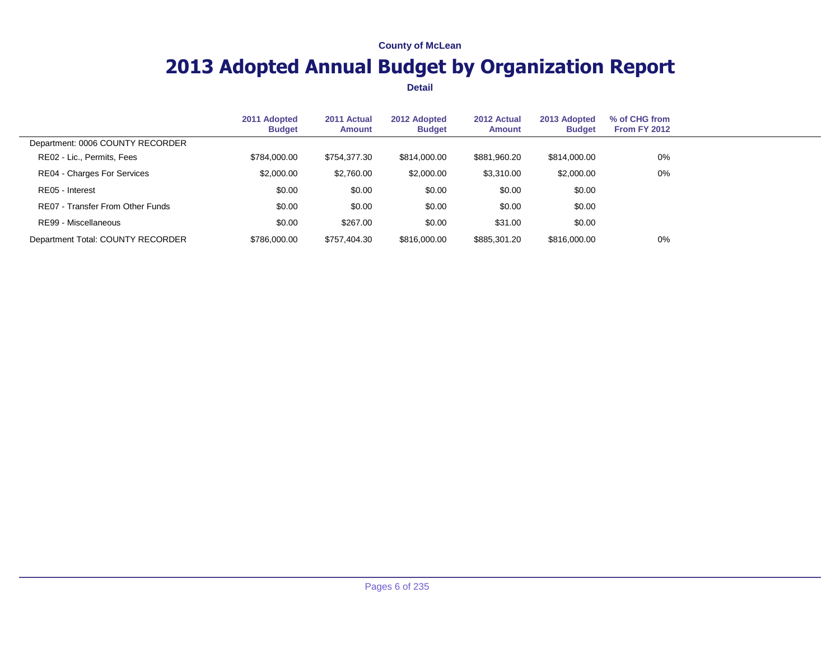# **2013 Adopted Annual Budget by Organization Report**

|                                    | 2011 Adopted<br><b>Budget</b> | 2011 Actual<br>Amount | 2012 Adopted<br><b>Budget</b> | 2012 Actual<br><b>Amount</b> | 2013 Adopted<br><b>Budget</b> | % of CHG from<br><b>From FY 2012</b> |  |
|------------------------------------|-------------------------------|-----------------------|-------------------------------|------------------------------|-------------------------------|--------------------------------------|--|
| Department: 0006 COUNTY RECORDER   |                               |                       |                               |                              |                               |                                      |  |
| RE02 - Lic., Permits, Fees         | \$784,000,00                  | \$754.377.30          | \$814,000,00                  | \$881.960.20                 | \$814,000,00                  | 0%                                   |  |
| <b>RE04 - Charges For Services</b> | \$2,000.00                    | \$2,760.00            | \$2,000.00                    | \$3,310.00                   | \$2,000.00                    | 0%                                   |  |
| RE05 - Interest                    | \$0.00                        | \$0.00                | \$0.00                        | \$0.00                       | \$0.00                        |                                      |  |
| RE07 - Transfer From Other Funds   | \$0.00                        | \$0.00                | \$0.00                        | \$0.00                       | \$0.00                        |                                      |  |
| RE99 - Miscellaneous               | \$0.00                        | \$267.00              | \$0.00                        | \$31.00                      | \$0.00                        |                                      |  |
| Department Total: COUNTY RECORDER  | \$786,000.00                  | \$757,404.30          | \$816,000.00                  | \$885,301.20                 | \$816,000.00                  | 0%                                   |  |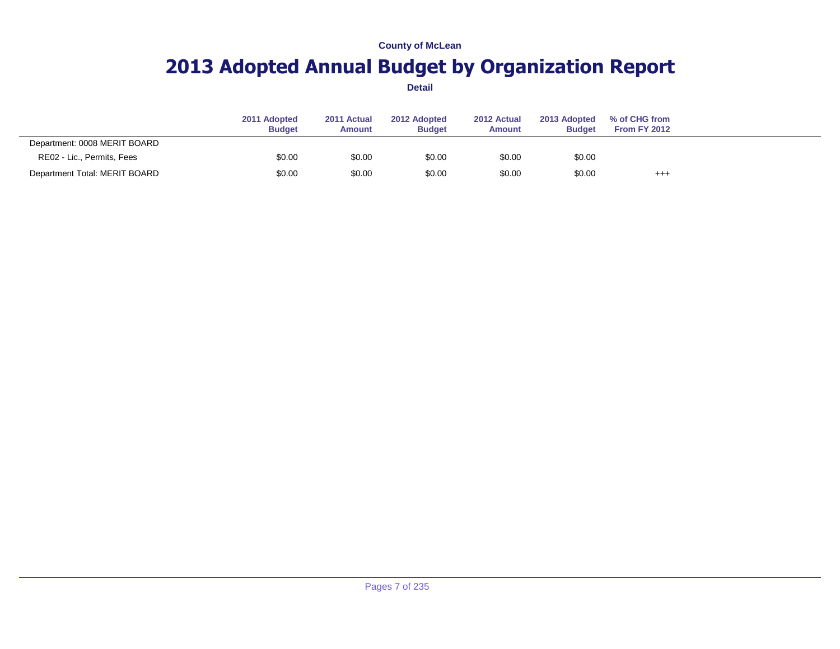# **2013 Adopted Annual Budget by Organization Report**

|                               | 2011 Adopted<br><b>Budget</b> | 2011 Actual<br><b>Amount</b> | 2012 Adopted<br><b>Budget</b> | 2012 Actual<br><b>Amount</b> | 2013 Adopted<br><b>Budget</b> | % of CHG from<br><b>From FY 2012</b> |  |
|-------------------------------|-------------------------------|------------------------------|-------------------------------|------------------------------|-------------------------------|--------------------------------------|--|
| Department: 0008 MERIT BOARD  |                               |                              |                               |                              |                               |                                      |  |
| RE02 - Lic., Permits, Fees    | \$0.00                        | \$0.00                       | \$0.00                        | \$0.00                       | \$0.00                        |                                      |  |
| Department Total: MERIT BOARD | \$0.00                        | \$0.00                       | \$0.00                        | \$0.00                       | \$0.00                        | $^{+++}$                             |  |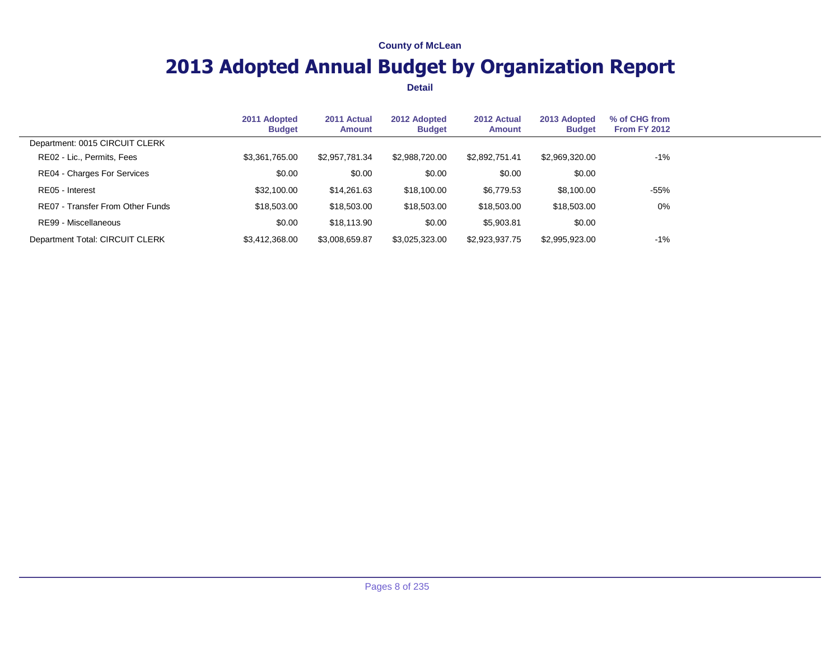# **2013 Adopted Annual Budget by Organization Report**

|                                  | 2011 Adopted<br><b>Budget</b> | 2011 Actual<br><b>Amount</b> | 2012 Adopted<br><b>Budget</b> | 2012 Actual<br><b>Amount</b> | 2013 Adopted<br><b>Budget</b> | % of CHG from<br><b>From FY 2012</b> |  |
|----------------------------------|-------------------------------|------------------------------|-------------------------------|------------------------------|-------------------------------|--------------------------------------|--|
| Department: 0015 CIRCUIT CLERK   |                               |                              |                               |                              |                               |                                      |  |
| RE02 - Lic., Permits, Fees       | \$3,361,765.00                | \$2,957,781.34               | \$2.988.720.00                | \$2.892.751.41               | \$2,969,320,00                | -1%                                  |  |
| RE04 - Charges For Services      | \$0.00                        | \$0.00                       | \$0.00                        | \$0.00                       | \$0.00                        |                                      |  |
| RE05 - Interest                  | \$32,100.00                   | \$14,261.63                  | \$18,100.00                   | \$6,779.53                   | \$8,100.00                    | $-55%$                               |  |
| RE07 - Transfer From Other Funds | \$18,503,00                   | \$18,503.00                  | \$18,503.00                   | \$18,503.00                  | \$18,503.00                   | 0%                                   |  |
| RE99 - Miscellaneous             | \$0.00                        | \$18,113.90                  | \$0.00                        | \$5,903.81                   | \$0.00                        |                                      |  |
| Department Total: CIRCUIT CLERK  | \$3,412,368.00                | \$3,008,659.87               | \$3,025,323.00                | \$2,923,937.75               | \$2,995,923.00                | -1%                                  |  |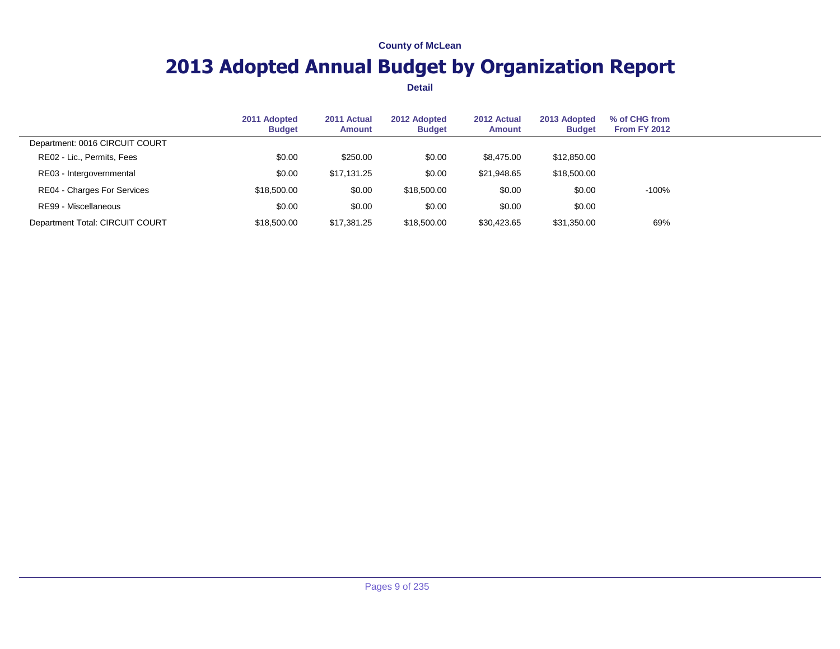# **2013 Adopted Annual Budget by Organization Report**

|                                    | 2011 Adopted<br><b>Budget</b> | 2011 Actual<br>Amount | 2012 Adopted<br><b>Budget</b> | 2012 Actual<br>Amount | 2013 Adopted<br><b>Budget</b> | % of CHG from<br><b>From FY 2012</b> |  |
|------------------------------------|-------------------------------|-----------------------|-------------------------------|-----------------------|-------------------------------|--------------------------------------|--|
| Department: 0016 CIRCUIT COURT     |                               |                       |                               |                       |                               |                                      |  |
| RE02 - Lic., Permits, Fees         | \$0.00                        | \$250.00              | \$0.00                        | \$8,475.00            | \$12,850.00                   |                                      |  |
| RE03 - Intergovernmental           | \$0.00                        | \$17,131.25           | \$0.00                        | \$21,948.65           | \$18,500.00                   |                                      |  |
| <b>RE04 - Charges For Services</b> | \$18,500.00                   | \$0.00                | \$18,500.00                   | \$0.00                | \$0.00                        | $-100%$                              |  |
| RE99 - Miscellaneous               | \$0.00                        | \$0.00                | \$0.00                        | \$0.00                | \$0.00                        |                                      |  |
| Department Total: CIRCUIT COURT    | \$18,500.00                   | \$17,381.25           | \$18,500.00                   | \$30.423.65           | \$31,350.00                   | 69%                                  |  |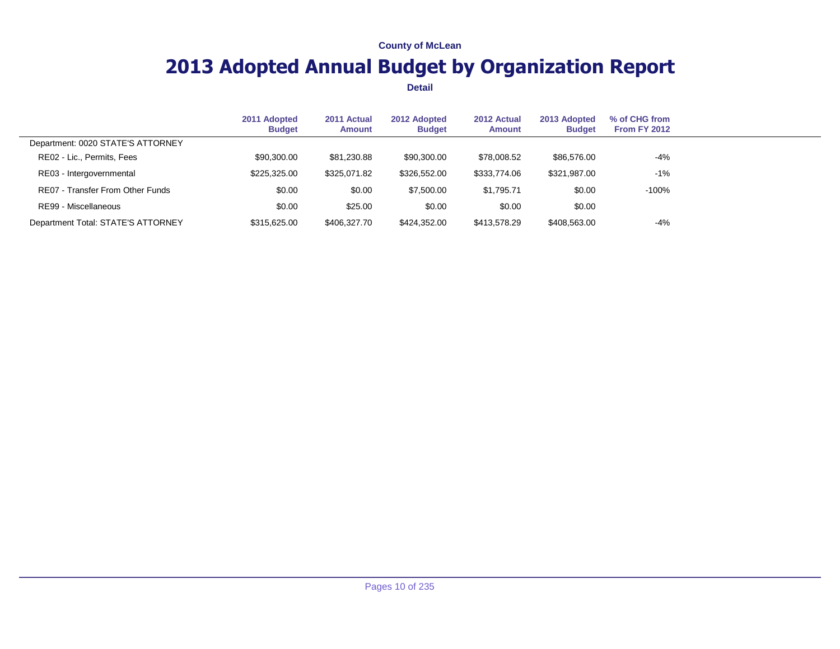# **2013 Adopted Annual Budget by Organization Report**

|                                    | 2011 Adopted<br><b>Budget</b> | 2011 Actual<br><b>Amount</b> | 2012 Adopted<br><b>Budget</b> | 2012 Actual<br><b>Amount</b> | 2013 Adopted<br><b>Budget</b> | % of CHG from<br><b>From FY 2012</b> |  |
|------------------------------------|-------------------------------|------------------------------|-------------------------------|------------------------------|-------------------------------|--------------------------------------|--|
| Department: 0020 STATE'S ATTORNEY  |                               |                              |                               |                              |                               |                                      |  |
| RE02 - Lic., Permits, Fees         | \$90,300.00                   | \$81,230.88                  | \$90,300.00                   | \$78,008.52                  | \$86,576.00                   | $-4\%$                               |  |
| RE03 - Intergovernmental           | \$225,325.00                  | \$325,071.82                 | \$326,552.00                  | \$333,774.06                 | \$321,987.00                  | $-1%$                                |  |
| RE07 - Transfer From Other Funds   | \$0.00                        | \$0.00                       | \$7,500.00                    | \$1.795.71                   | \$0.00                        | $-100%$                              |  |
| RE99 - Miscellaneous               | \$0.00                        | \$25.00                      | \$0.00                        | \$0.00                       | \$0.00                        |                                      |  |
| Department Total: STATE'S ATTORNEY | \$315,625,00                  | \$406,327,70                 | \$424.352.00                  | \$413,578,29                 | \$408,563.00                  | $-4%$                                |  |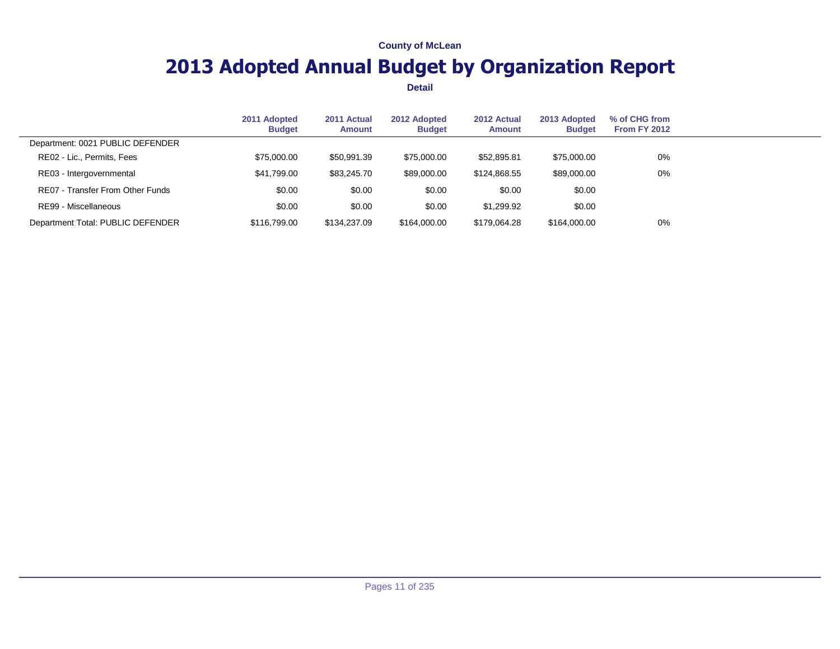# **2013 Adopted Annual Budget by Organization Report**

|                                   | 2011 Adopted<br><b>Budget</b> | 2011 Actual<br><b>Amount</b> | 2012 Adopted<br><b>Budget</b> | 2012 Actual<br><b>Amount</b> | 2013 Adopted<br><b>Budget</b> | % of CHG from<br><b>From FY 2012</b> |  |
|-----------------------------------|-------------------------------|------------------------------|-------------------------------|------------------------------|-------------------------------|--------------------------------------|--|
| Department: 0021 PUBLIC DEFENDER  |                               |                              |                               |                              |                               |                                      |  |
| RE02 - Lic., Permits, Fees        | \$75,000.00                   | \$50,991.39                  | \$75,000.00                   | \$52,895.81                  | \$75,000.00                   | 0%                                   |  |
| RE03 - Intergovernmental          | \$41,799.00                   | \$83,245,70                  | \$89,000.00                   | \$124.868.55                 | \$89,000.00                   | 0%                                   |  |
| RE07 - Transfer From Other Funds  | \$0.00                        | \$0.00                       | \$0.00                        | \$0.00                       | \$0.00                        |                                      |  |
| RE99 - Miscellaneous              | \$0.00                        | \$0.00                       | \$0.00                        | \$1,299.92                   | \$0.00                        |                                      |  |
| Department Total: PUBLIC DEFENDER | \$116,799.00                  | \$134,237.09                 | \$164,000,00                  | \$179,064.28                 | \$164,000,00                  | 0%                                   |  |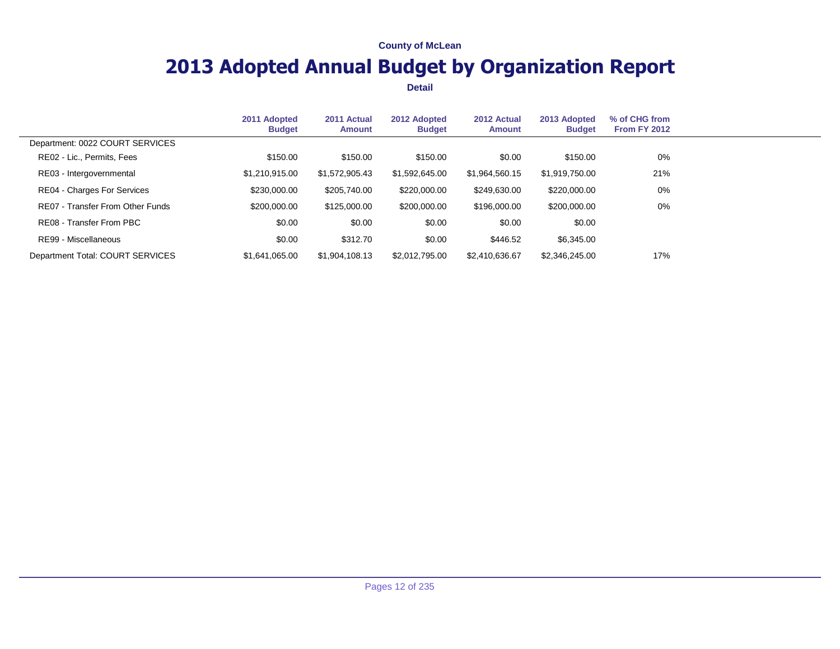# **2013 Adopted Annual Budget by Organization Report**

|                                  | 2011 Adopted<br><b>Budget</b> | 2011 Actual<br>Amount | 2012 Adopted<br><b>Budget</b> | 2012 Actual<br>Amount | 2013 Adopted<br><b>Budget</b> | % of CHG from<br><b>From FY 2012</b> |  |
|----------------------------------|-------------------------------|-----------------------|-------------------------------|-----------------------|-------------------------------|--------------------------------------|--|
| Department: 0022 COURT SERVICES  |                               |                       |                               |                       |                               |                                      |  |
| RE02 - Lic., Permits, Fees       | \$150.00                      | \$150.00              | \$150.00                      | \$0.00                | \$150.00                      | 0%                                   |  |
| RE03 - Intergovernmental         | \$1,210,915.00                | \$1,572,905.43        | \$1,592,645.00                | \$1,964,560.15        | \$1,919,750.00                | 21%                                  |  |
| RE04 - Charges For Services      | \$230,000.00                  | \$205,740.00          | \$220,000.00                  | \$249,630.00          | \$220,000.00                  | 0%                                   |  |
| RE07 - Transfer From Other Funds | \$200,000,00                  | \$125,000.00          | \$200,000,00                  | \$196,000.00          | \$200,000.00                  | 0%                                   |  |
| RE08 - Transfer From PBC         | \$0.00                        | \$0.00                | \$0.00                        | \$0.00                | \$0.00                        |                                      |  |
| RE99 - Miscellaneous             | \$0.00                        | \$312.70              | \$0.00                        | \$446.52              | \$6,345.00                    |                                      |  |
| Department Total: COURT SERVICES | \$1.641.065.00                | \$1,904,108,13        | \$2,012,795.00                | \$2,410,636.67        | \$2,346,245.00                | 17%                                  |  |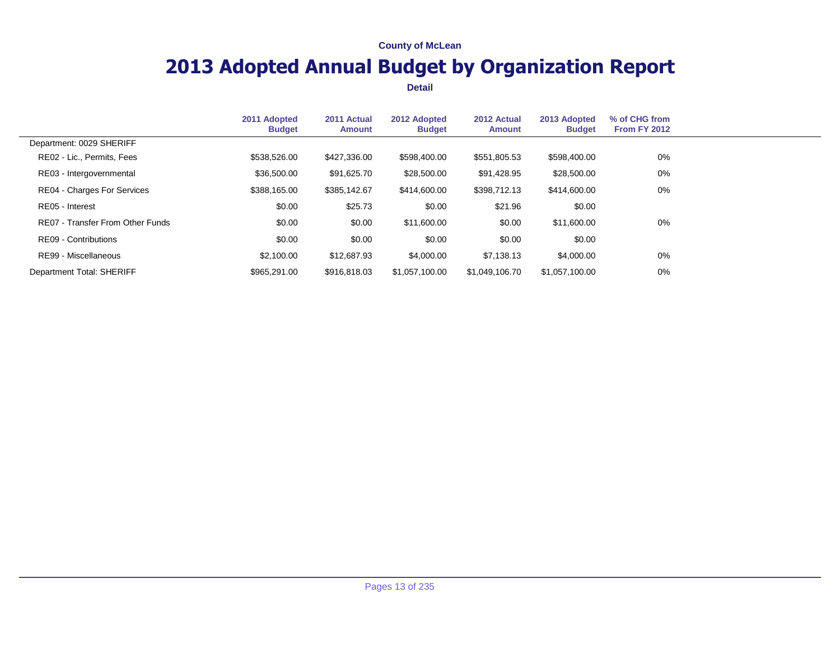# **2013 Adopted Annual Budget by Organization Report**

|                                  | 2011 Adopted<br><b>Budget</b> | 2011 Actual<br><b>Amount</b> | 2012 Adopted<br><b>Budget</b> | 2012 Actual<br>Amount | 2013 Adopted<br><b>Budget</b> | % of CHG from<br><b>From FY 2012</b> |  |
|----------------------------------|-------------------------------|------------------------------|-------------------------------|-----------------------|-------------------------------|--------------------------------------|--|
| Department: 0029 SHERIFF         |                               |                              |                               |                       |                               |                                      |  |
| RE02 - Lic., Permits, Fees       | \$538,526.00                  | \$427,336.00                 | \$598,400.00                  | \$551,805.53          | \$598,400.00                  | 0%                                   |  |
| RE03 - Intergovernmental         | \$36,500.00                   | \$91,625.70                  | \$28,500.00                   | \$91,428.95           | \$28,500.00                   | 0%                                   |  |
| RE04 - Charges For Services      | \$388,165.00                  | \$385,142.67                 | \$414,600.00                  | \$398,712.13          | \$414,600.00                  | 0%                                   |  |
| RE05 - Interest                  | \$0.00                        | \$25.73                      | \$0.00                        | \$21.96               | \$0.00                        |                                      |  |
| RE07 - Transfer From Other Funds | \$0.00                        | \$0.00                       | \$11,600.00                   | \$0.00                | \$11,600.00                   | 0%                                   |  |
| RE09 - Contributions             | \$0.00                        | \$0.00                       | \$0.00                        | \$0.00                | \$0.00                        |                                      |  |
| RE99 - Miscellaneous             | \$2,100.00                    | \$12,687.93                  | \$4,000.00                    | \$7.138.13            | \$4,000.00                    | 0%                                   |  |
| Department Total: SHERIFF        | \$965,291.00                  | \$916,818,03                 | \$1.057.100.00                | \$1.049.106.70        | \$1.057.100.00                | 0%                                   |  |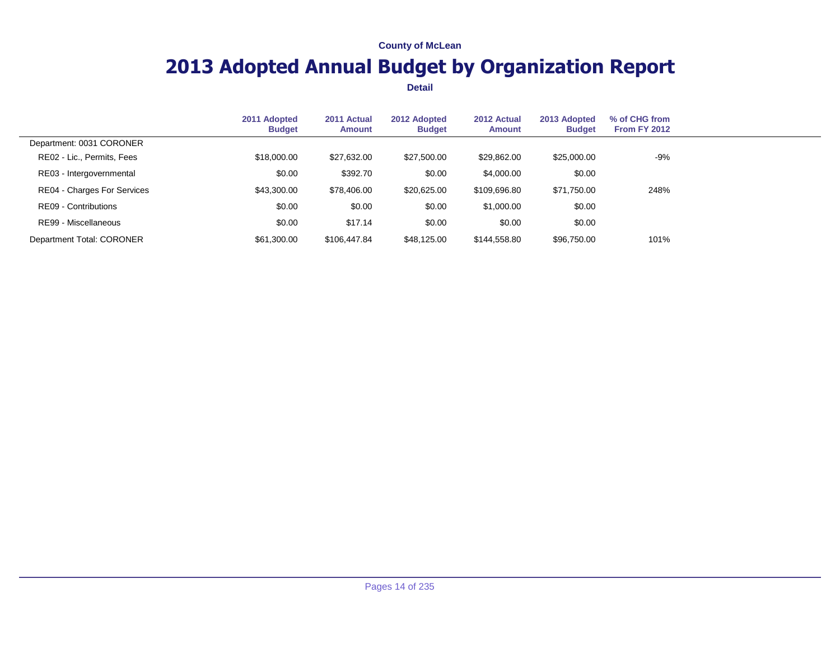# **2013 Adopted Annual Budget by Organization Report**

|                             | 2011 Adopted<br><b>Budget</b> | 2011 Actual<br><b>Amount</b> | 2012 Adopted<br><b>Budget</b> | 2012 Actual<br><b>Amount</b> | 2013 Adopted<br><b>Budget</b> | % of CHG from<br><b>From FY 2012</b> |  |
|-----------------------------|-------------------------------|------------------------------|-------------------------------|------------------------------|-------------------------------|--------------------------------------|--|
| Department: 0031 CORONER    |                               |                              |                               |                              |                               |                                      |  |
| RE02 - Lic., Permits, Fees  | \$18,000.00                   | \$27,632.00                  | \$27,500.00                   | \$29,862.00                  | \$25,000.00                   | -9%                                  |  |
| RE03 - Intergovernmental    | \$0.00                        | \$392.70                     | \$0.00                        | \$4,000.00                   | \$0.00                        |                                      |  |
| RE04 - Charges For Services | \$43,300.00                   | \$78,406.00                  | \$20,625.00                   | \$109,696.80                 | \$71,750.00                   | 248%                                 |  |
| RE09 - Contributions        | \$0.00                        | \$0.00                       | \$0.00                        | \$1,000.00                   | \$0.00                        |                                      |  |
| RE99 - Miscellaneous        | \$0.00                        | \$17.14                      | \$0.00                        | \$0.00                       | \$0.00                        |                                      |  |
| Department Total: CORONER   | \$61,300.00                   | \$106,447.84                 | \$48,125.00                   | \$144.558.80                 | \$96,750.00                   | 101%                                 |  |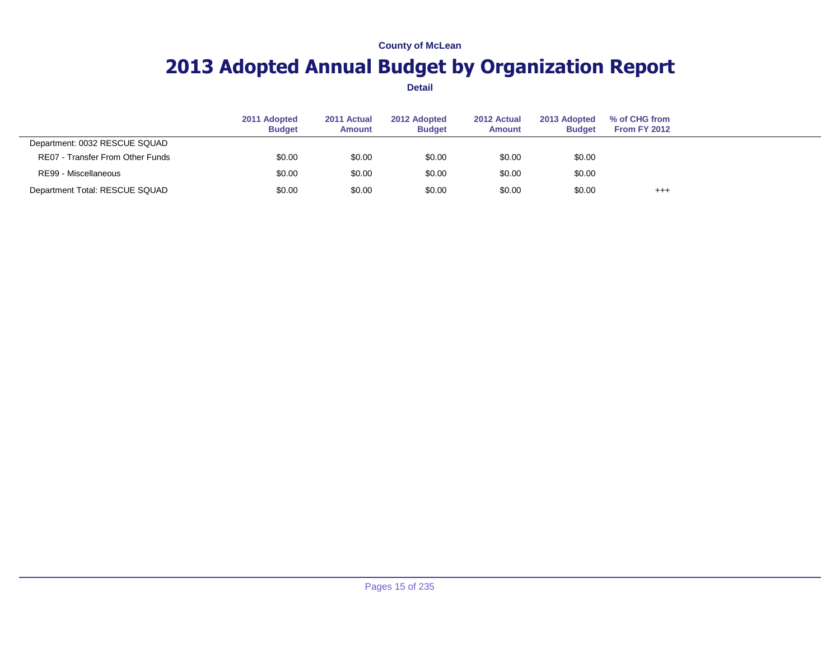# **2013 Adopted Annual Budget by Organization Report**

|                                  | 2011 Adopted<br><b>Budget</b> | 2011 Actual<br><b>Amount</b> | 2012 Adopted<br><b>Budget</b> | 2012 Actual<br><b>Amount</b> | 2013 Adopted<br><b>Budget</b> | % of CHG from<br><b>From FY 2012</b> |  |
|----------------------------------|-------------------------------|------------------------------|-------------------------------|------------------------------|-------------------------------|--------------------------------------|--|
| Department: 0032 RESCUE SQUAD    |                               |                              |                               |                              |                               |                                      |  |
| RE07 - Transfer From Other Funds | \$0.00                        | \$0.00                       | \$0.00                        | \$0.00                       | \$0.00                        |                                      |  |
| RE99 - Miscellaneous             | \$0.00                        | \$0.00                       | \$0.00                        | \$0.00                       | \$0.00                        |                                      |  |
| Department Total: RESCUE SQUAD   | \$0.00                        | \$0.00                       | \$0.00                        | \$0.00                       | \$0.00                        | $^{+++}$                             |  |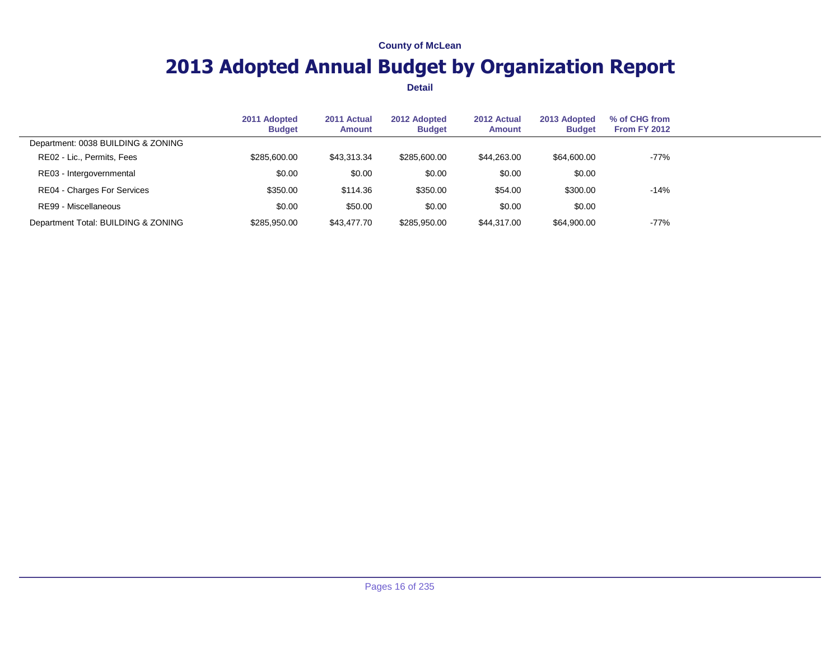# **2013 Adopted Annual Budget by Organization Report**

|                                     | 2011 Adopted<br><b>Budget</b> | 2011 Actual<br><b>Amount</b> | 2012 Adopted<br><b>Budget</b> | 2012 Actual<br><b>Amount</b> | 2013 Adopted<br><b>Budget</b> | % of CHG from<br><b>From FY 2012</b> |  |
|-------------------------------------|-------------------------------|------------------------------|-------------------------------|------------------------------|-------------------------------|--------------------------------------|--|
| Department: 0038 BUILDING & ZONING  |                               |                              |                               |                              |                               |                                      |  |
| RE02 - Lic., Permits, Fees          | \$285,600.00                  | \$43,313.34                  | \$285,600.00                  | \$44,263.00                  | \$64,600.00                   | $-77%$                               |  |
| RE03 - Intergovernmental            | \$0.00                        | \$0.00                       | \$0.00                        | \$0.00                       | \$0.00                        |                                      |  |
| <b>RE04 - Charges For Services</b>  | \$350.00                      | \$114.36                     | \$350.00                      | \$54.00                      | \$300.00                      | $-14%$                               |  |
| RE99 - Miscellaneous                | \$0.00                        | \$50.00                      | \$0.00                        | \$0.00                       | \$0.00                        |                                      |  |
| Department Total: BUILDING & ZONING | \$285,950.00                  | \$43,477.70                  | \$285,950.00                  | \$44,317,00                  | \$64,900.00                   | $-77%$                               |  |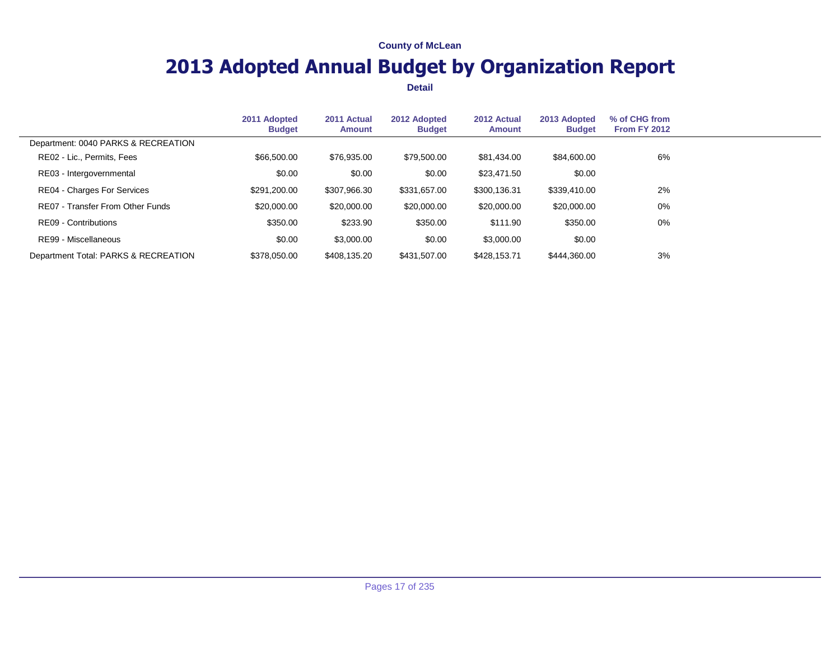# **2013 Adopted Annual Budget by Organization Report**

|                                      | 2011 Adopted<br><b>Budget</b> | 2011 Actual<br><b>Amount</b> | 2012 Adopted<br><b>Budget</b> | 2012 Actual<br>Amount | 2013 Adopted<br><b>Budget</b> | % of CHG from<br><b>From FY 2012</b> |  |
|--------------------------------------|-------------------------------|------------------------------|-------------------------------|-----------------------|-------------------------------|--------------------------------------|--|
| Department: 0040 PARKS & RECREATION  |                               |                              |                               |                       |                               |                                      |  |
| RE02 - Lic., Permits, Fees           | \$66,500.00                   | \$76,935.00                  | \$79,500.00                   | \$81,434.00           | \$84,600.00                   | 6%                                   |  |
| RE03 - Intergovernmental             | \$0.00                        | \$0.00                       | \$0.00                        | \$23,471.50           | \$0.00                        |                                      |  |
| <b>RE04 - Charges For Services</b>   | \$291,200.00                  | \$307,966.30                 | \$331,657.00                  | \$300,136.31          | \$339,410.00                  | 2%                                   |  |
| RE07 - Transfer From Other Funds     | \$20,000,00                   | \$20,000.00                  | \$20,000.00                   | \$20,000.00           | \$20,000.00                   | $0\%$                                |  |
| RE09 - Contributions                 | \$350.00                      | \$233.90                     | \$350.00                      | \$111.90              | \$350.00                      | $0\%$                                |  |
| RE99 - Miscellaneous                 | \$0.00                        | \$3,000.00                   | \$0.00                        | \$3,000.00            | \$0.00                        |                                      |  |
| Department Total: PARKS & RECREATION | \$378,050,00                  | \$408,135.20                 | \$431.507.00                  | \$428.153.71          | \$444.360.00                  | 3%                                   |  |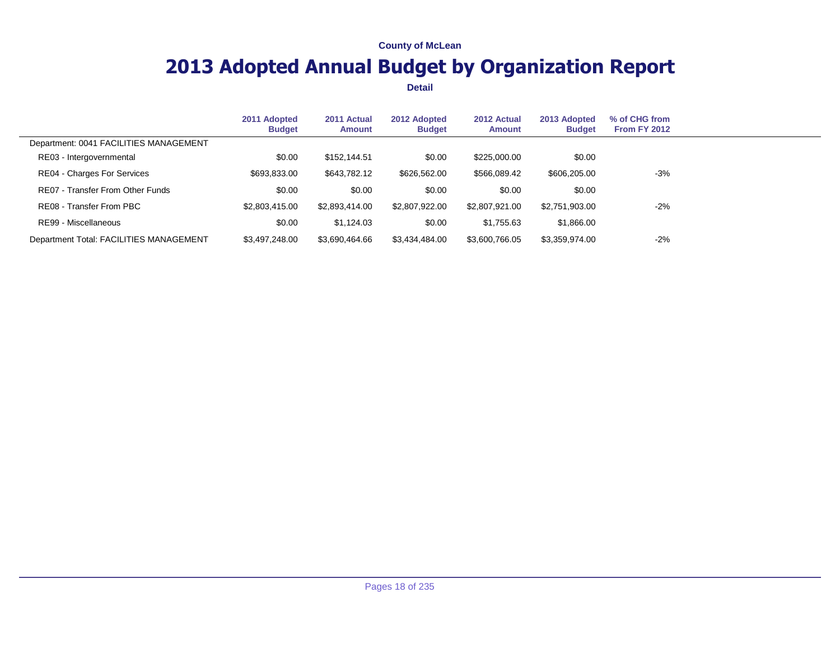# **2013 Adopted Annual Budget by Organization Report**

|                                         | 2011 Adopted<br><b>Budget</b> | 2011 Actual<br><b>Amount</b> | 2012 Adopted<br><b>Budget</b> | 2012 Actual<br>Amount | 2013 Adopted<br><b>Budget</b> | % of CHG from<br><b>From FY 2012</b> |  |
|-----------------------------------------|-------------------------------|------------------------------|-------------------------------|-----------------------|-------------------------------|--------------------------------------|--|
| Department: 0041 FACILITIES MANAGEMENT  |                               |                              |                               |                       |                               |                                      |  |
| RE03 - Intergovernmental                | \$0.00                        | \$152,144.51                 | \$0.00                        | \$225,000.00          | \$0.00                        |                                      |  |
| RE04 - Charges For Services             | \$693,833.00                  | \$643,782.12                 | \$626,562.00                  | \$566,089.42          | \$606,205.00                  | $-3%$                                |  |
| RE07 - Transfer From Other Funds        | \$0.00                        | \$0.00                       | \$0.00                        | \$0.00                | \$0.00                        |                                      |  |
| RE08 - Transfer From PBC                | \$2,803,415.00                | \$2,893,414.00               | \$2,807,922.00                | \$2,807,921.00        | \$2,751,903.00                | $-2%$                                |  |
| RE99 - Miscellaneous                    | \$0.00                        | \$1.124.03                   | \$0.00                        | \$1,755.63            | \$1,866.00                    |                                      |  |
| Department Total: FACILITIES MANAGEMENT | \$3,497,248.00                | \$3,690,464.66               | \$3,434,484.00                | \$3,600,766.05        | \$3,359,974.00                | $-2%$                                |  |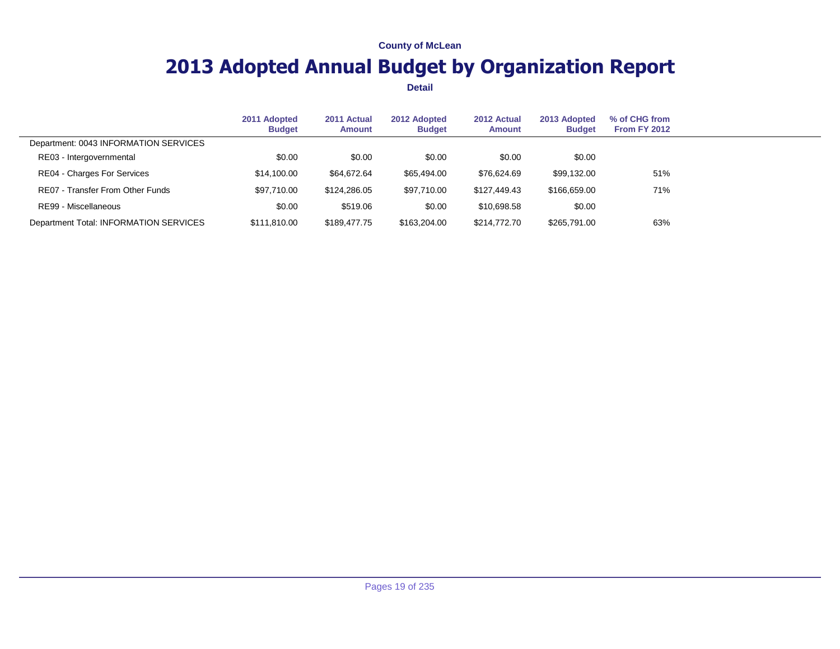# **2013 Adopted Annual Budget by Organization Report**

|                                        | 2011 Adopted<br><b>Budget</b> | 2011 Actual<br><b>Amount</b> | 2012 Adopted<br><b>Budget</b> | 2012 Actual<br>Amount | 2013 Adopted<br><b>Budget</b> | % of CHG from<br><b>From FY 2012</b> |  |
|----------------------------------------|-------------------------------|------------------------------|-------------------------------|-----------------------|-------------------------------|--------------------------------------|--|
| Department: 0043 INFORMATION SERVICES  |                               |                              |                               |                       |                               |                                      |  |
| RE03 - Intergovernmental               | \$0.00                        | \$0.00                       | \$0.00                        | \$0.00                | \$0.00                        |                                      |  |
| RE04 - Charges For Services            | \$14,100.00                   | \$64,672.64                  | \$65,494.00                   | \$76,624.69           | \$99,132.00                   | 51%                                  |  |
| RE07 - Transfer From Other Funds       | \$97.710.00                   | \$124.286.05                 | \$97.710.00                   | \$127,449.43          | \$166,659.00                  | 71%                                  |  |
| RE99 - Miscellaneous                   | \$0.00                        | \$519.06                     | \$0.00                        | \$10,698.58           | \$0.00                        |                                      |  |
| Department Total: INFORMATION SERVICES | \$111.810.00                  | \$189,477,75                 | \$163,204.00                  | \$214,772.70          | \$265,791.00                  | 63%                                  |  |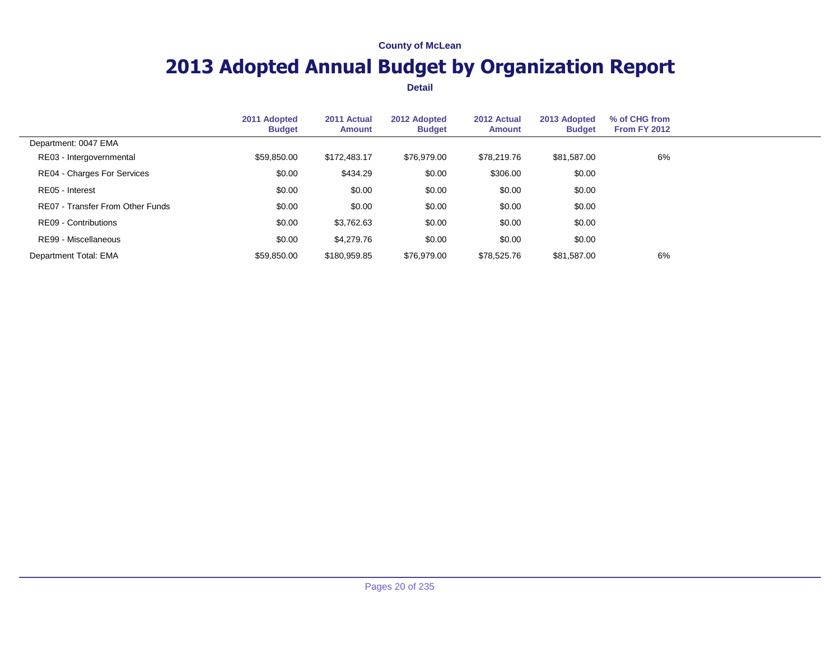# **2013 Adopted Annual Budget by Organization Report**

|                                  | 2011 Adopted<br><b>Budget</b> | 2011 Actual<br>Amount | 2012 Adopted<br><b>Budget</b> | 2012 Actual<br>Amount | 2013 Adopted<br><b>Budget</b> | % of CHG from<br><b>From FY 2012</b> |  |
|----------------------------------|-------------------------------|-----------------------|-------------------------------|-----------------------|-------------------------------|--------------------------------------|--|
| Department: 0047 EMA             |                               |                       |                               |                       |                               |                                      |  |
| RE03 - Intergovernmental         | \$59,850.00                   | \$172,483.17          | \$76,979.00                   | \$78.219.76           | \$81,587,00                   | 6%                                   |  |
| RE04 - Charges For Services      | \$0.00                        | \$434.29              | \$0.00                        | \$306.00              | \$0.00                        |                                      |  |
| RE05 - Interest                  | \$0.00                        | \$0.00                | \$0.00                        | \$0.00                | \$0.00                        |                                      |  |
| RE07 - Transfer From Other Funds | \$0.00                        | \$0.00                | \$0.00                        | \$0.00                | \$0.00                        |                                      |  |
| RE09 - Contributions             | \$0.00                        | \$3,762.63            | \$0.00                        | \$0.00                | \$0.00                        |                                      |  |
| RE99 - Miscellaneous             | \$0.00                        | \$4,279.76            | \$0.00                        | \$0.00                | \$0.00                        |                                      |  |
| Department Total: EMA            | \$59.850.00                   | \$180,959.85          | \$76,979.00                   | \$78.525.76           | \$81,587.00                   | 6%                                   |  |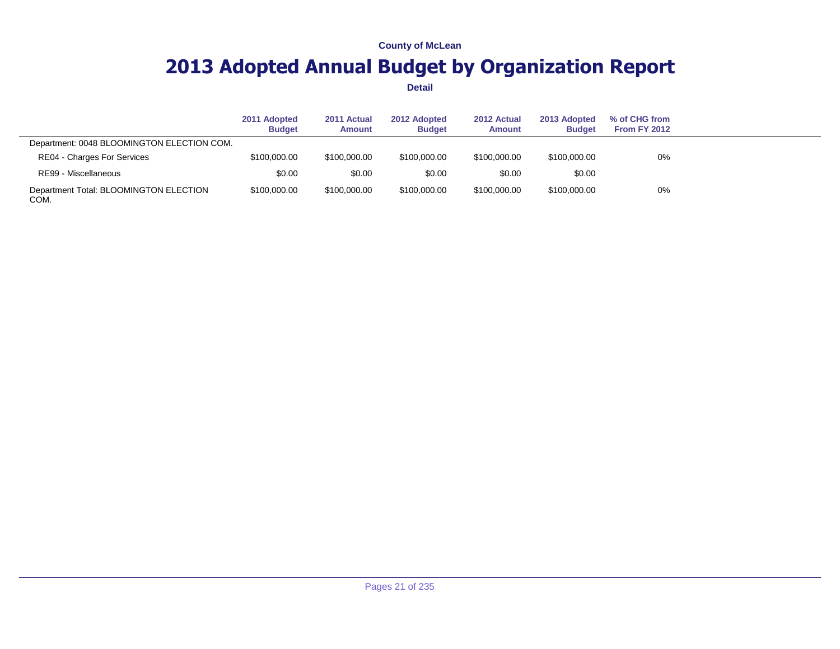# **2013 Adopted Annual Budget by Organization Report**

|                                                | 2011 Adopted<br><b>Budget</b> | 2011 Actual<br><b>Amount</b> | 2012 Adopted<br><b>Budget</b> | 2012 Actual<br><b>Amount</b> | 2013 Adopted<br><b>Budget</b> | % of CHG from<br><b>From FY 2012</b> |  |
|------------------------------------------------|-------------------------------|------------------------------|-------------------------------|------------------------------|-------------------------------|--------------------------------------|--|
| Department: 0048 BLOOMINGTON ELECTION COM.     |                               |                              |                               |                              |                               |                                      |  |
| RE04 - Charges For Services                    | \$100,000.00                  | \$100,000,00                 | \$100,000,00                  | \$100,000,00                 | \$100,000,00                  | 0%                                   |  |
| RE99 - Miscellaneous                           | \$0.00                        | \$0.00                       | \$0.00                        | \$0.00                       | \$0.00                        |                                      |  |
| Department Total: BLOOMINGTON ELECTION<br>COM. | \$100,000.00                  | \$100,000,00                 | \$100,000.00                  | \$100,000,00                 | \$100,000.00                  | 0%                                   |  |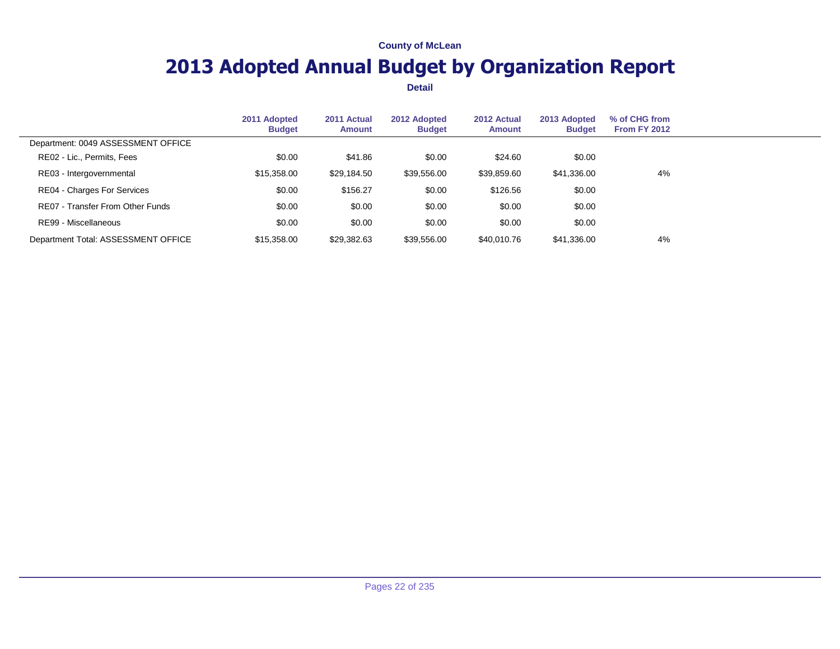# **2013 Adopted Annual Budget by Organization Report**

|                                     | 2011 Adopted<br><b>Budget</b> | 2011 Actual<br>Amount | 2012 Adopted<br><b>Budget</b> | 2012 Actual<br><b>Amount</b> | 2013 Adopted<br><b>Budget</b> | % of CHG from<br><b>From FY 2012</b> |  |
|-------------------------------------|-------------------------------|-----------------------|-------------------------------|------------------------------|-------------------------------|--------------------------------------|--|
| Department: 0049 ASSESSMENT OFFICE  |                               |                       |                               |                              |                               |                                      |  |
| RE02 - Lic., Permits, Fees          | \$0.00                        | \$41.86               | \$0.00                        | \$24.60                      | \$0.00                        |                                      |  |
| RE03 - Intergovernmental            | \$15,358.00                   | \$29,184.50           | \$39,556.00                   | \$39,859.60                  | \$41,336.00                   | 4%                                   |  |
| <b>RE04 - Charges For Services</b>  | \$0.00                        | \$156.27              | \$0.00                        | \$126.56                     | \$0.00                        |                                      |  |
| RE07 - Transfer From Other Funds    | \$0.00                        | \$0.00                | \$0.00                        | \$0.00                       | \$0.00                        |                                      |  |
| RE99 - Miscellaneous                | \$0.00                        | \$0.00                | \$0.00                        | \$0.00                       | \$0.00                        |                                      |  |
| Department Total: ASSESSMENT OFFICE | \$15,358,00                   | \$29,382.63           | \$39,556.00                   | \$40,010.76                  | \$41,336.00                   | 4%                                   |  |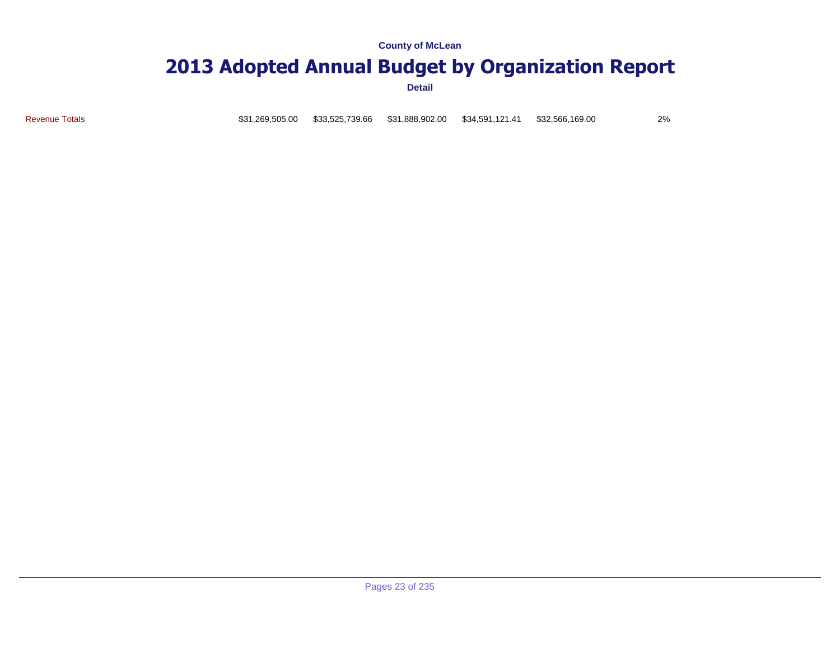## **2013 Adopted Annual Budget by Organization Report**

**Detail**

Revenue Totals **831, 269,505.00 \$33,525,739.66** \$31,888,902.00 \$34,591,121.41 \$32,566,169.00 2%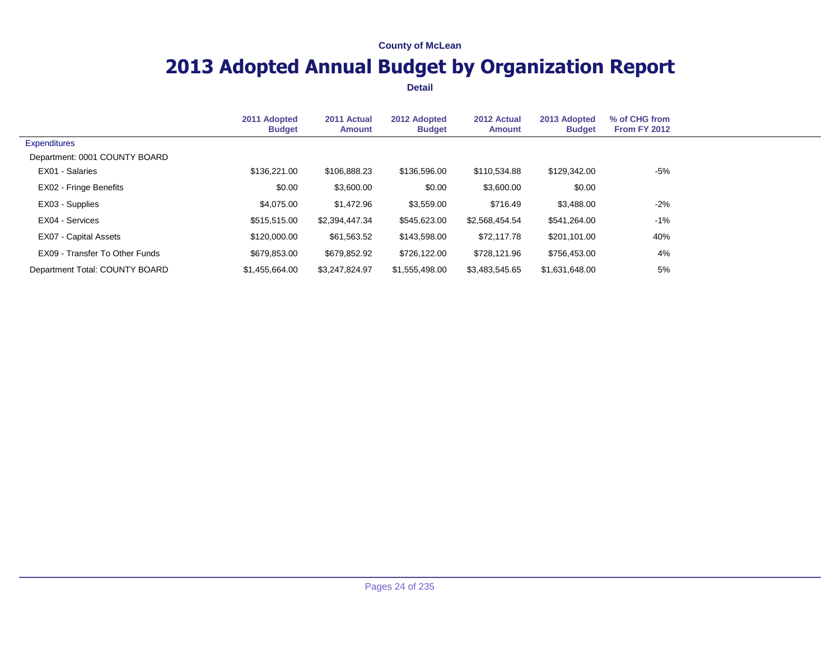# **2013 Adopted Annual Budget by Organization Report**

|                                | 2011 Adopted<br><b>Budget</b> | 2011 Actual<br>Amount | 2012 Adopted<br><b>Budget</b> | 2012 Actual<br><b>Amount</b> | 2013 Adopted<br><b>Budget</b> | % of CHG from<br>From FY 2012 |  |
|--------------------------------|-------------------------------|-----------------------|-------------------------------|------------------------------|-------------------------------|-------------------------------|--|
| <b>Expenditures</b>            |                               |                       |                               |                              |                               |                               |  |
| Department: 0001 COUNTY BOARD  |                               |                       |                               |                              |                               |                               |  |
| EX01 - Salaries                | \$136,221,00                  | \$106,888.23          | \$136,596.00                  | \$110,534.88                 | \$129,342,00                  | -5%                           |  |
| EX02 - Fringe Benefits         | \$0.00                        | \$3,600.00            | \$0.00                        | \$3,600.00                   | \$0.00                        |                               |  |
| EX03 - Supplies                | \$4,075.00                    | \$1,472.96            | \$3,559.00                    | \$716.49                     | \$3,488.00                    | $-2\%$                        |  |
| EX04 - Services                | \$515,515.00                  | \$2,394,447.34        | \$545,623.00                  | \$2,568,454.54               | \$541,264.00                  | -1%                           |  |
| EX07 - Capital Assets          | \$120,000.00                  | \$61,563.52           | \$143,598.00                  | \$72,117.78                  | \$201,101.00                  | 40%                           |  |
| EX09 - Transfer To Other Funds | \$679.853.00                  | \$679.852.92          | \$726.122.00                  | \$728,121.96                 | \$756,453.00                  | 4%                            |  |
| Department Total: COUNTY BOARD | \$1.455,664.00                | \$3.247.824.97        | \$1,555,498,00                | \$3.483.545.65               | \$1.631.648.00                | 5%                            |  |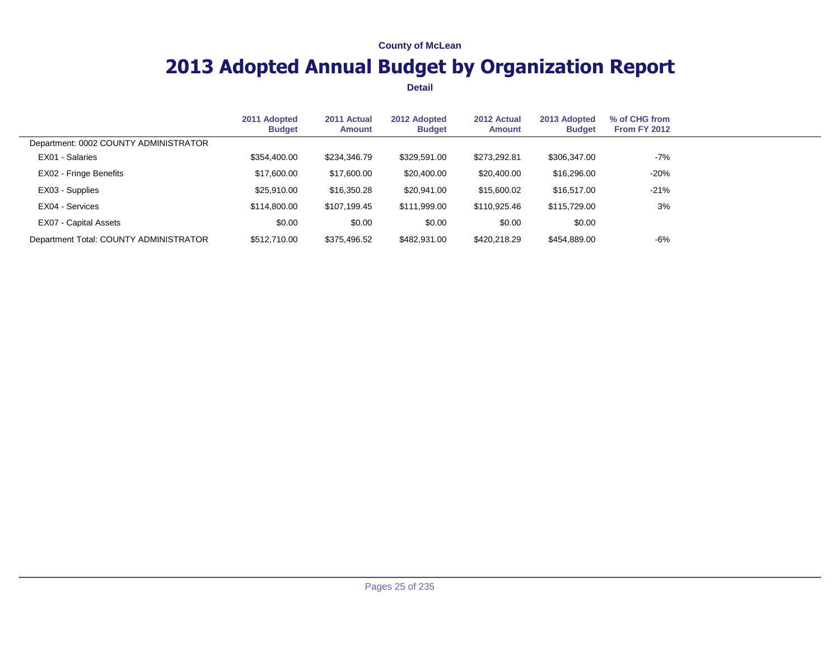# **2013 Adopted Annual Budget by Organization Report**

|                                        | 2011 Adopted<br><b>Budget</b> | 2011 Actual<br>Amount | 2012 Adopted<br><b>Budget</b> | 2012 Actual<br><b>Amount</b> | 2013 Adopted<br><b>Budget</b> | % of CHG from<br><b>From FY 2012</b> |  |
|----------------------------------------|-------------------------------|-----------------------|-------------------------------|------------------------------|-------------------------------|--------------------------------------|--|
| Department: 0002 COUNTY ADMINISTRATOR  |                               |                       |                               |                              |                               |                                      |  |
| EX01 - Salaries                        | \$354,400.00                  | \$234,346.79          | \$329,591.00                  | \$273,292.81                 | \$306,347.00                  | -7%                                  |  |
| EX02 - Fringe Benefits                 | \$17,600.00                   | \$17,600.00           | \$20,400.00                   | \$20,400.00                  | \$16,296.00                   | $-20%$                               |  |
| EX03 - Supplies                        | \$25,910.00                   | \$16,350.28           | \$20,941.00                   | \$15,600.02                  | \$16,517.00                   | $-21%$                               |  |
| EX04 - Services                        | \$114,800,00                  | \$107.199.45          | \$111,999.00                  | \$110,925,46                 | \$115,729,00                  | 3%                                   |  |
| EX07 - Capital Assets                  | \$0.00                        | \$0.00                | \$0.00                        | \$0.00                       | \$0.00                        |                                      |  |
| Department Total: COUNTY ADMINISTRATOR | \$512,710.00                  | \$375,496.52          | \$482,931.00                  | \$420,218.29                 | \$454,889.00                  | -6%                                  |  |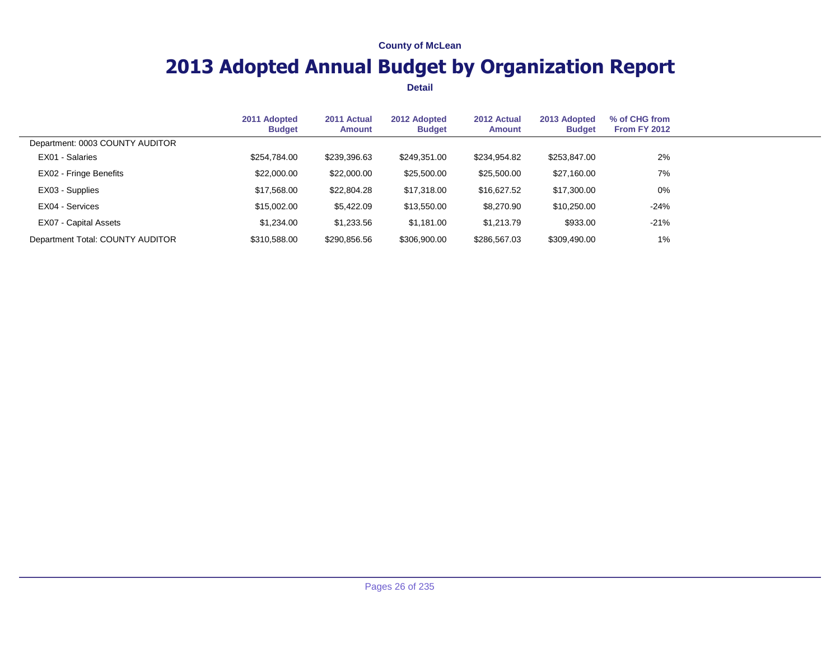# **2013 Adopted Annual Budget by Organization Report**

|                                  | 2011 Adopted<br><b>Budget</b> | 2011 Actual<br><b>Amount</b> | 2012 Adopted<br><b>Budget</b> | 2012 Actual<br><b>Amount</b> | 2013 Adopted<br><b>Budget</b> | % of CHG from<br><b>From FY 2012</b> |  |
|----------------------------------|-------------------------------|------------------------------|-------------------------------|------------------------------|-------------------------------|--------------------------------------|--|
| Department: 0003 COUNTY AUDITOR  |                               |                              |                               |                              |                               |                                      |  |
| EX01 - Salaries                  | \$254.784.00                  | \$239,396.63                 | \$249.351.00                  | \$234,954.82                 | \$253,847,00                  | 2%                                   |  |
| EX02 - Fringe Benefits           | \$22,000.00                   | \$22,000.00                  | \$25,500.00                   | \$25,500.00                  | \$27,160.00                   | 7%                                   |  |
| EX03 - Supplies                  | \$17,568.00                   | \$22,804.28                  | \$17,318.00                   | \$16,627.52                  | \$17,300.00                   | $0\%$                                |  |
| EX04 - Services                  | \$15,002.00                   | \$5,422.09                   | \$13,550.00                   | \$8,270.90                   | \$10,250.00                   | $-24%$                               |  |
| EX07 - Capital Assets            | \$1,234.00                    | \$1,233.56                   | \$1,181.00                    | \$1,213.79                   | \$933.00                      | $-21%$                               |  |
| Department Total: COUNTY AUDITOR | \$310,588.00                  | \$290,856.56                 | \$306,900.00                  | \$286,567.03                 | \$309,490.00                  | 1%                                   |  |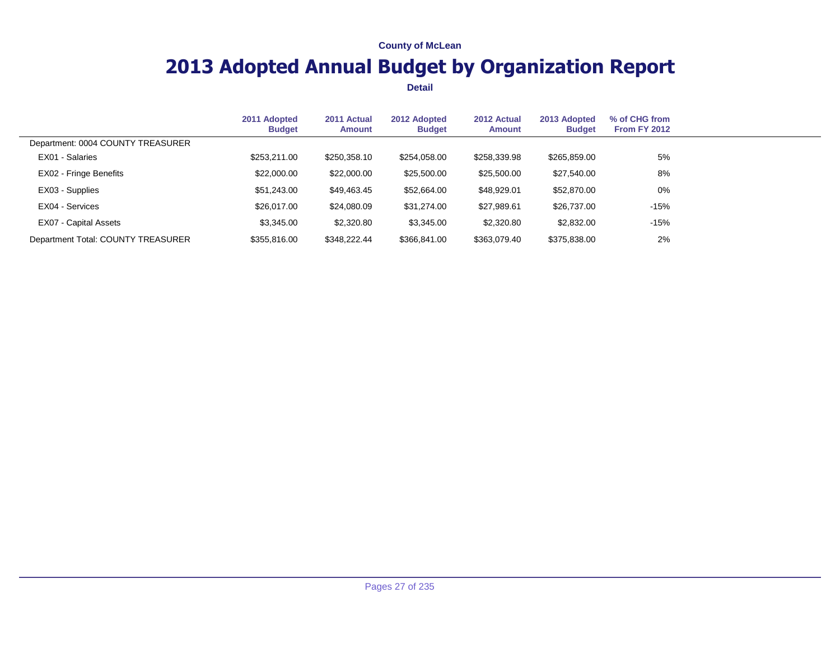# **2013 Adopted Annual Budget by Organization Report**

|                                    | 2011 Adopted<br><b>Budget</b> | 2011 Actual<br><b>Amount</b> | 2012 Adopted<br><b>Budget</b> | 2012 Actual<br>Amount | 2013 Adopted<br><b>Budget</b> | % of CHG from<br><b>From FY 2012</b> |  |
|------------------------------------|-------------------------------|------------------------------|-------------------------------|-----------------------|-------------------------------|--------------------------------------|--|
| Department: 0004 COUNTY TREASURER  |                               |                              |                               |                       |                               |                                      |  |
| EX01 - Salaries                    | \$253,211.00                  | \$250,358.10                 | \$254,058.00                  | \$258,339.98          | \$265,859.00                  | 5%                                   |  |
| EX02 - Fringe Benefits             | \$22,000.00                   | \$22,000.00                  | \$25,500.00                   | \$25,500.00           | \$27,540.00                   | 8%                                   |  |
| EX03 - Supplies                    | \$51,243.00                   | \$49,463.45                  | \$52,664.00                   | \$48,929.01           | \$52,870.00                   | $0\%$                                |  |
| EX04 - Services                    | \$26,017.00                   | \$24,080.09                  | \$31,274.00                   | \$27,989.61           | \$26,737.00                   | $-15%$                               |  |
| EX07 - Capital Assets              | \$3,345.00                    | \$2,320.80                   | \$3,345.00                    | \$2,320.80            | \$2,832.00                    | $-15%$                               |  |
| Department Total: COUNTY TREASURER | \$355,816.00                  | \$348,222.44                 | \$366,841.00                  | \$363,079.40          | \$375,838.00                  | 2%                                   |  |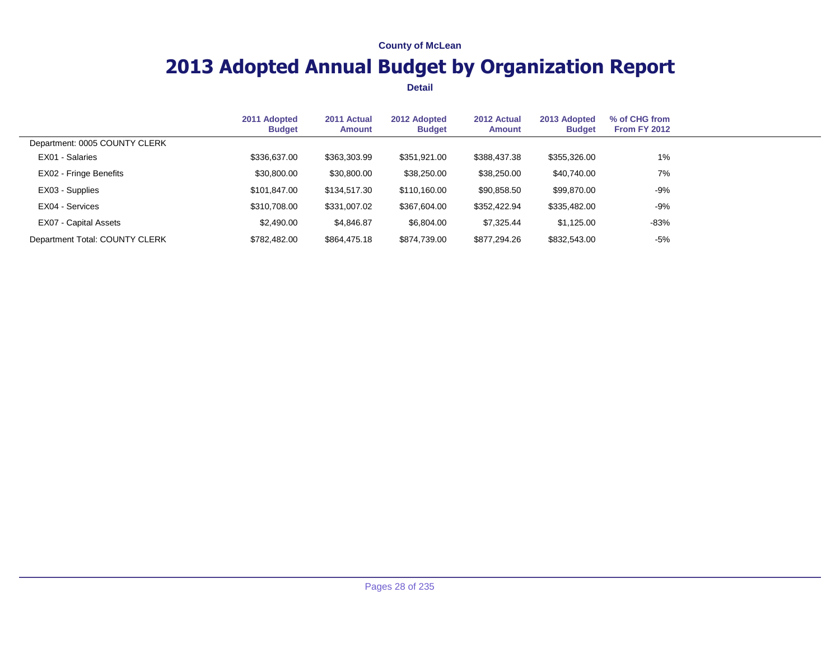# **2013 Adopted Annual Budget by Organization Report**

|                                | 2011 Adopted<br><b>Budget</b> | 2011 Actual<br>Amount | 2012 Adopted<br><b>Budget</b> | 2012 Actual<br>Amount | 2013 Adopted<br><b>Budget</b> | % of CHG from<br><b>From FY 2012</b> |  |
|--------------------------------|-------------------------------|-----------------------|-------------------------------|-----------------------|-------------------------------|--------------------------------------|--|
| Department: 0005 COUNTY CLERK  |                               |                       |                               |                       |                               |                                      |  |
| EX01 - Salaries                | \$336,637.00                  | \$363,303.99          | \$351,921.00                  | \$388,437.38          | \$355,326.00                  | 1%                                   |  |
| EX02 - Fringe Benefits         | \$30,800.00                   | \$30,800.00           | \$38,250.00                   | \$38,250.00           | \$40,740.00                   | 7%                                   |  |
| EX03 - Supplies                | \$101.847.00                  | \$134,517.30          | \$110,160,00                  | \$90,858.50           | \$99,870.00                   | $-9%$                                |  |
| EX04 - Services                | \$310,708.00                  | \$331,007.02          | \$367,604.00                  | \$352,422.94          | \$335,482.00                  | $-9%$                                |  |
| EX07 - Capital Assets          | \$2,490.00                    | \$4,846.87            | \$6,804.00                    | \$7,325,44            | \$1.125.00                    | -83%                                 |  |
| Department Total: COUNTY CLERK | \$782,482.00                  | \$864,475.18          | \$874,739.00                  | \$877,294.26          | \$832,543.00                  | $-5%$                                |  |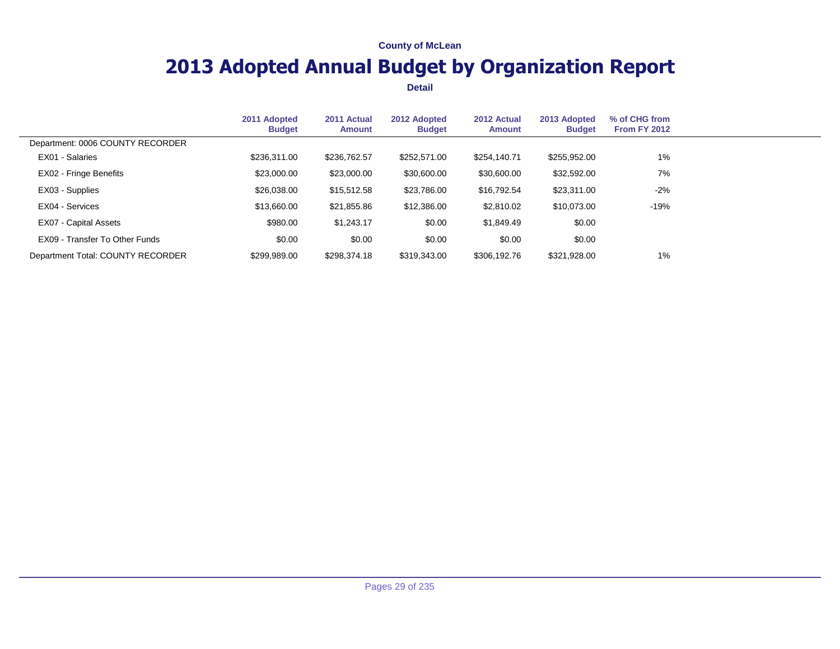# **2013 Adopted Annual Budget by Organization Report**

|                                   | 2011 Adopted<br><b>Budget</b> | 2011 Actual<br>Amount | 2012 Adopted<br><b>Budget</b> | 2012 Actual<br>Amount | 2013 Adopted<br><b>Budget</b> | % of CHG from<br><b>From FY 2012</b> |  |
|-----------------------------------|-------------------------------|-----------------------|-------------------------------|-----------------------|-------------------------------|--------------------------------------|--|
| Department: 0006 COUNTY RECORDER  |                               |                       |                               |                       |                               |                                      |  |
| EX01 - Salaries                   | \$236,311.00                  | \$236,762.57          | \$252,571,00                  | \$254,140.71          | \$255,952.00                  | $1\%$                                |  |
| EX02 - Fringe Benefits            | \$23,000.00                   | \$23,000.00           | \$30,600.00                   | \$30,600.00           | \$32,592.00                   | 7%                                   |  |
| EX03 - Supplies                   | \$26,038.00                   | \$15,512.58           | \$23,786.00                   | \$16,792.54           | \$23,311.00                   | -2%                                  |  |
| EX04 - Services                   | \$13,660.00                   | \$21,855.86           | \$12,386.00                   | \$2,810.02            | \$10,073.00                   | $-19%$                               |  |
| EX07 - Capital Assets             | \$980.00                      | \$1,243.17            | \$0.00                        | \$1,849.49            | \$0.00                        |                                      |  |
| EX09 - Transfer To Other Funds    | \$0.00                        | \$0.00                | \$0.00                        | \$0.00                | \$0.00                        |                                      |  |
| Department Total: COUNTY RECORDER | \$299.989.00                  | \$298,374.18          | \$319,343,00                  | \$306,192.76          | \$321.928.00                  | $1\%$                                |  |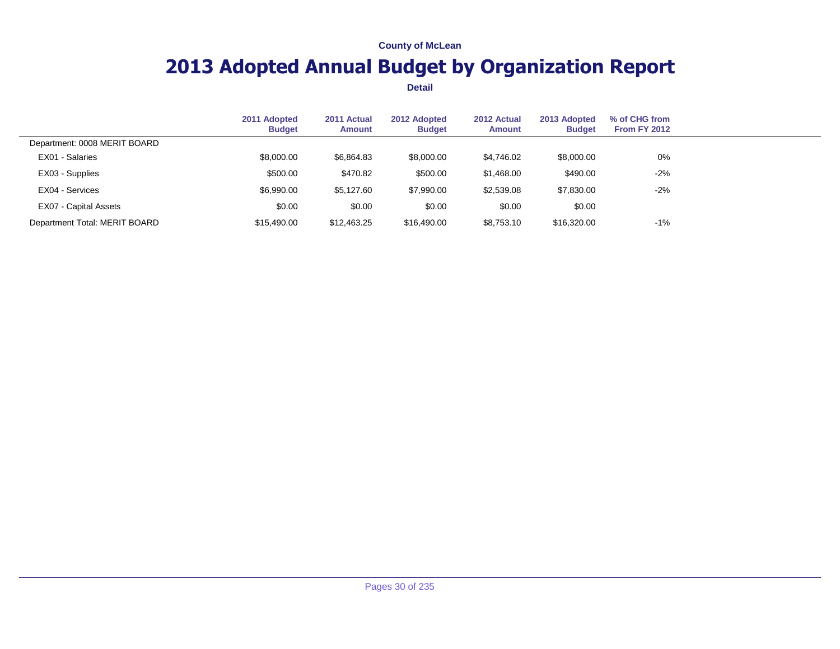# **2013 Adopted Annual Budget by Organization Report**

|                               | 2011 Adopted<br><b>Budget</b> | 2011 Actual<br><b>Amount</b> | 2012 Adopted<br><b>Budget</b> | 2012 Actual<br><b>Amount</b> | 2013 Adopted<br><b>Budget</b> | % of CHG from<br><b>From FY 2012</b> |  |
|-------------------------------|-------------------------------|------------------------------|-------------------------------|------------------------------|-------------------------------|--------------------------------------|--|
| Department: 0008 MERIT BOARD  |                               |                              |                               |                              |                               |                                      |  |
| EX01 - Salaries               | \$8,000.00                    | \$6,864.83                   | \$8,000.00                    | \$4,746.02                   | \$8,000.00                    | $0\%$                                |  |
| EX03 - Supplies               | \$500.00                      | \$470.82                     | \$500.00                      | \$1,468.00                   | \$490.00                      | $-2%$                                |  |
| EX04 - Services               | \$6,990.00                    | \$5,127.60                   | \$7,990.00                    | \$2,539.08                   | \$7,830.00                    | $-2%$                                |  |
| EX07 - Capital Assets         | \$0.00                        | \$0.00                       | \$0.00                        | \$0.00                       | \$0.00                        |                                      |  |
| Department Total: MERIT BOARD | \$15,490,00                   | \$12,463.25                  | \$16,490.00                   | \$8,753.10                   | \$16,320.00                   | $-1%$                                |  |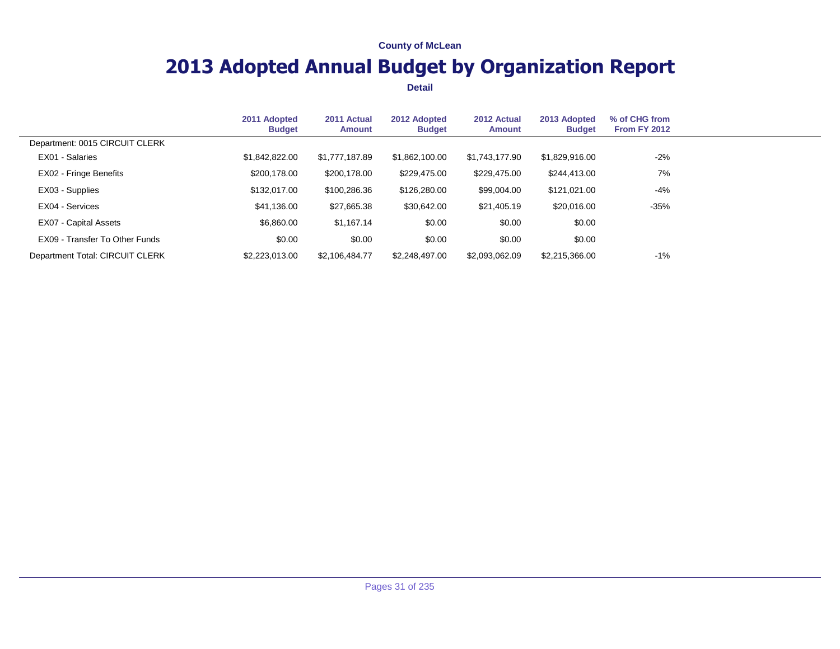# **2013 Adopted Annual Budget by Organization Report**

|                                 | 2011 Adopted<br><b>Budget</b> | 2011 Actual<br>Amount | 2012 Adopted<br><b>Budget</b> | 2012 Actual<br>Amount | 2013 Adopted<br><b>Budget</b> | % of CHG from<br><b>From FY 2012</b> |  |
|---------------------------------|-------------------------------|-----------------------|-------------------------------|-----------------------|-------------------------------|--------------------------------------|--|
| Department: 0015 CIRCUIT CLERK  |                               |                       |                               |                       |                               |                                      |  |
| EX01 - Salaries                 | \$1,842,822.00                | \$1,777,187.89        | \$1,862,100.00                | \$1,743,177.90        | \$1,829,916.00                | -2%                                  |  |
| EX02 - Fringe Benefits          | \$200,178.00                  | \$200,178.00          | \$229,475.00                  | \$229,475.00          | \$244,413.00                  | 7%                                   |  |
| EX03 - Supplies                 | \$132,017.00                  | \$100,286.36          | \$126,280.00                  | \$99,004.00           | \$121,021.00                  | $-4%$                                |  |
| EX04 - Services                 | \$41,136.00                   | \$27,665.38           | \$30.642.00                   | \$21,405.19           | \$20,016.00                   | $-35%$                               |  |
| EX07 - Capital Assets           | \$6,860.00                    | \$1,167.14            | \$0.00                        | \$0.00                | \$0.00                        |                                      |  |
| EX09 - Transfer To Other Funds  | \$0.00                        | \$0.00                | \$0.00                        | \$0.00                | \$0.00                        |                                      |  |
| Department Total: CIRCUIT CLERK | \$2,223,013,00                | \$2,106,484,77        | \$2,248,497.00                | \$2,093,062.09        | \$2,215,366,00                | -1%                                  |  |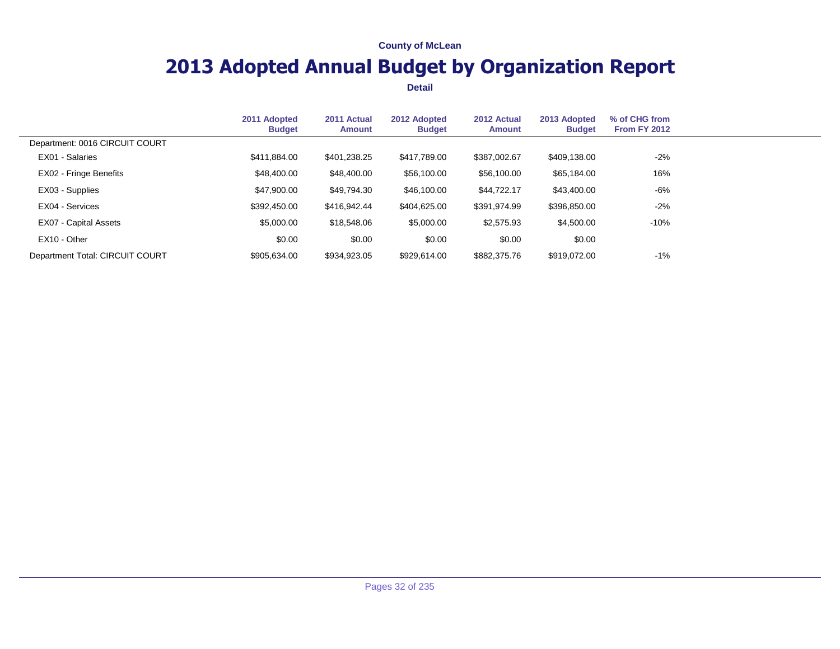# **2013 Adopted Annual Budget by Organization Report**

|                                 | 2011 Adopted<br><b>Budget</b> | 2011 Actual<br>Amount | 2012 Adopted<br><b>Budget</b> | 2012 Actual<br>Amount | 2013 Adopted<br><b>Budget</b> | % of CHG from<br><b>From FY 2012</b> |  |
|---------------------------------|-------------------------------|-----------------------|-------------------------------|-----------------------|-------------------------------|--------------------------------------|--|
| Department: 0016 CIRCUIT COURT  |                               |                       |                               |                       |                               |                                      |  |
| EX01 - Salaries                 | \$411,884.00                  | \$401,238.25          | \$417,789.00                  | \$387,002.67          | \$409,138.00                  | $-2%$                                |  |
| EX02 - Fringe Benefits          | \$48,400.00                   | \$48,400.00           | \$56,100.00                   | \$56,100.00           | \$65,184.00                   | 16%                                  |  |
| EX03 - Supplies                 | \$47,900.00                   | \$49,794.30           | \$46,100.00                   | \$44,722.17           | \$43,400.00                   | -6%                                  |  |
| EX04 - Services                 | \$392,450,00                  | \$416,942.44          | \$404.625.00                  | \$391,974.99          | \$396,850.00                  | $-2%$                                |  |
| EX07 - Capital Assets           | \$5,000.00                    | \$18,548.06           | \$5,000.00                    | \$2,575.93            | \$4,500.00                    | $-10%$                               |  |
| EX10 - Other                    | \$0.00                        | \$0.00                | \$0.00                        | \$0.00                | \$0.00                        |                                      |  |
| Department Total: CIRCUIT COURT | \$905,634.00                  | \$934,923.05          | \$929.614.00                  | \$882,375.76          | \$919.072.00                  | $-1%$                                |  |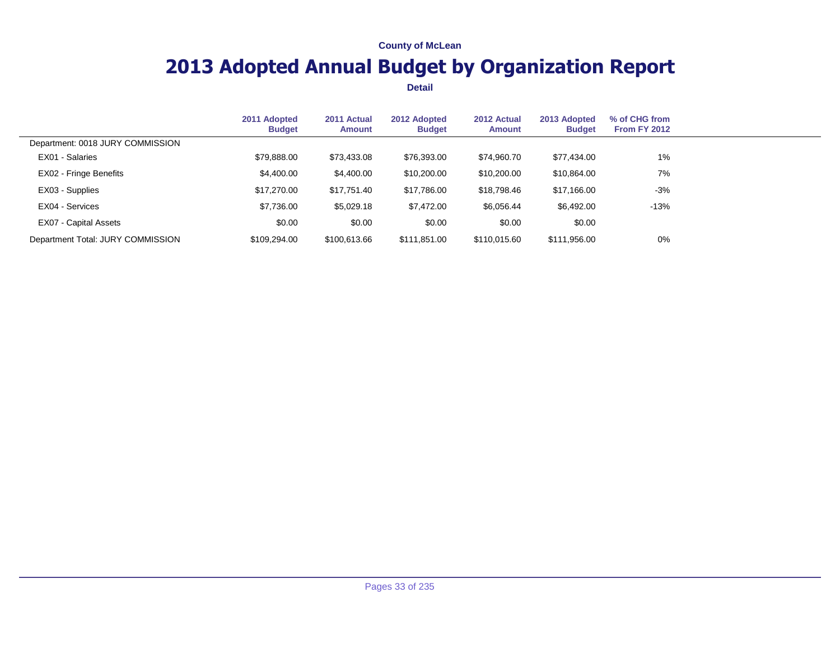# **2013 Adopted Annual Budget by Organization Report**

|                                   | 2011 Adopted<br><b>Budget</b> | 2011 Actual<br><b>Amount</b> | 2012 Adopted<br><b>Budget</b> | 2012 Actual<br><b>Amount</b> | 2013 Adopted<br><b>Budget</b> | % of CHG from<br><b>From FY 2012</b> |  |
|-----------------------------------|-------------------------------|------------------------------|-------------------------------|------------------------------|-------------------------------|--------------------------------------|--|
| Department: 0018 JURY COMMISSION  |                               |                              |                               |                              |                               |                                      |  |
| EX01 - Salaries                   | \$79,888.00                   | \$73,433.08                  | \$76,393.00                   | \$74.960.70                  | \$77,434.00                   | 1%                                   |  |
| EX02 - Fringe Benefits            | \$4,400.00                    | \$4,400.00                   | \$10,200.00                   | \$10,200.00                  | \$10,864.00                   | 7%                                   |  |
| EX03 - Supplies                   | \$17,270,00                   | \$17,751.40                  | \$17,786.00                   | \$18,798.46                  | \$17,166.00                   | $-3%$                                |  |
| EX04 - Services                   | \$7,736.00                    | \$5,029.18                   | \$7.472.00                    | \$6,056.44                   | \$6,492.00                    | $-13%$                               |  |
| EX07 - Capital Assets             | \$0.00                        | \$0.00                       | \$0.00                        | \$0.00                       | \$0.00                        |                                      |  |
| Department Total: JURY COMMISSION | \$109,294.00                  | \$100,613.66                 | \$111,851.00                  | \$110,015.60                 | \$111,956.00                  | 0%                                   |  |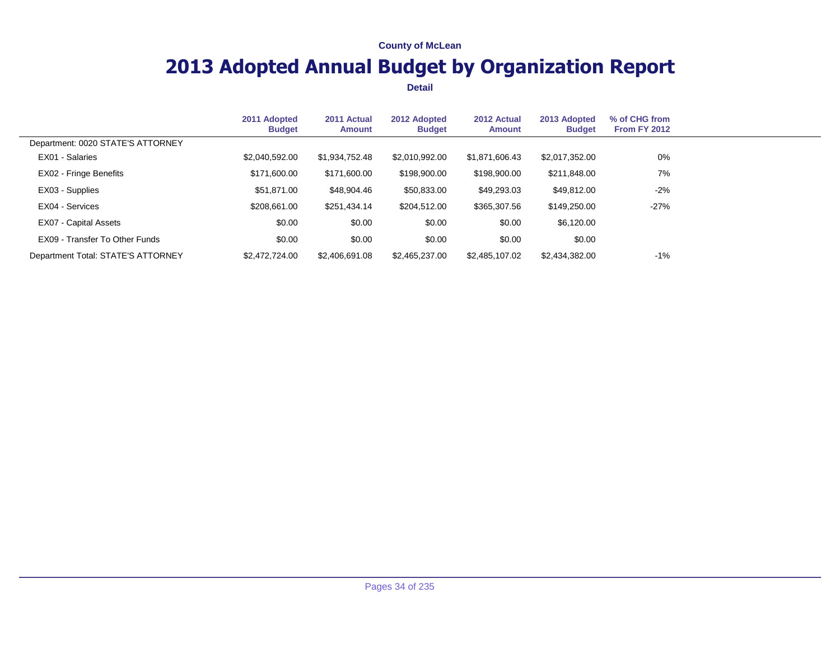# **2013 Adopted Annual Budget by Organization Report**

|                                    | 2011 Adopted<br><b>Budget</b> | 2011 Actual<br>Amount | 2012 Adopted<br><b>Budget</b> | 2012 Actual<br>Amount | 2013 Adopted<br><b>Budget</b> | % of CHG from<br><b>From FY 2012</b> |  |
|------------------------------------|-------------------------------|-----------------------|-------------------------------|-----------------------|-------------------------------|--------------------------------------|--|
| Department: 0020 STATE'S ATTORNEY  |                               |                       |                               |                       |                               |                                      |  |
| EX01 - Salaries                    | \$2,040,592.00                | \$1,934,752.48        | \$2,010,992.00                | \$1,871,606.43        | \$2,017,352.00                | 0%                                   |  |
| EX02 - Fringe Benefits             | \$171,600.00                  | \$171,600.00          | \$198,900.00                  | \$198,900.00          | \$211,848.00                  | 7%                                   |  |
| EX03 - Supplies                    | \$51,871.00                   | \$48,904.46           | \$50,833.00                   | \$49,293.03           | \$49,812.00                   | -2%                                  |  |
| EX04 - Services                    | \$208,661.00                  | \$251,434.14          | \$204,512.00                  | \$365,307.56          | \$149,250.00                  | $-27%$                               |  |
| EX07 - Capital Assets              | \$0.00                        | \$0.00                | \$0.00                        | \$0.00                | \$6,120.00                    |                                      |  |
| EX09 - Transfer To Other Funds     | \$0.00                        | \$0.00                | \$0.00                        | \$0.00                | \$0.00                        |                                      |  |
| Department Total: STATE'S ATTORNEY | \$2,472,724,00                | \$2,406,691.08        | \$2,465,237,00                | \$2,485,107.02        | \$2,434,382.00                | -1%                                  |  |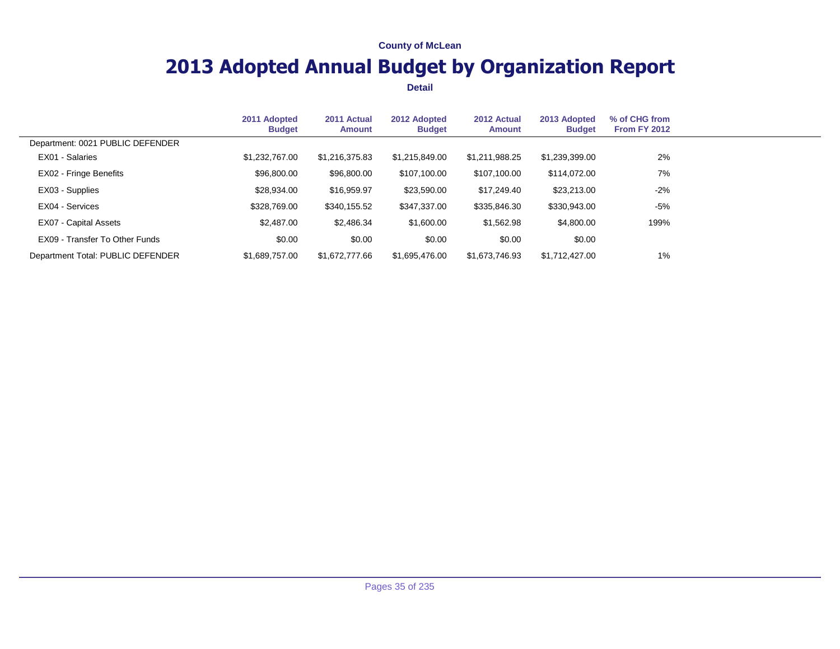# **2013 Adopted Annual Budget by Organization Report**

|                                   | 2011 Adopted<br><b>Budget</b> | 2011 Actual<br><b>Amount</b> | 2012 Adopted<br><b>Budget</b> | 2012 Actual<br>Amount | 2013 Adopted<br><b>Budget</b> | % of CHG from<br><b>From FY 2012</b> |  |
|-----------------------------------|-------------------------------|------------------------------|-------------------------------|-----------------------|-------------------------------|--------------------------------------|--|
| Department: 0021 PUBLIC DEFENDER  |                               |                              |                               |                       |                               |                                      |  |
| EX01 - Salaries                   | \$1,232,767.00                | \$1,216,375.83               | \$1.215.849.00                | \$1,211,988.25        | \$1,239,399.00                | 2%                                   |  |
| EX02 - Fringe Benefits            | \$96,800.00                   | \$96,800.00                  | \$107,100.00                  | \$107,100.00          | \$114,072.00                  | 7%                                   |  |
| EX03 - Supplies                   | \$28,934.00                   | \$16,959.97                  | \$23,590.00                   | \$17,249.40           | \$23,213.00                   | $-2%$                                |  |
| EX04 - Services                   | \$328,769.00                  | \$340,155.52                 | \$347,337.00                  | \$335,846.30          | \$330,943.00                  | $-5%$                                |  |
| EX07 - Capital Assets             | \$2.487.00                    | \$2,486.34                   | \$1,600.00                    | \$1,562.98            | \$4,800.00                    | 199%                                 |  |
| EX09 - Transfer To Other Funds    | \$0.00                        | \$0.00                       | \$0.00                        | \$0.00                | \$0.00                        |                                      |  |
| Department Total: PUBLIC DEFENDER | \$1,689,757,00                | \$1,672,777,66               | \$1,695,476,00                | \$1,673,746.93        | \$1,712,427.00                | 1%                                   |  |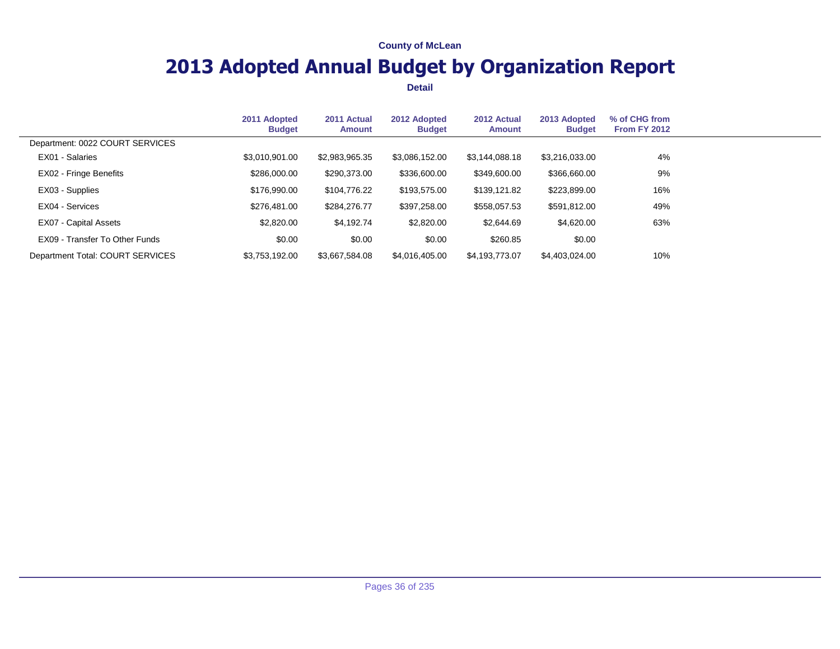# **2013 Adopted Annual Budget by Organization Report**

|                                  | 2011 Adopted<br><b>Budget</b> | 2011 Actual<br><b>Amount</b> | 2012 Adopted<br><b>Budget</b> | 2012 Actual<br>Amount | 2013 Adopted<br><b>Budget</b> | % of CHG from<br><b>From FY 2012</b> |  |
|----------------------------------|-------------------------------|------------------------------|-------------------------------|-----------------------|-------------------------------|--------------------------------------|--|
| Department: 0022 COURT SERVICES  |                               |                              |                               |                       |                               |                                      |  |
| EX01 - Salaries                  | \$3,010,901.00                | \$2,983,965.35               | \$3,086,152.00                | \$3,144,088.18        | \$3,216,033.00                | 4%                                   |  |
| EX02 - Fringe Benefits           | \$286,000.00                  | \$290,373.00                 | \$336,600.00                  | \$349,600.00          | \$366,660.00                  | 9%                                   |  |
| EX03 - Supplies                  | \$176,990.00                  | \$104,776.22                 | \$193,575.00                  | \$139,121.82          | \$223,899.00                  | 16%                                  |  |
| EX04 - Services                  | \$276,481.00                  | \$284,276.77                 | \$397,258.00                  | \$558,057.53          | \$591,812.00                  | 49%                                  |  |
| EX07 - Capital Assets            | \$2,820.00                    | \$4,192.74                   | \$2,820.00                    | \$2,644.69            | \$4,620.00                    | 63%                                  |  |
| EX09 - Transfer To Other Funds   | \$0.00                        | \$0.00                       | \$0.00                        | \$260.85              | \$0.00                        |                                      |  |
| Department Total: COURT SERVICES | \$3,753,192.00                | \$3,667,584.08               | \$4,016,405.00                | \$4,193,773.07        | \$4,403,024.00                | 10%                                  |  |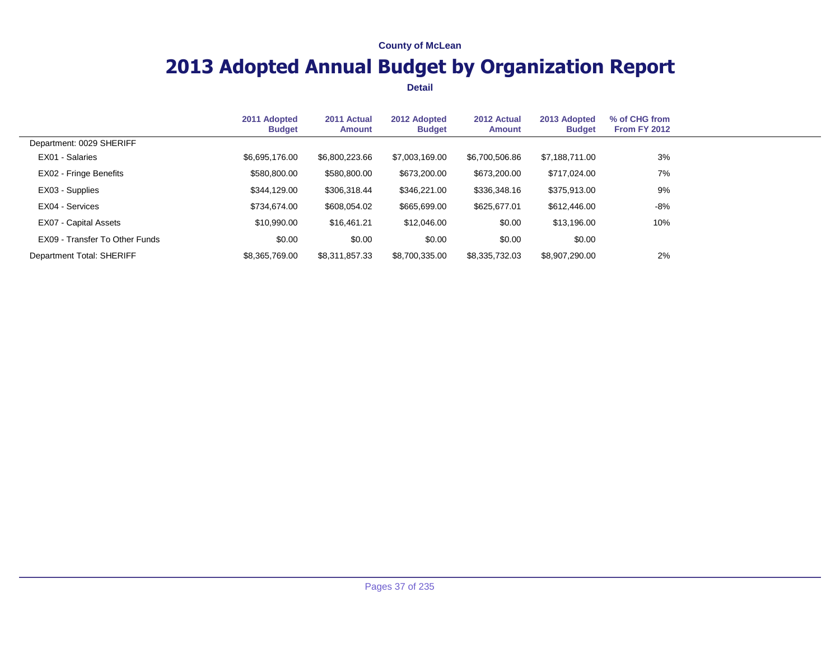## **2013 Adopted Annual Budget by Organization Report**

|                                | 2011 Adopted<br><b>Budget</b> | 2011 Actual<br><b>Amount</b> | 2012 Adopted<br><b>Budget</b> | 2012 Actual<br>Amount | 2013 Adopted<br><b>Budget</b> | % of CHG from<br>From FY 2012 |  |
|--------------------------------|-------------------------------|------------------------------|-------------------------------|-----------------------|-------------------------------|-------------------------------|--|
| Department: 0029 SHERIFF       |                               |                              |                               |                       |                               |                               |  |
| EX01 - Salaries                | \$6,695,176.00                | \$6,800,223.66               | \$7,003,169.00                | \$6,700,506.86        | \$7,188,711.00                | 3%                            |  |
| EX02 - Fringe Benefits         | \$580,800.00                  | \$580,800.00                 | \$673,200.00                  | \$673,200.00          | \$717,024.00                  | 7%                            |  |
| EX03 - Supplies                | \$344,129.00                  | \$306,318.44                 | \$346,221.00                  | \$336,348.16          | \$375,913.00                  | 9%                            |  |
| EX04 - Services                | \$734,674,00                  | \$608,054.02                 | \$665,699.00                  | \$625,677.01          | \$612,446.00                  | -8%                           |  |
| EX07 - Capital Assets          | \$10,990.00                   | \$16,461.21                  | \$12,046.00                   | \$0.00                | \$13,196.00                   | 10%                           |  |
| EX09 - Transfer To Other Funds | \$0.00                        | \$0.00                       | \$0.00                        | \$0.00                | \$0.00                        |                               |  |
| Department Total: SHERIFF      | \$8,365,769.00                | \$8.311.857.33               | \$8,700,335.00                | \$8,335,732.03        | \$8,907,290.00                | 2%                            |  |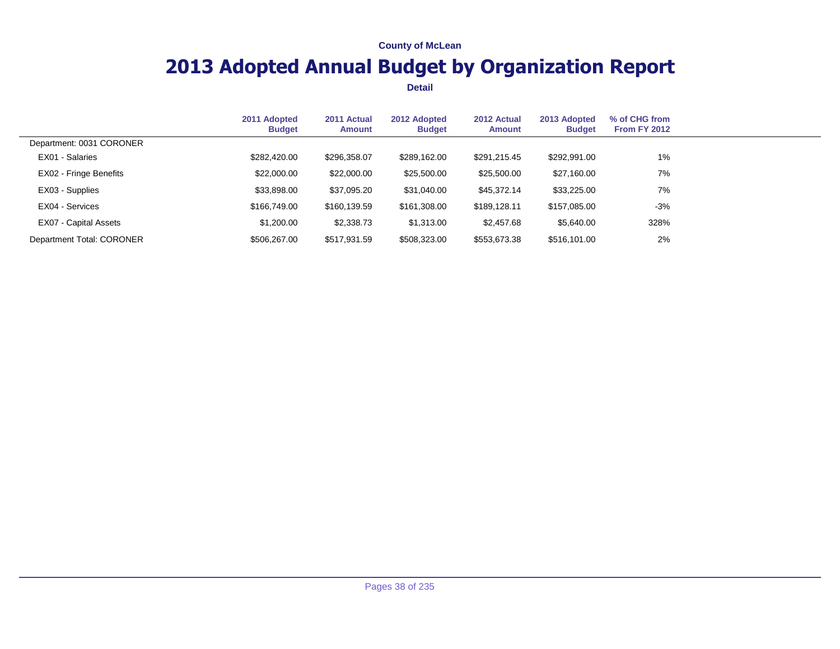## **2013 Adopted Annual Budget by Organization Report**

|                           | 2011 Adopted<br><b>Budget</b> | 2011 Actual<br><b>Amount</b> | 2012 Adopted<br><b>Budget</b> | 2012 Actual<br><b>Amount</b> | 2013 Adopted<br><b>Budget</b> | % of CHG from<br><b>From FY 2012</b> |  |
|---------------------------|-------------------------------|------------------------------|-------------------------------|------------------------------|-------------------------------|--------------------------------------|--|
| Department: 0031 CORONER  |                               |                              |                               |                              |                               |                                      |  |
| EX01 - Salaries           | \$282,420,00                  | \$296,358.07                 | \$289.162.00                  | \$291,215.45                 | \$292,991.00                  | $1\%$                                |  |
| EX02 - Fringe Benefits    | \$22,000.00                   | \$22,000.00                  | \$25,500.00                   | \$25,500.00                  | \$27,160.00                   | 7%                                   |  |
| EX03 - Supplies           | \$33,898.00                   | \$37,095.20                  | \$31,040.00                   | \$45,372.14                  | \$33,225.00                   | 7%                                   |  |
| EX04 - Services           | \$166,749.00                  | \$160,139.59                 | \$161,308.00                  | \$189,128.11                 | \$157,085,00                  | $-3%$                                |  |
| EX07 - Capital Assets     | \$1,200.00                    | \$2,338.73                   | \$1,313.00                    | \$2,457.68                   | \$5,640.00                    | 328%                                 |  |
| Department Total: CORONER | \$506,267.00                  | \$517,931.59                 | \$508,323.00                  | \$553,673.38                 | \$516,101.00                  | 2%                                   |  |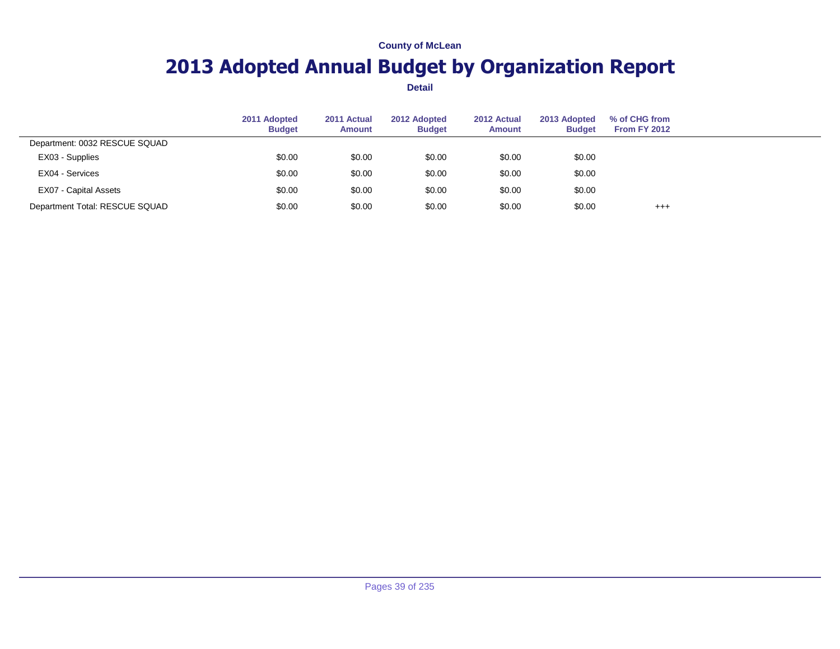## **2013 Adopted Annual Budget by Organization Report**

|                                | 2011 Adopted<br><b>Budget</b> | 2011 Actual<br><b>Amount</b> | 2012 Adopted<br><b>Budget</b> | 2012 Actual<br><b>Amount</b> | 2013 Adopted<br><b>Budget</b> | % of CHG from<br><b>From FY 2012</b> |  |
|--------------------------------|-------------------------------|------------------------------|-------------------------------|------------------------------|-------------------------------|--------------------------------------|--|
| Department: 0032 RESCUE SQUAD  |                               |                              |                               |                              |                               |                                      |  |
| EX03 - Supplies                | \$0.00                        | \$0.00                       | \$0.00                        | \$0.00                       | \$0.00                        |                                      |  |
| EX04 - Services                | \$0.00                        | \$0.00                       | \$0.00                        | \$0.00                       | \$0.00                        |                                      |  |
| EX07 - Capital Assets          | \$0.00                        | \$0.00                       | \$0.00                        | \$0.00                       | \$0.00                        |                                      |  |
| Department Total: RESCUE SQUAD | \$0.00                        | \$0.00                       | \$0.00                        | \$0.00                       | \$0.00                        | $^{+++}$                             |  |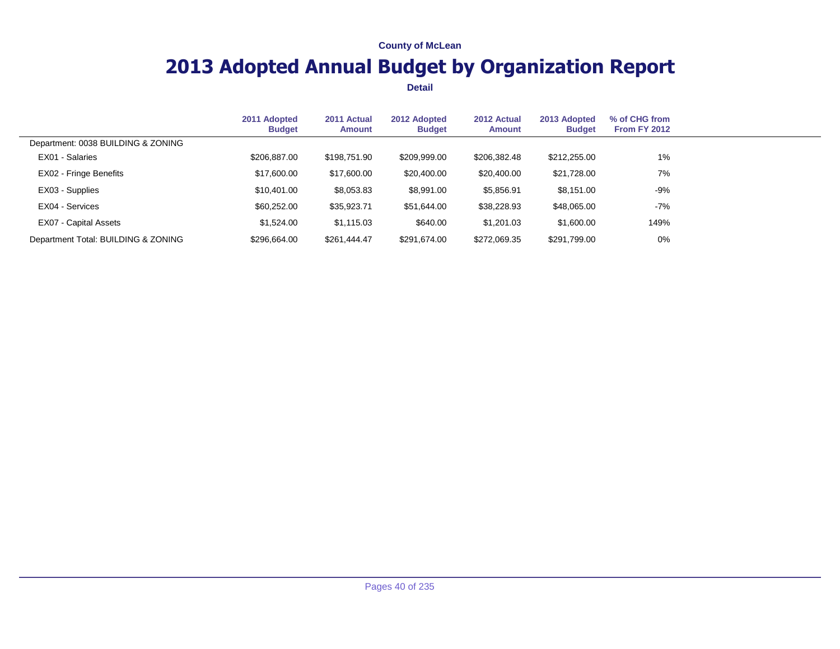## **2013 Adopted Annual Budget by Organization Report**

|                                     | 2011 Adopted<br><b>Budget</b> | 2011 Actual<br><b>Amount</b> | 2012 Adopted<br><b>Budget</b> | 2012 Actual<br>Amount | 2013 Adopted<br><b>Budget</b> | % of CHG from<br><b>From FY 2012</b> |  |
|-------------------------------------|-------------------------------|------------------------------|-------------------------------|-----------------------|-------------------------------|--------------------------------------|--|
| Department: 0038 BUILDING & ZONING  |                               |                              |                               |                       |                               |                                      |  |
| EX01 - Salaries                     | \$206,887.00                  | \$198,751.90                 | \$209,999.00                  | \$206,382.48          | \$212,255.00                  | 1%                                   |  |
| EX02 - Fringe Benefits              | \$17,600.00                   | \$17,600.00                  | \$20,400.00                   | \$20,400.00           | \$21,728.00                   | 7%                                   |  |
| EX03 - Supplies                     | \$10.401.00                   | \$8,053.83                   | \$8,991.00                    | \$5,856.91            | \$8,151.00                    | $-9%$                                |  |
| EX04 - Services                     | \$60,252.00                   | \$35,923.71                  | \$51,644.00                   | \$38,228.93           | \$48,065.00                   | $-7%$                                |  |
| EX07 - Capital Assets               | \$1,524.00                    | \$1,115.03                   | \$640.00                      | \$1,201.03            | \$1,600.00                    | 149%                                 |  |
| Department Total: BUILDING & ZONING | \$296,664.00                  | \$261,444.47                 | \$291,674.00                  | \$272,069.35          | \$291,799.00                  | $0\%$                                |  |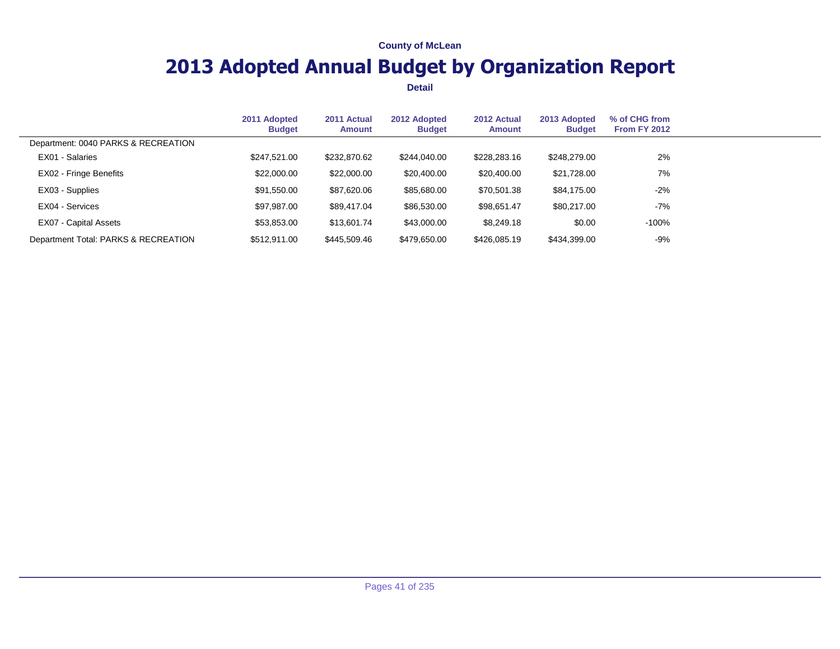## **2013 Adopted Annual Budget by Organization Report**

|                                      | 2011 Adopted<br><b>Budget</b> | 2011 Actual<br><b>Amount</b> | 2012 Adopted<br><b>Budget</b> | 2012 Actual<br>Amount | 2013 Adopted<br><b>Budget</b> | % of CHG from<br><b>From FY 2012</b> |  |
|--------------------------------------|-------------------------------|------------------------------|-------------------------------|-----------------------|-------------------------------|--------------------------------------|--|
| Department: 0040 PARKS & RECREATION  |                               |                              |                               |                       |                               |                                      |  |
| EX01 - Salaries                      | \$247,521.00                  | \$232,870.62                 | \$244,040.00                  | \$228,283.16          | \$248,279.00                  | 2%                                   |  |
| EX02 - Fringe Benefits               | \$22,000.00                   | \$22,000.00                  | \$20,400.00                   | \$20,400.00           | \$21,728.00                   | 7%                                   |  |
| EX03 - Supplies                      | \$91,550.00                   | \$87,620.06                  | \$85,680.00                   | \$70,501.38           | \$84,175.00                   | $-2%$                                |  |
| EX04 - Services                      | \$97,987.00                   | \$89,417.04                  | \$86,530.00                   | \$98,651.47           | \$80,217.00                   | $-7\%$                               |  |
| EX07 - Capital Assets                | \$53,853.00                   | \$13,601.74                  | \$43,000.00                   | \$8.249.18            | \$0.00                        | $-100%$                              |  |
| Department Total: PARKS & RECREATION | \$512,911.00                  | \$445,509.46                 | \$479,650.00                  | \$426,085.19          | \$434,399.00                  | -9%                                  |  |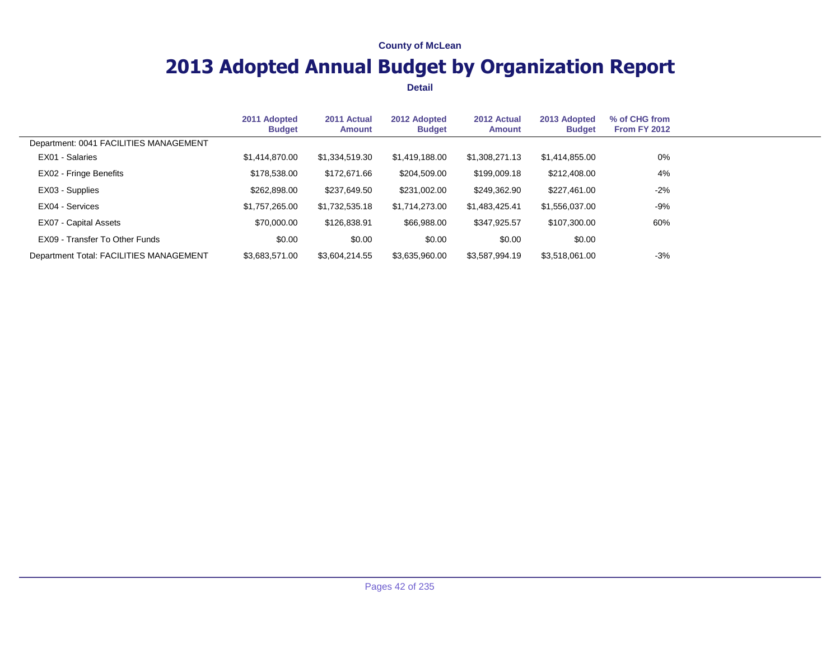## **2013 Adopted Annual Budget by Organization Report**

|                                         | 2011 Adopted<br><b>Budget</b> | 2011 Actual<br>Amount | 2012 Adopted<br><b>Budget</b> | 2012 Actual<br>Amount | 2013 Adopted<br><b>Budget</b> | % of CHG from<br><b>From FY 2012</b> |  |
|-----------------------------------------|-------------------------------|-----------------------|-------------------------------|-----------------------|-------------------------------|--------------------------------------|--|
| Department: 0041 FACILITIES MANAGEMENT  |                               |                       |                               |                       |                               |                                      |  |
| EX01 - Salaries                         | \$1,414,870.00                | \$1,334,519.30        | \$1,419,188,00                | \$1,308,271.13        | \$1,414,855.00                | $0\%$                                |  |
| EX02 - Fringe Benefits                  | \$178,538.00                  | \$172,671.66          | \$204,509.00                  | \$199,009.18          | \$212,408.00                  | 4%                                   |  |
| EX03 - Supplies                         | \$262,898.00                  | \$237,649.50          | \$231,002.00                  | \$249,362.90          | \$227,461.00                  | $-2%$                                |  |
| EX04 - Services                         | \$1,757,265.00                | \$1,732,535.18        | \$1,714,273.00                | \$1,483,425.41        | \$1,556,037.00                | $-9%$                                |  |
| EX07 - Capital Assets                   | \$70,000.00                   | \$126,838.91          | \$66,988.00                   | \$347,925.57          | \$107,300.00                  | 60%                                  |  |
| EX09 - Transfer To Other Funds          | \$0.00                        | \$0.00                | \$0.00                        | \$0.00                | \$0.00                        |                                      |  |
| Department Total: FACILITIES MANAGEMENT | \$3,683,571.00                | \$3,604,214.55        | \$3,635,960.00                | \$3,587,994.19        | \$3,518,061.00                | $-3%$                                |  |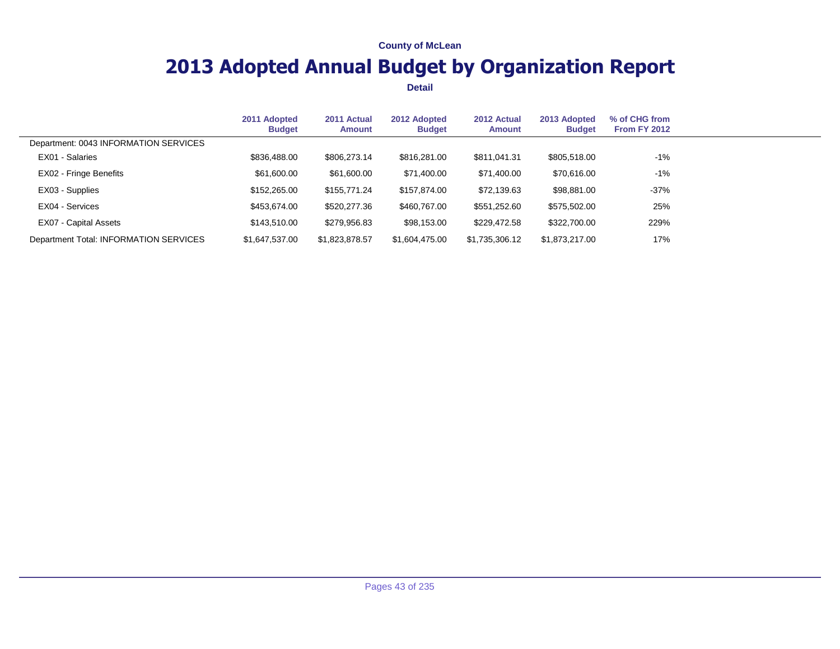## **2013 Adopted Annual Budget by Organization Report**

|                                        | 2011 Adopted<br><b>Budget</b> | 2011 Actual<br><b>Amount</b> | 2012 Adopted<br><b>Budget</b> | 2012 Actual<br><b>Amount</b> | 2013 Adopted<br><b>Budget</b> | % of CHG from<br><b>From FY 2012</b> |  |
|----------------------------------------|-------------------------------|------------------------------|-------------------------------|------------------------------|-------------------------------|--------------------------------------|--|
| Department: 0043 INFORMATION SERVICES  |                               |                              |                               |                              |                               |                                      |  |
| EX01 - Salaries                        | \$836,488.00                  | \$806,273.14                 | \$816,281.00                  | \$811,041.31                 | \$805,518.00                  | $-1\%$                               |  |
| EX02 - Fringe Benefits                 | \$61,600.00                   | \$61,600.00                  | \$71,400.00                   | \$71,400.00                  | \$70,616.00                   | $-1\%$                               |  |
| EX03 - Supplies                        | \$152,265.00                  | \$155,771.24                 | \$157.874.00                  | \$72,139.63                  | \$98,881.00                   | $-37%$                               |  |
| EX04 - Services                        | \$453,674,00                  | \$520,277.36                 | \$460,767.00                  | \$551,252.60                 | \$575,502.00                  | 25%                                  |  |
| EX07 - Capital Assets                  | \$143,510.00                  | \$279,956.83                 | \$98,153.00                   | \$229,472.58                 | \$322,700.00                  | 229%                                 |  |
| Department Total: INFORMATION SERVICES | \$1,647,537.00                | \$1,823,878.57               | \$1,604,475.00                | \$1,735,306.12               | \$1,873,217.00                | 17%                                  |  |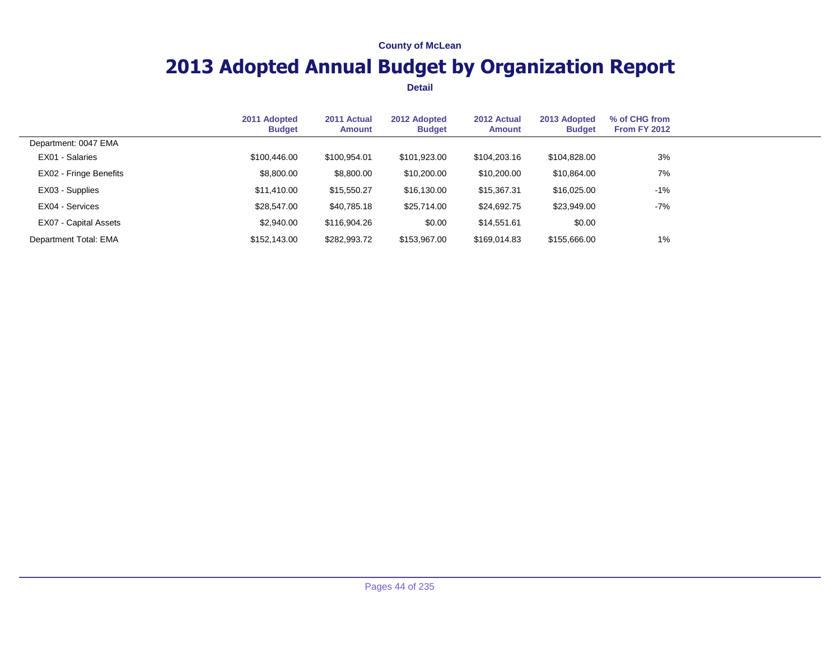## **2013 Adopted Annual Budget by Organization Report**

|                        | 2011 Adopted<br><b>Budget</b> | 2011 Actual<br><b>Amount</b> | 2012 Adopted<br><b>Budget</b> | 2012 Actual<br><b>Amount</b> | 2013 Adopted<br><b>Budget</b> | % of CHG from<br><b>From FY 2012</b> |  |
|------------------------|-------------------------------|------------------------------|-------------------------------|------------------------------|-------------------------------|--------------------------------------|--|
| Department: 0047 EMA   |                               |                              |                               |                              |                               |                                      |  |
| EX01 - Salaries        | \$100,446.00                  | \$100.954.01                 | \$101,923.00                  | \$104,203.16                 | \$104.828.00                  | 3%                                   |  |
| EX02 - Fringe Benefits | \$8,800.00                    | \$8,800.00                   | \$10,200.00                   | \$10,200.00                  | \$10,864.00                   | 7%                                   |  |
| EX03 - Supplies        | \$11,410.00                   | \$15,550.27                  | \$16,130.00                   | \$15,367.31                  | \$16,025.00                   | $-1%$                                |  |
| EX04 - Services        | \$28,547,00                   | \$40,785.18                  | \$25,714.00                   | \$24,692.75                  | \$23,949.00                   | $-7%$                                |  |
| EX07 - Capital Assets  | \$2,940.00                    | \$116,904.26                 | \$0.00                        | \$14,551.61                  | \$0.00                        |                                      |  |
| Department Total: EMA  | \$152,143.00                  | \$282,993.72                 | \$153,967.00                  | \$169,014.83                 | \$155,666.00                  | 1%                                   |  |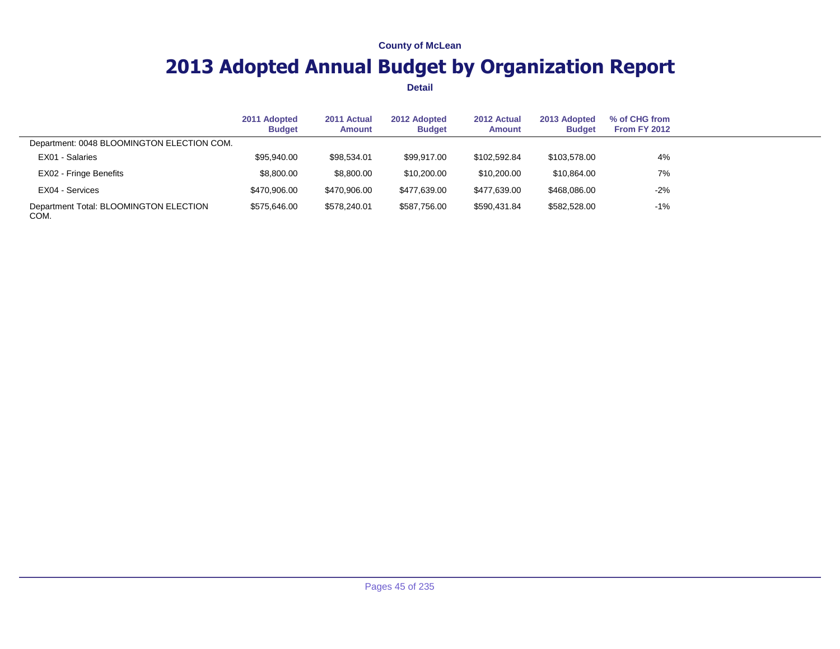## **2013 Adopted Annual Budget by Organization Report**

|                                                | 2011 Adopted<br><b>Budget</b> | 2011 Actual<br>Amount | 2012 Adopted<br><b>Budget</b> | 2012 Actual<br><b>Amount</b> | 2013 Adopted<br><b>Budget</b> | % of CHG from<br><b>From FY 2012</b> |  |
|------------------------------------------------|-------------------------------|-----------------------|-------------------------------|------------------------------|-------------------------------|--------------------------------------|--|
| Department: 0048 BLOOMINGTON ELECTION COM.     |                               |                       |                               |                              |                               |                                      |  |
| EX01 - Salaries                                | \$95,940.00                   | \$98,534.01           | \$99.917.00                   | \$102.592.84                 | \$103,578.00                  | 4%                                   |  |
| EX02 - Fringe Benefits                         | \$8,800.00                    | \$8,800.00            | \$10,200.00                   | \$10,200,00                  | \$10,864.00                   | 7%                                   |  |
| EX04 - Services                                | \$470,906.00                  | \$470.906.00          | \$477,639.00                  | \$477.639.00                 | \$468,086,00                  | $-2%$                                |  |
| Department Total: BLOOMINGTON ELECTION<br>COM. | \$575.646.00                  | \$578.240.01          | \$587.756.00                  | \$590,431.84                 | \$582,528.00                  | $-1\%$                               |  |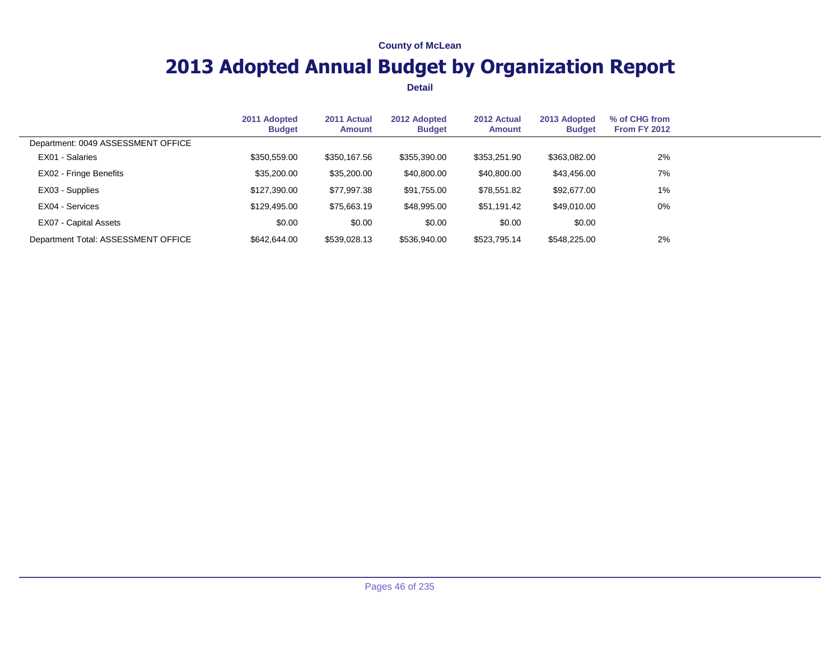## **2013 Adopted Annual Budget by Organization Report**

|                                     | 2011 Adopted<br><b>Budget</b> | 2011 Actual<br><b>Amount</b> | 2012 Adopted<br><b>Budget</b> | 2012 Actual<br>Amount | 2013 Adopted<br><b>Budget</b> | % of CHG from<br><b>From FY 2012</b> |  |
|-------------------------------------|-------------------------------|------------------------------|-------------------------------|-----------------------|-------------------------------|--------------------------------------|--|
| Department: 0049 ASSESSMENT OFFICE  |                               |                              |                               |                       |                               |                                      |  |
| EX01 - Salaries                     | \$350,559.00                  | \$350,167.56                 | \$355,390,00                  | \$353,251.90          | \$363,082.00                  | 2%                                   |  |
| EX02 - Fringe Benefits              | \$35,200.00                   | \$35,200.00                  | \$40,800.00                   | \$40,800.00           | \$43,456.00                   | 7%                                   |  |
| EX03 - Supplies                     | \$127,390.00                  | \$77,997.38                  | \$91,755.00                   | \$78,551.82           | \$92,677.00                   | 1%                                   |  |
| EX04 - Services                     | \$129.495.00                  | \$75,663.19                  | \$48,995.00                   | \$51,191.42           | \$49,010.00                   | $0\%$                                |  |
| EX07 - Capital Assets               | \$0.00                        | \$0.00                       | \$0.00                        | \$0.00                | \$0.00                        |                                      |  |
| Department Total: ASSESSMENT OFFICE | \$642,644.00                  | \$539,028.13                 | \$536,940.00                  | \$523,795.14          | \$548,225.00                  | 2%                                   |  |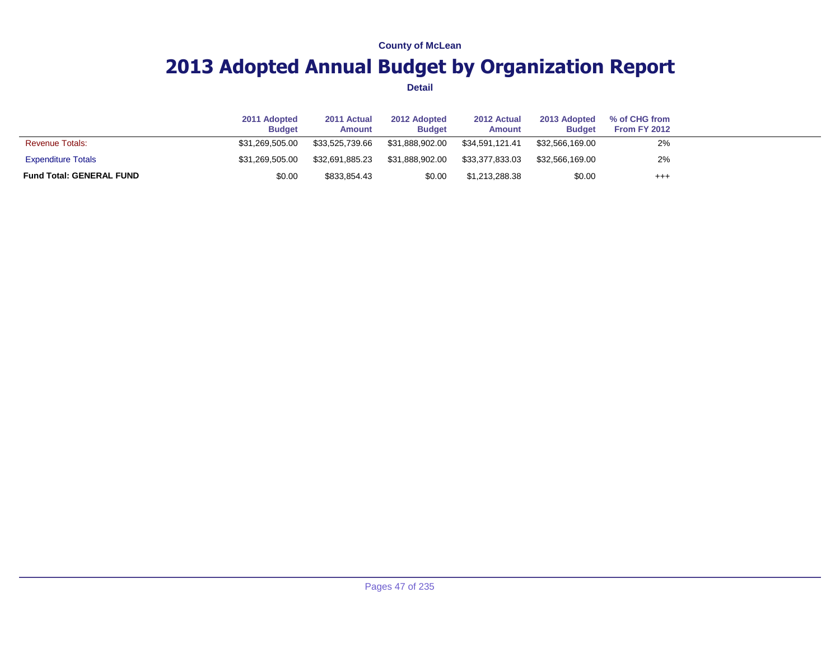## **2013 Adopted Annual Budget by Organization Report**

|                                 | 2011 Adopted<br><b>Budget</b> | 2011 Actual<br>Amount | 2012 Adopted<br><b>Budget</b> | 2012 Actual<br>Amount | 2013 Adopted<br><b>Budget</b> | % of CHG from<br>From FY 2012 |  |
|---------------------------------|-------------------------------|-----------------------|-------------------------------|-----------------------|-------------------------------|-------------------------------|--|
| <b>Revenue Totals:</b>          | \$31,269,505,00               | \$33.525.739.66       | \$31.888.902.00               | \$34.591.121.41       | \$32.566.169.00               | 2%                            |  |
| <b>Expenditure Totals</b>       | \$31,269,505,00               | \$32.691.885.23       | \$31.888.902.00               | \$33,377,833.03       | \$32.566.169.00               | 2%                            |  |
| <b>Fund Total: GENERAL FUND</b> | \$0.00                        | \$833,854.43          | \$0.00                        | \$1,213,288.38        | \$0.00                        | $^{++}$                       |  |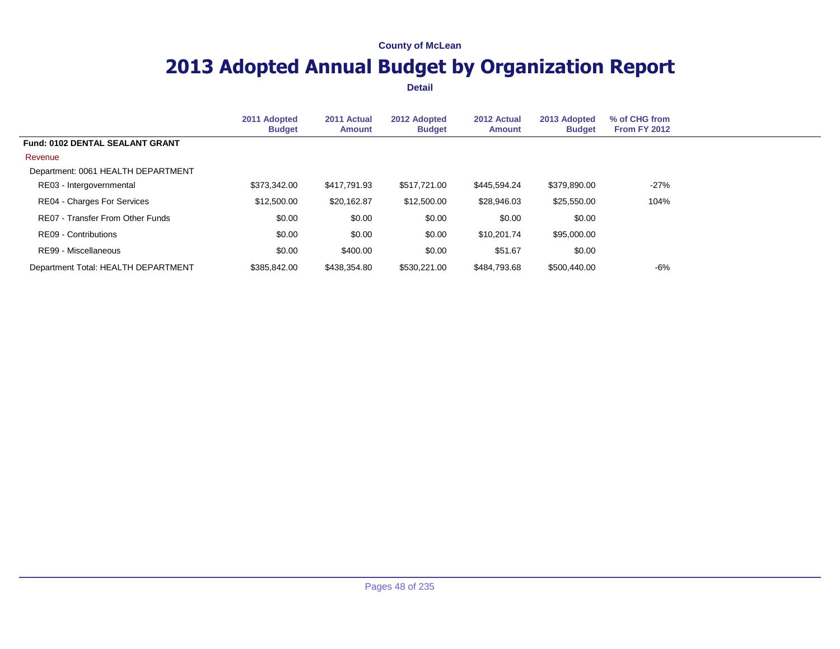## **2013 Adopted Annual Budget by Organization Report**

|                                        | 2011 Adopted<br><b>Budget</b> | 2011 Actual<br><b>Amount</b> | 2012 Adopted<br><b>Budget</b> | 2012 Actual<br><b>Amount</b> | 2013 Adopted<br><b>Budget</b> | % of CHG from<br>From FY 2012 |  |
|----------------------------------------|-------------------------------|------------------------------|-------------------------------|------------------------------|-------------------------------|-------------------------------|--|
| <b>Fund: 0102 DENTAL SEALANT GRANT</b> |                               |                              |                               |                              |                               |                               |  |
| Revenue                                |                               |                              |                               |                              |                               |                               |  |
| Department: 0061 HEALTH DEPARTMENT     |                               |                              |                               |                              |                               |                               |  |
| RE03 - Intergovernmental               | \$373,342.00                  | \$417,791.93                 | \$517,721.00                  | \$445,594.24                 | \$379,890.00                  | $-27\%$                       |  |
| RE04 - Charges For Services            | \$12,500.00                   | \$20,162.87                  | \$12,500.00                   | \$28,946.03                  | \$25,550.00                   | 104%                          |  |
| RE07 - Transfer From Other Funds       | \$0.00                        | \$0.00                       | \$0.00                        | \$0.00                       | \$0.00                        |                               |  |
| RE09 - Contributions                   | \$0.00                        | \$0.00                       | \$0.00                        | \$10,201.74                  | \$95,000.00                   |                               |  |
| RE99 - Miscellaneous                   | \$0.00                        | \$400.00                     | \$0.00                        | \$51.67                      | \$0.00                        |                               |  |
| Department Total: HEALTH DEPARTMENT    | \$385.842.00                  | \$438,354.80                 | \$530,221.00                  | \$484.793.68                 | \$500,440.00                  | -6%                           |  |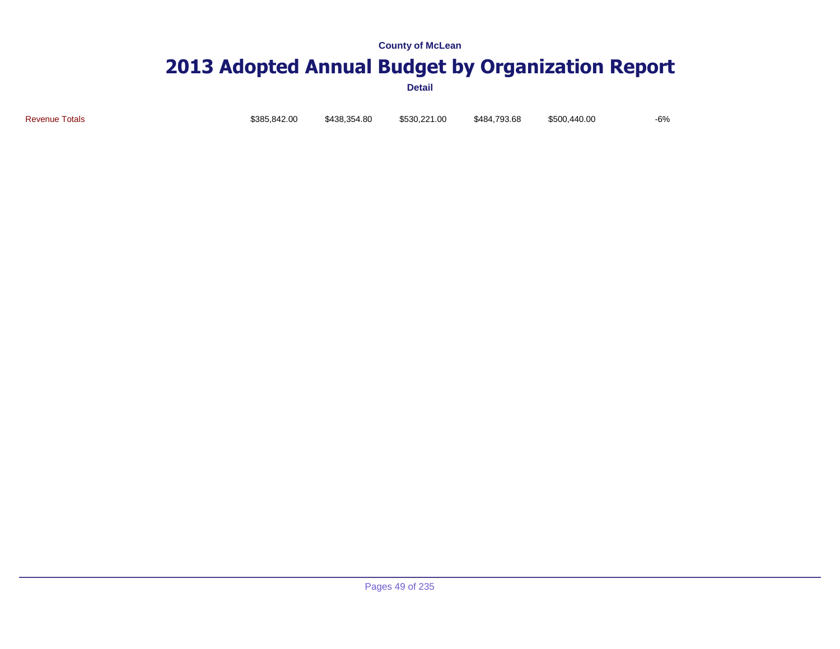### **2013 Adopted Annual Budget by Organization Report**

**Detail**

Revenue Totals \$385,842.00 \$438,354.80 \$530,221.00 \$484,793.68 \$500,440.00 -6%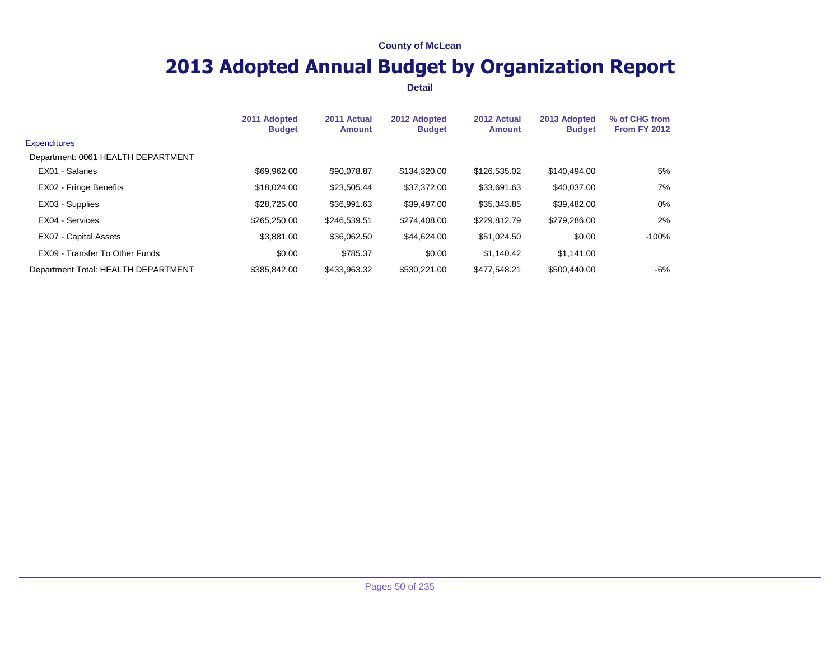## **2013 Adopted Annual Budget by Organization Report**

|                                     | 2011 Adopted<br><b>Budget</b> | 2011 Actual<br><b>Amount</b> | 2012 Adopted<br><b>Budget</b> | 2012 Actual<br><b>Amount</b> | 2013 Adopted<br><b>Budget</b> | % of CHG from<br><b>From FY 2012</b> |  |
|-------------------------------------|-------------------------------|------------------------------|-------------------------------|------------------------------|-------------------------------|--------------------------------------|--|
| <b>Expenditures</b>                 |                               |                              |                               |                              |                               |                                      |  |
| Department: 0061 HEALTH DEPARTMENT  |                               |                              |                               |                              |                               |                                      |  |
| EX01 - Salaries                     | \$69,962.00                   | \$90,078.87                  | \$134,320.00                  | \$126,535.02                 | \$140,494.00                  | 5%                                   |  |
| EX02 - Fringe Benefits              | \$18,024.00                   | \$23,505.44                  | \$37,372.00                   | \$33,691.63                  | \$40,037.00                   | 7%                                   |  |
| EX03 - Supplies                     | \$28,725.00                   | \$36,991.63                  | \$39,497.00                   | \$35,343.85                  | \$39,482.00                   | 0%                                   |  |
| EX04 - Services                     | \$265,250.00                  | \$246,539.51                 | \$274,408.00                  | \$229,812.79                 | \$279,286.00                  | 2%                                   |  |
| EX07 - Capital Assets               | \$3,881,00                    | \$36.062.50                  | \$44.624.00                   | \$51,024.50                  | \$0.00                        | -100%                                |  |
| EX09 - Transfer To Other Funds      | \$0.00                        | \$785.37                     | \$0.00                        | \$1,140.42                   | \$1,141.00                    |                                      |  |
| Department Total: HEALTH DEPARTMENT | \$385.842.00                  | \$433,963.32                 | \$530,221.00                  | \$477.548.21                 | \$500,440.00                  | -6%                                  |  |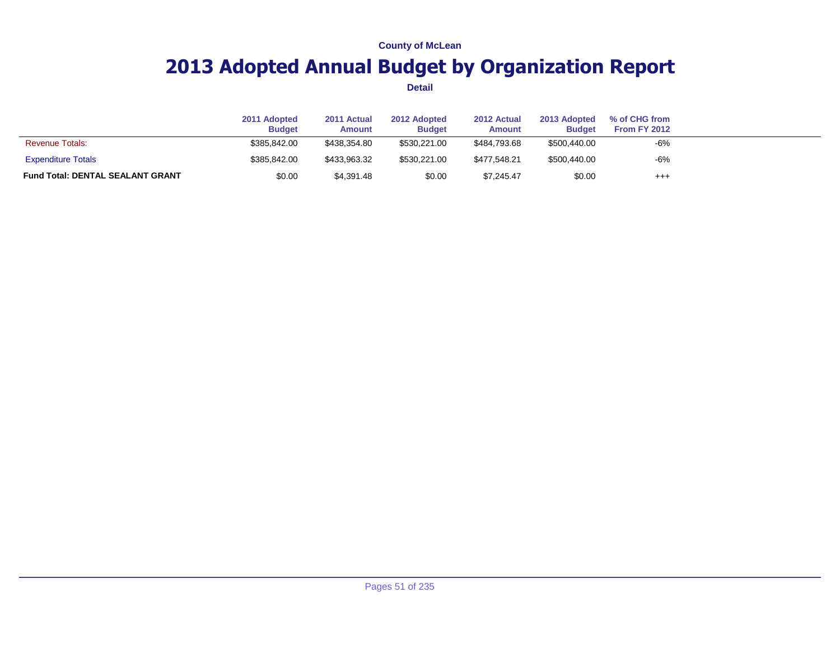## **2013 Adopted Annual Budget by Organization Report**

|                                         | 2011 Adopted<br><b>Budget</b> | 2011 Actual<br><b>Amount</b> | 2012 Adopted<br><b>Budget</b> | 2012 Actual<br><b>Amount</b> | 2013 Adopted<br><b>Budget</b> | % of CHG from<br><b>From FY 2012</b> |  |
|-----------------------------------------|-------------------------------|------------------------------|-------------------------------|------------------------------|-------------------------------|--------------------------------------|--|
| <b>Revenue Totals:</b>                  | \$385,842,00                  | \$438,354.80                 | \$530.221.00                  | \$484.793.68                 | \$500,440.00                  | -6%                                  |  |
| <b>Expenditure Totals</b>               | \$385,842,00                  | \$433.963.32                 | \$530.221.00                  | \$477.548.21                 | \$500,440.00                  | $-6%$                                |  |
| <b>Fund Total: DENTAL SEALANT GRANT</b> | \$0.00                        | \$4,391.48                   | \$0.00                        | \$7,245.47                   | \$0.00                        | $^{+++}$                             |  |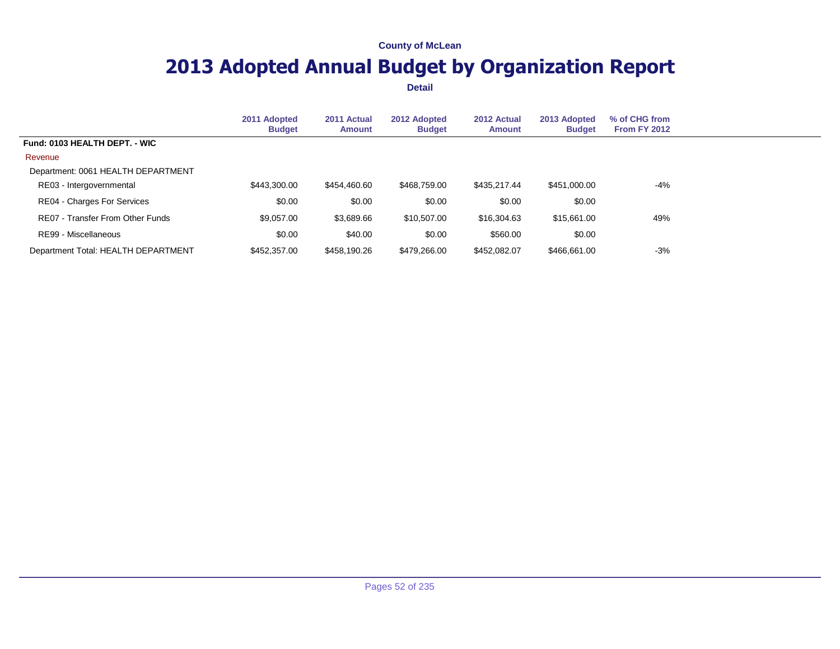## **2013 Adopted Annual Budget by Organization Report**

|                                     | 2011 Adopted<br><b>Budget</b> | 2011 Actual<br><b>Amount</b> | 2012 Adopted<br><b>Budget</b> | 2012 Actual<br><b>Amount</b> | 2013 Adopted<br><b>Budget</b> | % of CHG from<br>From FY 2012 |  |
|-------------------------------------|-------------------------------|------------------------------|-------------------------------|------------------------------|-------------------------------|-------------------------------|--|
| Fund: 0103 HEALTH DEPT. - WIC       |                               |                              |                               |                              |                               |                               |  |
| Revenue                             |                               |                              |                               |                              |                               |                               |  |
| Department: 0061 HEALTH DEPARTMENT  |                               |                              |                               |                              |                               |                               |  |
| RE03 - Intergovernmental            | \$443,300.00                  | \$454,460.60                 | \$468,759.00                  | \$435,217.44                 | \$451,000.00                  | -4%                           |  |
| RE04 - Charges For Services         | \$0.00                        | \$0.00                       | \$0.00                        | \$0.00                       | \$0.00                        |                               |  |
| RE07 - Transfer From Other Funds    | \$9,057.00                    | \$3,689.66                   | \$10,507.00                   | \$16,304.63                  | \$15,661.00                   | 49%                           |  |
| RE99 - Miscellaneous                | \$0.00                        | \$40.00                      | \$0.00                        | \$560.00                     | \$0.00                        |                               |  |
| Department Total: HEALTH DEPARTMENT | \$452,357,00                  | \$458,190.26                 | \$479,266,00                  | \$452,082.07                 | \$466,661,00                  | $-3%$                         |  |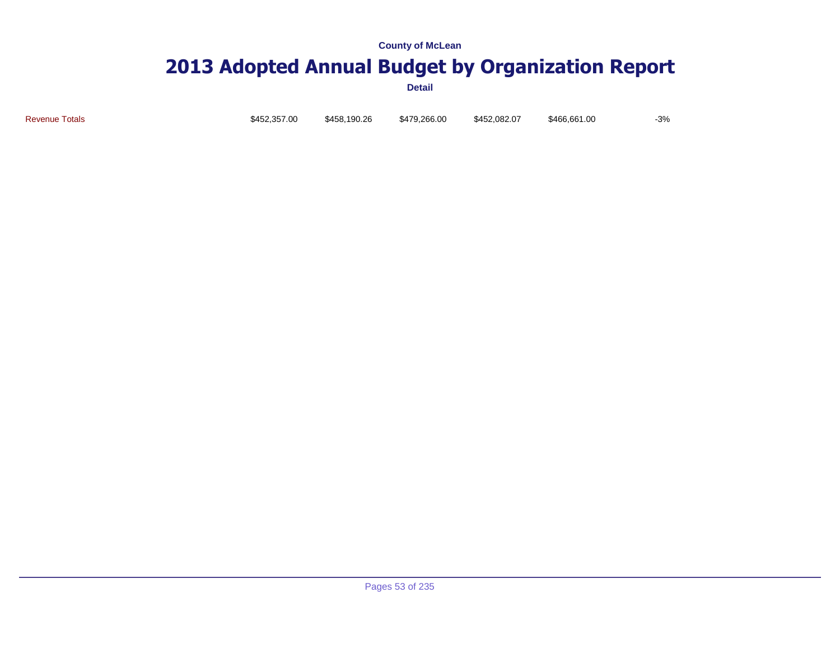### **2013 Adopted Annual Budget by Organization Report**

**Detail**

Revenue Totals \$452,357.00 \$458,190.26 \$479,266.00 \$452,082.07 \$466,661.00 -3%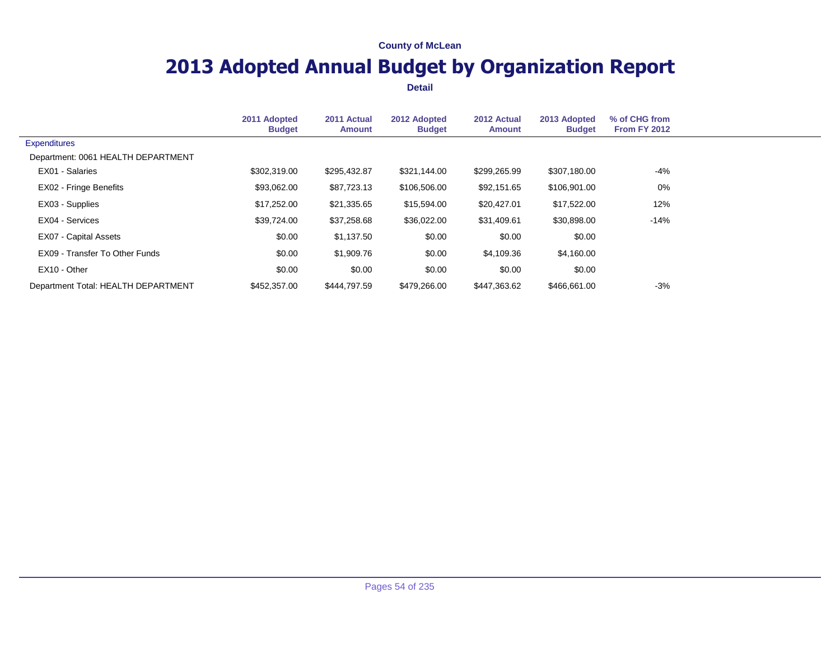## **2013 Adopted Annual Budget by Organization Report**

|                                     | 2011 Adopted<br><b>Budget</b> | 2011 Actual<br><b>Amount</b> | 2012 Adopted<br><b>Budget</b> | 2012 Actual<br><b>Amount</b> | 2013 Adopted<br><b>Budget</b> | % of CHG from<br><b>From FY 2012</b> |  |
|-------------------------------------|-------------------------------|------------------------------|-------------------------------|------------------------------|-------------------------------|--------------------------------------|--|
| <b>Expenditures</b>                 |                               |                              |                               |                              |                               |                                      |  |
| Department: 0061 HEALTH DEPARTMENT  |                               |                              |                               |                              |                               |                                      |  |
| EX01 - Salaries                     | \$302,319.00                  | \$295,432.87                 | \$321,144.00                  | \$299,265.99                 | \$307,180.00                  | -4%                                  |  |
| <b>EX02 - Fringe Benefits</b>       | \$93,062.00                   | \$87,723.13                  | \$106,506.00                  | \$92,151.65                  | \$106,901.00                  | $0\%$                                |  |
| EX03 - Supplies                     | \$17,252.00                   | \$21,335.65                  | \$15,594.00                   | \$20,427.01                  | \$17,522.00                   | 12%                                  |  |
| EX04 - Services                     | \$39,724.00                   | \$37,258.68                  | \$36,022.00                   | \$31,409.61                  | \$30,898.00                   | $-14%$                               |  |
| <b>EX07 - Capital Assets</b>        | \$0.00                        | \$1,137.50                   | \$0.00                        | \$0.00                       | \$0.00                        |                                      |  |
| EX09 - Transfer To Other Funds      | \$0.00                        | \$1,909.76                   | \$0.00                        | \$4,109.36                   | \$4,160.00                    |                                      |  |
| EX10 - Other                        | \$0.00                        | \$0.00                       | \$0.00                        | \$0.00                       | \$0.00                        |                                      |  |
| Department Total: HEALTH DEPARTMENT | \$452,357.00                  | \$444.797.59                 | \$479.266.00                  | \$447.363.62                 | \$466,661.00                  | $-3%$                                |  |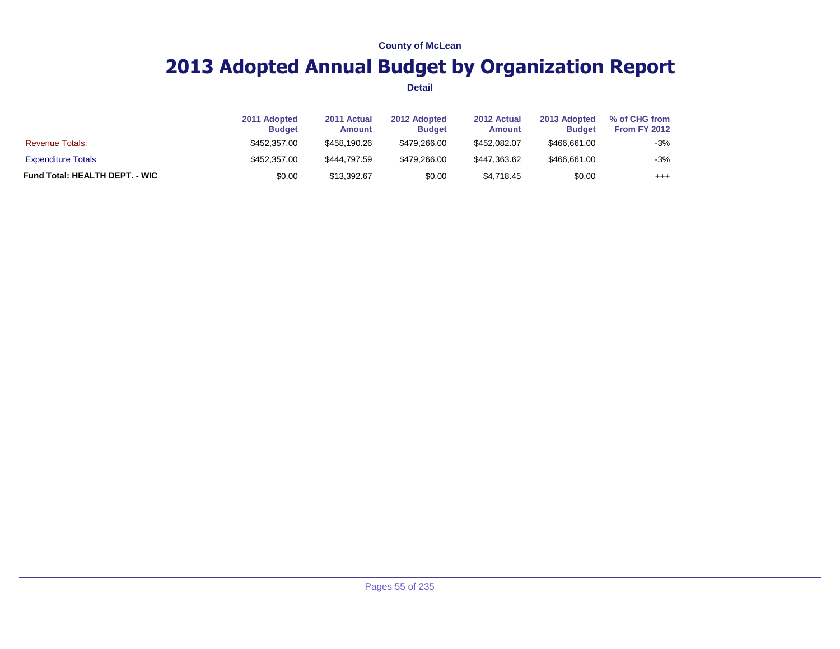## **2013 Adopted Annual Budget by Organization Report**

|                                       | 2011 Adopted<br><b>Budget</b> | 2011 Actual<br><b>Amount</b> | 2012 Adopted<br><b>Budget</b> | 2012 Actual<br>Amount | 2013 Adopted<br><b>Budget</b> | % of CHG from<br>From FY 2012 |  |
|---------------------------------------|-------------------------------|------------------------------|-------------------------------|-----------------------|-------------------------------|-------------------------------|--|
| <b>Revenue Totals:</b>                | \$452,357,00                  | \$458,190.26                 | \$479,266,00                  | \$452,082.07          | \$466,661,00                  | $-3%$                         |  |
| <b>Expenditure Totals</b>             | \$452,357,00                  | \$444.797.59                 | \$479,266.00                  | \$447,363.62          | \$466,661.00                  | $-3%$                         |  |
| <b>Fund Total: HEALTH DEPT. - WIC</b> | \$0.00                        | \$13,392.67                  | \$0.00                        | \$4,718.45            | \$0.00                        | $^{+++}$                      |  |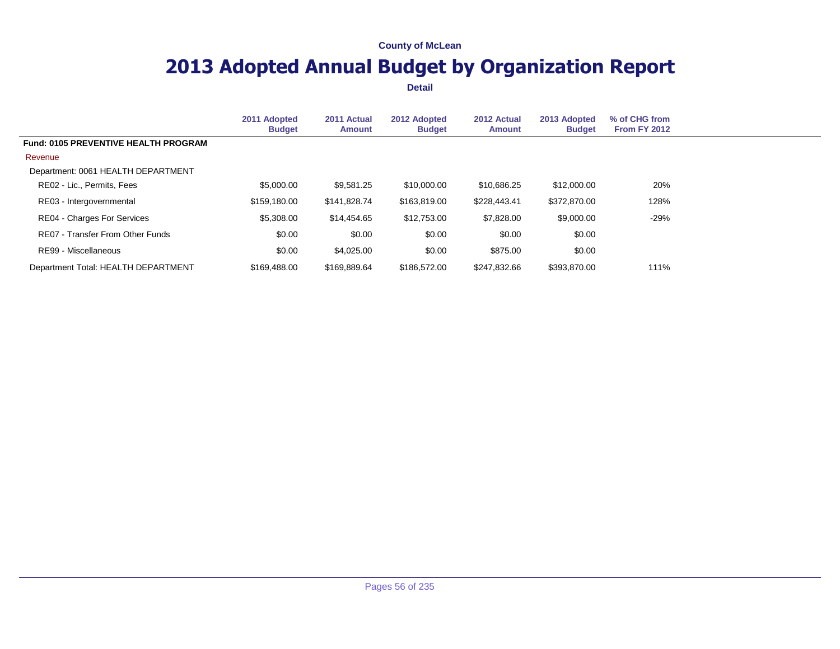## **2013 Adopted Annual Budget by Organization Report**

|                                             | 2011 Adopted<br><b>Budget</b> | 2011 Actual<br><b>Amount</b> | 2012 Adopted<br><b>Budget</b> | 2012 Actual<br><b>Amount</b> | 2013 Adopted<br><b>Budget</b> | % of CHG from<br>From FY 2012 |  |
|---------------------------------------------|-------------------------------|------------------------------|-------------------------------|------------------------------|-------------------------------|-------------------------------|--|
| <b>Fund: 0105 PREVENTIVE HEALTH PROGRAM</b> |                               |                              |                               |                              |                               |                               |  |
| Revenue                                     |                               |                              |                               |                              |                               |                               |  |
| Department: 0061 HEALTH DEPARTMENT          |                               |                              |                               |                              |                               |                               |  |
| RE02 - Lic., Permits, Fees                  | \$5,000.00                    | \$9,581.25                   | \$10,000.00                   | \$10,686.25                  | \$12,000.00                   | 20%                           |  |
| RE03 - Intergovernmental                    | \$159,180.00                  | \$141,828.74                 | \$163,819.00                  | \$228,443.41                 | \$372,870,00                  | 128%                          |  |
| <b>RE04 - Charges For Services</b>          | \$5,308.00                    | \$14,454.65                  | \$12,753.00                   | \$7,828.00                   | \$9,000.00                    | -29%                          |  |
| RE07 - Transfer From Other Funds            | \$0.00                        | \$0.00                       | \$0.00                        | \$0.00                       | \$0.00                        |                               |  |
| RE99 - Miscellaneous                        | \$0.00                        | \$4,025.00                   | \$0.00                        | \$875.00                     | \$0.00                        |                               |  |
| Department Total: HEALTH DEPARTMENT         | \$169,488,00                  | \$169.889.64                 | \$186,572,00                  | \$247.832.66                 | \$393,870.00                  | 111%                          |  |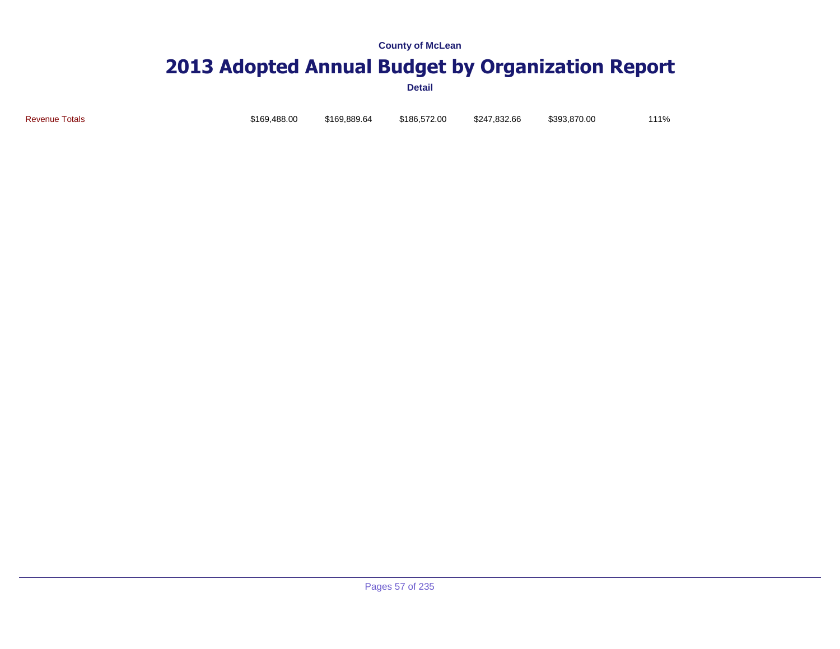# **2013 Adopted Annual Budget by Organization Report**

**Detail**

Revenue Totals \$169,488.00 \$169,889.64 \$186,572.00 \$247,832.66 \$393,870.00 111%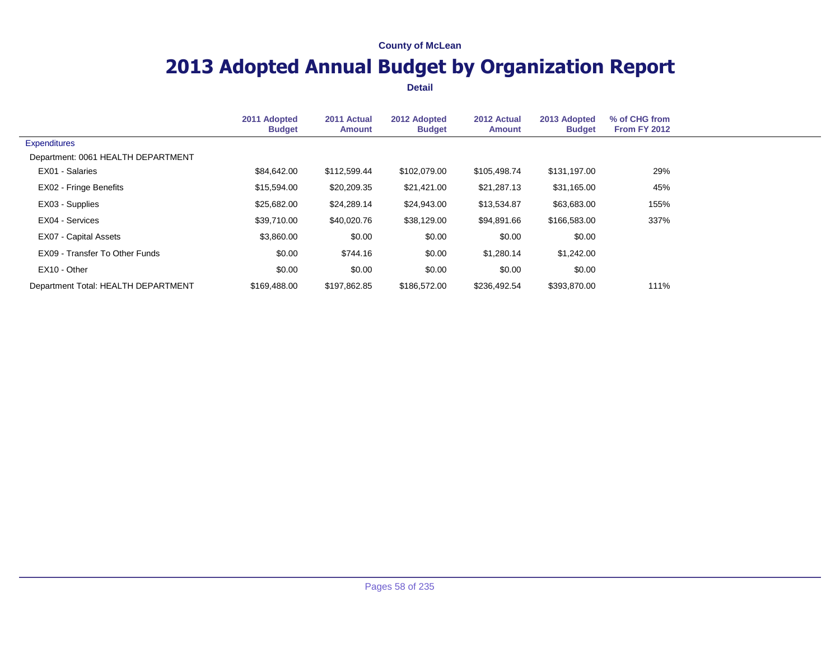## **2013 Adopted Annual Budget by Organization Report**

|                                     | 2011 Adopted<br><b>Budget</b> | 2011 Actual<br><b>Amount</b> | 2012 Adopted<br><b>Budget</b> | 2012 Actual<br><b>Amount</b> | 2013 Adopted<br><b>Budget</b> | % of CHG from<br>From FY 2012 |  |
|-------------------------------------|-------------------------------|------------------------------|-------------------------------|------------------------------|-------------------------------|-------------------------------|--|
| <b>Expenditures</b>                 |                               |                              |                               |                              |                               |                               |  |
| Department: 0061 HEALTH DEPARTMENT  |                               |                              |                               |                              |                               |                               |  |
| EX01 - Salaries                     | \$84,642.00                   | \$112,599.44                 | \$102,079.00                  | \$105,498.74                 | \$131,197.00                  | 29%                           |  |
| <b>EX02 - Fringe Benefits</b>       | \$15,594.00                   | \$20,209.35                  | \$21,421.00                   | \$21,287.13                  | \$31,165.00                   | 45%                           |  |
| EX03 - Supplies                     | \$25,682.00                   | \$24,289.14                  | \$24,943.00                   | \$13,534.87                  | \$63,683.00                   | 155%                          |  |
| EX04 - Services                     | \$39,710.00                   | \$40,020.76                  | \$38,129.00                   | \$94,891.66                  | \$166,583.00                  | 337%                          |  |
| EX07 - Capital Assets               | \$3,860.00                    | \$0.00                       | \$0.00                        | \$0.00                       | \$0.00                        |                               |  |
| EX09 - Transfer To Other Funds      | \$0.00                        | \$744.16                     | \$0.00                        | \$1,280.14                   | \$1,242.00                    |                               |  |
| EX10 - Other                        | \$0.00                        | \$0.00                       | \$0.00                        | \$0.00                       | \$0.00                        |                               |  |
| Department Total: HEALTH DEPARTMENT | \$169,488,00                  | \$197,862.85                 | \$186,572,00                  | \$236.492.54                 | \$393,870.00                  | 111%                          |  |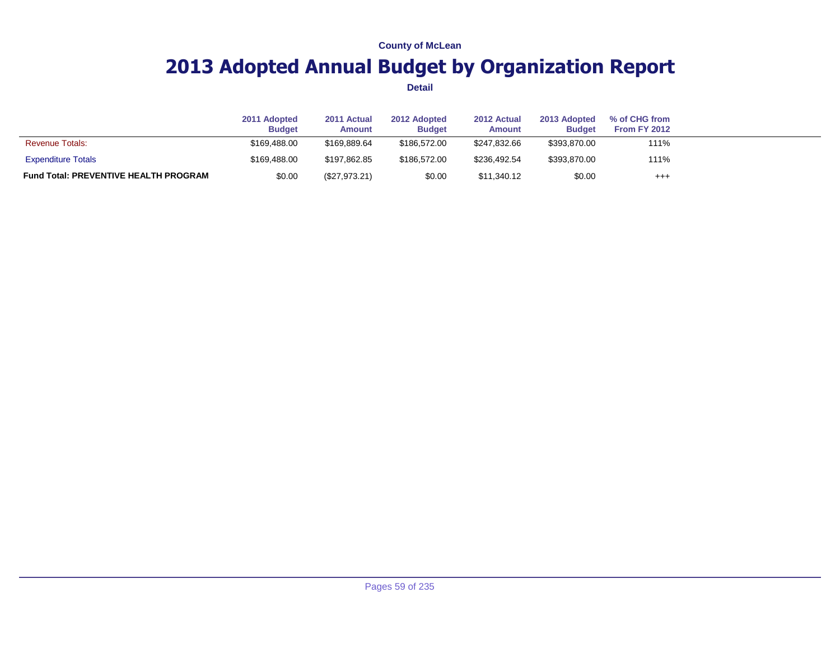## **2013 Adopted Annual Budget by Organization Report**

|                                              | 2011 Adopted<br><b>Budget</b> | 2011 Actual<br>Amount | 2012 Adopted<br><b>Budget</b> | 2012 Actual<br>Amount | 2013 Adopted<br><b>Budget</b> | % of CHG from<br>From FY 2012 |  |
|----------------------------------------------|-------------------------------|-----------------------|-------------------------------|-----------------------|-------------------------------|-------------------------------|--|
| <b>Revenue Totals:</b>                       | \$169,488,00                  | \$169.889.64          | \$186,572,00                  | \$247.832.66          | \$393,870.00                  | 111%                          |  |
| <b>Expenditure Totals</b>                    | \$169.488.00                  | \$197.862.85          | \$186,572,00                  | \$236.492.54          | \$393,870.00                  | 111%                          |  |
| <b>Fund Total: PREVENTIVE HEALTH PROGRAM</b> | \$0.00                        | (\$27,973.21)         | \$0.00                        | \$11,340.12           | \$0.00                        | $^{+++}$                      |  |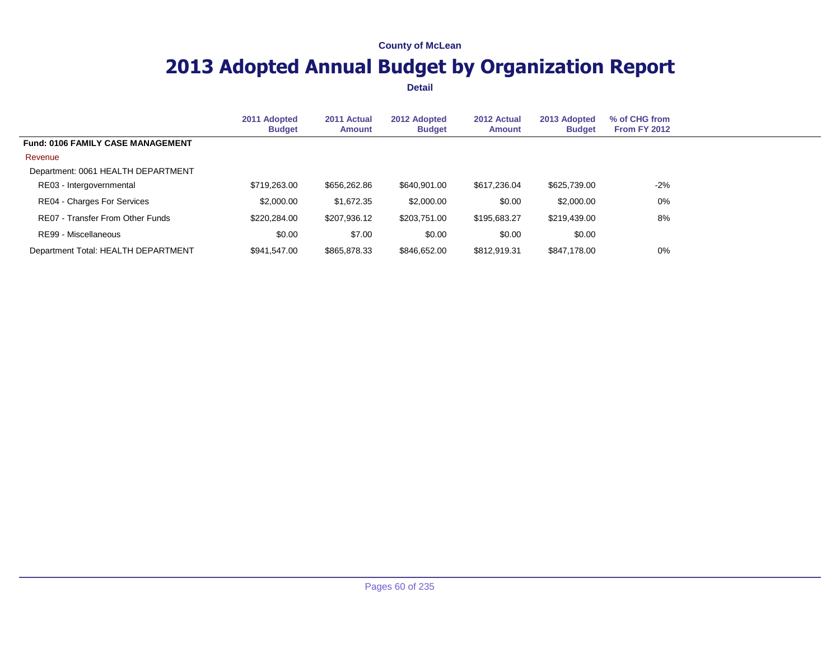## **2013 Adopted Annual Budget by Organization Report**

|                                          | 2011 Adopted<br><b>Budget</b> | 2011 Actual<br><b>Amount</b> | 2012 Adopted<br><b>Budget</b> | 2012 Actual<br><b>Amount</b> | 2013 Adopted<br><b>Budget</b> | % of CHG from<br><b>From FY 2012</b> |  |
|------------------------------------------|-------------------------------|------------------------------|-------------------------------|------------------------------|-------------------------------|--------------------------------------|--|
| <b>Fund: 0106 FAMILY CASE MANAGEMENT</b> |                               |                              |                               |                              |                               |                                      |  |
| Revenue                                  |                               |                              |                               |                              |                               |                                      |  |
| Department: 0061 HEALTH DEPARTMENT       |                               |                              |                               |                              |                               |                                      |  |
| RE03 - Intergovernmental                 | \$719,263.00                  | \$656,262.86                 | \$640,901.00                  | \$617,236.04                 | \$625,739.00                  | $-2\%$                               |  |
| RE04 - Charges For Services              | \$2,000.00                    | \$1,672.35                   | \$2,000.00                    | \$0.00                       | \$2,000.00                    | $0\%$                                |  |
| RE07 - Transfer From Other Funds         | \$220,284.00                  | \$207,936.12                 | \$203,751.00                  | \$195,683,27                 | \$219,439.00                  | 8%                                   |  |
| RE99 - Miscellaneous                     | \$0.00                        | \$7.00                       | \$0.00                        | \$0.00                       | \$0.00                        |                                      |  |
| Department Total: HEALTH DEPARTMENT      | \$941.547.00                  | \$865,878,33                 | \$846,652,00                  | \$812,919.31                 | \$847,178,00                  | 0%                                   |  |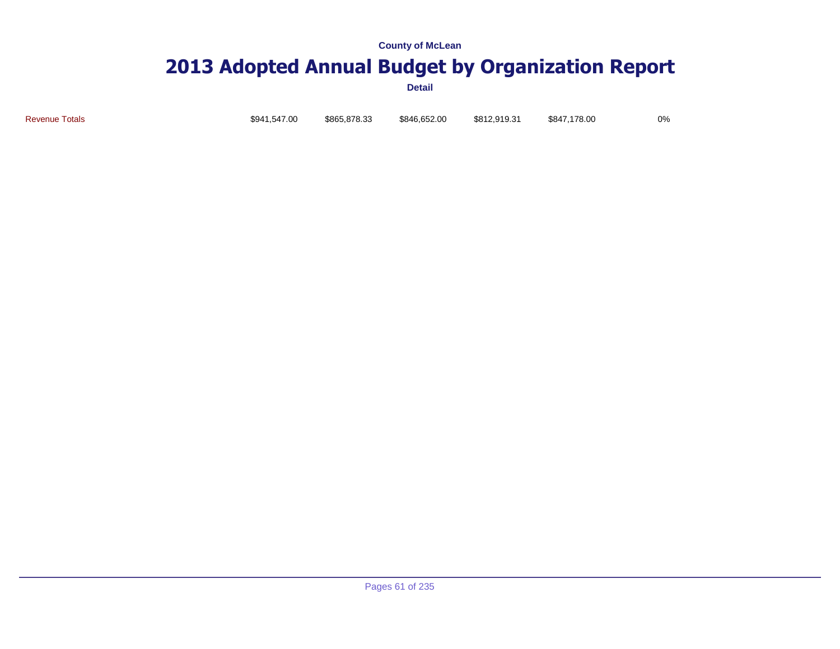# **2013 Adopted Annual Budget by Organization Report**

**Detail**

Revenue Totals \$941,547.00 \$865,878.33 \$846,652.00 \$812,919.31 \$847,178.00 0%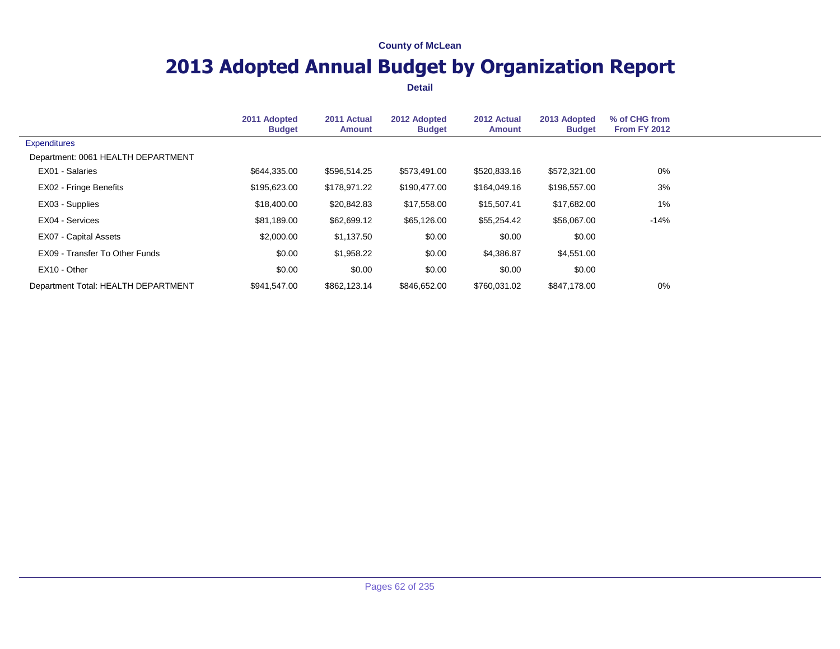## **2013 Adopted Annual Budget by Organization Report**

|                                     | 2011 Adopted<br><b>Budget</b> | 2011 Actual<br><b>Amount</b> | 2012 Adopted<br><b>Budget</b> | 2012 Actual<br>Amount | 2013 Adopted<br><b>Budget</b> | % of CHG from<br><b>From FY 2012</b> |  |
|-------------------------------------|-------------------------------|------------------------------|-------------------------------|-----------------------|-------------------------------|--------------------------------------|--|
| <b>Expenditures</b>                 |                               |                              |                               |                       |                               |                                      |  |
| Department: 0061 HEALTH DEPARTMENT  |                               |                              |                               |                       |                               |                                      |  |
| EX01 - Salaries                     | \$644,335.00                  | \$596,514.25                 | \$573,491.00                  | \$520,833.16          | \$572,321.00                  | 0%                                   |  |
| <b>EX02 - Fringe Benefits</b>       | \$195,623.00                  | \$178,971.22                 | \$190,477.00                  | \$164,049.16          | \$196,557.00                  | 3%                                   |  |
| EX03 - Supplies                     | \$18,400.00                   | \$20,842.83                  | \$17,558.00                   | \$15,507.41           | \$17,682.00                   | $1\%$                                |  |
| EX04 - Services                     | \$81.189.00                   | \$62,699.12                  | \$65,126.00                   | \$55,254.42           | \$56,067.00                   | $-14%$                               |  |
| EX07 - Capital Assets               | \$2,000.00                    | \$1,137.50                   | \$0.00                        | \$0.00                | \$0.00                        |                                      |  |
| EX09 - Transfer To Other Funds      | \$0.00                        | \$1,958.22                   | \$0.00                        | \$4,386.87            | \$4,551.00                    |                                      |  |
| EX10 - Other                        | \$0.00                        | \$0.00                       | \$0.00                        | \$0.00                | \$0.00                        |                                      |  |
| Department Total: HEALTH DEPARTMENT | \$941.547.00                  | \$862,123.14                 | \$846.652.00                  | \$760,031.02          | \$847,178.00                  | 0%                                   |  |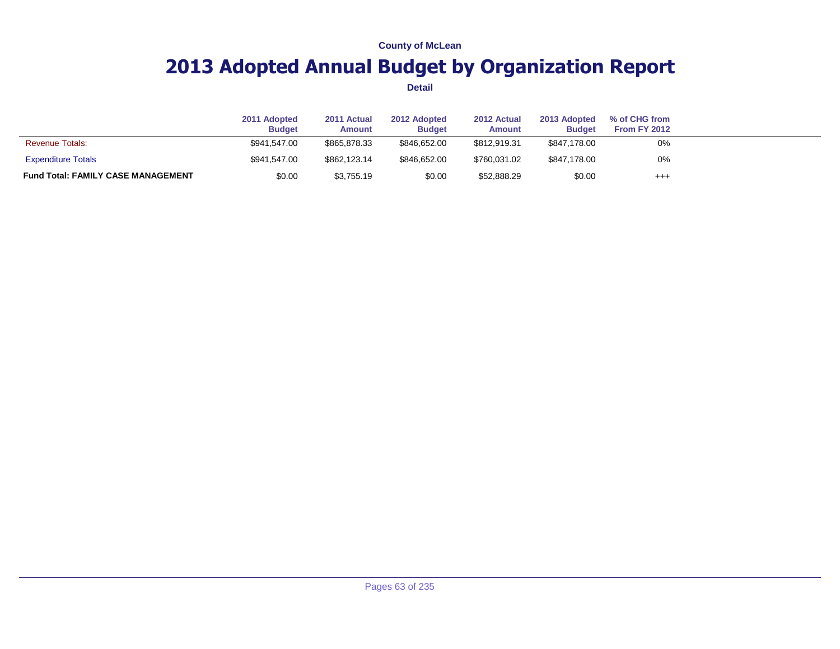## **2013 Adopted Annual Budget by Organization Report**

|                                           | 2011 Adopted<br><b>Budget</b> | 2011 Actual<br>Amount | 2012 Adopted<br><b>Budget</b> | 2012 Actual<br><b>Amount</b> | 2013 Adopted<br><b>Budget</b> | % of CHG from<br>From FY 2012 |  |
|-------------------------------------------|-------------------------------|-----------------------|-------------------------------|------------------------------|-------------------------------|-------------------------------|--|
| <b>Revenue Totals:</b>                    | \$941.547.00                  | \$865,878,33          | \$846,652,00                  | \$812,919.31                 | \$847,178.00                  | 0%                            |  |
| <b>Expenditure Totals</b>                 | \$941.547.00                  | \$862,123,14          | \$846,652,00                  | \$760.031.02                 | \$847.178.00                  | 0%                            |  |
| <b>Fund Total: FAMILY CASE MANAGEMENT</b> | \$0.00                        | \$3,755.19            | \$0.00                        | \$52,888.29                  | \$0.00                        | $^{++}$                       |  |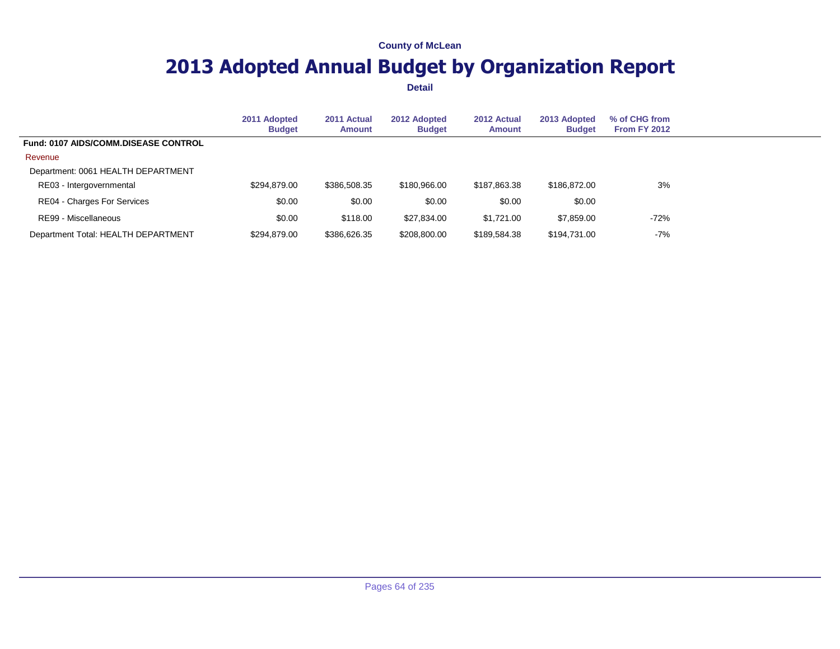## **2013 Adopted Annual Budget by Organization Report**

|                                             | 2011 Adopted<br><b>Budget</b> | 2011 Actual<br><b>Amount</b> | 2012 Adopted<br><b>Budget</b> | 2012 Actual<br>Amount | 2013 Adopted<br><b>Budget</b> | % of CHG from<br><b>From FY 2012</b> |  |
|---------------------------------------------|-------------------------------|------------------------------|-------------------------------|-----------------------|-------------------------------|--------------------------------------|--|
| <b>Fund: 0107 AIDS/COMM.DISEASE CONTROL</b> |                               |                              |                               |                       |                               |                                      |  |
| Revenue                                     |                               |                              |                               |                       |                               |                                      |  |
| Department: 0061 HEALTH DEPARTMENT          |                               |                              |                               |                       |                               |                                      |  |
| RE03 - Intergovernmental                    | \$294,879.00                  | \$386,508.35                 | \$180,966.00                  | \$187,863.38          | \$186,872,00                  | 3%                                   |  |
| RE04 - Charges For Services                 | \$0.00                        | \$0.00                       | \$0.00                        | \$0.00                | \$0.00                        |                                      |  |
| RE99 - Miscellaneous                        | \$0.00                        | \$118.00                     | \$27,834.00                   | \$1.721.00            | \$7,859.00                    | $-72%$                               |  |
| Department Total: HEALTH DEPARTMENT         | \$294,879.00                  | \$386,626.35                 | \$208,800.00                  | \$189,584.38          | \$194.731.00                  | -7%                                  |  |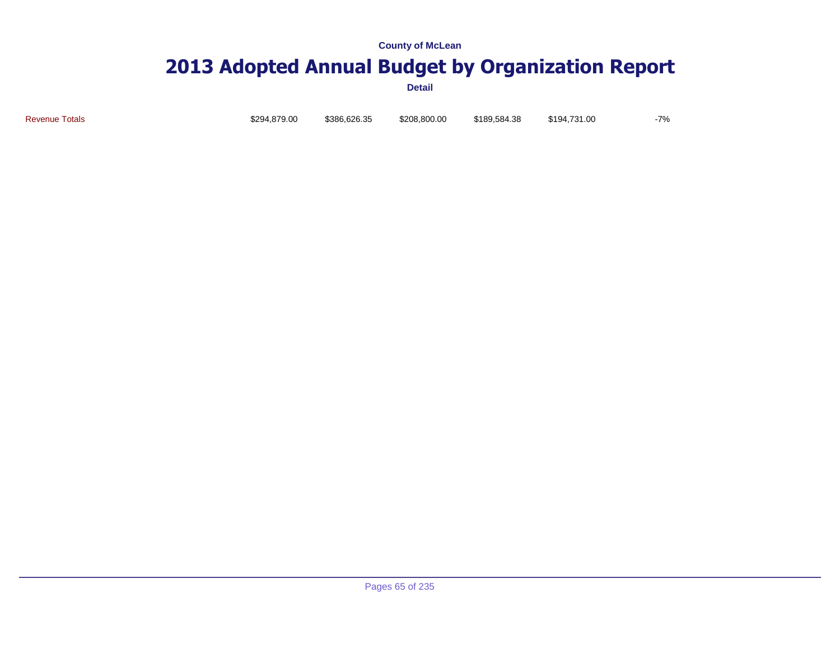# **2013 Adopted Annual Budget by Organization Report**

**Detail**

Revenue Totals \$294,879.00 \$386,626.35 \$208,800.00 \$189,584.38 \$194,731.00 -7%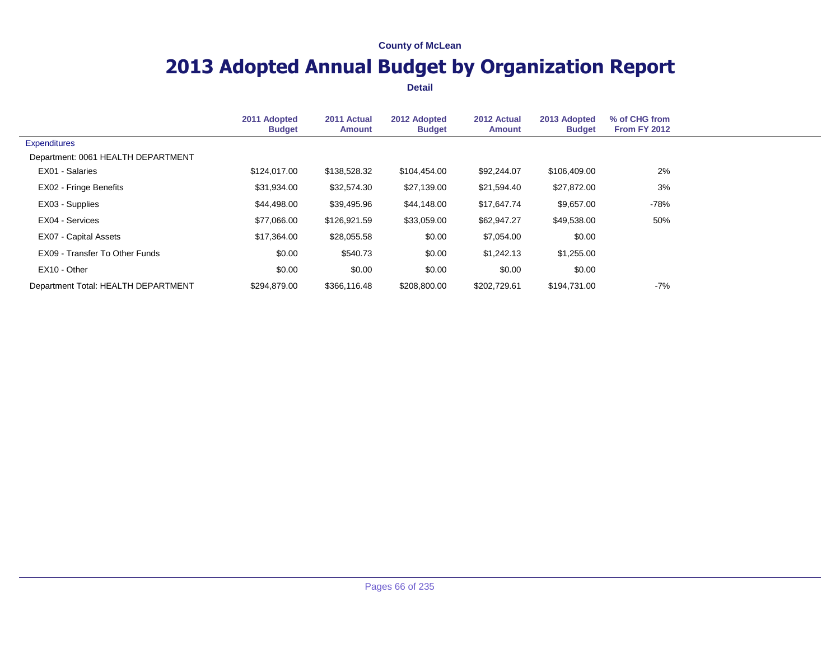## **2013 Adopted Annual Budget by Organization Report**

|                                     | 2011 Adopted<br><b>Budget</b> | 2011 Actual<br><b>Amount</b> | 2012 Adopted<br><b>Budget</b> | 2012 Actual<br>Amount | 2013 Adopted<br><b>Budget</b> | % of CHG from<br><b>From FY 2012</b> |  |
|-------------------------------------|-------------------------------|------------------------------|-------------------------------|-----------------------|-------------------------------|--------------------------------------|--|
| <b>Expenditures</b>                 |                               |                              |                               |                       |                               |                                      |  |
| Department: 0061 HEALTH DEPARTMENT  |                               |                              |                               |                       |                               |                                      |  |
| EX01 - Salaries                     | \$124,017.00                  | \$138,528.32                 | \$104,454.00                  | \$92,244.07           | \$106,409.00                  | 2%                                   |  |
| EX02 - Fringe Benefits              | \$31,934.00                   | \$32,574.30                  | \$27,139.00                   | \$21,594.40           | \$27,872.00                   | 3%                                   |  |
| EX03 - Supplies                     | \$44,498.00                   | \$39,495.96                  | \$44,148.00                   | \$17,647.74           | \$9,657.00                    | -78%                                 |  |
| EX04 - Services                     | \$77,066.00                   | \$126,921.59                 | \$33,059.00                   | \$62,947.27           | \$49,538.00                   | 50%                                  |  |
| EX07 - Capital Assets               | \$17,364.00                   | \$28,055.58                  | \$0.00                        | \$7,054.00            | \$0.00                        |                                      |  |
| EX09 - Transfer To Other Funds      | \$0.00                        | \$540.73                     | \$0.00                        | \$1,242.13            | \$1,255.00                    |                                      |  |
| EX10 - Other                        | \$0.00                        | \$0.00                       | \$0.00                        | \$0.00                | \$0.00                        |                                      |  |
| Department Total: HEALTH DEPARTMENT | \$294.879.00                  | \$366.116.48                 | \$208.800.00                  | \$202.729.61          | \$194.731.00                  | $-7%$                                |  |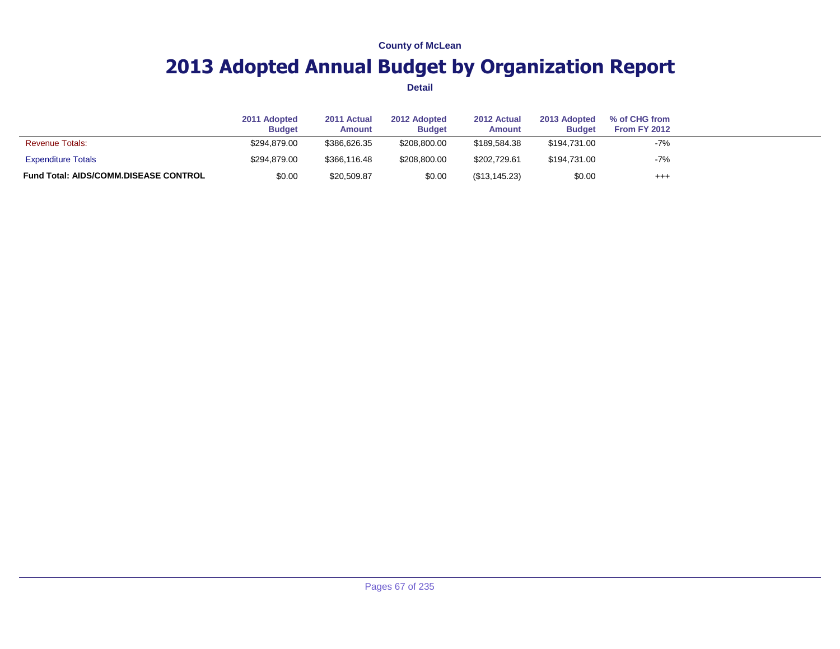## **2013 Adopted Annual Budget by Organization Report**

|                                              | 2011 Adopted<br><b>Budget</b> | 2011 Actual<br><b>Amount</b> | 2012 Adopted<br><b>Budget</b> | 2012 Actual<br><b>Amount</b> | 2013 Adopted<br><b>Budget</b> | % of CHG from<br>From FY 2012 |  |
|----------------------------------------------|-------------------------------|------------------------------|-------------------------------|------------------------------|-------------------------------|-------------------------------|--|
| <b>Revenue Totals:</b>                       | \$294.879.00                  | \$386,626,35                 | \$208,800,00                  | \$189.584.38                 | \$194.731.00                  | $-7%$                         |  |
| <b>Expenditure Totals</b>                    | \$294.879.00                  | \$366,116,48                 | \$208,800,00                  | \$202,729.61                 | \$194.731.00                  | $-7%$                         |  |
| <b>Fund Total: AIDS/COMM.DISEASE CONTROL</b> | \$0.00                        | \$20,509.87                  | \$0.00                        | (S13.145.23)                 | \$0.00                        | $^{++}$                       |  |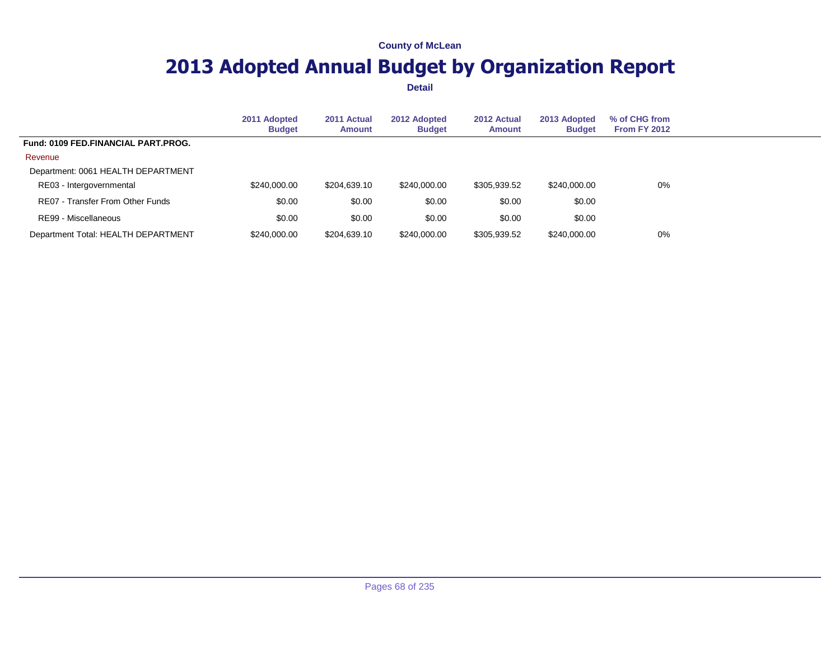## **2013 Adopted Annual Budget by Organization Report**

|                                            | 2011 Adopted<br><b>Budget</b> | 2011 Actual<br>Amount | 2012 Adopted<br><b>Budget</b> | 2012 Actual<br>Amount | 2013 Adopted<br><b>Budget</b> | % of CHG from<br><b>From FY 2012</b> |  |
|--------------------------------------------|-------------------------------|-----------------------|-------------------------------|-----------------------|-------------------------------|--------------------------------------|--|
| <b>Fund: 0109 FED.FINANCIAL PART.PROG.</b> |                               |                       |                               |                       |                               |                                      |  |
| Revenue                                    |                               |                       |                               |                       |                               |                                      |  |
| Department: 0061 HEALTH DEPARTMENT         |                               |                       |                               |                       |                               |                                      |  |
| RE03 - Intergovernmental                   | \$240,000.00                  | \$204.639.10          | \$240,000.00                  | \$305,939.52          | \$240.000.00                  | 0%                                   |  |
| RE07 - Transfer From Other Funds           | \$0.00                        | \$0.00                | \$0.00                        | \$0.00                | \$0.00                        |                                      |  |
| RE99 - Miscellaneous                       | \$0.00                        | \$0.00                | \$0.00                        | \$0.00                | \$0.00                        |                                      |  |
| Department Total: HEALTH DEPARTMENT        | \$240,000.00                  | \$204.639.10          | \$240,000,00                  | \$305,939.52          | \$240,000,00                  | 0%                                   |  |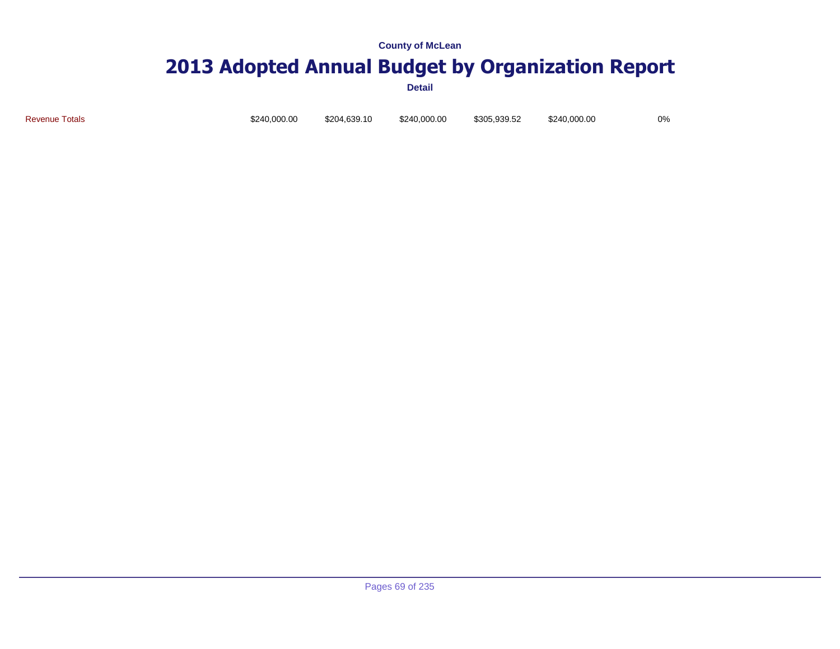# **2013 Adopted Annual Budget by Organization Report**

**Detail**

Revenue Totals \$240,000.00 \$204,639.10 \$240,000.00 \$305,939.52 \$240,000.00 0%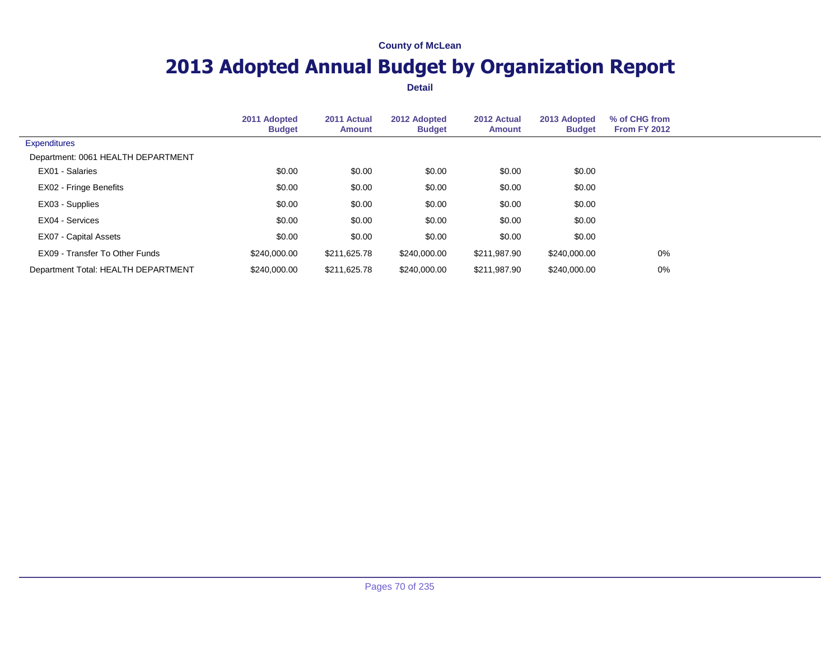## **2013 Adopted Annual Budget by Organization Report**

|                                     | 2011 Adopted<br><b>Budget</b> | 2011 Actual<br><b>Amount</b> | 2012 Adopted<br><b>Budget</b> | 2012 Actual<br><b>Amount</b> | 2013 Adopted<br><b>Budget</b> | % of CHG from<br><b>From FY 2012</b> |  |
|-------------------------------------|-------------------------------|------------------------------|-------------------------------|------------------------------|-------------------------------|--------------------------------------|--|
| <b>Expenditures</b>                 |                               |                              |                               |                              |                               |                                      |  |
| Department: 0061 HEALTH DEPARTMENT  |                               |                              |                               |                              |                               |                                      |  |
| EX01 - Salaries                     | \$0.00                        | \$0.00                       | \$0.00                        | \$0.00                       | \$0.00                        |                                      |  |
| EX02 - Fringe Benefits              | \$0.00                        | \$0.00                       | \$0.00                        | \$0.00                       | \$0.00                        |                                      |  |
| EX03 - Supplies                     | \$0.00                        | \$0.00                       | \$0.00                        | \$0.00                       | \$0.00                        |                                      |  |
| EX04 - Services                     | \$0.00                        | \$0.00                       | \$0.00                        | \$0.00                       | \$0.00                        |                                      |  |
| EX07 - Capital Assets               | \$0.00                        | \$0.00                       | \$0.00                        | \$0.00                       | \$0.00                        |                                      |  |
| EX09 - Transfer To Other Funds      | \$240,000,00                  | \$211,625.78                 | \$240,000.00                  | \$211,987.90                 | \$240,000.00                  | $0\%$                                |  |
| Department Total: HEALTH DEPARTMENT | \$240,000,00                  | \$211,625.78                 | \$240,000,00                  | \$211.987.90                 | \$240,000,00                  | $0\%$                                |  |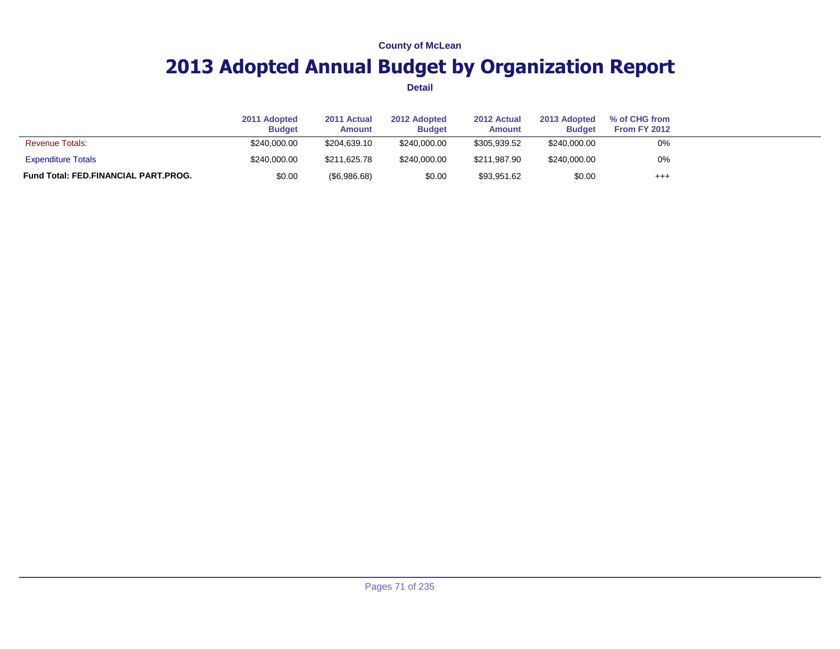## **2013 Adopted Annual Budget by Organization Report**

|                                             | 2011 Adopted<br><b>Budget</b> | 2011 Actual<br>Amount | 2012 Adopted<br><b>Budget</b> | 2012 Actual<br>Amount | 2013 Adopted<br><b>Budget</b> | % of CHG from<br>From FY 2012 |  |
|---------------------------------------------|-------------------------------|-----------------------|-------------------------------|-----------------------|-------------------------------|-------------------------------|--|
| <b>Revenue Totals:</b>                      | \$240,000.00                  | \$204.639.10          | \$240,000,00                  | \$305.939.52          | \$240,000.00                  | 0%                            |  |
| <b>Expenditure Totals</b>                   | \$240,000.00                  | \$211.625.78          | \$240,000,00                  | \$211.987.90          | \$240,000.00                  | 0%                            |  |
| <b>Fund Total: FED.FINANCIAL PART.PROG.</b> | \$0.00                        | (\$6,986.68)          | \$0.00                        | \$93,951.62           | \$0.00                        | $^{+++}$                      |  |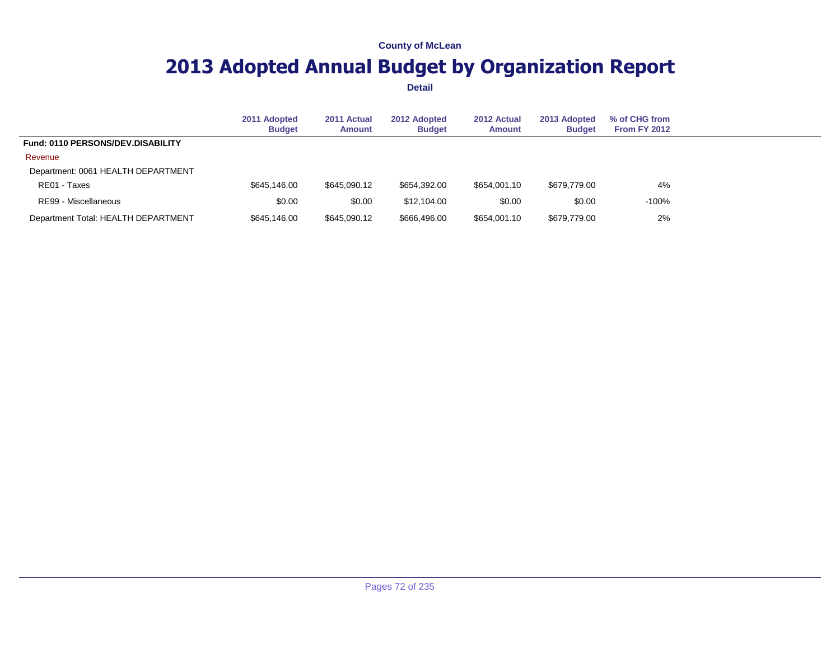## **2013 Adopted Annual Budget by Organization Report**

|                                     | 2011 Adopted<br><b>Budget</b> | 2011 Actual<br><b>Amount</b> | 2012 Adopted<br><b>Budget</b> | 2012 Actual<br><b>Amount</b> | 2013 Adopted<br><b>Budget</b> | % of CHG from<br><b>From FY 2012</b> |  |
|-------------------------------------|-------------------------------|------------------------------|-------------------------------|------------------------------|-------------------------------|--------------------------------------|--|
| Fund: 0110 PERSONS/DEV.DISABILITY   |                               |                              |                               |                              |                               |                                      |  |
| Revenue                             |                               |                              |                               |                              |                               |                                      |  |
| Department: 0061 HEALTH DEPARTMENT  |                               |                              |                               |                              |                               |                                      |  |
| RE01 - Taxes                        | \$645.146.00                  | \$645,090.12                 | \$654.392.00                  | \$654.001.10                 | \$679.779.00                  | 4%                                   |  |
| RE99 - Miscellaneous                | \$0.00                        | \$0.00                       | \$12,104.00                   | \$0.00                       | \$0.00                        | $-100%$                              |  |
| Department Total: HEALTH DEPARTMENT | \$645,146,00                  | \$645,090.12                 | \$666,496,00                  | \$654,001.10                 | \$679,779.00                  | 2%                                   |  |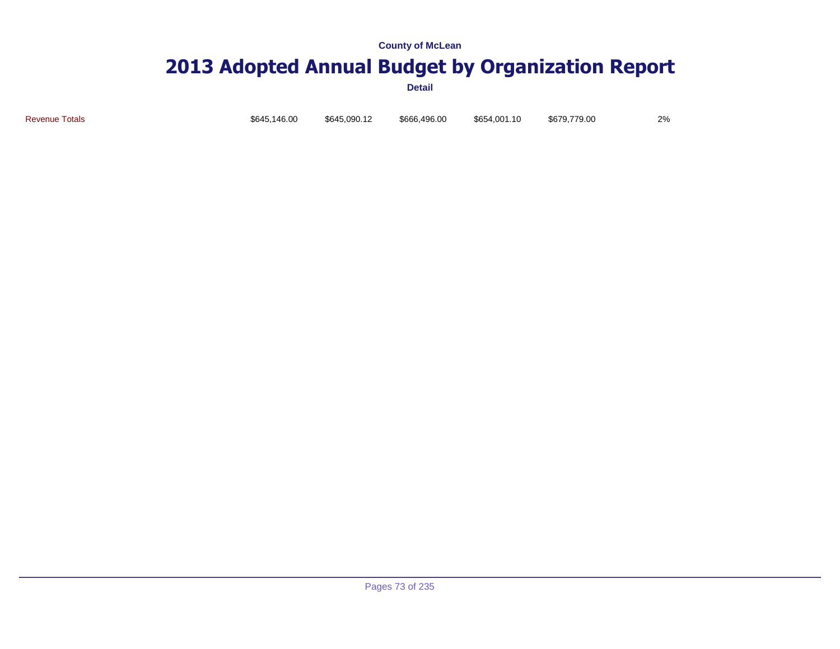### **2013 Adopted Annual Budget by Organization Report**

**Detail**

Revenue Totals \$645,146.00 \$645,090.12 \$666,496.00 \$654,001.10 \$679,779.00 2%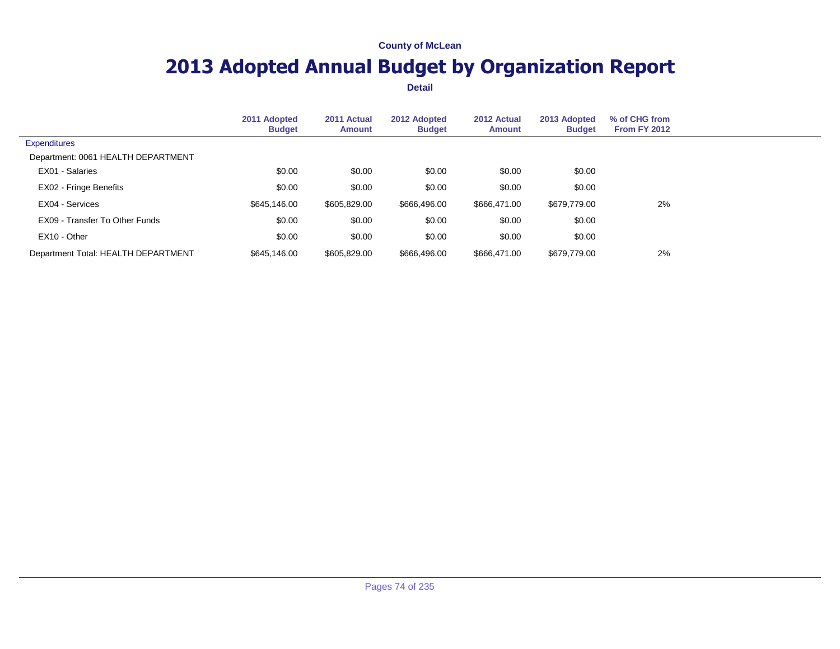# **2013 Adopted Annual Budget by Organization Report**

|                                     | 2011 Adopted<br><b>Budget</b> | 2011 Actual<br>Amount | 2012 Adopted<br><b>Budget</b> | 2012 Actual<br>Amount | 2013 Adopted<br><b>Budget</b> | % of CHG from<br><b>From FY 2012</b> |  |
|-------------------------------------|-------------------------------|-----------------------|-------------------------------|-----------------------|-------------------------------|--------------------------------------|--|
| <b>Expenditures</b>                 |                               |                       |                               |                       |                               |                                      |  |
| Department: 0061 HEALTH DEPARTMENT  |                               |                       |                               |                       |                               |                                      |  |
| EX01 - Salaries                     | \$0.00                        | \$0.00                | \$0.00                        | \$0.00                | \$0.00                        |                                      |  |
| EX02 - Fringe Benefits              | \$0.00                        | \$0.00                | \$0.00                        | \$0.00                | \$0.00                        |                                      |  |
| EX04 - Services                     | \$645,146.00                  | \$605,829.00          | \$666,496.00                  | \$666,471.00          | \$679,779.00                  | 2%                                   |  |
| EX09 - Transfer To Other Funds      | \$0.00                        | \$0.00                | \$0.00                        | \$0.00                | \$0.00                        |                                      |  |
| EX10 - Other                        | \$0.00                        | \$0.00                | \$0.00                        | \$0.00                | \$0.00                        |                                      |  |
| Department Total: HEALTH DEPARTMENT | \$645,146.00                  | \$605,829.00          | \$666,496.00                  | \$666,471.00          | \$679,779.00                  | 2%                                   |  |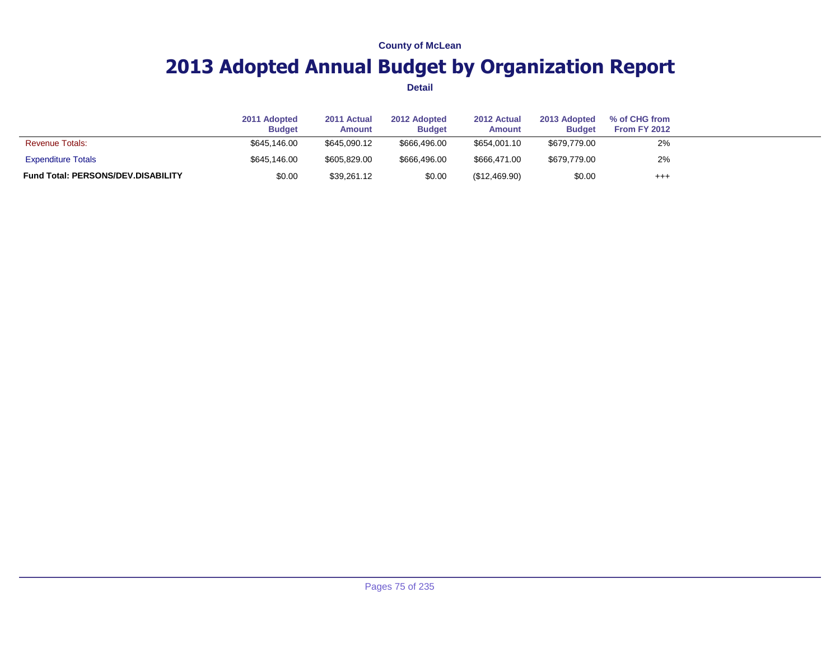# **2013 Adopted Annual Budget by Organization Report**

|                                           | 2011 Adopted<br><b>Budget</b> | 2011 Actual<br><b>Amount</b> | 2012 Adopted<br><b>Budget</b> | 2012 Actual<br><b>Amount</b> | 2013 Adopted<br><b>Budget</b> | % of CHG from<br>From FY 2012 |  |
|-------------------------------------------|-------------------------------|------------------------------|-------------------------------|------------------------------|-------------------------------|-------------------------------|--|
| <b>Revenue Totals:</b>                    | \$645,146.00                  | \$645,090.12                 | \$666.496.00                  | \$654,001.10                 | \$679,779.00                  | 2%                            |  |
| <b>Expenditure Totals</b>                 | \$645,146.00                  | \$605.829.00                 | \$666,496.00                  | \$666.471.00                 | \$679.779.00                  | 2%                            |  |
| <b>Fund Total: PERSONS/DEV.DISABILITY</b> | \$0.00                        | \$39,261.12                  | \$0.00                        | (\$12,469.90)                | \$0.00                        | $^{++}$                       |  |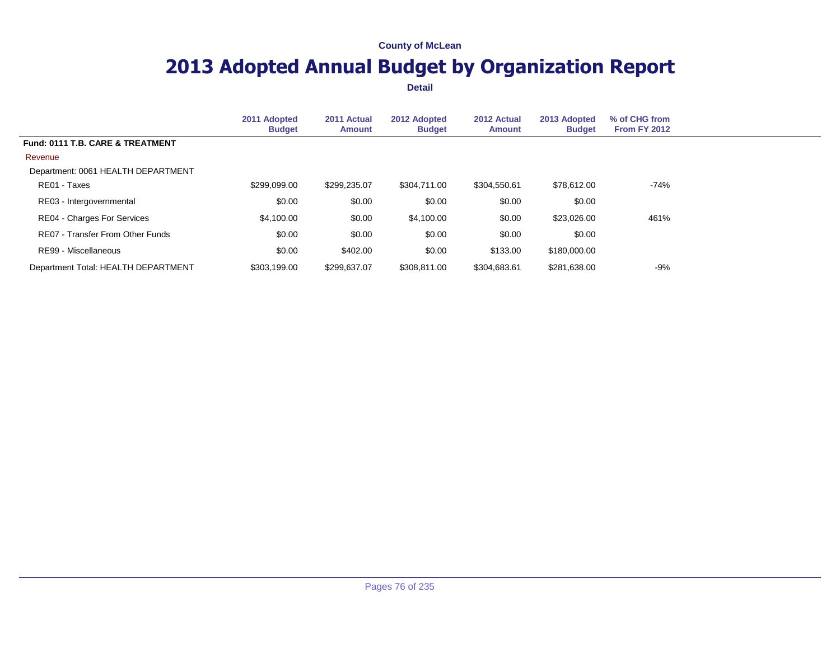# **2013 Adopted Annual Budget by Organization Report**

|                                     | 2011 Adopted<br><b>Budget</b> | 2011 Actual<br><b>Amount</b> | 2012 Adopted<br><b>Budget</b> | 2012 Actual<br>Amount | 2013 Adopted<br><b>Budget</b> | % of CHG from<br>From FY 2012 |  |
|-------------------------------------|-------------------------------|------------------------------|-------------------------------|-----------------------|-------------------------------|-------------------------------|--|
| Fund: 0111 T.B. CARE & TREATMENT    |                               |                              |                               |                       |                               |                               |  |
| Revenue                             |                               |                              |                               |                       |                               |                               |  |
| Department: 0061 HEALTH DEPARTMENT  |                               |                              |                               |                       |                               |                               |  |
| RE01 - Taxes                        | \$299,099.00                  | \$299,235.07                 | \$304.711.00                  | \$304,550.61          | \$78,612,00                   | $-74%$                        |  |
| RE03 - Intergovernmental            | \$0.00                        | \$0.00                       | \$0.00                        | \$0.00                | \$0.00                        |                               |  |
| <b>RE04 - Charges For Services</b>  | \$4,100.00                    | \$0.00                       | \$4,100.00                    | \$0.00                | \$23,026.00                   | 461%                          |  |
| RE07 - Transfer From Other Funds    | \$0.00                        | \$0.00                       | \$0.00                        | \$0.00                | \$0.00                        |                               |  |
| RE99 - Miscellaneous                | \$0.00                        | \$402.00                     | \$0.00                        | \$133.00              | \$180,000,00                  |                               |  |
| Department Total: HEALTH DEPARTMENT | \$303.199.00                  | \$299.637.07                 | \$308,811.00                  | \$304,683.61          | \$281.638.00                  | -9%                           |  |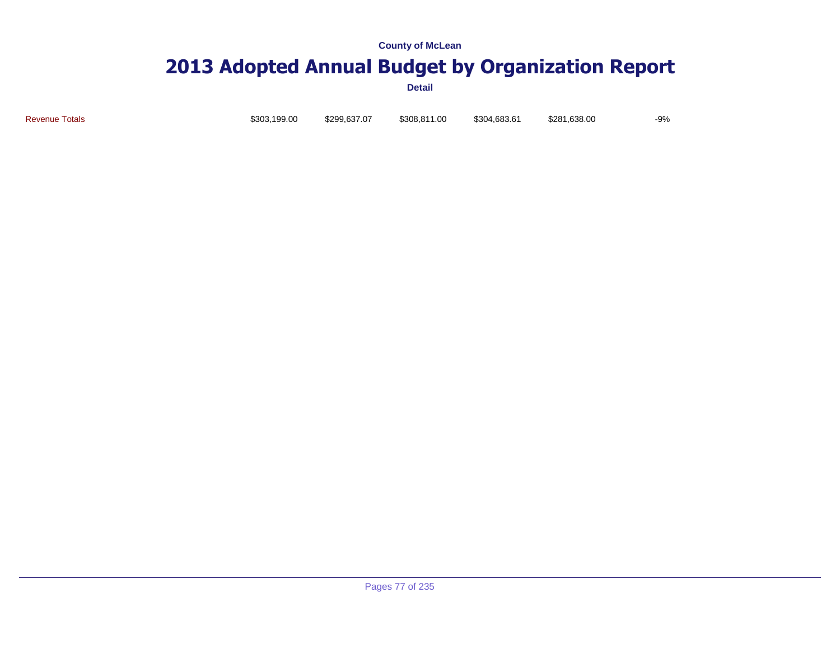# **2013 Adopted Annual Budget by Organization Report**

**Detail**

Revenue Totals \$303,199.00 \$299,637.07 \$308,811.00 \$304,683.61 \$281,638.00 -9%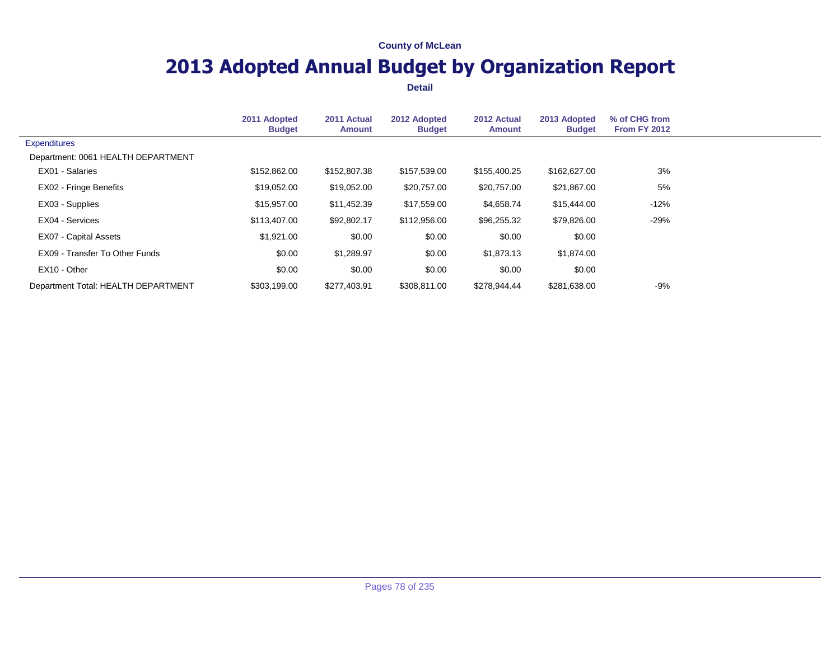# **2013 Adopted Annual Budget by Organization Report**

|                                     | 2011 Adopted<br><b>Budget</b> | 2011 Actual<br><b>Amount</b> | 2012 Adopted<br><b>Budget</b> | 2012 Actual<br><b>Amount</b> | 2013 Adopted<br><b>Budget</b> | % of CHG from<br><b>From FY 2012</b> |  |
|-------------------------------------|-------------------------------|------------------------------|-------------------------------|------------------------------|-------------------------------|--------------------------------------|--|
| <b>Expenditures</b>                 |                               |                              |                               |                              |                               |                                      |  |
| Department: 0061 HEALTH DEPARTMENT  |                               |                              |                               |                              |                               |                                      |  |
| EX01 - Salaries                     | \$152,862.00                  | \$152,807.38                 | \$157,539.00                  | \$155,400.25                 | \$162,627.00                  | 3%                                   |  |
| EX02 - Fringe Benefits              | \$19,052.00                   | \$19,052.00                  | \$20,757.00                   | \$20,757.00                  | \$21,867.00                   | 5%                                   |  |
| EX03 - Supplies                     | \$15,957.00                   | \$11,452.39                  | \$17,559.00                   | \$4,658.74                   | \$15,444.00                   | $-12%$                               |  |
| EX04 - Services                     | \$113,407.00                  | \$92,802.17                  | \$112,956.00                  | \$96,255.32                  | \$79,826.00                   | -29%                                 |  |
| <b>EX07 - Capital Assets</b>        | \$1,921.00                    | \$0.00                       | \$0.00                        | \$0.00                       | \$0.00                        |                                      |  |
| EX09 - Transfer To Other Funds      | \$0.00                        | \$1,289.97                   | \$0.00                        | \$1,873.13                   | \$1,874.00                    |                                      |  |
| EX10 - Other                        | \$0.00                        | \$0.00                       | \$0.00                        | \$0.00                       | \$0.00                        |                                      |  |
| Department Total: HEALTH DEPARTMENT | \$303,199.00                  | \$277,403.91                 | \$308,811.00                  | \$278,944.44                 | \$281,638.00                  | $-9%$                                |  |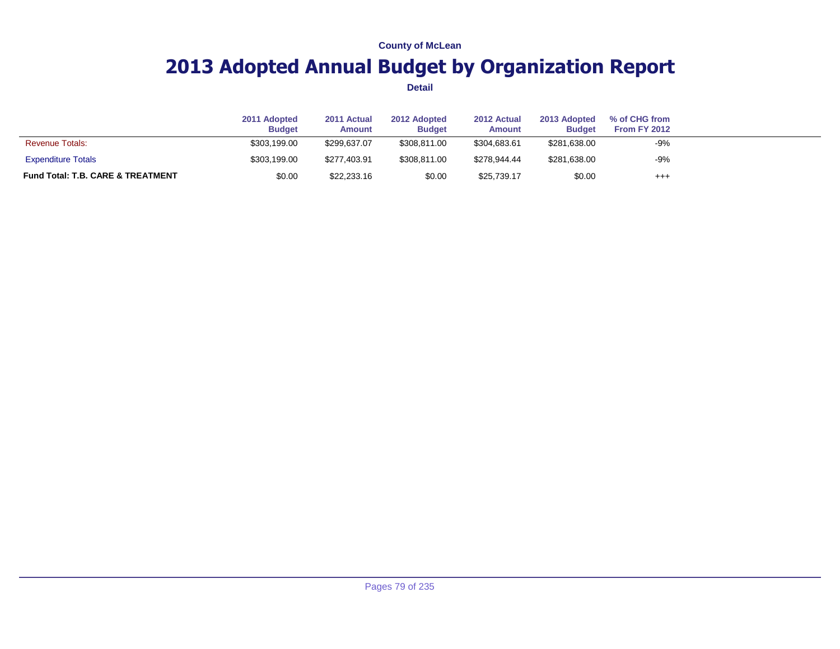# **2013 Adopted Annual Budget by Organization Report**

|                                              | 2011 Adopted<br><b>Budget</b> | 2011 Actual<br><b>Amount</b> | 2012 Adopted<br><b>Budget</b> | 2012 Actual<br>Amount | 2013 Adopted<br><b>Budget</b> | % of CHG from<br><b>From FY 2012</b> |  |
|----------------------------------------------|-------------------------------|------------------------------|-------------------------------|-----------------------|-------------------------------|--------------------------------------|--|
| <b>Revenue Totals:</b>                       | \$303.199.00                  | \$299.637.07                 | \$308.811.00                  | \$304.683.61          | \$281,638.00                  | $-9%$                                |  |
| <b>Expenditure Totals</b>                    | \$303,199.00                  | \$277.403.91                 | \$308.811.00                  | \$278.944.44          | \$281,638.00                  | $-9%$                                |  |
| <b>Fund Total: T.B. CARE &amp; TREATMENT</b> | \$0.00                        | \$22,233.16                  | \$0.00                        | \$25,739.17           | \$0.00                        | $^{+++}$                             |  |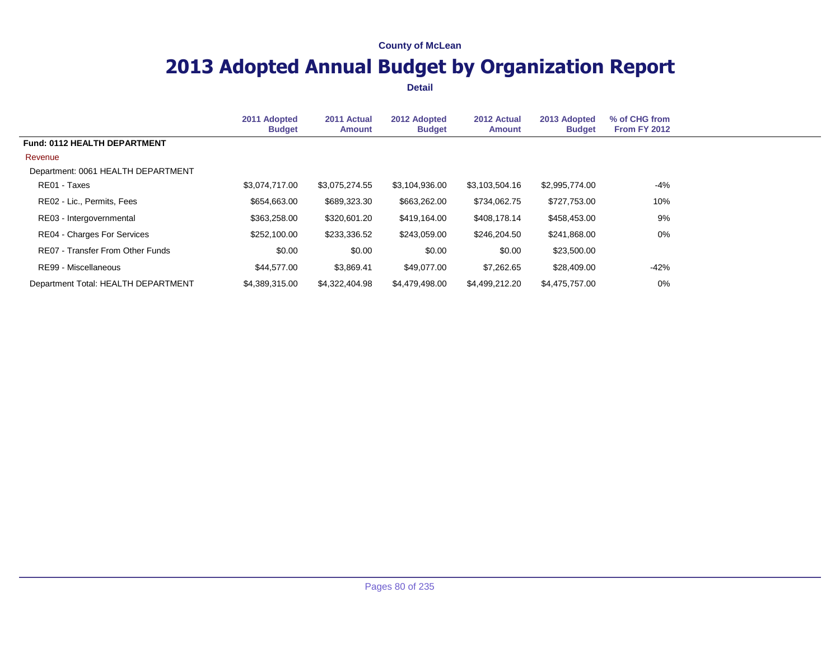# **2013 Adopted Annual Budget by Organization Report**

|                                     | 2011 Adopted<br><b>Budget</b> | 2011 Actual<br><b>Amount</b> | 2012 Adopted<br><b>Budget</b> | 2012 Actual<br><b>Amount</b> | 2013 Adopted<br><b>Budget</b> | % of CHG from<br><b>From FY 2012</b> |  |
|-------------------------------------|-------------------------------|------------------------------|-------------------------------|------------------------------|-------------------------------|--------------------------------------|--|
| Fund: 0112 HEALTH DEPARTMENT        |                               |                              |                               |                              |                               |                                      |  |
| Revenue                             |                               |                              |                               |                              |                               |                                      |  |
| Department: 0061 HEALTH DEPARTMENT  |                               |                              |                               |                              |                               |                                      |  |
| RE01 - Taxes                        | \$3,074,717.00                | \$3,075,274.55               | \$3,104,936.00                | \$3,103,504.16               | \$2,995,774.00                | -4%                                  |  |
| RE02 - Lic., Permits, Fees          | \$654,663.00                  | \$689,323.30                 | \$663,262.00                  | \$734,062.75                 | \$727,753.00                  | 10%                                  |  |
| RE03 - Intergovernmental            | \$363,258.00                  | \$320,601.20                 | \$419,164.00                  | \$408,178.14                 | \$458,453.00                  | 9%                                   |  |
| RE04 - Charges For Services         | \$252,100.00                  | \$233,336.52                 | \$243,059.00                  | \$246.204.50                 | \$241,868.00                  | 0%                                   |  |
| RE07 - Transfer From Other Funds    | \$0.00                        | \$0.00                       | \$0.00                        | \$0.00                       | \$23,500.00                   |                                      |  |
| RE99 - Miscellaneous                | \$44,577.00                   | \$3,869.41                   | \$49,077.00                   | \$7,262.65                   | \$28,409.00                   | -42%                                 |  |
| Department Total: HEALTH DEPARTMENT | \$4.389.315.00                | \$4,322,404.98               | \$4,479,498.00                | \$4,499,212.20               | \$4,475,757,00                | 0%                                   |  |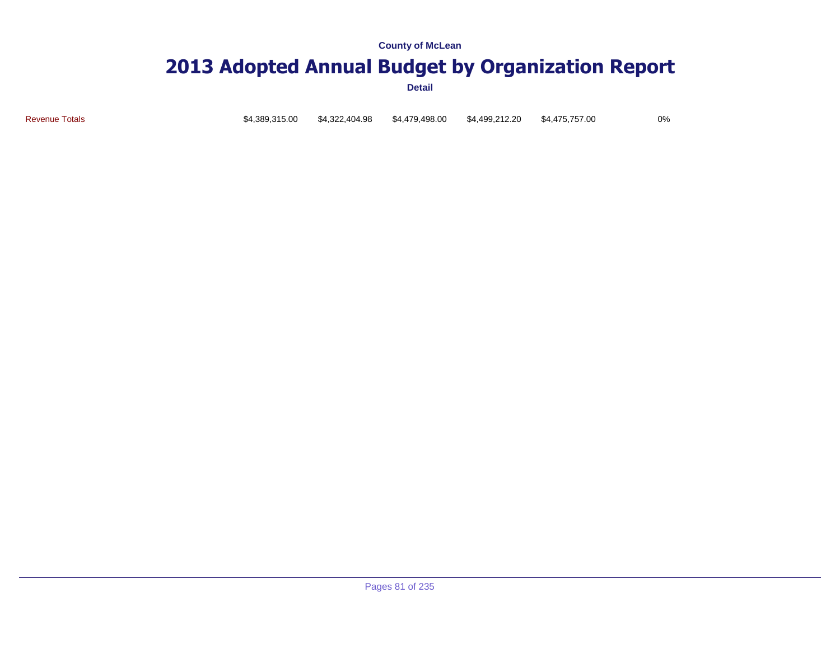### **2013 Adopted Annual Budget by Organization Report**

**Detail**

Revenue Totals \$4,389,315.00 \$4,322,404.98 \$4,479,498.00 \$4,499,212.20 \$4,475,757.00 0%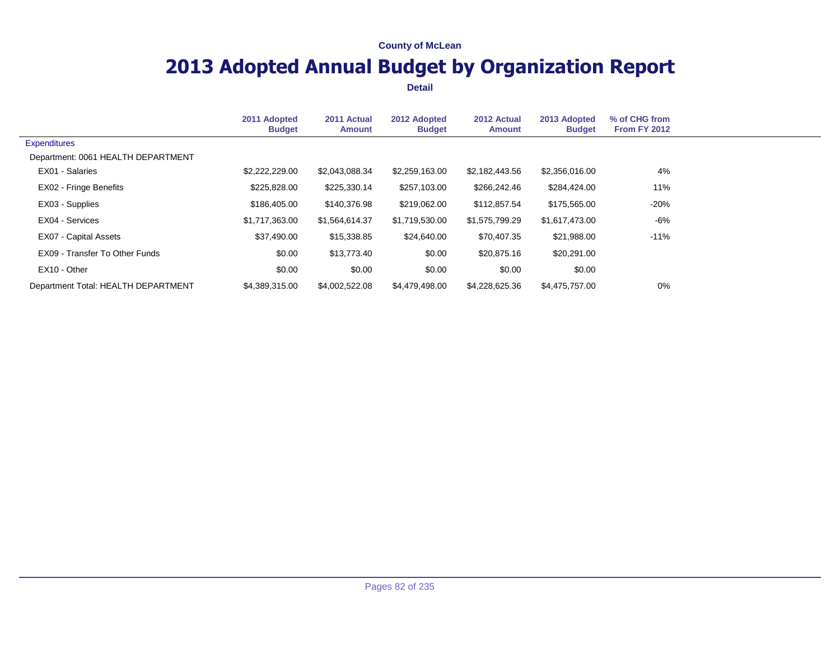# **2013 Adopted Annual Budget by Organization Report**

|                                     | 2011 Adopted<br><b>Budget</b> | 2011 Actual<br><b>Amount</b> | 2012 Adopted<br><b>Budget</b> | 2012 Actual<br><b>Amount</b> | 2013 Adopted<br><b>Budget</b> | % of CHG from<br><b>From FY 2012</b> |  |
|-------------------------------------|-------------------------------|------------------------------|-------------------------------|------------------------------|-------------------------------|--------------------------------------|--|
| <b>Expenditures</b>                 |                               |                              |                               |                              |                               |                                      |  |
| Department: 0061 HEALTH DEPARTMENT  |                               |                              |                               |                              |                               |                                      |  |
| EX01 - Salaries                     | \$2,222,229.00                | \$2,043,088.34               | \$2,259,163.00                | \$2,182,443.56               | \$2,356,016.00                | 4%                                   |  |
| EX02 - Fringe Benefits              | \$225,828.00                  | \$225,330.14                 | \$257,103.00                  | \$266,242.46                 | \$284,424.00                  | 11%                                  |  |
| EX03 - Supplies                     | \$186,405.00                  | \$140,376.98                 | \$219,062.00                  | \$112,857.54                 | \$175,565.00                  | $-20%$                               |  |
| EX04 - Services                     | \$1,717,363.00                | \$1,564,614.37               | \$1,719,530.00                | \$1,575,799.29               | \$1,617,473.00                | -6%                                  |  |
| <b>EX07 - Capital Assets</b>        | \$37,490.00                   | \$15,338.85                  | \$24,640.00                   | \$70,407.35                  | \$21,988.00                   | $-11%$                               |  |
| EX09 - Transfer To Other Funds      | \$0.00                        | \$13,773.40                  | \$0.00                        | \$20,875.16                  | \$20,291.00                   |                                      |  |
| EX10 - Other                        | \$0.00                        | \$0.00                       | \$0.00                        | \$0.00                       | \$0.00                        |                                      |  |
| Department Total: HEALTH DEPARTMENT | \$4,389,315.00                | \$4,002,522.08               | \$4,479,498.00                | \$4,228,625.36               | \$4,475,757.00                | 0%                                   |  |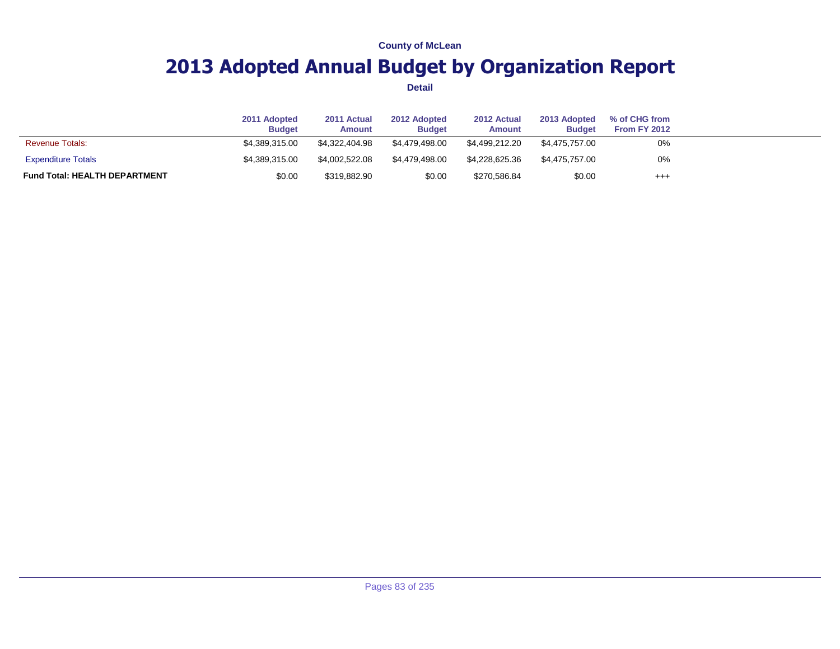# **2013 Adopted Annual Budget by Organization Report**

|                                      | 2011 Adopted<br><b>Budget</b> | 2011 Actual<br><b>Amount</b> | 2012 Adopted<br><b>Budget</b> | 2012 Actual<br>Amount | 2013 Adopted<br><b>Budget</b> | % of CHG from<br>From FY 2012 |  |
|--------------------------------------|-------------------------------|------------------------------|-------------------------------|-----------------------|-------------------------------|-------------------------------|--|
| <b>Revenue Totals:</b>               | \$4.389.315.00                | \$4.322.404.98               | \$4,479,498,00                | \$4.499.212.20        | \$4.475.757.00                | 0%                            |  |
| <b>Expenditure Totals</b>            | \$4.389.315.00                | \$4.002.522.08               | \$4,479,498,00                | \$4.228.625.36        | \$4.475.757.00                | 0%                            |  |
| <b>Fund Total: HEALTH DEPARTMENT</b> | \$0.00                        | \$319,882.90                 | \$0.00                        | \$270,586.84          | \$0.00                        | $^{+++}$                      |  |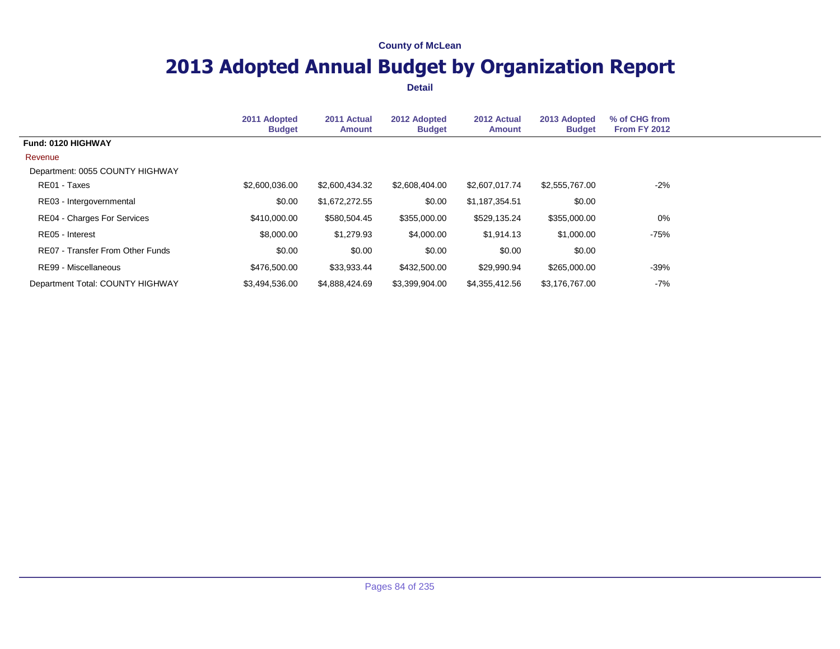# **2013 Adopted Annual Budget by Organization Report**

|                                    | 2011 Adopted<br><b>Budget</b> | 2011 Actual<br><b>Amount</b> | 2012 Adopted<br><b>Budget</b> | 2012 Actual<br><b>Amount</b> | 2013 Adopted<br><b>Budget</b> | % of CHG from<br><b>From FY 2012</b> |  |
|------------------------------------|-------------------------------|------------------------------|-------------------------------|------------------------------|-------------------------------|--------------------------------------|--|
| Fund: 0120 HIGHWAY                 |                               |                              |                               |                              |                               |                                      |  |
| Revenue                            |                               |                              |                               |                              |                               |                                      |  |
| Department: 0055 COUNTY HIGHWAY    |                               |                              |                               |                              |                               |                                      |  |
| RE01 - Taxes                       | \$2,600,036.00                | \$2,600,434.32               | \$2,608,404.00                | \$2,607,017.74               | \$2,555,767.00                | $-2%$                                |  |
| RE03 - Intergovernmental           | \$0.00                        | \$1,672,272.55               | \$0.00                        | \$1,187,354.51               | \$0.00                        |                                      |  |
| <b>RE04 - Charges For Services</b> | \$410,000.00                  | \$580,504.45                 | \$355,000.00                  | \$529,135.24                 | \$355,000.00                  | 0%                                   |  |
| RE05 - Interest                    | \$8,000.00                    | \$1,279.93                   | \$4,000.00                    | \$1,914.13                   | \$1,000.00                    | -75%                                 |  |
| RE07 - Transfer From Other Funds   | \$0.00                        | \$0.00                       | \$0.00                        | \$0.00                       | \$0.00                        |                                      |  |
| RE99 - Miscellaneous               | \$476,500.00                  | \$33,933.44                  | \$432,500.00                  | \$29,990.94                  | \$265,000.00                  | $-39%$                               |  |
| Department Total: COUNTY HIGHWAY   | \$3,494,536.00                | \$4,888,424.69               | \$3,399,904.00                | \$4,355,412.56               | \$3.176.767.00                | -7%                                  |  |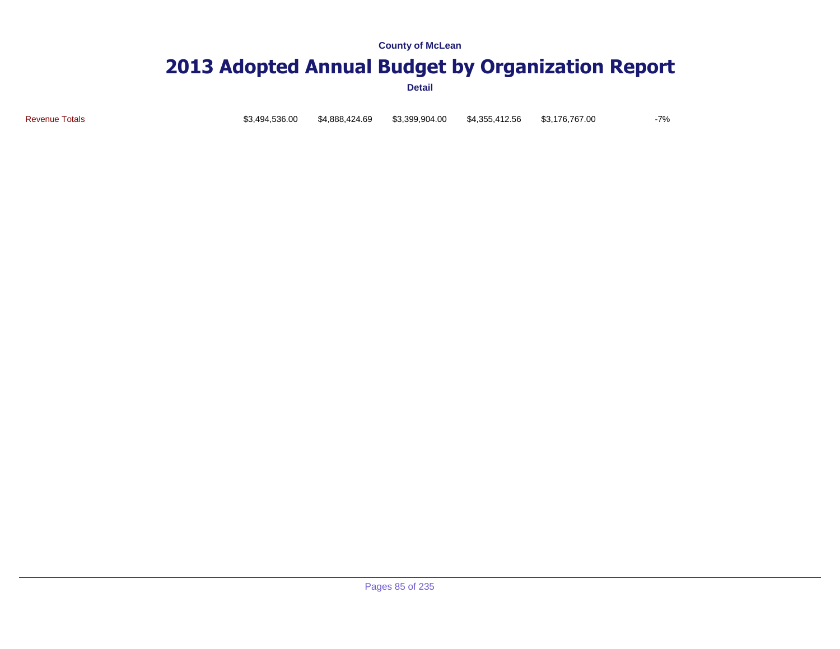### **2013 Adopted Annual Budget by Organization Report**

**Detail**

Revenue Totals \$3,494,536.00 \$4,888,424.69 \$3,399,904.00 \$4,355,412.56 \$3,176,767.00 -7%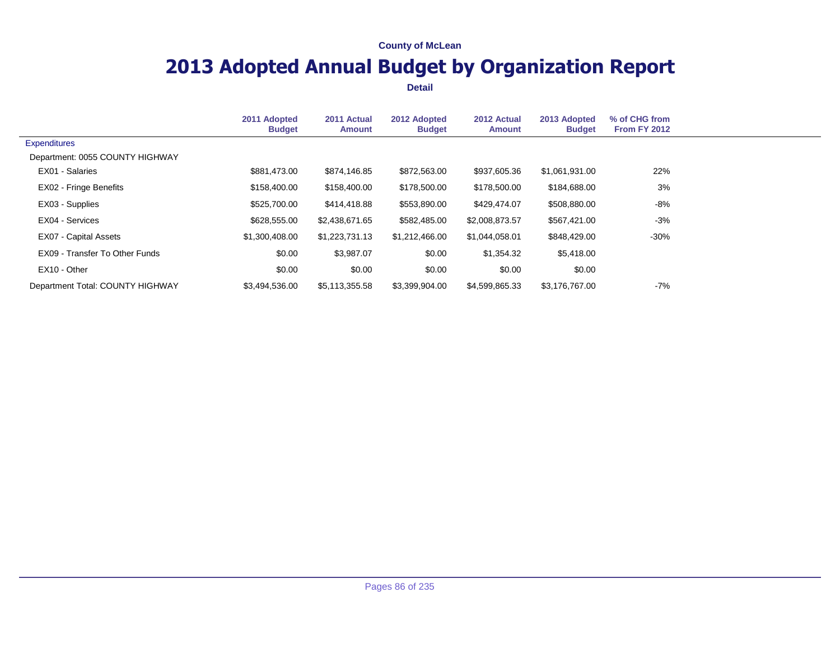# **2013 Adopted Annual Budget by Organization Report**

|                                  | 2011 Adopted<br><b>Budget</b> | 2011 Actual<br><b>Amount</b> | 2012 Adopted<br><b>Budget</b> | 2012 Actual<br><b>Amount</b> | 2013 Adopted<br><b>Budget</b> | % of CHG from<br><b>From FY 2012</b> |  |
|----------------------------------|-------------------------------|------------------------------|-------------------------------|------------------------------|-------------------------------|--------------------------------------|--|
| <b>Expenditures</b>              |                               |                              |                               |                              |                               |                                      |  |
| Department: 0055 COUNTY HIGHWAY  |                               |                              |                               |                              |                               |                                      |  |
| EX01 - Salaries                  | \$881,473.00                  | \$874,146.85                 | \$872,563.00                  | \$937,605.36                 | \$1,061,931.00                | 22%                                  |  |
| EX02 - Fringe Benefits           | \$158,400.00                  | \$158,400.00                 | \$178,500.00                  | \$178,500.00                 | \$184,688.00                  | 3%                                   |  |
| EX03 - Supplies                  | \$525,700.00                  | \$414,418.88                 | \$553,890.00                  | \$429,474.07                 | \$508,880.00                  | -8%                                  |  |
| EX04 - Services                  | \$628,555.00                  | \$2,438,671.65               | \$582,485.00                  | \$2,008,873.57               | \$567,421.00                  | $-3%$                                |  |
| EX07 - Capital Assets            | \$1,300,408.00                | \$1,223,731.13               | \$1,212,466.00                | \$1,044,058.01               | \$848,429.00                  | $-30\%$                              |  |
| EX09 - Transfer To Other Funds   | \$0.00                        | \$3,987.07                   | \$0.00                        | \$1,354.32                   | \$5,418.00                    |                                      |  |
| EX10 - Other                     | \$0.00                        | \$0.00                       | \$0.00                        | \$0.00                       | \$0.00                        |                                      |  |
| Department Total: COUNTY HIGHWAY | \$3.494.536.00                | \$5,113,355.58               | \$3,399,904.00                | \$4,599,865,33               | \$3.176.767.00                | -7%                                  |  |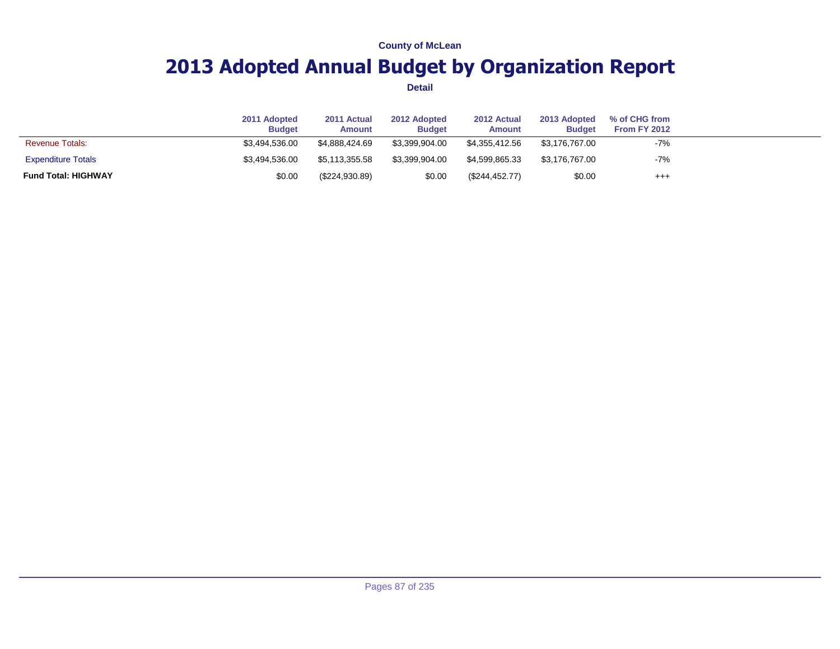# **2013 Adopted Annual Budget by Organization Report**

|                            | 2011 Adopted<br><b>Budget</b> | 2011 Actual<br>Amount | 2012 Adopted<br><b>Budget</b> | 2012 Actual<br>Amount | 2013 Adopted<br><b>Budget</b> | % of CHG from<br>From FY 2012 |  |
|----------------------------|-------------------------------|-----------------------|-------------------------------|-----------------------|-------------------------------|-------------------------------|--|
| <b>Revenue Totals:</b>     | \$3.494.536.00                | \$4.888.424.69        | \$3.399.904.00                | \$4.355.412.56        | \$3.176.767.00                | $-7%$                         |  |
| <b>Expenditure Totals</b>  | \$3.494.536.00                | \$5.113.355.58        | \$3.399.904.00                | \$4.599.865.33        | \$3.176.767.00                | $-7%$                         |  |
| <b>Fund Total: HIGHWAY</b> | \$0.00                        | (\$224,930.89)        | \$0.00                        | (\$244,452.77)        | \$0.00                        | $^{+++}$                      |  |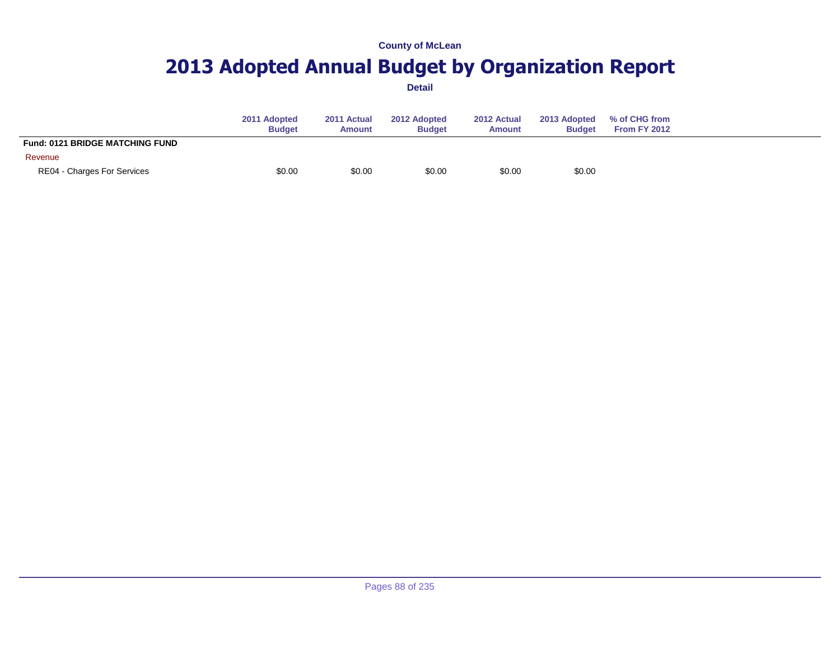# **2013 Adopted Annual Budget by Organization Report**

|                                        | 2011 Adopted<br><b>Budget</b> | 2011 Actual<br><b>Amount</b> | 2012 Adopted<br><b>Budget</b> | 2012 Actual<br><b>Amount</b> | 2013 Adopted<br><b>Budget</b> | % of CHG from<br>From FY 2012 |  |
|----------------------------------------|-------------------------------|------------------------------|-------------------------------|------------------------------|-------------------------------|-------------------------------|--|
| <b>Fund: 0121 BRIDGE MATCHING FUND</b> |                               |                              |                               |                              |                               |                               |  |
| Revenue                                |                               |                              |                               |                              |                               |                               |  |
| RE04 - Charges For Services            | \$0.00                        | \$0.00                       | \$0.00                        | \$0.00                       | \$0.00                        |                               |  |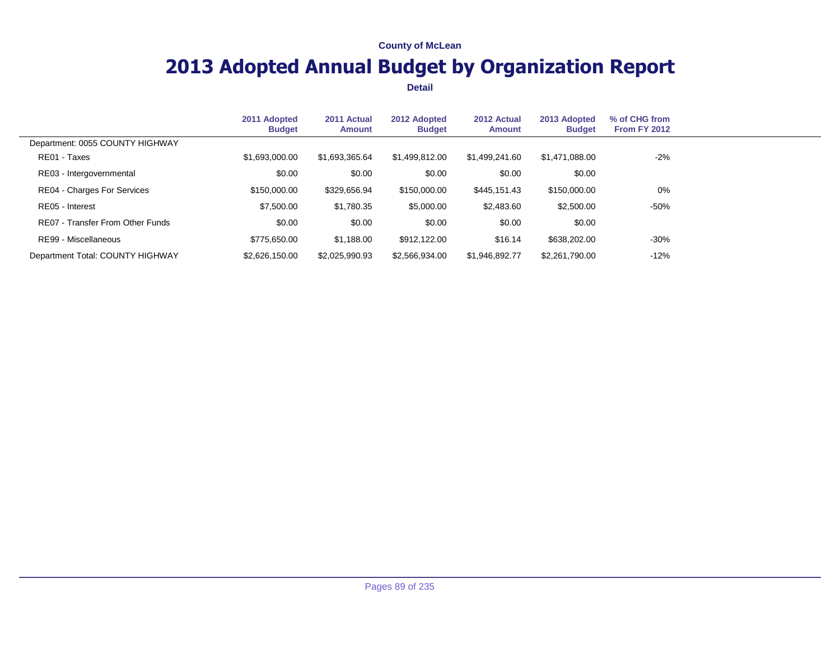# **2013 Adopted Annual Budget by Organization Report**

|                                  | 2011 Adopted<br><b>Budget</b> | 2011 Actual<br>Amount | 2012 Adopted<br><b>Budget</b> | 2012 Actual<br><b>Amount</b> | 2013 Adopted<br><b>Budget</b> | % of CHG from<br>From FY 2012 |  |
|----------------------------------|-------------------------------|-----------------------|-------------------------------|------------------------------|-------------------------------|-------------------------------|--|
| Department: 0055 COUNTY HIGHWAY  |                               |                       |                               |                              |                               |                               |  |
| RE01 - Taxes                     | \$1.693.000.00                | \$1,693,365.64        | \$1,499,812.00                | \$1,499,241.60               | \$1,471,088.00                | $-2%$                         |  |
| RE03 - Intergovernmental         | \$0.00                        | \$0.00                | \$0.00                        | \$0.00                       | \$0.00                        |                               |  |
| RE04 - Charges For Services      | \$150,000.00                  | \$329,656.94          | \$150,000.00                  | \$445,151.43                 | \$150,000.00                  | 0%                            |  |
| RE05 - Interest                  | \$7,500.00                    | \$1,780.35            | \$5,000.00                    | \$2,483.60                   | \$2,500.00                    | $-50%$                        |  |
| RE07 - Transfer From Other Funds | \$0.00                        | \$0.00                | \$0.00                        | \$0.00                       | \$0.00                        |                               |  |
| RE99 - Miscellaneous             | \$775,650,00                  | \$1,188.00            | \$912,122,00                  | \$16.14                      | \$638,202.00                  | $-30%$                        |  |
| Department Total: COUNTY HIGHWAY | \$2,626,150.00                | \$2,025,990.93        | \$2,566,934.00                | \$1,946,892.77               | \$2,261,790.00                | $-12%$                        |  |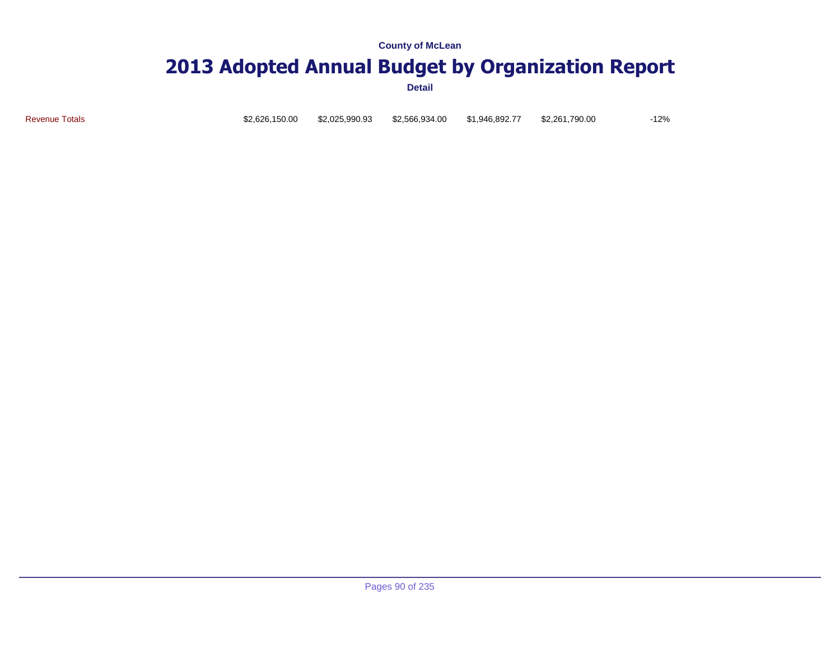### **2013 Adopted Annual Budget by Organization Report**

**Detail**

Revenue Totals \$2,626,150.00 \$2,025,990.93 \$2,566,934.00 \$1,946,892.77 \$2,261,790.00 -12%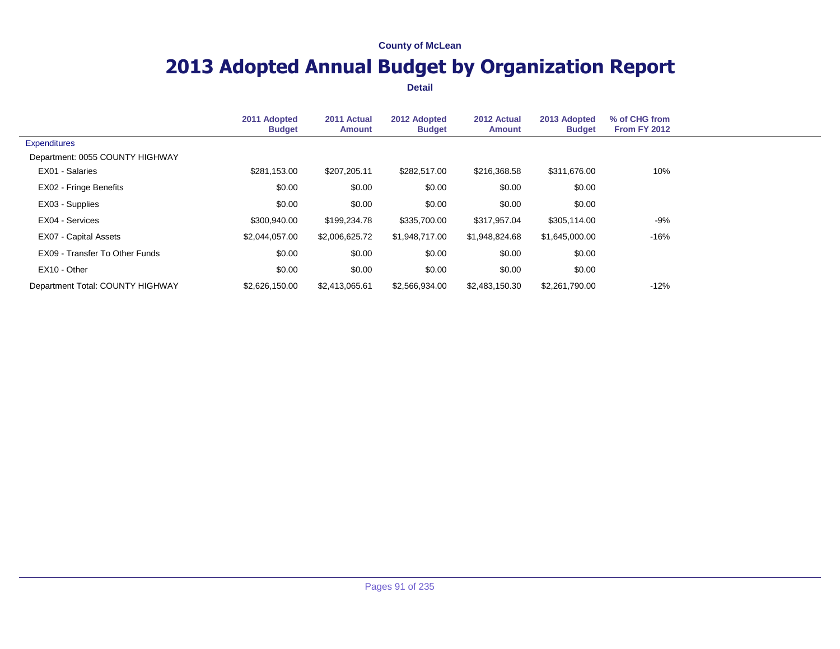# **2013 Adopted Annual Budget by Organization Report**

|                                  | 2011 Adopted<br><b>Budget</b> | 2011 Actual<br><b>Amount</b> | 2012 Adopted<br><b>Budget</b> | 2012 Actual<br><b>Amount</b> | 2013 Adopted<br><b>Budget</b> | % of CHG from<br><b>From FY 2012</b> |  |
|----------------------------------|-------------------------------|------------------------------|-------------------------------|------------------------------|-------------------------------|--------------------------------------|--|
| <b>Expenditures</b>              |                               |                              |                               |                              |                               |                                      |  |
| Department: 0055 COUNTY HIGHWAY  |                               |                              |                               |                              |                               |                                      |  |
| EX01 - Salaries                  | \$281,153.00                  | \$207,205.11                 | \$282,517.00                  | \$216,368.58                 | \$311,676.00                  | 10%                                  |  |
| EX02 - Fringe Benefits           | \$0.00                        | \$0.00                       | \$0.00                        | \$0.00                       | \$0.00                        |                                      |  |
| EX03 - Supplies                  | \$0.00                        | \$0.00                       | \$0.00                        | \$0.00                       | \$0.00                        |                                      |  |
| EX04 - Services                  | \$300,940.00                  | \$199,234.78                 | \$335,700.00                  | \$317,957.04                 | \$305,114.00                  | $-9%$                                |  |
| EX07 - Capital Assets            | \$2,044,057.00                | \$2,006,625.72               | \$1,948,717.00                | \$1,948,824.68               | \$1,645,000.00                | $-16%$                               |  |
| EX09 - Transfer To Other Funds   | \$0.00                        | \$0.00                       | \$0.00                        | \$0.00                       | \$0.00                        |                                      |  |
| EX10 - Other                     | \$0.00                        | \$0.00                       | \$0.00                        | \$0.00                       | \$0.00                        |                                      |  |
| Department Total: COUNTY HIGHWAY | \$2.626.150.00                | \$2,413,065.61               | \$2,566,934.00                | \$2,483,150.30               | \$2,261,790.00                | $-12%$                               |  |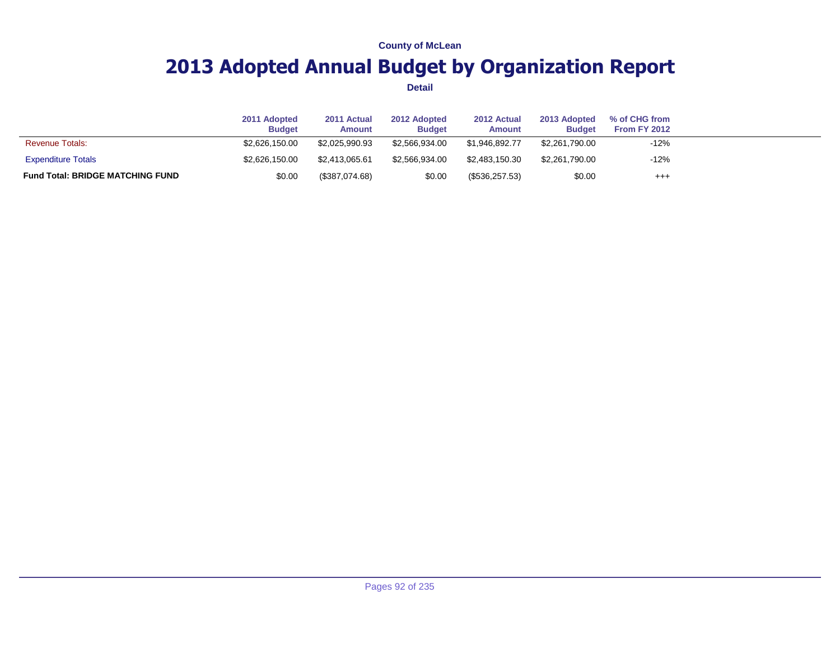# **2013 Adopted Annual Budget by Organization Report**

|                                         | 2011 Adopted<br><b>Budget</b> | 2011 Actual<br><b>Amount</b> | 2012 Adopted<br><b>Budget</b> | 2012 Actual<br><b>Amount</b> | 2013 Adopted<br><b>Budget</b> | % of CHG from<br>From FY 2012 |  |
|-----------------------------------------|-------------------------------|------------------------------|-------------------------------|------------------------------|-------------------------------|-------------------------------|--|
| <b>Revenue Totals:</b>                  | \$2,626,150.00                | \$2,025,990.93               | \$2.566.934.00                | \$1.946.892.77               | \$2,261,790.00                | $-12%$                        |  |
| <b>Expenditure Totals</b>               | \$2,626,150.00                | \$2.413.065.61               | \$2.566.934.00                | \$2.483.150.30               | \$2,261,790.00                | $-12%$                        |  |
| <b>Fund Total: BRIDGE MATCHING FUND</b> | \$0.00                        | (\$387,074.68)               | \$0.00                        | (\$536,257.53)               | \$0.00                        | $^{+++}$                      |  |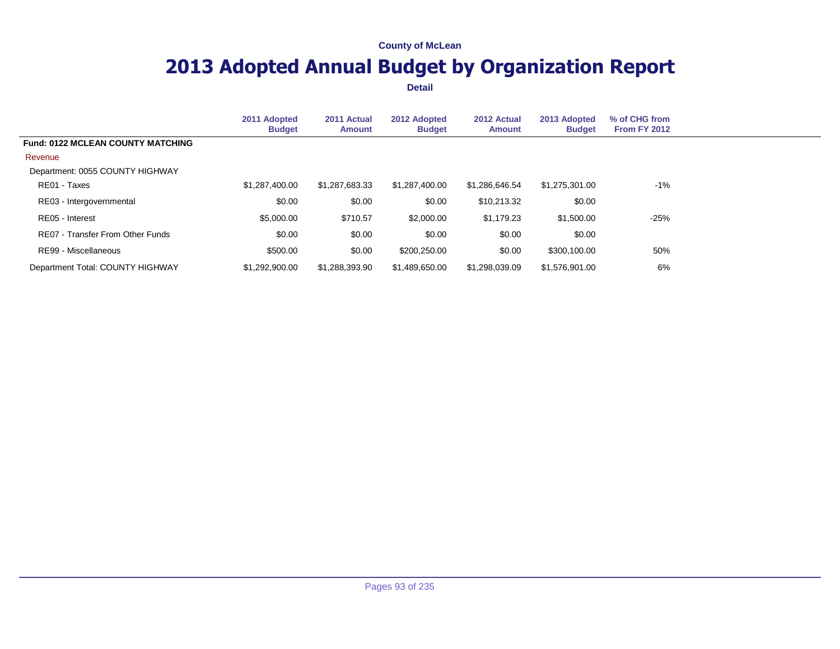# **2013 Adopted Annual Budget by Organization Report**

|                                          | 2011 Adopted<br><b>Budget</b> | 2011 Actual<br><b>Amount</b> | 2012 Adopted<br><b>Budget</b> | 2012 Actual<br><b>Amount</b> | 2013 Adopted<br><b>Budget</b> | % of CHG from<br>From FY 2012 |  |
|------------------------------------------|-------------------------------|------------------------------|-------------------------------|------------------------------|-------------------------------|-------------------------------|--|
| <b>Fund: 0122 MCLEAN COUNTY MATCHING</b> |                               |                              |                               |                              |                               |                               |  |
| Revenue                                  |                               |                              |                               |                              |                               |                               |  |
| Department: 0055 COUNTY HIGHWAY          |                               |                              |                               |                              |                               |                               |  |
| RE01 - Taxes                             | \$1,287,400.00                | \$1,287,683.33               | \$1,287,400.00                | \$1,286,646.54               | \$1,275,301.00                | $-1\%$                        |  |
| RE03 - Intergovernmental                 | \$0.00                        | \$0.00                       | \$0.00                        | \$10,213.32                  | \$0.00                        |                               |  |
| RE05 - Interest                          | \$5,000.00                    | \$710.57                     | \$2,000.00                    | \$1,179.23                   | \$1,500.00                    | $-25%$                        |  |
| RE07 - Transfer From Other Funds         | \$0.00                        | \$0.00                       | \$0.00                        | \$0.00                       | \$0.00                        |                               |  |
| RE99 - Miscellaneous                     | \$500.00                      | \$0.00                       | \$200.250.00                  | \$0.00                       | \$300,100,00                  | 50%                           |  |
| Department Total: COUNTY HIGHWAY         | \$1,292,900.00                | \$1,288,393.90               | \$1,489,650.00                | \$1.298.039.09               | \$1,576,901.00                | 6%                            |  |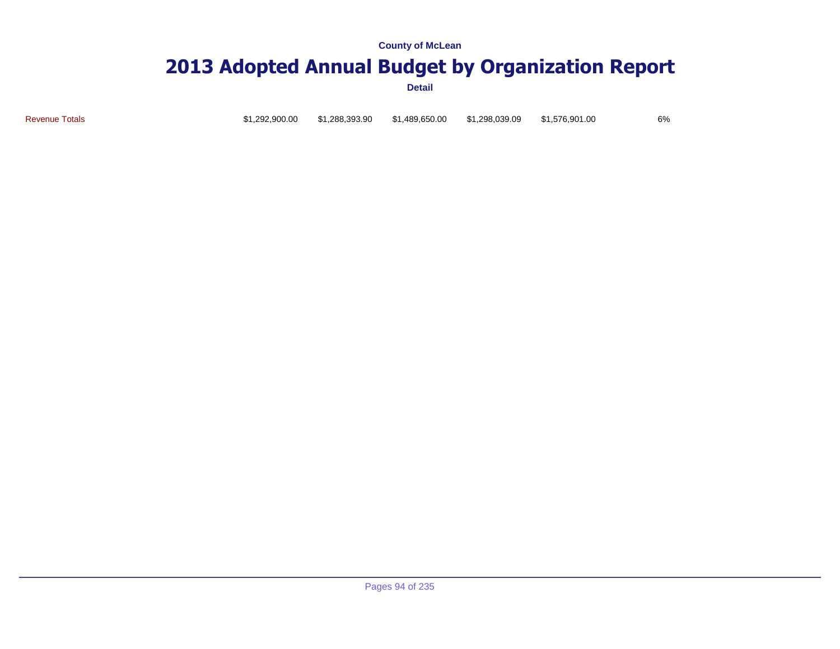# **2013 Adopted Annual Budget by Organization Report**

**Detail**

Revenue Totals \$1,292,900.00 \$1,288,393.90 \$1,489,650.00 \$1,298,039.09 \$1,576,901.00 6%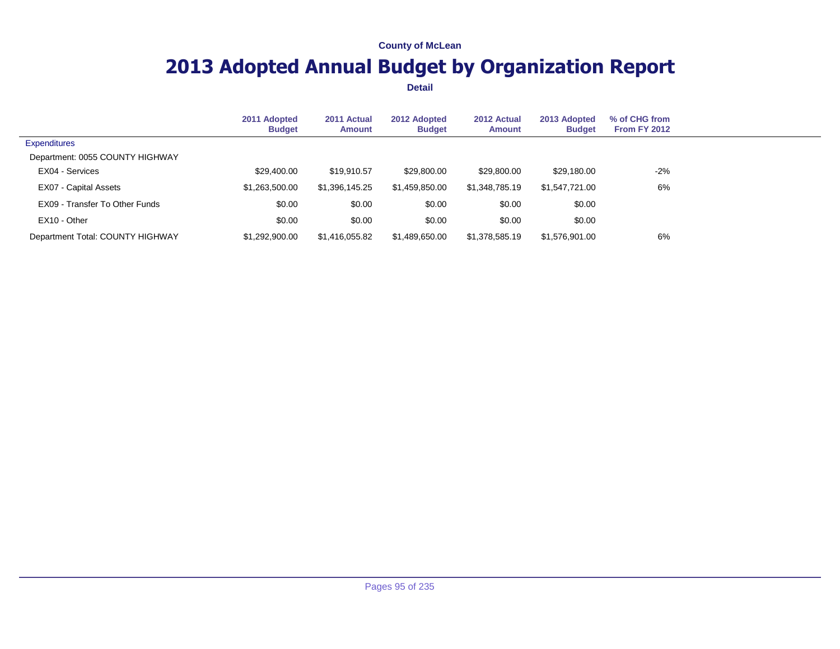# **2013 Adopted Annual Budget by Organization Report**

|                                  | 2011 Adopted<br><b>Budget</b> | 2011 Actual<br><b>Amount</b> | 2012 Adopted<br><b>Budget</b> | 2012 Actual<br><b>Amount</b> | 2013 Adopted<br><b>Budget</b> | % of CHG from<br><b>From FY 2012</b> |  |
|----------------------------------|-------------------------------|------------------------------|-------------------------------|------------------------------|-------------------------------|--------------------------------------|--|
| <b>Expenditures</b>              |                               |                              |                               |                              |                               |                                      |  |
| Department: 0055 COUNTY HIGHWAY  |                               |                              |                               |                              |                               |                                      |  |
| EX04 - Services                  | \$29,400.00                   | \$19,910.57                  | \$29,800.00                   | \$29,800.00                  | \$29,180.00                   | $-2%$                                |  |
| EX07 - Capital Assets            | \$1,263,500.00                | \$1,396,145.25               | \$1,459,850.00                | \$1,348,785.19               | \$1.547.721.00                | 6%                                   |  |
| EX09 - Transfer To Other Funds   | \$0.00                        | \$0.00                       | \$0.00                        | \$0.00                       | \$0.00                        |                                      |  |
| EX10 - Other                     | \$0.00                        | \$0.00                       | \$0.00                        | \$0.00                       | \$0.00                        |                                      |  |
| Department Total: COUNTY HIGHWAY | \$1,292,900.00                | \$1,416,055.82               | \$1,489,650.00                | \$1,378,585.19               | \$1,576,901.00                | 6%                                   |  |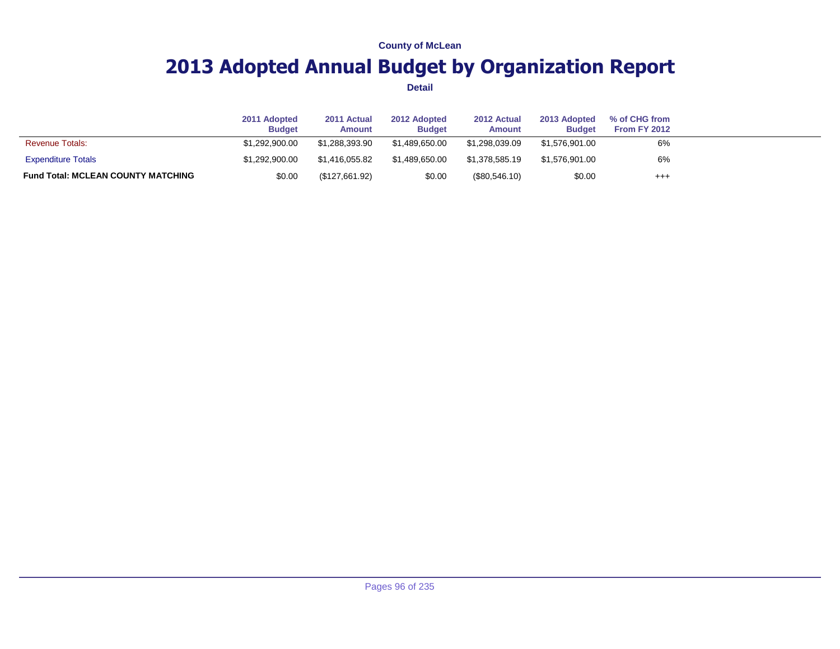# **2013 Adopted Annual Budget by Organization Report**

|                                           | 2011 Adopted<br><b>Budget</b> | 2011 Actual<br>Amount | 2012 Adopted<br><b>Budget</b> | 2012 Actual<br>Amount | 2013 Adopted<br><b>Budget</b> | % of CHG from<br>From FY 2012 |  |
|-------------------------------------------|-------------------------------|-----------------------|-------------------------------|-----------------------|-------------------------------|-------------------------------|--|
| <b>Revenue Totals:</b>                    | \$1.292.900.00                | \$1.288.393.90        | \$1.489.650.00                | \$1.298.039.09        | \$1,576,901.00                | 6%                            |  |
| <b>Expenditure Totals</b>                 | \$1,292,900.00                | \$1.416.055.82        | \$1.489.650.00                | \$1.378.585.19        | \$1,576,901.00                | 6%                            |  |
| <b>Fund Total: MCLEAN COUNTY MATCHING</b> | \$0.00                        | (\$127,661.92)        | \$0.00                        | $(\$80,546.10)$       | \$0.00                        | $^{++}$                       |  |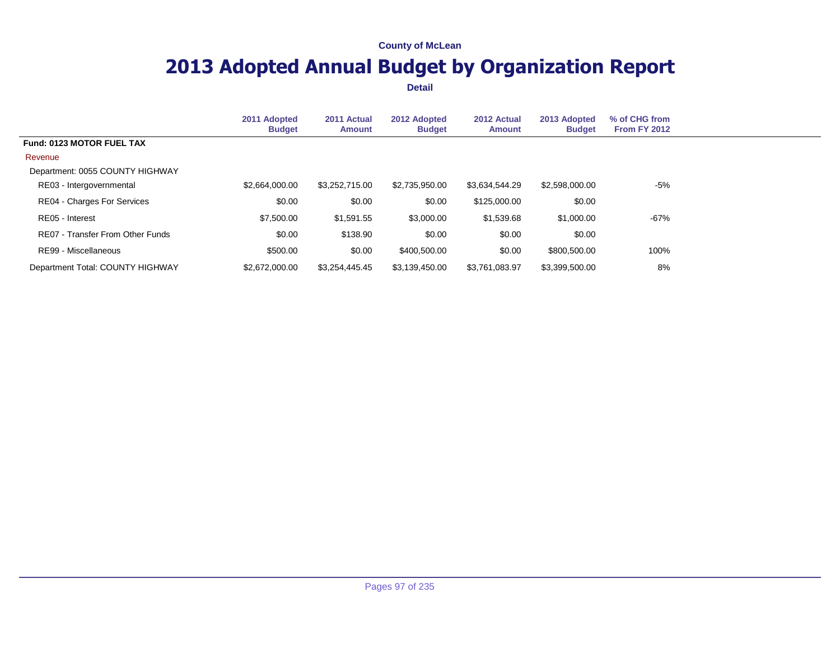# **2013 Adopted Annual Budget by Organization Report**

|                                    | 2011 Adopted<br><b>Budget</b> | 2011 Actual<br><b>Amount</b> | 2012 Adopted<br><b>Budget</b> | 2012 Actual<br><b>Amount</b> | 2013 Adopted<br><b>Budget</b> | % of CHG from<br><b>From FY 2012</b> |
|------------------------------------|-------------------------------|------------------------------|-------------------------------|------------------------------|-------------------------------|--------------------------------------|
| Fund: 0123 MOTOR FUEL TAX          |                               |                              |                               |                              |                               |                                      |
| Revenue                            |                               |                              |                               |                              |                               |                                      |
| Department: 0055 COUNTY HIGHWAY    |                               |                              |                               |                              |                               |                                      |
| RE03 - Intergovernmental           | \$2,664,000.00                | \$3,252,715.00               | \$2,735,950.00                | \$3,634,544.29               | \$2,598,000.00                | -5%                                  |
| <b>RE04 - Charges For Services</b> | \$0.00                        | \$0.00                       | \$0.00                        | \$125,000.00                 | \$0.00                        |                                      |
| RE05 - Interest                    | \$7,500.00                    | \$1,591.55                   | \$3,000.00                    | \$1,539.68                   | \$1,000.00                    | -67%                                 |
| RE07 - Transfer From Other Funds   | \$0.00                        | \$138.90                     | \$0.00                        | \$0.00                       | \$0.00                        |                                      |
| RE99 - Miscellaneous               | \$500.00                      | \$0.00                       | \$400,500.00                  | \$0.00                       | \$800,500.00                  | 100%                                 |
| Department Total: COUNTY HIGHWAY   | \$2,672,000,00                | \$3.254.445.45               | \$3,139,450.00                | \$3.761.083.97               | \$3,399,500.00                | 8%                                   |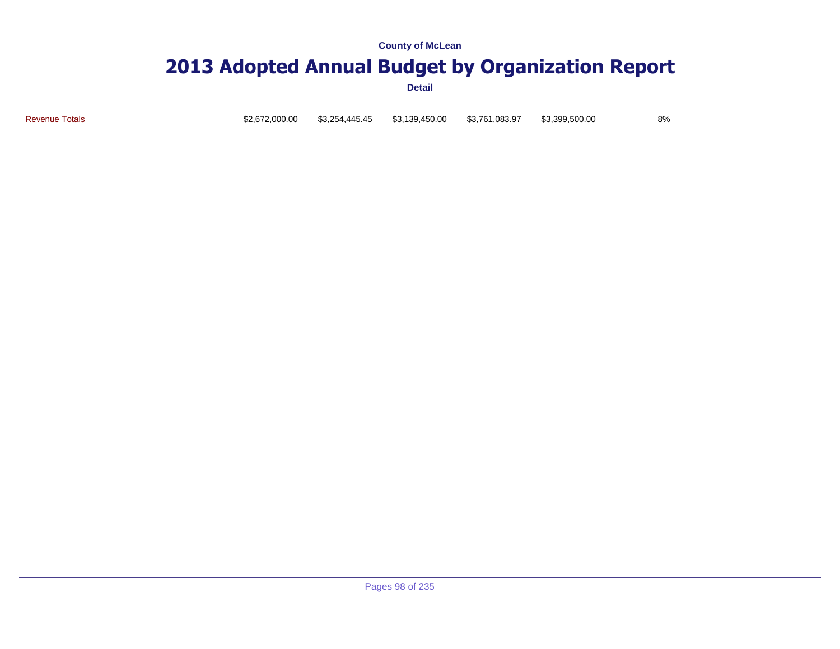### **2013 Adopted Annual Budget by Organization Report**

**Detail**

Revenue Totals \$2,672,000.00 \$3,254,445.45 \$3,139,450.00 \$3,761,083.97 \$3,399,500.00 8%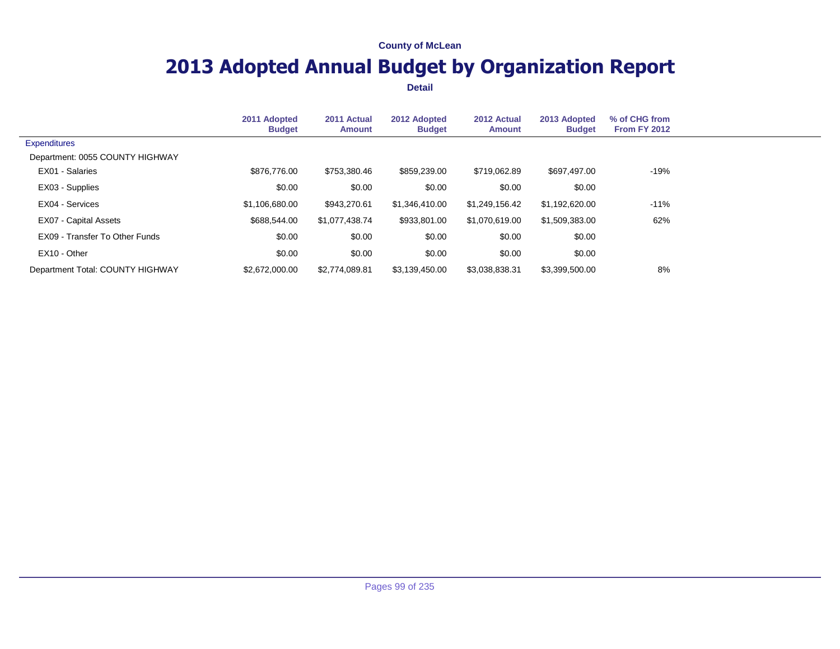# **2013 Adopted Annual Budget by Organization Report**

|                                  | 2011 Adopted<br><b>Budget</b> | 2011 Actual<br><b>Amount</b> | 2012 Adopted<br><b>Budget</b> | 2012 Actual<br><b>Amount</b> | 2013 Adopted<br><b>Budget</b> | % of CHG from<br>From FY 2012 |  |
|----------------------------------|-------------------------------|------------------------------|-------------------------------|------------------------------|-------------------------------|-------------------------------|--|
| <b>Expenditures</b>              |                               |                              |                               |                              |                               |                               |  |
| Department: 0055 COUNTY HIGHWAY  |                               |                              |                               |                              |                               |                               |  |
| EX01 - Salaries                  | \$876,776.00                  | \$753.380.46                 | \$859,239.00                  | \$719,062.89                 | \$697,497.00                  | -19%                          |  |
| EX03 - Supplies                  | \$0.00                        | \$0.00                       | \$0.00                        | \$0.00                       | \$0.00                        |                               |  |
| EX04 - Services                  | \$1,106,680.00                | \$943.270.61                 | \$1,346,410.00                | \$1.249.156.42               | \$1,192,620.00                | $-11%$                        |  |
| EX07 - Capital Assets            | \$688,544.00                  | \$1,077,438.74               | \$933,801.00                  | \$1,070,619.00               | \$1,509,383.00                | 62%                           |  |
| EX09 - Transfer To Other Funds   | \$0.00                        | \$0.00                       | \$0.00                        | \$0.00                       | \$0.00                        |                               |  |
| EX10 - Other                     | \$0.00                        | \$0.00                       | \$0.00                        | \$0.00                       | \$0.00                        |                               |  |
| Department Total: COUNTY HIGHWAY | \$2,672,000.00                | \$2,774,089.81               | \$3,139,450.00                | \$3,038,838.31               | \$3,399,500.00                | 8%                            |  |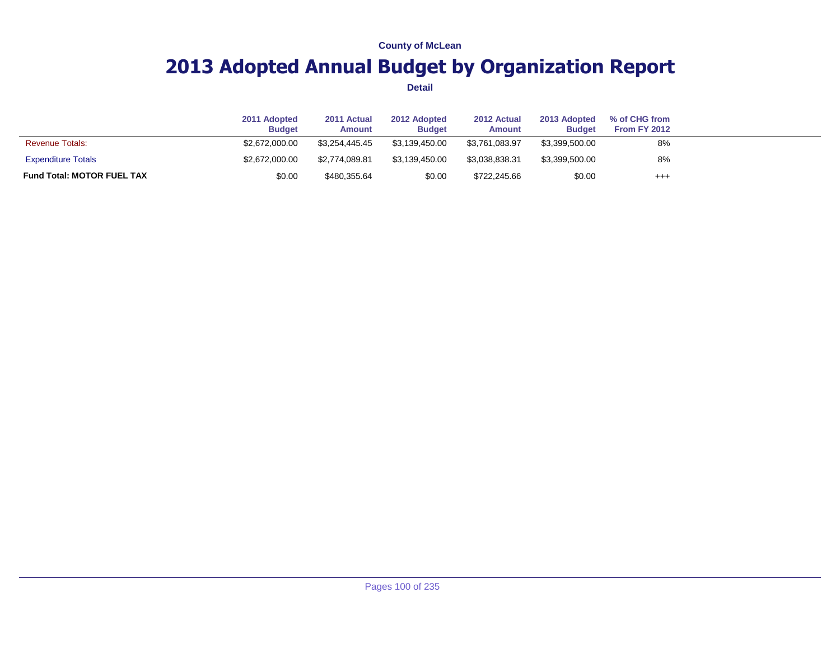# **2013 Adopted Annual Budget by Organization Report**

|                                   | 2011 Adopted<br><b>Budget</b> | 2011 Actual<br><b>Amount</b> | 2012 Adopted<br><b>Budget</b> | 2012 Actual<br>Amount | 2013 Adopted<br><b>Budget</b> | % of CHG from<br><b>From FY 2012</b> |  |
|-----------------------------------|-------------------------------|------------------------------|-------------------------------|-----------------------|-------------------------------|--------------------------------------|--|
| <b>Revenue Totals:</b>            | \$2,672,000,00                | \$3.254.445.45               | \$3.139.450.00                | \$3.761.083.97        | \$3,399,500.00                | 8%                                   |  |
| <b>Expenditure Totals</b>         | \$2,672,000.00                | \$2,774,089.81               | \$3.139.450.00                | \$3.038.838.31        | \$3,399,500.00                | 8%                                   |  |
| <b>Fund Total: MOTOR FUEL TAX</b> | \$0.00                        | \$480,355.64                 | \$0.00                        | \$722,245.66          | \$0.00                        | $^{+++}$                             |  |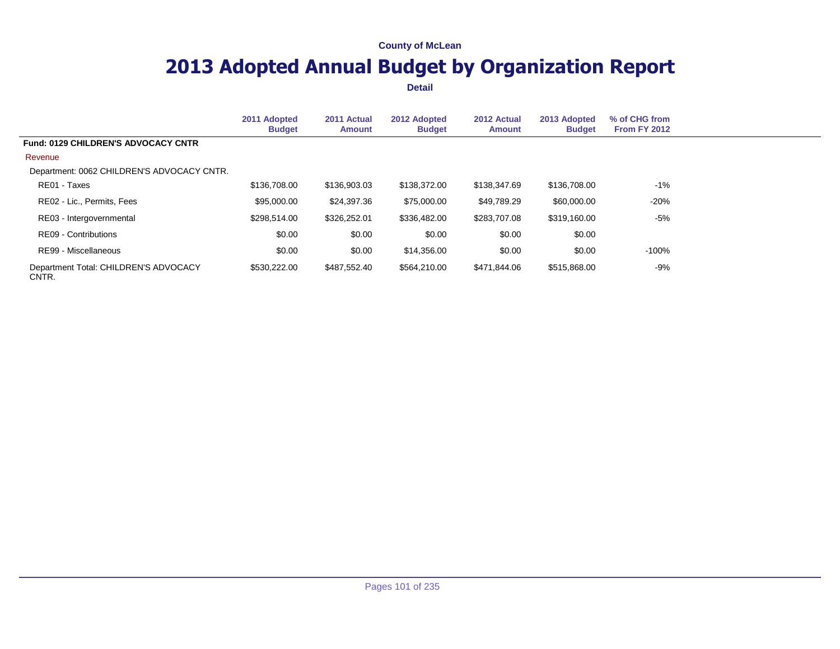# **2013 Adopted Annual Budget by Organization Report**

|                                                | 2011 Adopted<br><b>Budget</b> | 2011 Actual<br><b>Amount</b> | 2012 Adopted<br><b>Budget</b> | 2012 Actual<br><b>Amount</b> | 2013 Adopted<br><b>Budget</b> | % of CHG from<br><b>From FY 2012</b> |
|------------------------------------------------|-------------------------------|------------------------------|-------------------------------|------------------------------|-------------------------------|--------------------------------------|
| Fund: 0129 CHILDREN'S ADVOCACY CNTR            |                               |                              |                               |                              |                               |                                      |
| Revenue                                        |                               |                              |                               |                              |                               |                                      |
| Department: 0062 CHILDREN'S ADVOCACY CNTR.     |                               |                              |                               |                              |                               |                                      |
| RE01 - Taxes                                   | \$136,708.00                  | \$136,903.03                 | \$138,372.00                  | \$138,347.69                 | \$136,708.00                  | $-1\%$                               |
| RE02 - Lic., Permits, Fees                     | \$95,000.00                   | \$24.397.36                  | \$75,000.00                   | \$49.789.29                  | \$60,000.00                   | $-20%$                               |
| RE03 - Intergovernmental                       | \$298.514.00                  | \$326,252.01                 | \$336,482.00                  | \$283.707.08                 | \$319,160.00                  | $-5%$                                |
| RE09 - Contributions                           | \$0.00                        | \$0.00                       | \$0.00                        | \$0.00                       | \$0.00                        |                                      |
| RE99 - Miscellaneous                           | \$0.00                        | \$0.00                       | \$14.356.00                   | \$0.00                       | \$0.00                        | $-100%$                              |
| Department Total: CHILDREN'S ADVOCACY<br>CNTR. | \$530,222.00                  | \$487,552.40                 | \$564,210.00                  | \$471,844.06                 | \$515,868.00                  | -9%                                  |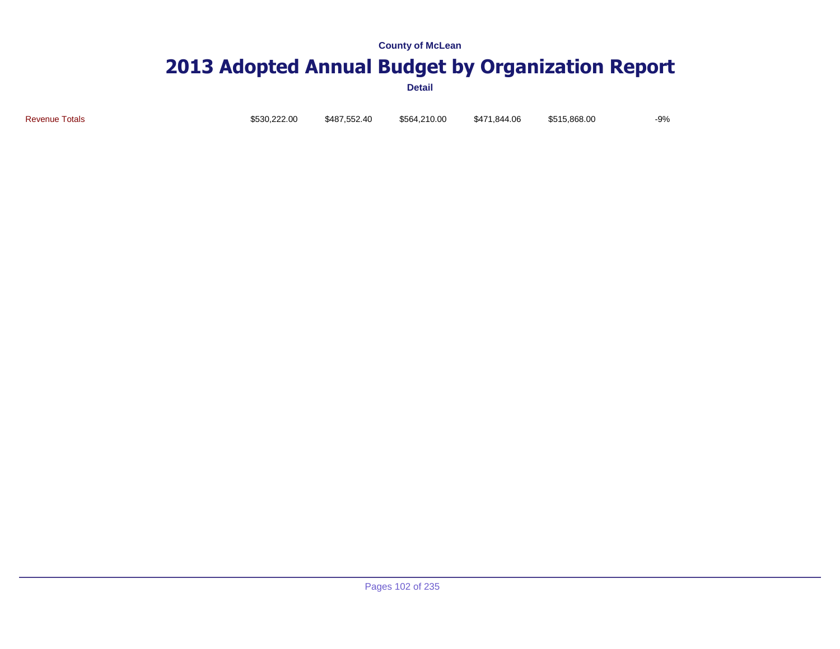### **2013 Adopted Annual Budget by Organization Report**

**Detail**

Revenue Totals \$530,222.00 \$487,552.40 \$564,210.00 \$471,844.06 \$515,868.00 -9%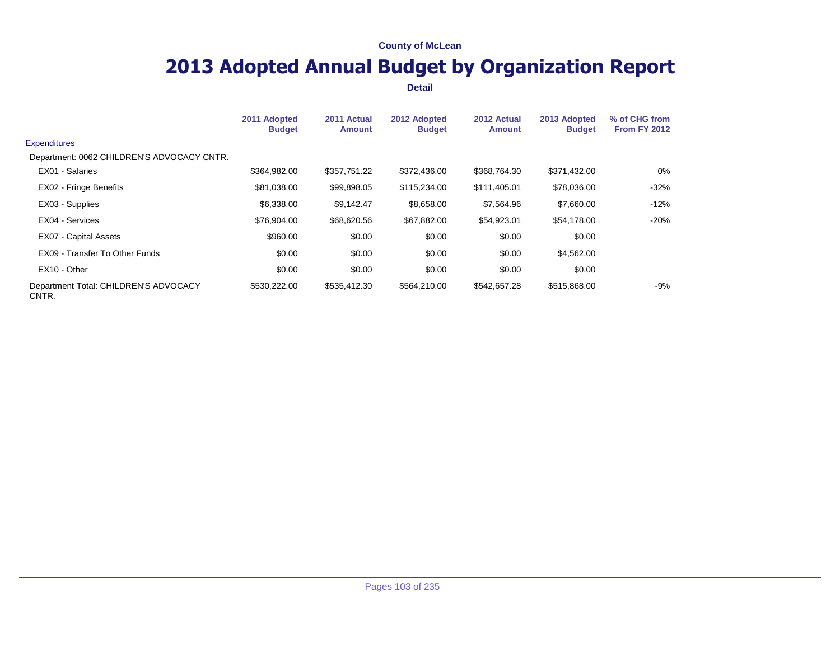# **2013 Adopted Annual Budget by Organization Report**

|                                                | 2011 Adopted<br><b>Budget</b> | 2011 Actual<br><b>Amount</b> | 2012 Adopted<br><b>Budget</b> | 2012 Actual<br><b>Amount</b> | 2013 Adopted<br><b>Budget</b> | % of CHG from<br><b>From FY 2012</b> |
|------------------------------------------------|-------------------------------|------------------------------|-------------------------------|------------------------------|-------------------------------|--------------------------------------|
| <b>Expenditures</b>                            |                               |                              |                               |                              |                               |                                      |
| Department: 0062 CHILDREN'S ADVOCACY CNTR.     |                               |                              |                               |                              |                               |                                      |
| EX01 - Salaries                                | \$364,982.00                  | \$357,751.22                 | \$372,436.00                  | \$368,764.30                 | \$371,432.00                  | 0%                                   |
| EX02 - Fringe Benefits                         | \$81,038.00                   | \$99,898.05                  | \$115,234.00                  | \$111,405.01                 | \$78,036.00                   | $-32%$                               |
| EX03 - Supplies                                | \$6,338.00                    | \$9,142.47                   | \$8,658.00                    | \$7,564.96                   | \$7,660.00                    | $-12%$                               |
| EX04 - Services                                | \$76,904.00                   | \$68,620.56                  | \$67,882.00                   | \$54,923.01                  | \$54,178.00                   | $-20%$                               |
| EX07 - Capital Assets                          | \$960.00                      | \$0.00                       | \$0.00                        | \$0.00                       | \$0.00                        |                                      |
| EX09 - Transfer To Other Funds                 | \$0.00                        | \$0.00                       | \$0.00                        | \$0.00                       | \$4,562.00                    |                                      |
| EX10 - Other                                   | \$0.00                        | \$0.00                       | \$0.00                        | \$0.00                       | \$0.00                        |                                      |
| Department Total: CHILDREN'S ADVOCACY<br>CNTR. | \$530,222.00                  | \$535,412.30                 | \$564,210.00                  | \$542,657.28                 | \$515,868.00                  | -9%                                  |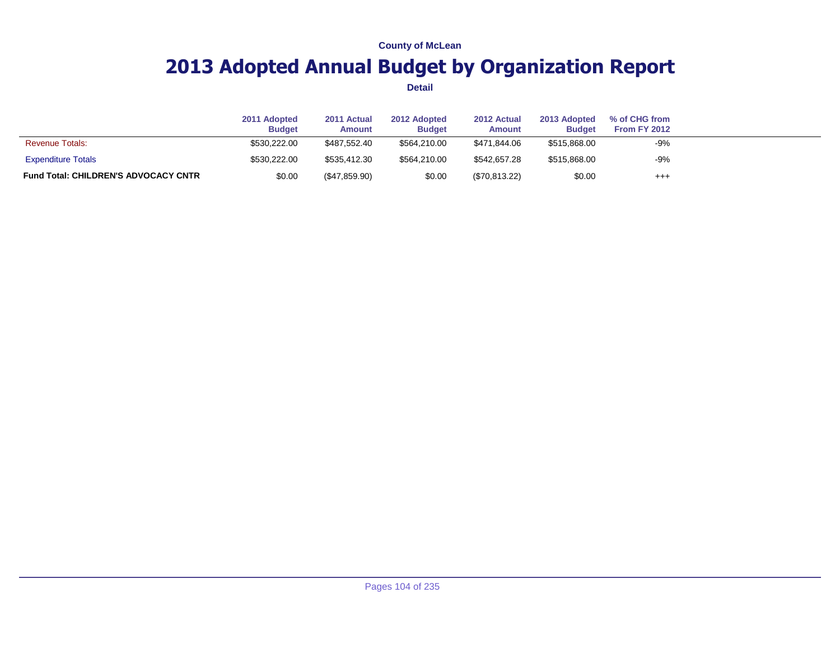# **2013 Adopted Annual Budget by Organization Report**

|                                             | 2011 Adopted<br><b>Budget</b> | 2011 Actual<br><b>Amount</b> | 2012 Adopted<br><b>Budget</b> | 2012 Actual<br>Amount | 2013 Adopted<br><b>Budget</b> | % of CHG from<br>From FY 2012 |  |
|---------------------------------------------|-------------------------------|------------------------------|-------------------------------|-----------------------|-------------------------------|-------------------------------|--|
| <b>Revenue Totals:</b>                      | \$530,222.00                  | \$487.552.40                 | \$564.210.00                  | \$471.844.06          | \$515,868.00                  | -9%                           |  |
| <b>Expenditure Totals</b>                   | \$530,222,00                  | \$535.412.30                 | \$564.210.00                  | \$542,657.28          | \$515,868.00                  | $-9%$                         |  |
| <b>Fund Total: CHILDREN'S ADVOCACY CNTR</b> | \$0.00                        | (\$47,859.90)                | \$0.00                        | (\$70,813.22)         | \$0.00                        | $^{++}$                       |  |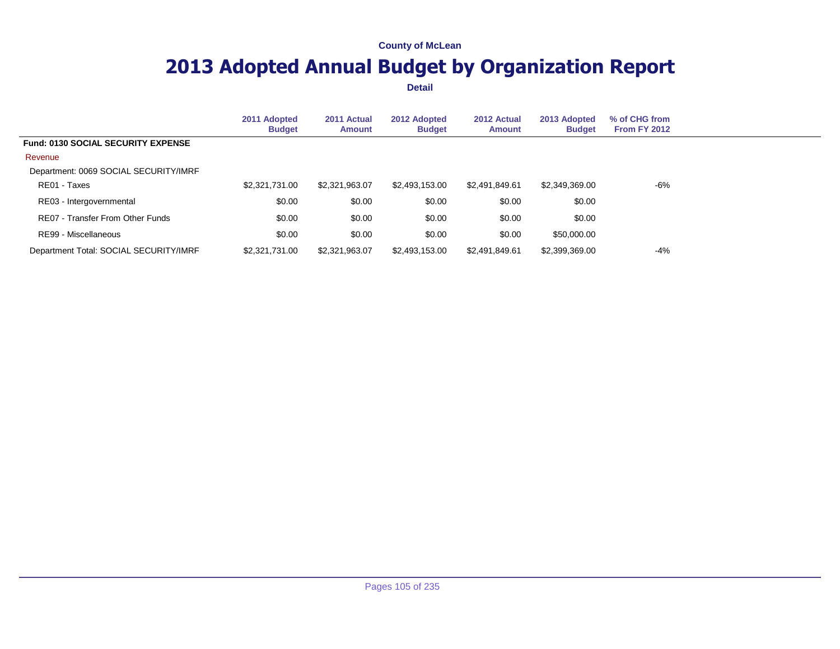# **2013 Adopted Annual Budget by Organization Report**

|                                           | 2011 Adopted<br><b>Budget</b> | 2011 Actual<br><b>Amount</b> | 2012 Adopted<br><b>Budget</b> | 2012 Actual<br>Amount | 2013 Adopted<br><b>Budget</b> | % of CHG from<br><b>From FY 2012</b> |  |
|-------------------------------------------|-------------------------------|------------------------------|-------------------------------|-----------------------|-------------------------------|--------------------------------------|--|
| <b>Fund: 0130 SOCIAL SECURITY EXPENSE</b> |                               |                              |                               |                       |                               |                                      |  |
| Revenue                                   |                               |                              |                               |                       |                               |                                      |  |
| Department: 0069 SOCIAL SECURITY/IMRF     |                               |                              |                               |                       |                               |                                      |  |
| RE01 - Taxes                              | \$2,321,731.00                | \$2,321,963.07               | \$2,493,153.00                | \$2,491,849.61        | \$2,349,369.00                | -6%                                  |  |
| RE03 - Intergovernmental                  | \$0.00                        | \$0.00                       | \$0.00                        | \$0.00                | \$0.00                        |                                      |  |
| RE07 - Transfer From Other Funds          | \$0.00                        | \$0.00                       | \$0.00                        | \$0.00                | \$0.00                        |                                      |  |
| RE99 - Miscellaneous                      | \$0.00                        | \$0.00                       | \$0.00                        | \$0.00                | \$50,000.00                   |                                      |  |
| Department Total: SOCIAL SECURITY/IMRF    | \$2,321,731.00                | \$2,321,963.07               | \$2,493,153.00                | \$2.491.849.61        | \$2,399,369.00                | $-4%$                                |  |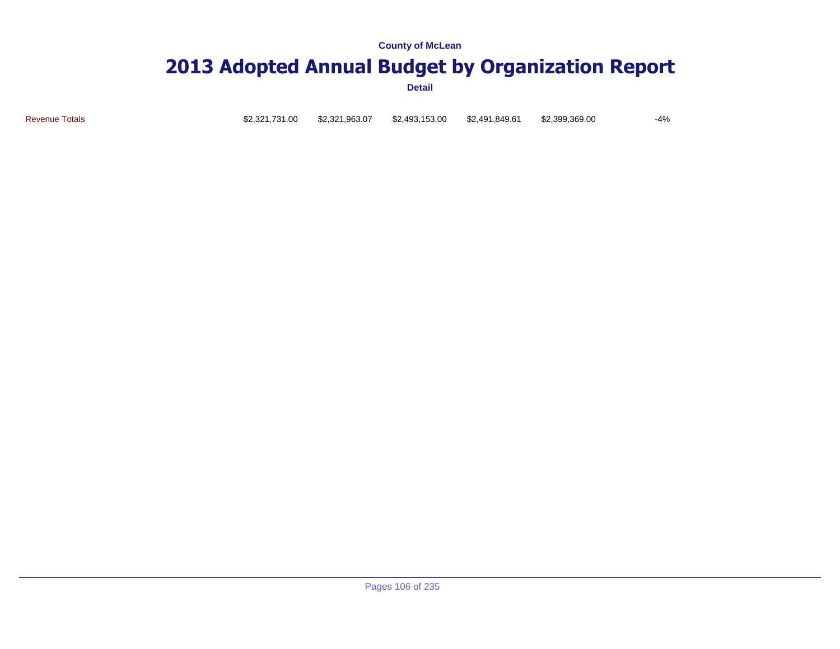### **2013 Adopted Annual Budget by Organization Report**

**Detail**

Revenue Totals \$2,321,731.00 \$2,321,963.07 \$2,493,153.00 \$2,491,849.61 \$2,399,369.00 -4%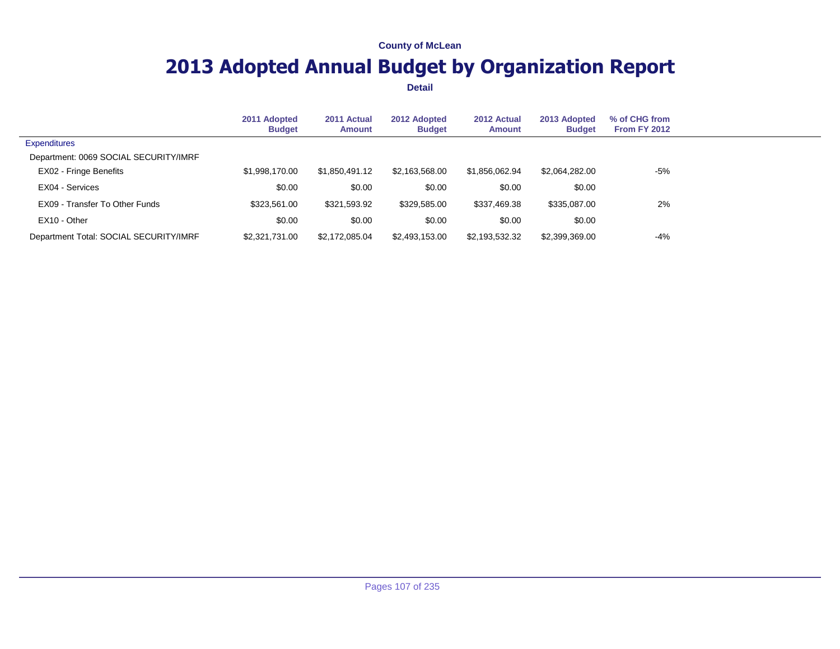# **2013 Adopted Annual Budget by Organization Report**

|                                        | 2011 Adopted<br><b>Budget</b> | 2011 Actual<br><b>Amount</b> | 2012 Adopted<br><b>Budget</b> | 2012 Actual<br><b>Amount</b> | 2013 Adopted<br><b>Budget</b> | % of CHG from<br>From FY 2012 |  |
|----------------------------------------|-------------------------------|------------------------------|-------------------------------|------------------------------|-------------------------------|-------------------------------|--|
| <b>Expenditures</b>                    |                               |                              |                               |                              |                               |                               |  |
| Department: 0069 SOCIAL SECURITY/IMRF  |                               |                              |                               |                              |                               |                               |  |
| EX02 - Fringe Benefits                 | \$1,998,170.00                | \$1,850,491.12               | \$2,163,568.00                | \$1.856.062.94               | \$2,064,282.00                | $-5%$                         |  |
| EX04 - Services                        | \$0.00                        | \$0.00                       | \$0.00                        | \$0.00                       | \$0.00                        |                               |  |
| EX09 - Transfer To Other Funds         | \$323,561,00                  | \$321,593.92                 | \$329,585.00                  | \$337,469.38                 | \$335,087,00                  | 2%                            |  |
| EX10 - Other                           | \$0.00                        | \$0.00                       | \$0.00                        | \$0.00                       | \$0.00                        |                               |  |
| Department Total: SOCIAL SECURITY/IMRF | \$2,321,731,00                | \$2.172.085.04               | \$2,493,153.00                | \$2.193.532.32               | \$2,399,369.00                | $-4%$                         |  |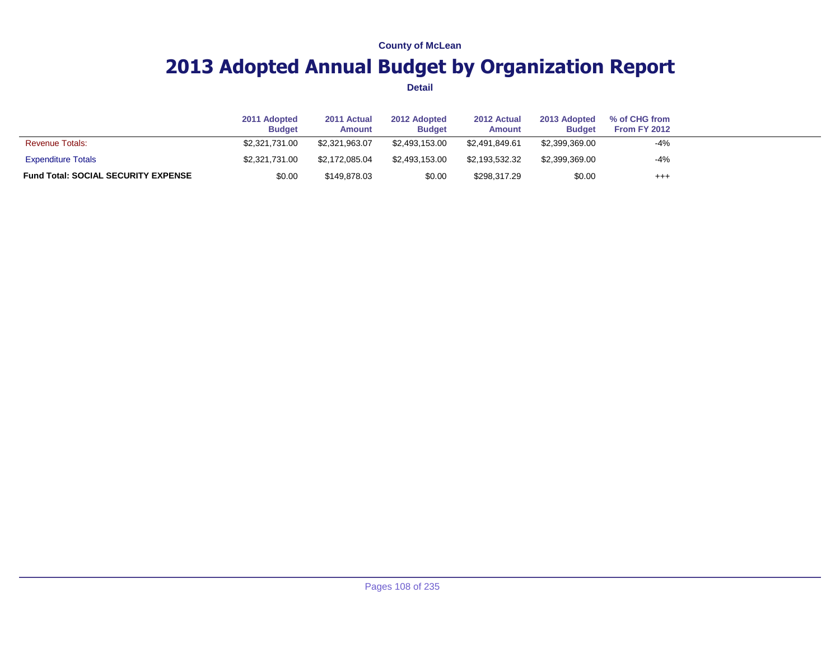# **2013 Adopted Annual Budget by Organization Report**

|                                            | 2011 Adopted<br><b>Budget</b> | 2011 Actual<br>Amount | 2012 Adopted<br><b>Budget</b> | 2012 Actual<br>Amount | 2013 Adopted<br><b>Budget</b> | % of CHG from<br>From FY 2012 |  |
|--------------------------------------------|-------------------------------|-----------------------|-------------------------------|-----------------------|-------------------------------|-------------------------------|--|
| <b>Revenue Totals:</b>                     | \$2,321,731,00                | \$2.321.963.07        | \$2.493.153.00                | \$2.491.849.61        | \$2,399,369.00                | $-4%$                         |  |
| <b>Expenditure Totals</b>                  | \$2,321,731,00                | \$2.172.085.04        | \$2.493.153.00                | \$2.193.532.32        | \$2,399,369.00                | $-4%$                         |  |
| <b>Fund Total: SOCIAL SECURITY EXPENSE</b> | \$0.00                        | \$149,878.03          | \$0.00                        | \$298.317.29          | \$0.00                        | $^{++}$                       |  |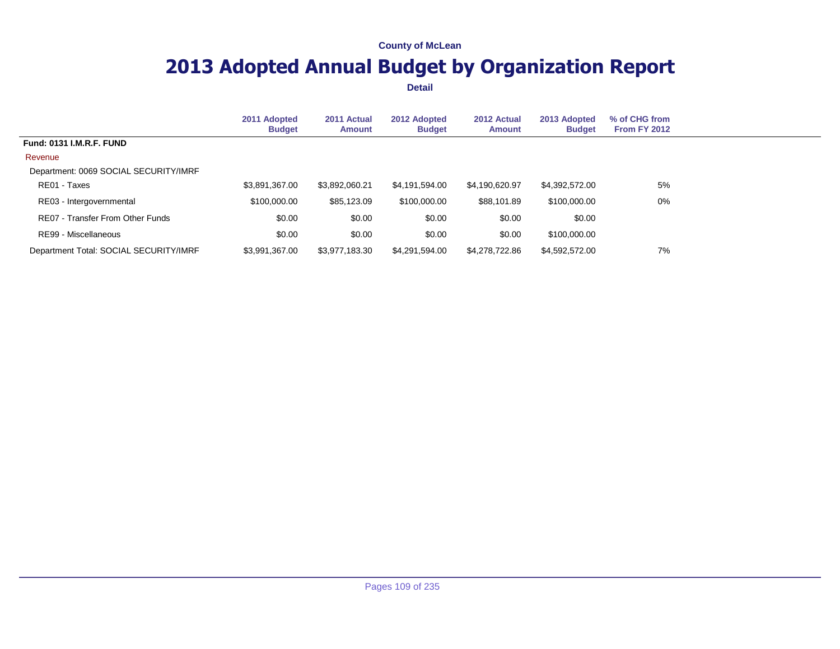## **2013 Adopted Annual Budget by Organization Report**

|                                        | 2011 Adopted<br><b>Budget</b> | 2011 Actual<br>Amount | 2012 Adopted<br><b>Budget</b> | 2012 Actual<br><b>Amount</b> | 2013 Adopted<br><b>Budget</b> | % of CHG from<br><b>From FY 2012</b> |  |
|----------------------------------------|-------------------------------|-----------------------|-------------------------------|------------------------------|-------------------------------|--------------------------------------|--|
| <b>Fund: 0131 I.M.R.F. FUND</b>        |                               |                       |                               |                              |                               |                                      |  |
| Revenue                                |                               |                       |                               |                              |                               |                                      |  |
| Department: 0069 SOCIAL SECURITY/IMRF  |                               |                       |                               |                              |                               |                                      |  |
| RE01 - Taxes                           | \$3,891,367.00                | \$3,892,060.21        | \$4,191,594.00                | \$4,190,620.97               | \$4,392,572.00                | 5%                                   |  |
| RE03 - Intergovernmental               | \$100,000.00                  | \$85,123.09           | \$100,000.00                  | \$88,101.89                  | \$100,000.00                  | 0%                                   |  |
| RE07 - Transfer From Other Funds       | \$0.00                        | \$0.00                | \$0.00                        | \$0.00                       | \$0.00                        |                                      |  |
| RE99 - Miscellaneous                   | \$0.00                        | \$0.00                | \$0.00                        | \$0.00                       | \$100,000.00                  |                                      |  |
| Department Total: SOCIAL SECURITY/IMRF | \$3,991,367.00                | \$3,977,183.30        | \$4,291,594.00                | \$4,278,722.86               | \$4,592,572.00                | 7%                                   |  |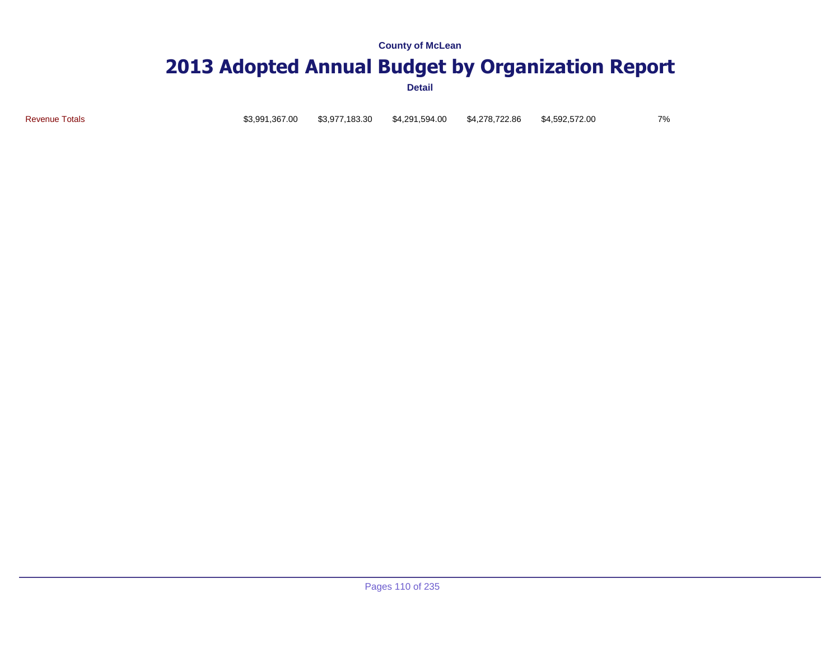### **2013 Adopted Annual Budget by Organization Report**

**Detail**

Revenue Totals \$3,991,367.00 \$3,977,183.30 \$4,291,594.00 \$4,278,722.86 \$4,592,572.00 7%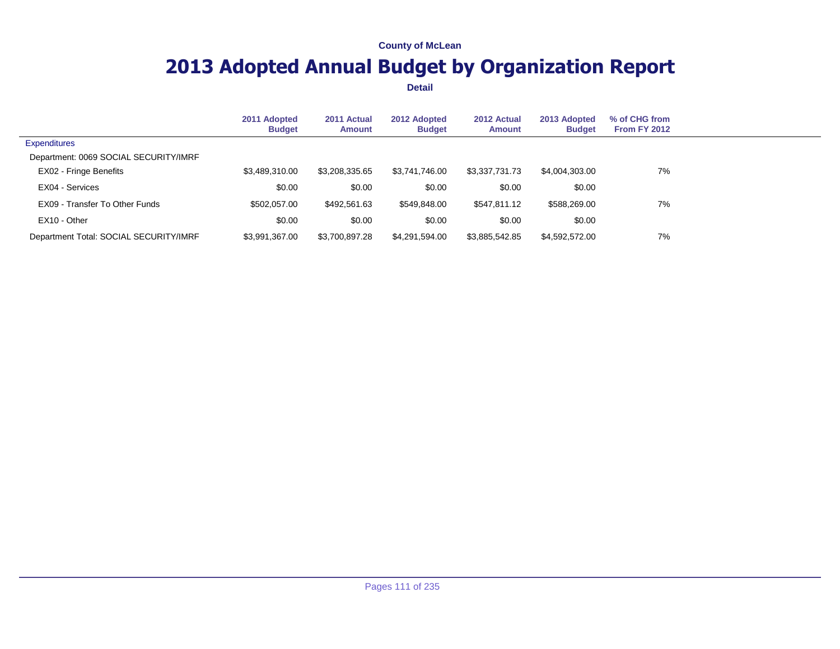## **2013 Adopted Annual Budget by Organization Report**

|                                        | 2011 Adopted<br><b>Budget</b> | 2011 Actual<br><b>Amount</b> | 2012 Adopted<br><b>Budget</b> | 2012 Actual<br><b>Amount</b> | 2013 Adopted<br><b>Budget</b> | % of CHG from<br>From FY 2012 |  |
|----------------------------------------|-------------------------------|------------------------------|-------------------------------|------------------------------|-------------------------------|-------------------------------|--|
| <b>Expenditures</b>                    |                               |                              |                               |                              |                               |                               |  |
| Department: 0069 SOCIAL SECURITY/IMRF  |                               |                              |                               |                              |                               |                               |  |
| EX02 - Fringe Benefits                 | \$3,489,310.00                | \$3,208,335.65               | \$3,741,746.00                | \$3,337,731.73               | \$4,004,303.00                | 7%                            |  |
| EX04 - Services                        | \$0.00                        | \$0.00                       | \$0.00                        | \$0.00                       | \$0.00                        |                               |  |
| EX09 - Transfer To Other Funds         | \$502,057,00                  | \$492,561.63                 | \$549,848.00                  | \$547.811.12                 | \$588,269,00                  | 7%                            |  |
| EX10 - Other                           | \$0.00                        | \$0.00                       | \$0.00                        | \$0.00                       | \$0.00                        |                               |  |
| Department Total: SOCIAL SECURITY/IMRF | \$3,991,367.00                | \$3.700.897.28               | \$4,291,594.00                | \$3.885.542.85               | \$4,592,572.00                | 7%                            |  |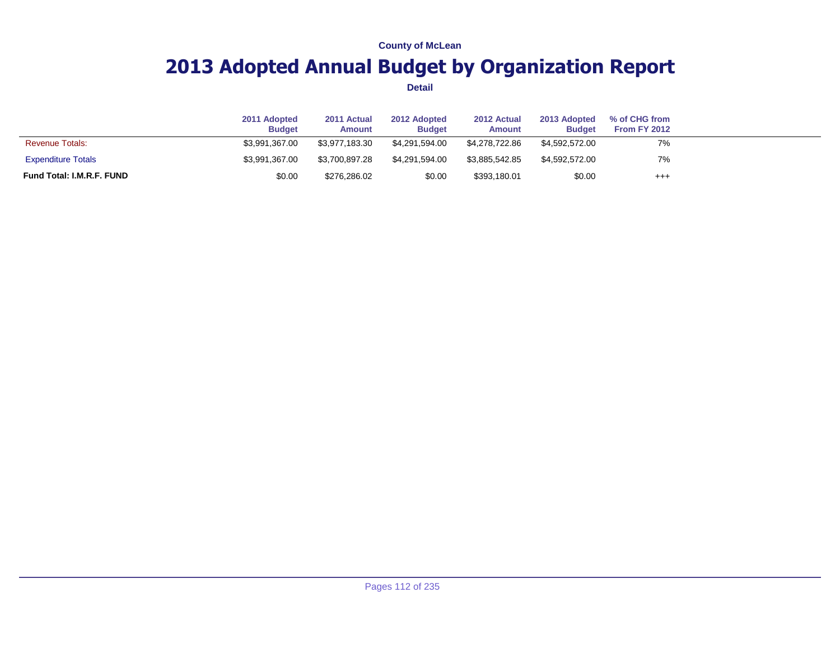## **2013 Adopted Annual Budget by Organization Report**

|                                  | 2011 Adopted<br><b>Budget</b> | 2011 Actual<br>Amount | 2012 Adopted<br><b>Budget</b> | 2012 Actual<br>Amount | 2013 Adopted<br><b>Budget</b> | % of CHG from<br><b>From FY 2012</b> |  |
|----------------------------------|-------------------------------|-----------------------|-------------------------------|-----------------------|-------------------------------|--------------------------------------|--|
| <b>Revenue Totals:</b>           | \$3.991.367.00                | \$3,977,183,30        | \$4.291.594.00                | \$4.278.722.86        | \$4.592.572.00                | 7%                                   |  |
| <b>Expenditure Totals</b>        | \$3.991.367.00                | \$3.700.897.28        | \$4.291.594.00                | \$3.885.542.85        | \$4.592.572.00                | 7%                                   |  |
| <b>Fund Total: I.M.R.F. FUND</b> | \$0.00                        | \$276,286.02          | \$0.00                        | \$393,180.01          | \$0.00                        | $^{+++}$                             |  |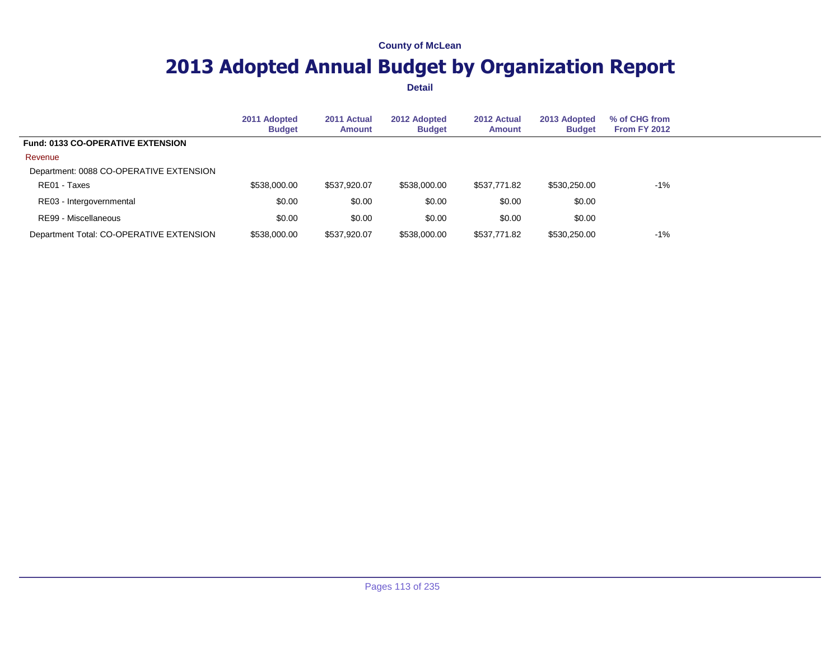## **2013 Adopted Annual Budget by Organization Report**

|                                          | 2011 Adopted<br><b>Budget</b> | 2011 Actual<br><b>Amount</b> | 2012 Adopted<br><b>Budget</b> | 2012 Actual<br>Amount | 2013 Adopted<br><b>Budget</b> | % of CHG from<br><b>From FY 2012</b> |  |
|------------------------------------------|-------------------------------|------------------------------|-------------------------------|-----------------------|-------------------------------|--------------------------------------|--|
| <b>Fund: 0133 CO-OPERATIVE EXTENSION</b> |                               |                              |                               |                       |                               |                                      |  |
| Revenue                                  |                               |                              |                               |                       |                               |                                      |  |
| Department: 0088 CO-OPERATIVE EXTENSION  |                               |                              |                               |                       |                               |                                      |  |
| RE01 - Taxes                             | \$538,000.00                  | \$537,920.07                 | \$538,000.00                  | \$537,771.82          | \$530,250.00                  | $-1%$                                |  |
| RE03 - Intergovernmental                 | \$0.00                        | \$0.00                       | \$0.00                        | \$0.00                | \$0.00                        |                                      |  |
| RE99 - Miscellaneous                     | \$0.00                        | \$0.00                       | \$0.00                        | \$0.00                | \$0.00                        |                                      |  |
| Department Total: CO-OPERATIVE EXTENSION | \$538,000.00                  | \$537,920.07                 | \$538,000.00                  | \$537,771.82          | \$530,250.00                  | $-1%$                                |  |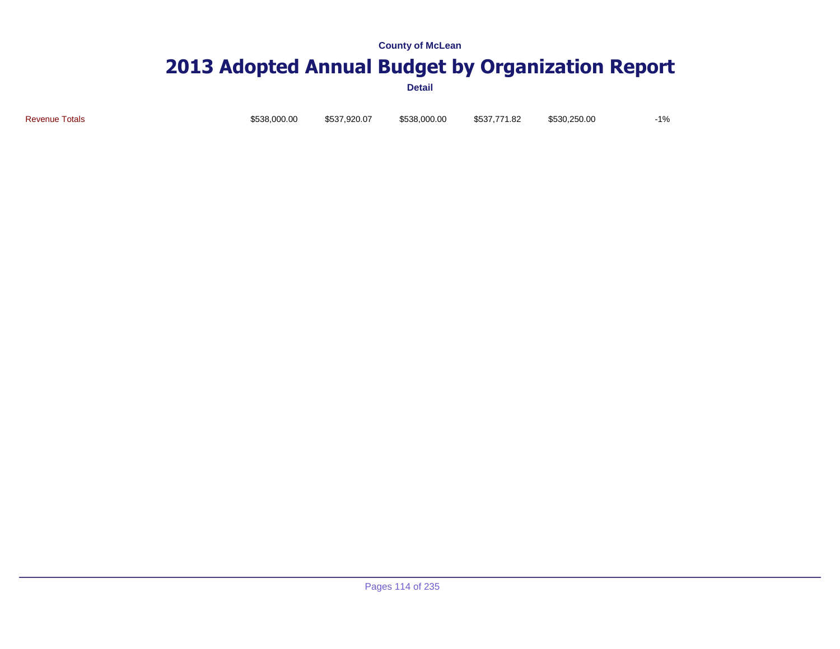# **2013 Adopted Annual Budget by Organization Report**

**Detail**

Revenue Totals \$538,000.00 \$537,920.07 \$538,000.00 \$537,771.82 \$530,250.00 -1%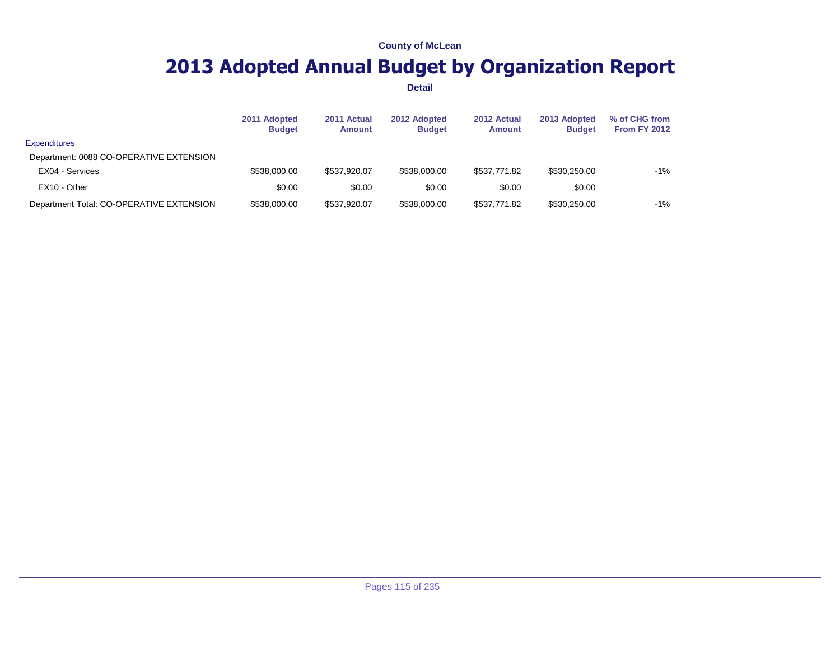## **2013 Adopted Annual Budget by Organization Report**

|                                          | 2011 Adopted<br><b>Budget</b> | 2011 Actual<br><b>Amount</b> | 2012 Adopted<br><b>Budget</b> | 2012 Actual<br><b>Amount</b> | 2013 Adopted<br><b>Budget</b> | % of CHG from<br><b>From FY 2012</b> |  |
|------------------------------------------|-------------------------------|------------------------------|-------------------------------|------------------------------|-------------------------------|--------------------------------------|--|
| <b>Expenditures</b>                      |                               |                              |                               |                              |                               |                                      |  |
| Department: 0088 CO-OPERATIVE EXTENSION  |                               |                              |                               |                              |                               |                                      |  |
| EX04 - Services                          | \$538,000.00                  | \$537.920.07                 | \$538,000.00                  | \$537.771.82                 | \$530,250.00                  | $-1%$                                |  |
| EX10 - Other                             | \$0.00                        | \$0.00                       | \$0.00                        | \$0.00                       | \$0.00                        |                                      |  |
| Department Total: CO-OPERATIVE EXTENSION | \$538,000.00                  | \$537.920.07                 | \$538,000.00                  | \$537.771.82                 | \$530,250.00                  | $-1%$                                |  |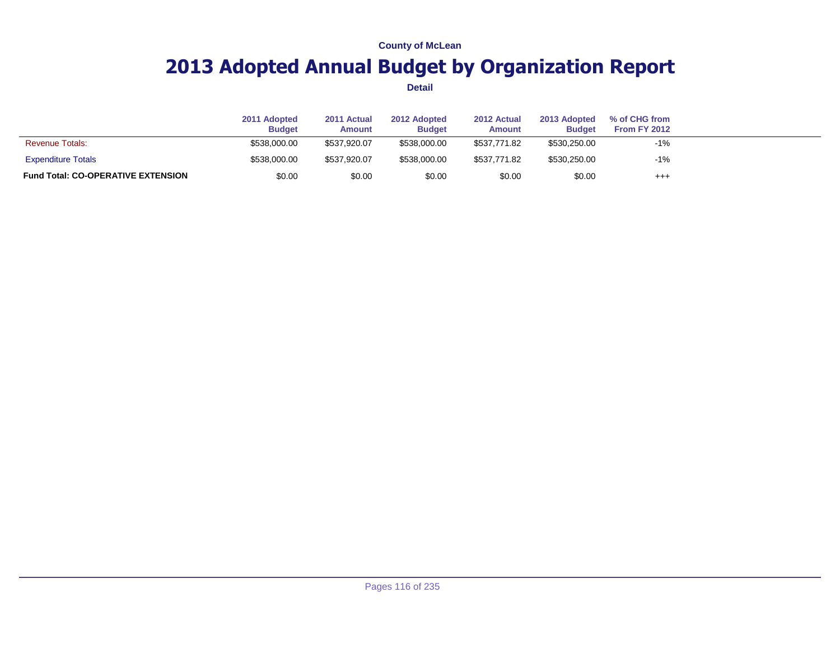## **2013 Adopted Annual Budget by Organization Report**

|                                           | 2011 Adopted<br><b>Budget</b> | 2011 Actual<br><b>Amount</b> | 2012 Adopted<br><b>Budget</b> | 2012 Actual<br><b>Amount</b> | 2013 Adopted<br><b>Budget</b> | % of CHG from<br><b>From FY 2012</b> |  |
|-------------------------------------------|-------------------------------|------------------------------|-------------------------------|------------------------------|-------------------------------|--------------------------------------|--|
| <b>Revenue Totals:</b>                    | \$538,000.00                  | \$537,920.07                 | \$538,000.00                  | \$537.771.82                 | \$530,250.00                  | $-1%$                                |  |
| <b>Expenditure Totals</b>                 | \$538,000.00                  | \$537,920.07                 | \$538,000.00                  | \$537.771.82                 | \$530,250.00                  | $-1%$                                |  |
| <b>Fund Total: CO-OPERATIVE EXTENSION</b> | \$0.00                        | \$0.00                       | \$0.00                        | \$0.00                       | \$0.00                        | $^{+++}$                             |  |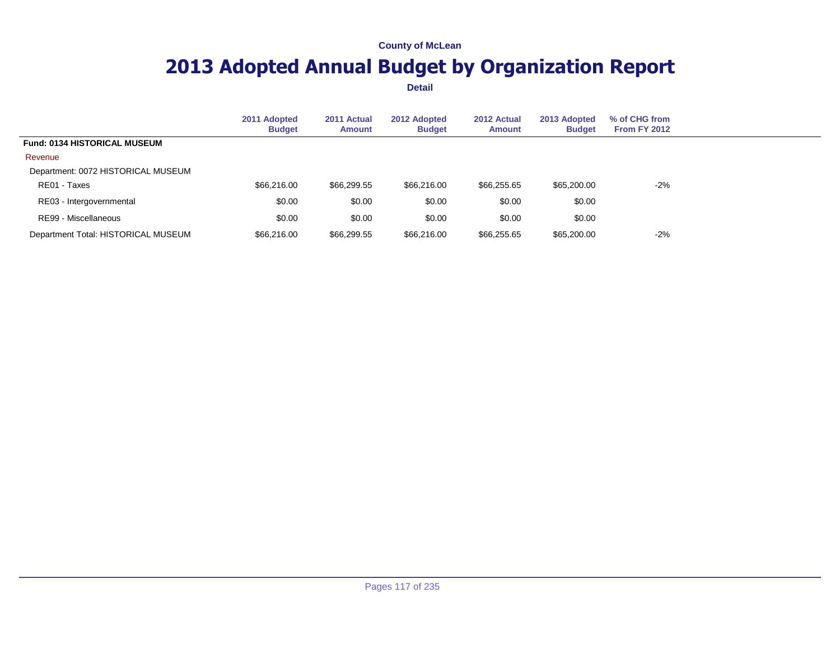## **2013 Adopted Annual Budget by Organization Report**

|                                     | 2011 Adopted<br><b>Budget</b> | 2011 Actual<br><b>Amount</b> | 2012 Adopted<br><b>Budget</b> | 2012 Actual<br><b>Amount</b> | 2013 Adopted<br><b>Budget</b> | % of CHG from<br>From FY 2012 |  |
|-------------------------------------|-------------------------------|------------------------------|-------------------------------|------------------------------|-------------------------------|-------------------------------|--|
| <b>Fund: 0134 HISTORICAL MUSEUM</b> |                               |                              |                               |                              |                               |                               |  |
| Revenue                             |                               |                              |                               |                              |                               |                               |  |
| Department: 0072 HISTORICAL MUSEUM  |                               |                              |                               |                              |                               |                               |  |
| RE01 - Taxes                        | \$66,216.00                   | \$66,299.55                  | \$66,216.00                   | \$66,255.65                  | \$65,200.00                   | $-2%$                         |  |
| RE03 - Intergovernmental            | \$0.00                        | \$0.00                       | \$0.00                        | \$0.00                       | \$0.00                        |                               |  |
| RE99 - Miscellaneous                | \$0.00                        | \$0.00                       | \$0.00                        | \$0.00                       | \$0.00                        |                               |  |
| Department Total: HISTORICAL MUSEUM | \$66,216.00                   | \$66,299.55                  | \$66,216.00                   | \$66,255.65                  | \$65,200.00                   | $-2%$                         |  |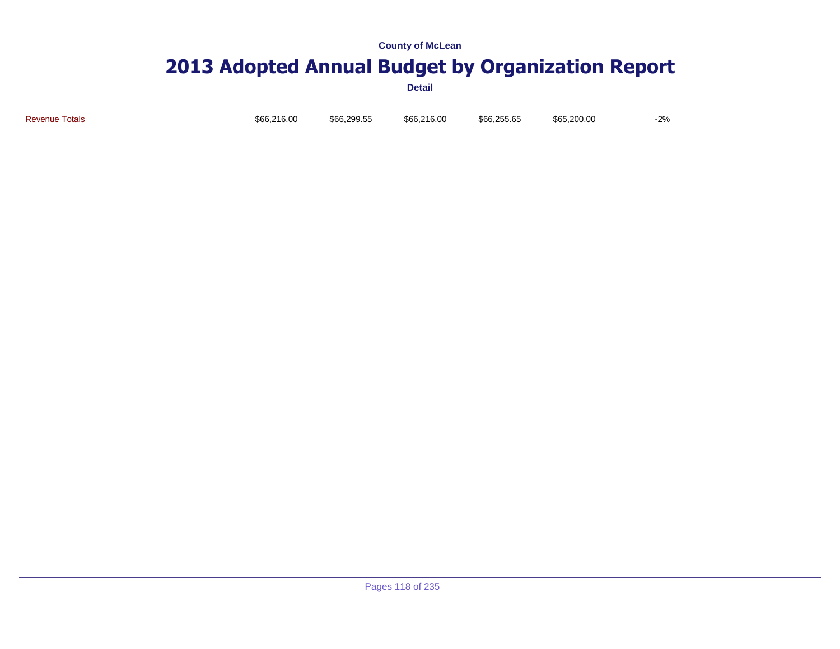# **2013 Adopted Annual Budget by Organization Report**

**Detail**

Revenue Totals \$66,216.00 \$66,299.55 \$66,216.00 \$66,255.65 \$65,200.00 -2%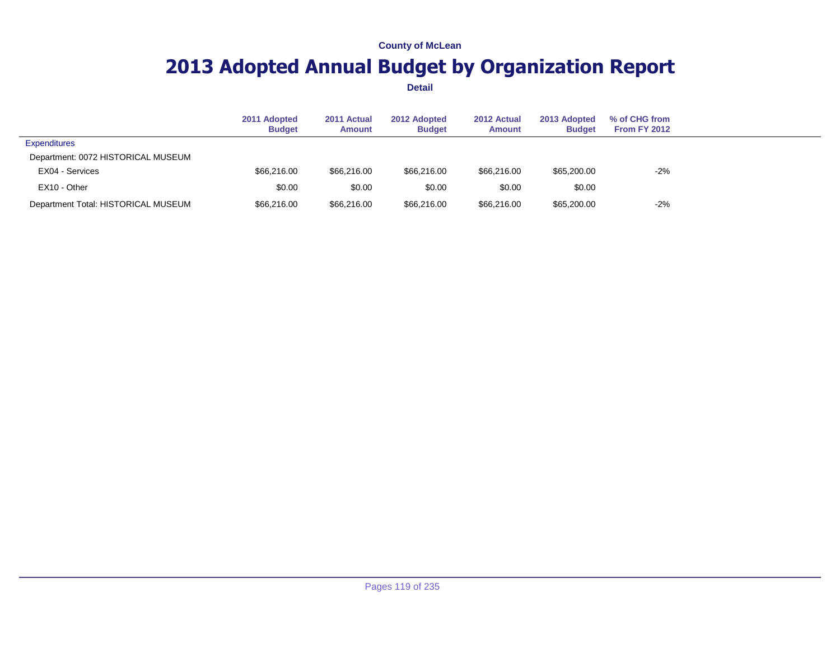## **2013 Adopted Annual Budget by Organization Report**

|                                     | 2011 Adopted<br><b>Budget</b> | 2011 Actual<br>Amount | 2012 Adopted<br><b>Budget</b> | 2012 Actual<br>Amount | 2013 Adopted<br><b>Budget</b> | % of CHG from<br><b>From FY 2012</b> |  |
|-------------------------------------|-------------------------------|-----------------------|-------------------------------|-----------------------|-------------------------------|--------------------------------------|--|
| <b>Expenditures</b>                 |                               |                       |                               |                       |                               |                                      |  |
| Department: 0072 HISTORICAL MUSEUM  |                               |                       |                               |                       |                               |                                      |  |
| EX04 - Services                     | \$66,216.00                   | \$66,216.00           | \$66,216,00                   | \$66,216.00           | \$65,200.00                   | $-2%$                                |  |
| EX10 - Other                        | \$0.00                        | \$0.00                | \$0.00                        | \$0.00                | \$0.00                        |                                      |  |
| Department Total: HISTORICAL MUSEUM | \$66,216.00                   | \$66,216.00           | \$66,216.00                   | \$66,216.00           | \$65,200.00                   | $-2%$                                |  |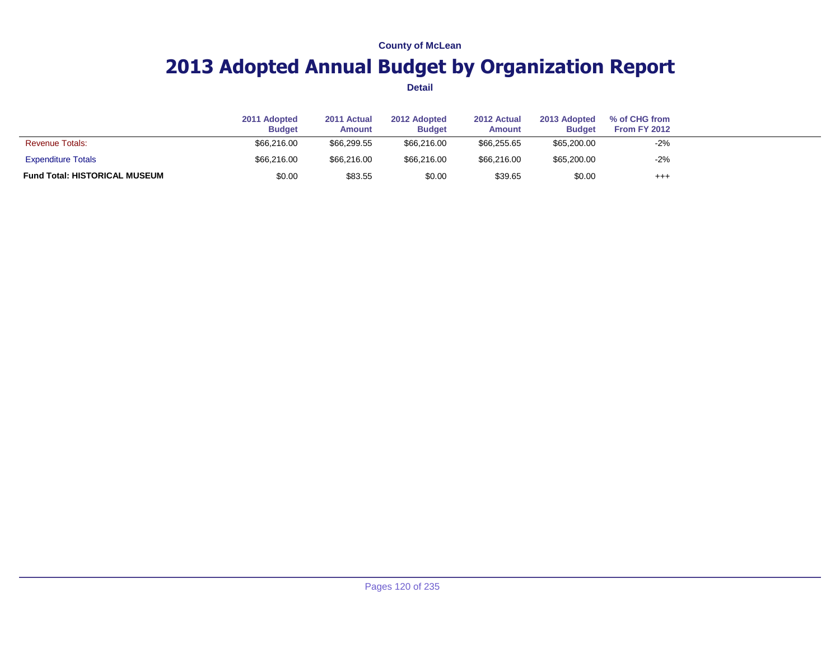## **2013 Adopted Annual Budget by Organization Report**

|                                      | 2011 Adopted<br><b>Budget</b> | 2011 Actual<br><b>Amount</b> | 2012 Adopted<br><b>Budget</b> | 2012 Actual<br><b>Amount</b> | 2013 Adopted<br><b>Budget</b> | % of CHG from<br><b>From FY 2012</b> |  |
|--------------------------------------|-------------------------------|------------------------------|-------------------------------|------------------------------|-------------------------------|--------------------------------------|--|
| <b>Revenue Totals:</b>               | \$66,216.00                   | \$66,299.55                  | \$66,216,00                   | \$66.255.65                  | \$65,200.00                   | $-2%$                                |  |
| <b>Expenditure Totals</b>            | \$66,216.00                   | \$66,216.00                  | \$66,216.00                   | \$66,216.00                  | \$65,200.00                   | $-2%$                                |  |
| <b>Fund Total: HISTORICAL MUSEUM</b> | \$0.00                        | \$83.55                      | \$0.00                        | \$39.65                      | \$0.00                        | $^{+++}$                             |  |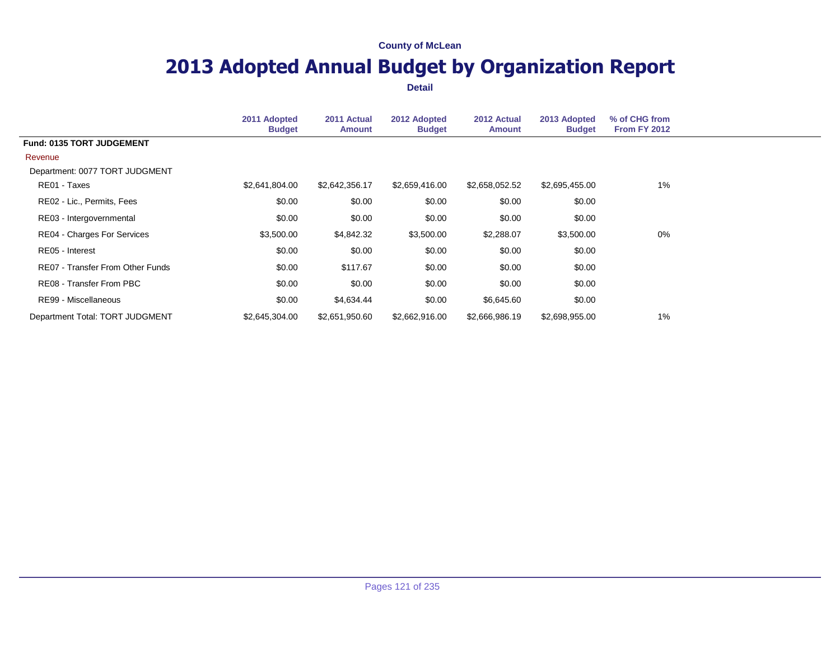## **2013 Adopted Annual Budget by Organization Report**

|                                    | 2011 Adopted<br><b>Budget</b> | 2011 Actual<br><b>Amount</b> | 2012 Adopted<br><b>Budget</b> | 2012 Actual<br><b>Amount</b> | 2013 Adopted<br><b>Budget</b> | % of CHG from<br><b>From FY 2012</b> |  |
|------------------------------------|-------------------------------|------------------------------|-------------------------------|------------------------------|-------------------------------|--------------------------------------|--|
| Fund: 0135 TORT JUDGEMENT          |                               |                              |                               |                              |                               |                                      |  |
| Revenue                            |                               |                              |                               |                              |                               |                                      |  |
| Department: 0077 TORT JUDGMENT     |                               |                              |                               |                              |                               |                                      |  |
| RE01 - Taxes                       | \$2,641,804.00                | \$2,642,356.17               | \$2,659,416.00                | \$2,658,052.52               | \$2,695,455.00                | $1\%$                                |  |
| RE02 - Lic., Permits, Fees         | \$0.00                        | \$0.00                       | \$0.00                        | \$0.00                       | \$0.00                        |                                      |  |
| RE03 - Intergovernmental           | \$0.00                        | \$0.00                       | \$0.00                        | \$0.00                       | \$0.00                        |                                      |  |
| <b>RE04 - Charges For Services</b> | \$3,500.00                    | \$4,842.32                   | \$3,500.00                    | \$2,288.07                   | \$3,500.00                    | 0%                                   |  |
| RE05 - Interest                    | \$0.00                        | \$0.00                       | \$0.00                        | \$0.00                       | \$0.00                        |                                      |  |
| RE07 - Transfer From Other Funds   | \$0.00                        | \$117.67                     | \$0.00                        | \$0.00                       | \$0.00                        |                                      |  |
| RE08 - Transfer From PBC           | \$0.00                        | \$0.00                       | \$0.00                        | \$0.00                       | \$0.00                        |                                      |  |
| RE99 - Miscellaneous               | \$0.00                        | \$4,634.44                   | \$0.00                        | \$6,645.60                   | \$0.00                        |                                      |  |
| Department Total: TORT JUDGMENT    | \$2,645,304.00                | \$2,651,950.60               | \$2,662,916.00                | \$2,666,986.19               | \$2,698,955.00                | 1%                                   |  |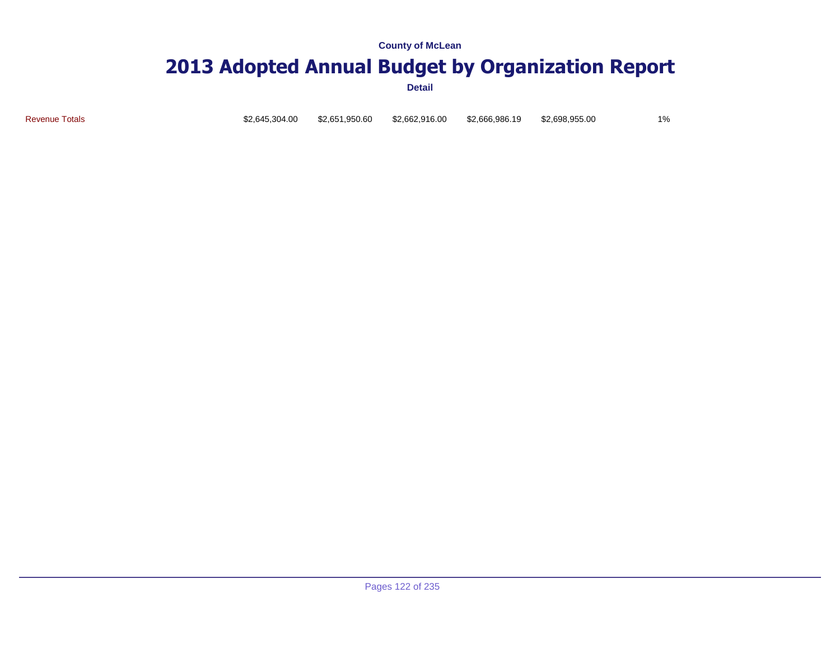### **2013 Adopted Annual Budget by Organization Report**

**Detail**

Revenue Totals \$2,645,304.00 \$2,651,950.60 \$2,662,916.00 \$2,666,986.19 \$2,698,955.00 1%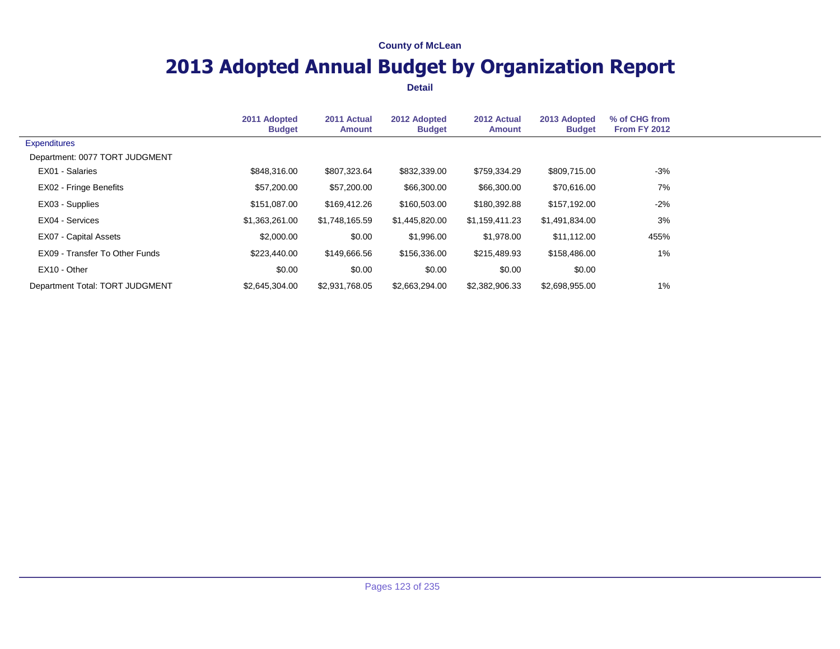## **2013 Adopted Annual Budget by Organization Report**

|                                 | 2011 Adopted<br><b>Budget</b> | 2011 Actual<br><b>Amount</b> | 2012 Adopted<br><b>Budget</b> | 2012 Actual<br><b>Amount</b> | 2013 Adopted<br><b>Budget</b> | % of CHG from<br><b>From FY 2012</b> |  |
|---------------------------------|-------------------------------|------------------------------|-------------------------------|------------------------------|-------------------------------|--------------------------------------|--|
| Expenditures                    |                               |                              |                               |                              |                               |                                      |  |
| Department: 0077 TORT JUDGMENT  |                               |                              |                               |                              |                               |                                      |  |
| EX01 - Salaries                 | \$848,316.00                  | \$807,323.64                 | \$832,339.00                  | \$759,334.29                 | \$809,715.00                  | $-3%$                                |  |
| EX02 - Fringe Benefits          | \$57,200.00                   | \$57,200.00                  | \$66,300.00                   | \$66,300.00                  | \$70,616.00                   | 7%                                   |  |
| EX03 - Supplies                 | \$151,087.00                  | \$169,412.26                 | \$160,503.00                  | \$180,392.88                 | \$157,192.00                  | $-2\%$                               |  |
| EX04 - Services                 | \$1,363,261.00                | \$1,748,165.59               | \$1,445,820.00                | \$1,159,411.23               | \$1,491,834.00                | 3%                                   |  |
| EX07 - Capital Assets           | \$2,000.00                    | \$0.00                       | \$1,996.00                    | \$1,978.00                   | \$11,112.00                   | 455%                                 |  |
| EX09 - Transfer To Other Funds  | \$223,440.00                  | \$149.666.56                 | \$156,336.00                  | \$215,489.93                 | \$158,486.00                  | 1%                                   |  |
| EX10 - Other                    | \$0.00                        | \$0.00                       | \$0.00                        | \$0.00                       | \$0.00                        |                                      |  |
| Department Total: TORT JUDGMENT | \$2,645,304.00                | \$2,931,768.05               | \$2,663,294.00                | \$2,382,906.33               | \$2,698,955.00                | $1\%$                                |  |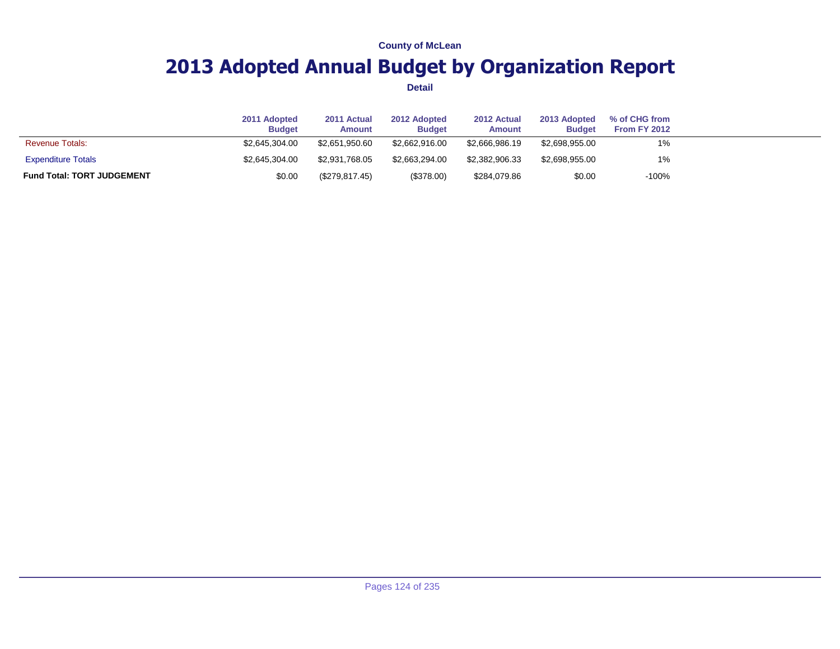## **2013 Adopted Annual Budget by Organization Report**

|                                   | 2011 Adopted<br><b>Budget</b> | 2011 Actual<br><b>Amount</b> | 2012 Adopted<br><b>Budget</b> | 2012 Actual<br>Amount | 2013 Adopted<br><b>Budget</b> | % of CHG from<br>From FY 2012 |  |
|-----------------------------------|-------------------------------|------------------------------|-------------------------------|-----------------------|-------------------------------|-------------------------------|--|
| <b>Revenue Totals:</b>            | \$2,645,304,00                | \$2.651.950.60               | \$2,662,916,00                | \$2,666,986.19        | \$2,698,955,00                | 1%                            |  |
| <b>Expenditure Totals</b>         | \$2,645,304,00                | \$2,931,768,05               | \$2,663,294,00                | \$2,382,906,33        | \$2,698,955,00                | 1%                            |  |
| <b>Fund Total: TORT JUDGEMENT</b> | \$0.00                        | (\$279,817.45)               | (\$378.00)                    | \$284,079.86          | \$0.00                        | $-100%$                       |  |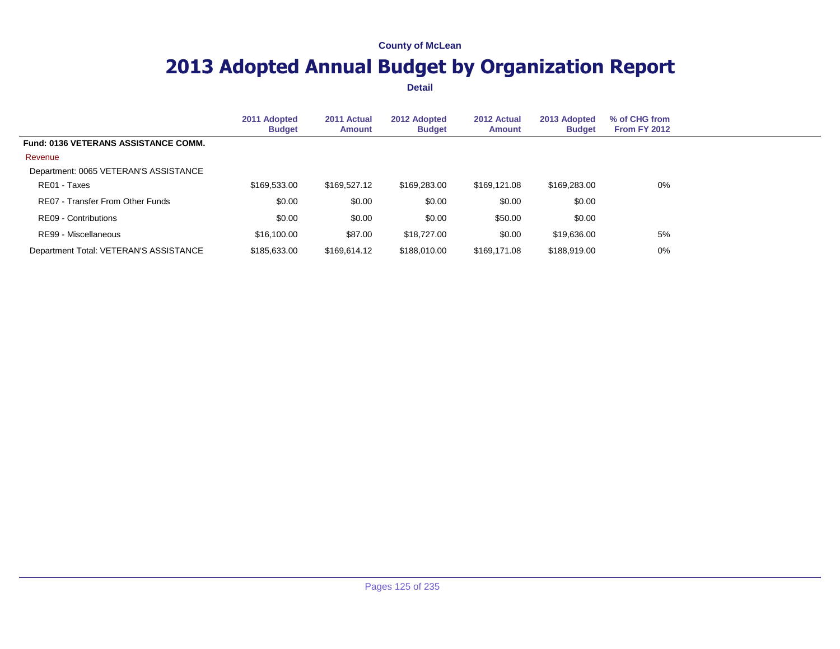## **2013 Adopted Annual Budget by Organization Report**

|                                             | 2011 Adopted<br><b>Budget</b> | 2011 Actual<br>Amount | 2012 Adopted<br><b>Budget</b> | 2012 Actual<br><b>Amount</b> | 2013 Adopted<br><b>Budget</b> | % of CHG from<br><b>From FY 2012</b> |  |
|---------------------------------------------|-------------------------------|-----------------------|-------------------------------|------------------------------|-------------------------------|--------------------------------------|--|
| <b>Fund: 0136 VETERANS ASSISTANCE COMM.</b> |                               |                       |                               |                              |                               |                                      |  |
| Revenue                                     |                               |                       |                               |                              |                               |                                      |  |
| Department: 0065 VETERAN'S ASSISTANCE       |                               |                       |                               |                              |                               |                                      |  |
| RE01 - Taxes                                | \$169,533.00                  | \$169,527.12          | \$169,283,00                  | \$169,121,08                 | \$169,283,00                  | 0%                                   |  |
| RE07 - Transfer From Other Funds            | \$0.00                        | \$0.00                | \$0.00                        | \$0.00                       | \$0.00                        |                                      |  |
| RE09 - Contributions                        | \$0.00                        | \$0.00                | \$0.00                        | \$50.00                      | \$0.00                        |                                      |  |
| RE99 - Miscellaneous                        | \$16,100.00                   | \$87.00               | \$18,727.00                   | \$0.00                       | \$19,636.00                   | 5%                                   |  |
| Department Total: VETERAN'S ASSISTANCE      | \$185,633,00                  | \$169.614.12          | \$188,010.00                  | \$169,171,08                 | \$188,919.00                  | $0\%$                                |  |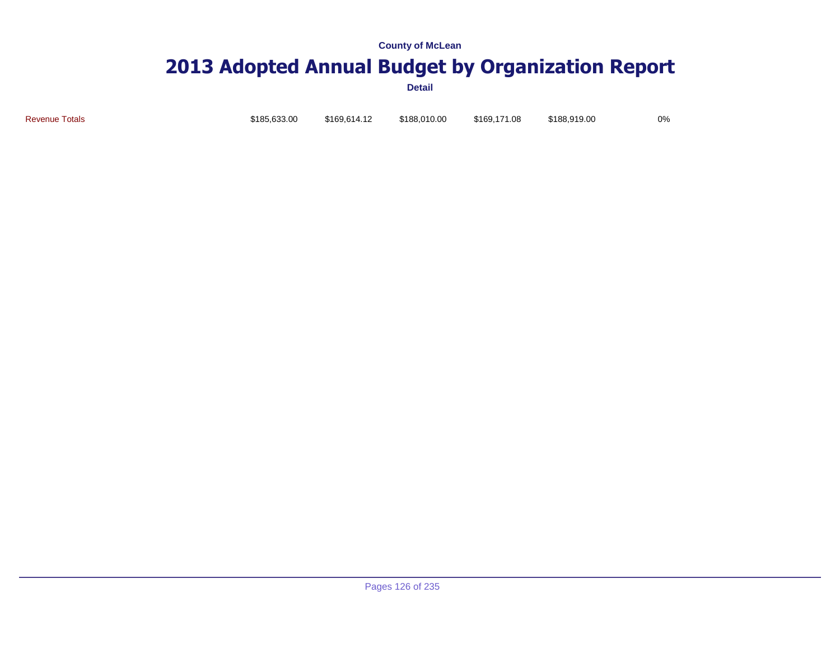# **2013 Adopted Annual Budget by Organization Report**

**Detail**

Revenue Totals \$185,633.00 \$169,614.12 \$188,010.00 \$169,171.08 \$188,919.00 0%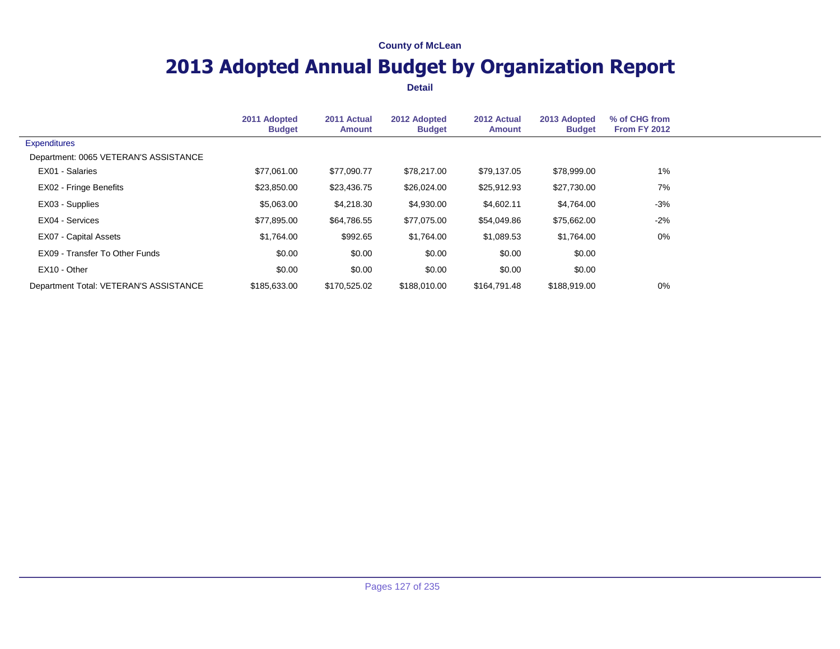## **2013 Adopted Annual Budget by Organization Report**

|                                        | 2011 Adopted<br><b>Budget</b> | 2011 Actual<br><b>Amount</b> | 2012 Adopted<br><b>Budget</b> | 2012 Actual<br><b>Amount</b> | 2013 Adopted<br><b>Budget</b> | % of CHG from<br>From FY 2012 |  |
|----------------------------------------|-------------------------------|------------------------------|-------------------------------|------------------------------|-------------------------------|-------------------------------|--|
| <b>Expenditures</b>                    |                               |                              |                               |                              |                               |                               |  |
| Department: 0065 VETERAN'S ASSISTANCE  |                               |                              |                               |                              |                               |                               |  |
| EX01 - Salaries                        | \$77,061.00                   | \$77,090.77                  | \$78,217.00                   | \$79,137.05                  | \$78,999.00                   | $1\%$                         |  |
| EX02 - Fringe Benefits                 | \$23,850.00                   | \$23,436.75                  | \$26,024.00                   | \$25,912.93                  | \$27,730.00                   | 7%                            |  |
| EX03 - Supplies                        | \$5,063.00                    | \$4,218.30                   | \$4,930.00                    | \$4,602.11                   | \$4,764.00                    | $-3%$                         |  |
| EX04 - Services                        | \$77,895.00                   | \$64,786.55                  | \$77,075.00                   | \$54,049.86                  | \$75,662.00                   | $-2%$                         |  |
| <b>EX07 - Capital Assets</b>           | \$1,764.00                    | \$992.65                     | \$1,764.00                    | \$1,089.53                   | \$1,764.00                    | $0\%$                         |  |
| EX09 - Transfer To Other Funds         | \$0.00                        | \$0.00                       | \$0.00                        | \$0.00                       | \$0.00                        |                               |  |
| EX10 - Other                           | \$0.00                        | \$0.00                       | \$0.00                        | \$0.00                       | \$0.00                        |                               |  |
| Department Total: VETERAN'S ASSISTANCE | \$185,633,00                  | \$170,525.02                 | \$188,010,00                  | \$164,791.48                 | \$188,919.00                  | $0\%$                         |  |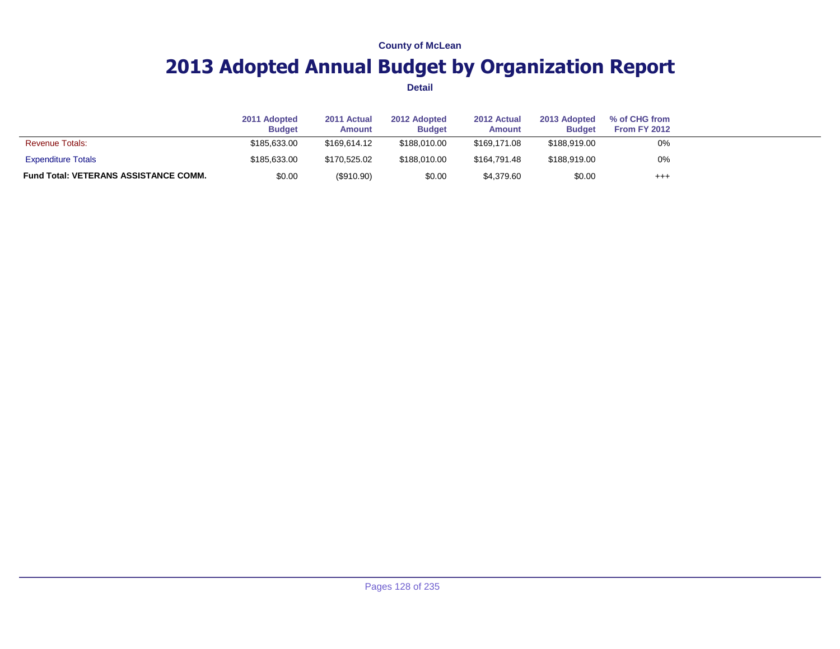## **2013 Adopted Annual Budget by Organization Report**

|                                              | 2011 Adopted<br><b>Budget</b> | 2011 Actual<br>Amount | 2012 Adopted<br><b>Budget</b> | 2012 Actual<br>Amount | 2013 Adopted<br><b>Budget</b> | % of CHG from<br><b>From FY 2012</b> |  |
|----------------------------------------------|-------------------------------|-----------------------|-------------------------------|-----------------------|-------------------------------|--------------------------------------|--|
| <b>Revenue Totals:</b>                       | \$185,633,00                  | \$169.614.12          | \$188,010,00                  | \$169.171.08          | \$188,919.00                  | 0%                                   |  |
| <b>Expenditure Totals</b>                    | \$185,633,00                  | \$170,525.02          | \$188,010,00                  | \$164.791.48          | \$188,919,00                  | 0%                                   |  |
| <b>Fund Total: VETERANS ASSISTANCE COMM.</b> | \$0.00                        | (\$910.90)            | \$0.00                        | \$4,379.60            | \$0.00                        | $^{+++}$                             |  |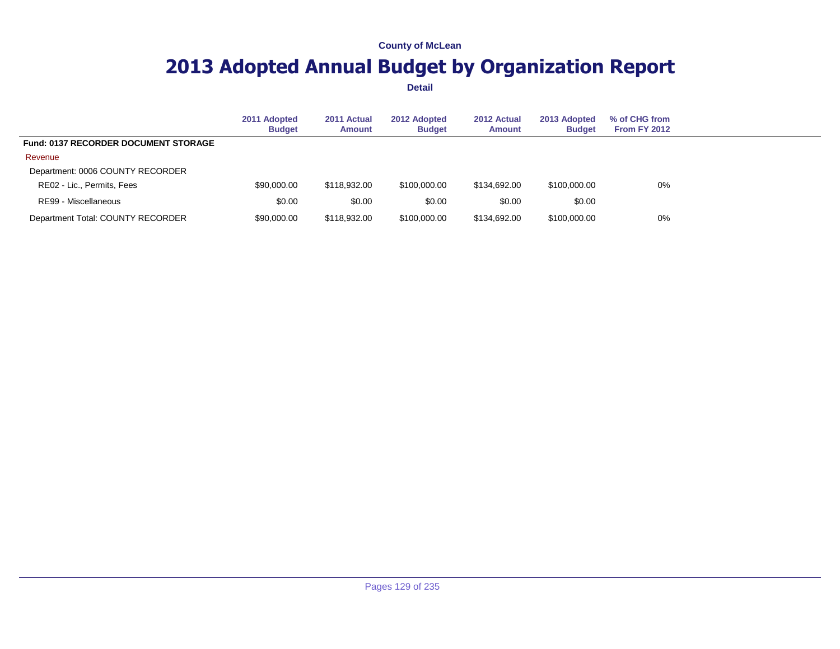## **2013 Adopted Annual Budget by Organization Report**

|                                             | 2011 Adopted<br><b>Budget</b> | 2011 Actual<br><b>Amount</b> | 2012 Adopted<br><b>Budget</b> | 2012 Actual<br><b>Amount</b> | 2013 Adopted<br><b>Budget</b> | % of CHG from<br>From FY 2012 |  |
|---------------------------------------------|-------------------------------|------------------------------|-------------------------------|------------------------------|-------------------------------|-------------------------------|--|
| <b>Fund: 0137 RECORDER DOCUMENT STORAGE</b> |                               |                              |                               |                              |                               |                               |  |
| Revenue                                     |                               |                              |                               |                              |                               |                               |  |
| Department: 0006 COUNTY RECORDER            |                               |                              |                               |                              |                               |                               |  |
| RE02 - Lic., Permits, Fees                  | \$90,000.00                   | \$118,932,00                 | \$100,000,00                  | \$134.692.00                 | \$100,000,00                  | $0\%$                         |  |
| RE99 - Miscellaneous                        | \$0.00                        | \$0.00                       | \$0.00                        | \$0.00                       | \$0.00                        |                               |  |
| Department Total: COUNTY RECORDER           | \$90,000.00                   | \$118,932,00                 | \$100,000.00                  | \$134,692,00                 | \$100,000.00                  | 0%                            |  |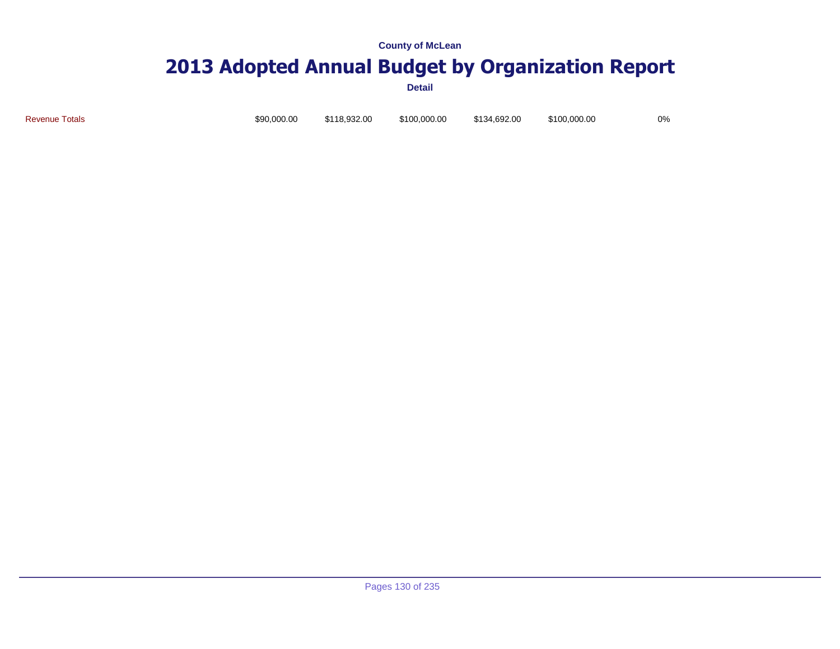# **2013 Adopted Annual Budget by Organization Report**

**Detail**

Revenue Totals \$90,000.00 \$118,932.00 \$100,000.00 \$134,692.00 \$100,000.00 0%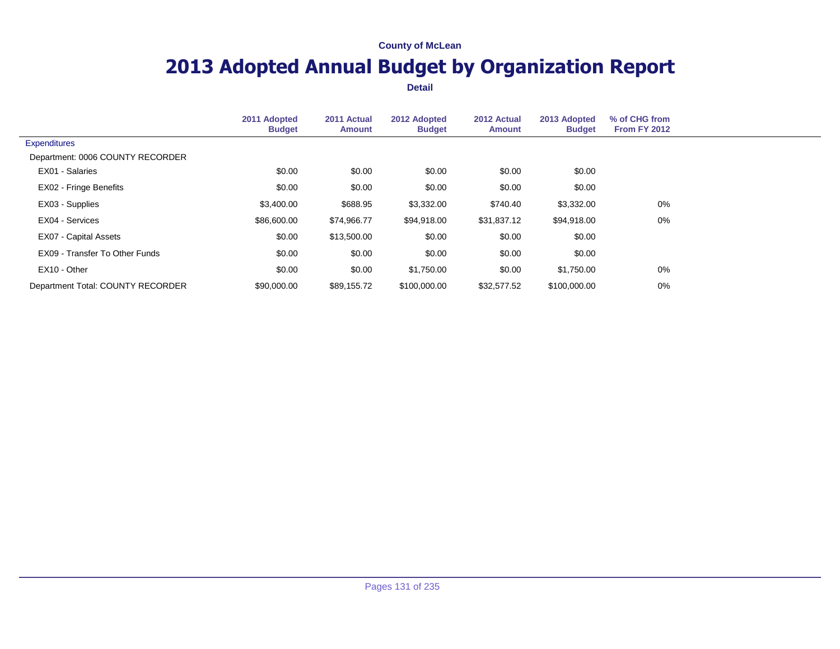## **2013 Adopted Annual Budget by Organization Report**

|                                   | 2011 Adopted<br><b>Budget</b> | 2011 Actual<br><b>Amount</b> | 2012 Adopted<br><b>Budget</b> | 2012 Actual<br>Amount | 2013 Adopted<br><b>Budget</b> | % of CHG from<br><b>From FY 2012</b> |  |
|-----------------------------------|-------------------------------|------------------------------|-------------------------------|-----------------------|-------------------------------|--------------------------------------|--|
| <b>Expenditures</b>               |                               |                              |                               |                       |                               |                                      |  |
| Department: 0006 COUNTY RECORDER  |                               |                              |                               |                       |                               |                                      |  |
| EX01 - Salaries                   | \$0.00                        | \$0.00                       | \$0.00                        | \$0.00                | \$0.00                        |                                      |  |
| EX02 - Fringe Benefits            | \$0.00                        | \$0.00                       | \$0.00                        | \$0.00                | \$0.00                        |                                      |  |
| EX03 - Supplies                   | \$3,400.00                    | \$688.95                     | \$3,332.00                    | \$740.40              | \$3,332.00                    | 0%                                   |  |
| EX04 - Services                   | \$86,600.00                   | \$74,966.77                  | \$94,918.00                   | \$31,837.12           | \$94,918.00                   | 0%                                   |  |
| <b>EX07 - Capital Assets</b>      | \$0.00                        | \$13,500.00                  | \$0.00                        | \$0.00                | \$0.00                        |                                      |  |
| EX09 - Transfer To Other Funds    | \$0.00                        | \$0.00                       | \$0.00                        | \$0.00                | \$0.00                        |                                      |  |
| EX10 - Other                      | \$0.00                        | \$0.00                       | \$1,750.00                    | \$0.00                | \$1,750.00                    | 0%                                   |  |
| Department Total: COUNTY RECORDER | \$90,000.00                   | \$89,155.72                  | \$100,000.00                  | \$32,577.52           | \$100,000.00                  | 0%                                   |  |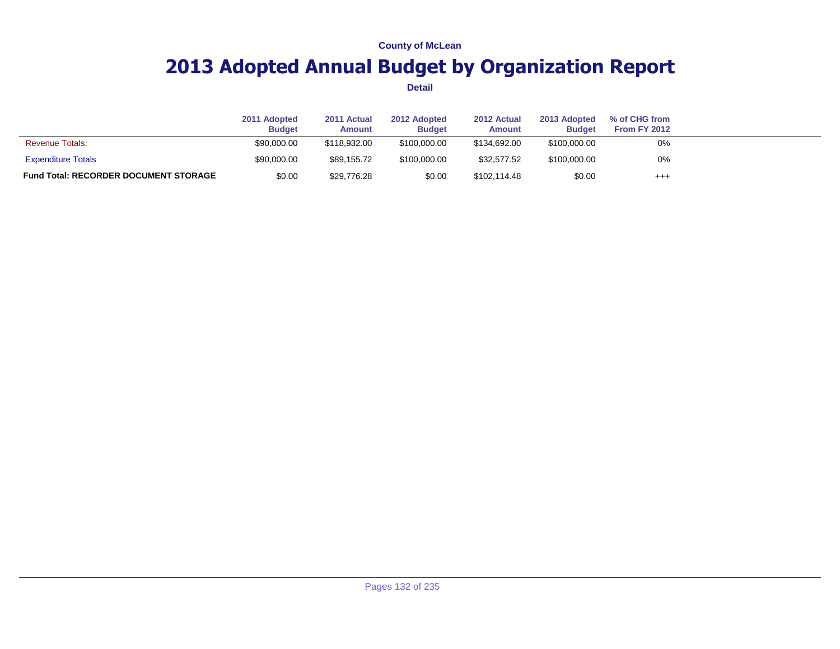## **2013 Adopted Annual Budget by Organization Report**

|                                              | 2011 Adopted<br><b>Budget</b> | 2011 Actual<br><b>Amount</b> | 2012 Adopted<br><b>Budget</b> | 2012 Actual<br><b>Amount</b> | 2013 Adopted<br><b>Budget</b> | % of CHG from<br>From FY 2012 |  |
|----------------------------------------------|-------------------------------|------------------------------|-------------------------------|------------------------------|-------------------------------|-------------------------------|--|
| <b>Revenue Totals:</b>                       | \$90,000.00                   | \$118,932,00                 | \$100,000,00                  | \$134,692,00                 | \$100,000.00                  | 0%                            |  |
| <b>Expenditure Totals</b>                    | \$90,000.00                   | \$89.155.72                  | \$100,000,00                  | \$32.577.52                  | \$100,000.00                  | 0%                            |  |
| <b>Fund Total: RECORDER DOCUMENT STORAGE</b> | \$0.00                        | \$29,776.28                  | \$0.00                        | \$102,114.48                 | \$0.00                        | $^{+++}$                      |  |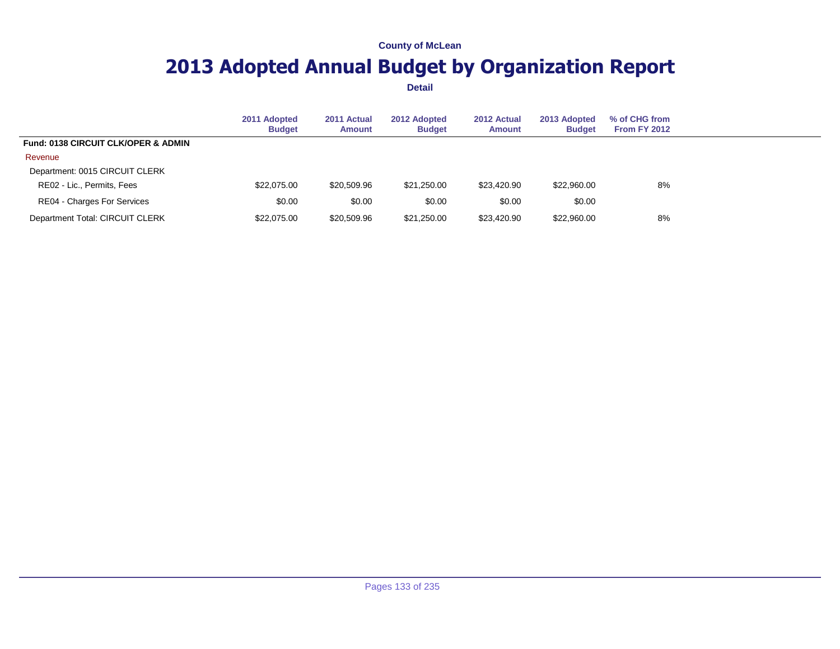## **2013 Adopted Annual Budget by Organization Report**

|                                                | 2011 Adopted<br><b>Budget</b> | 2011 Actual<br><b>Amount</b> | 2012 Adopted<br><b>Budget</b> | 2012 Actual<br><b>Amount</b> | 2013 Adopted<br><b>Budget</b> | % of CHG from<br><b>From FY 2012</b> |  |
|------------------------------------------------|-------------------------------|------------------------------|-------------------------------|------------------------------|-------------------------------|--------------------------------------|--|
| <b>Fund: 0138 CIRCUIT CLK/OPER &amp; ADMIN</b> |                               |                              |                               |                              |                               |                                      |  |
| Revenue                                        |                               |                              |                               |                              |                               |                                      |  |
| Department: 0015 CIRCUIT CLERK                 |                               |                              |                               |                              |                               |                                      |  |
| RE02 - Lic., Permits, Fees                     | \$22,075,00                   | \$20,509.96                  | \$21.250.00                   | \$23,420.90                  | \$22,960,00                   | 8%                                   |  |
| RE04 - Charges For Services                    | \$0.00                        | \$0.00                       | \$0.00                        | \$0.00                       | \$0.00                        |                                      |  |
| Department Total: CIRCUIT CLERK                | \$22,075.00                   | \$20,509.96                  | \$21,250.00                   | \$23,420.90                  | \$22,960.00                   | 8%                                   |  |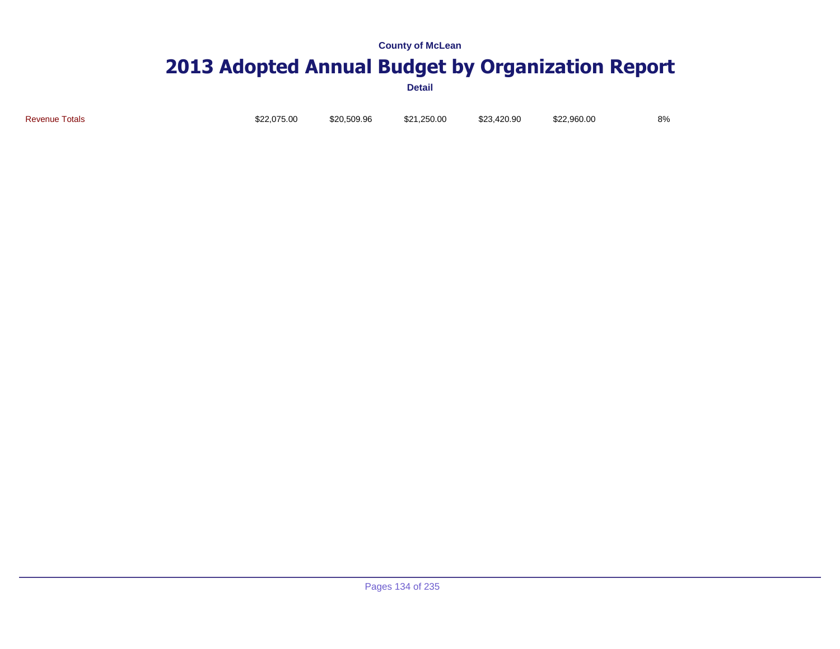# **2013 Adopted Annual Budget by Organization Report**

**Detail**

Revenue Totals \$22,075.00 \$20,509.96 \$21,250.00 \$23,420.90 \$22,960.00 8%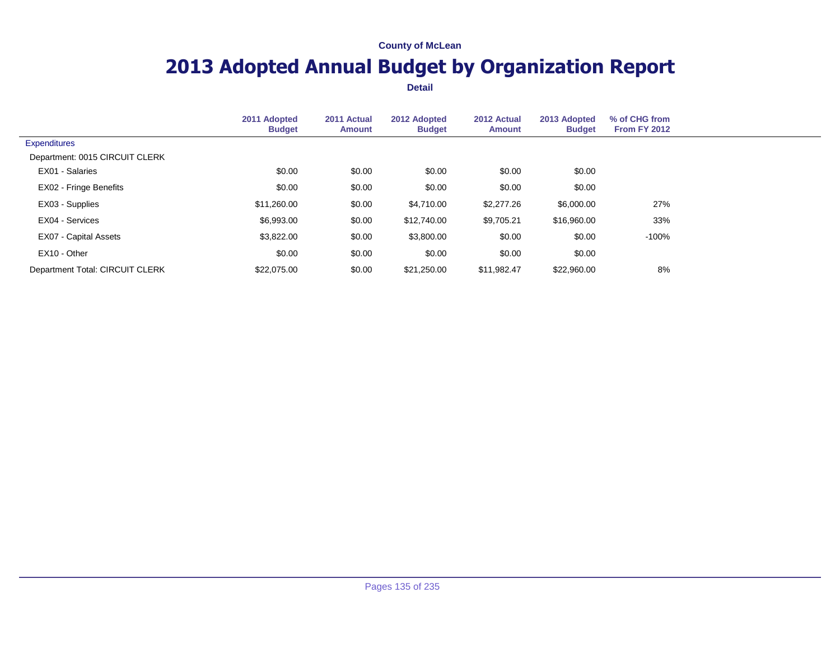## **2013 Adopted Annual Budget by Organization Report**

|                                 | 2011 Adopted<br><b>Budget</b> | 2011 Actual<br>Amount | 2012 Adopted<br><b>Budget</b> | 2012 Actual<br><b>Amount</b> | 2013 Adopted<br><b>Budget</b> | % of CHG from<br>From FY 2012 |  |
|---------------------------------|-------------------------------|-----------------------|-------------------------------|------------------------------|-------------------------------|-------------------------------|--|
| <b>Expenditures</b>             |                               |                       |                               |                              |                               |                               |  |
| Department: 0015 CIRCUIT CLERK  |                               |                       |                               |                              |                               |                               |  |
| EX01 - Salaries                 | \$0.00                        | \$0.00                | \$0.00                        | \$0.00                       | \$0.00                        |                               |  |
| EX02 - Fringe Benefits          | \$0.00                        | \$0.00                | \$0.00                        | \$0.00                       | \$0.00                        |                               |  |
| EX03 - Supplies                 | \$11,260.00                   | \$0.00                | \$4,710.00                    | \$2,277.26                   | \$6,000.00                    | 27%                           |  |
| EX04 - Services                 | \$6,993.00                    | \$0.00                | \$12,740.00                   | \$9,705.21                   | \$16,960.00                   | 33%                           |  |
| <b>EX07 - Capital Assets</b>    | \$3,822.00                    | \$0.00                | \$3,800.00                    | \$0.00                       | \$0.00                        | $-100%$                       |  |
| EX10 - Other                    | \$0.00                        | \$0.00                | \$0.00                        | \$0.00                       | \$0.00                        |                               |  |
| Department Total: CIRCUIT CLERK | \$22,075.00                   | \$0.00                | \$21.250.00                   | \$11.982.47                  | \$22,960.00                   | 8%                            |  |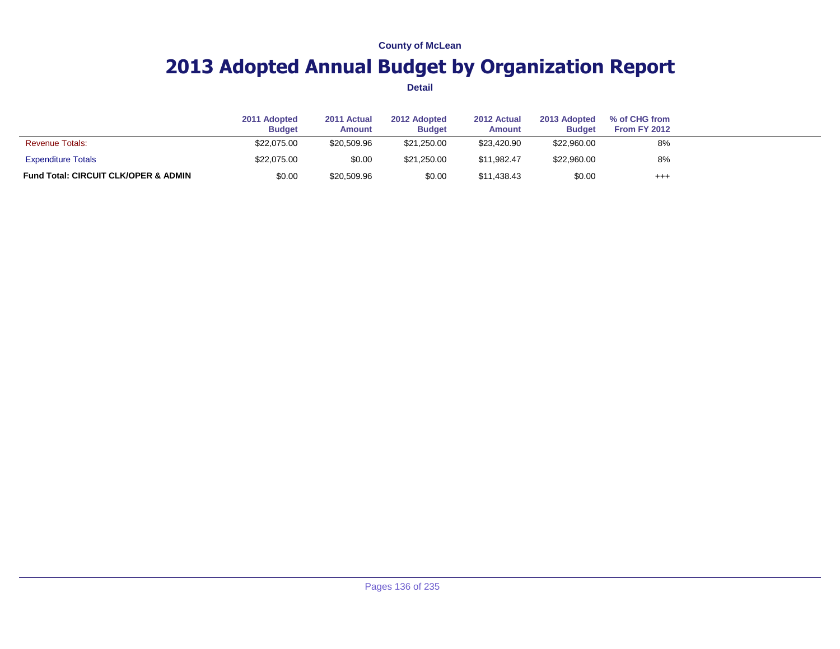## **2013 Adopted Annual Budget by Organization Report**

|                                                 | 2011 Adopted<br><b>Budget</b> | 2011 Actual<br><b>Amount</b> | 2012 Adopted<br><b>Budget</b> | 2012 Actual<br><b>Amount</b> | 2013 Adopted<br><b>Budget</b> | % of CHG from<br>From FY 2012 |  |
|-------------------------------------------------|-------------------------------|------------------------------|-------------------------------|------------------------------|-------------------------------|-------------------------------|--|
| <b>Revenue Totals:</b>                          | \$22,075.00                   | \$20.509.96                  | \$21,250.00                   | \$23.420.90                  | \$22,960.00                   | 8%                            |  |
| <b>Expenditure Totals</b>                       | \$22,075.00                   | \$0.00                       | \$21.250.00                   | \$11.982.47                  | \$22,960.00                   | 8%                            |  |
| <b>Fund Total: CIRCUIT CLK/OPER &amp; ADMIN</b> | \$0.00                        | \$20,509.96                  | \$0.00                        | \$11.438.43                  | \$0.00                        | $^{+++}$                      |  |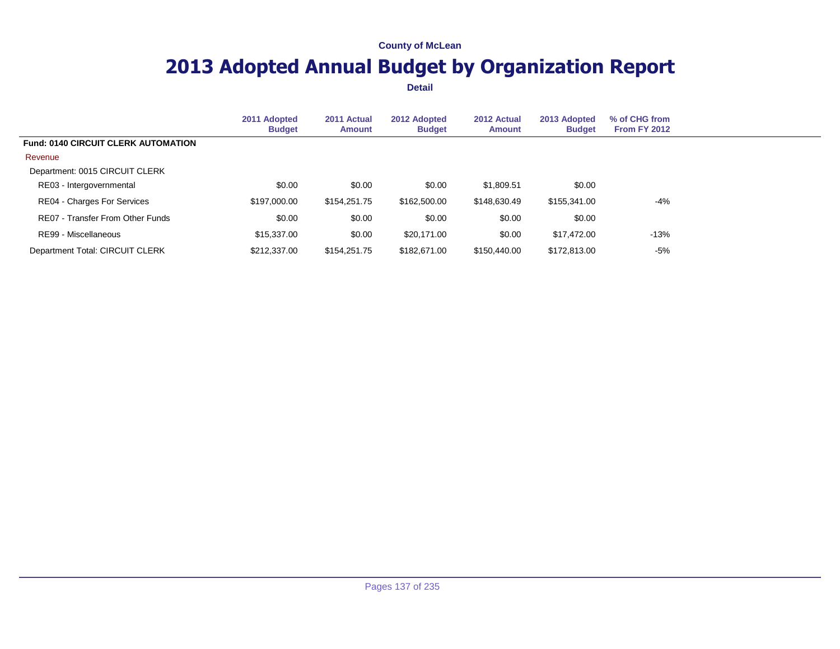## **2013 Adopted Annual Budget by Organization Report**

|                                            | 2011 Adopted<br><b>Budget</b> | 2011 Actual<br><b>Amount</b> | 2012 Adopted<br><b>Budget</b> | 2012 Actual<br><b>Amount</b> | 2013 Adopted<br><b>Budget</b> | % of CHG from<br>From FY 2012 |  |
|--------------------------------------------|-------------------------------|------------------------------|-------------------------------|------------------------------|-------------------------------|-------------------------------|--|
| <b>Fund: 0140 CIRCUIT CLERK AUTOMATION</b> |                               |                              |                               |                              |                               |                               |  |
| Revenue                                    |                               |                              |                               |                              |                               |                               |  |
| Department: 0015 CIRCUIT CLERK             |                               |                              |                               |                              |                               |                               |  |
| RE03 - Intergovernmental                   | \$0.00                        | \$0.00                       | \$0.00                        | \$1,809.51                   | \$0.00                        |                               |  |
| RE04 - Charges For Services                | \$197,000.00                  | \$154,251.75                 | \$162,500.00                  | \$148,630.49                 | \$155,341.00                  | $-4%$                         |  |
| RE07 - Transfer From Other Funds           | \$0.00                        | \$0.00                       | \$0.00                        | \$0.00                       | \$0.00                        |                               |  |
| RE99 - Miscellaneous                       | \$15,337.00                   | \$0.00                       | \$20,171.00                   | \$0.00                       | \$17.472.00                   | $-13%$                        |  |
| Department Total: CIRCUIT CLERK            | \$212,337,00                  | \$154,251.75                 | \$182,671,00                  | \$150,440.00                 | \$172,813.00                  | $-5%$                         |  |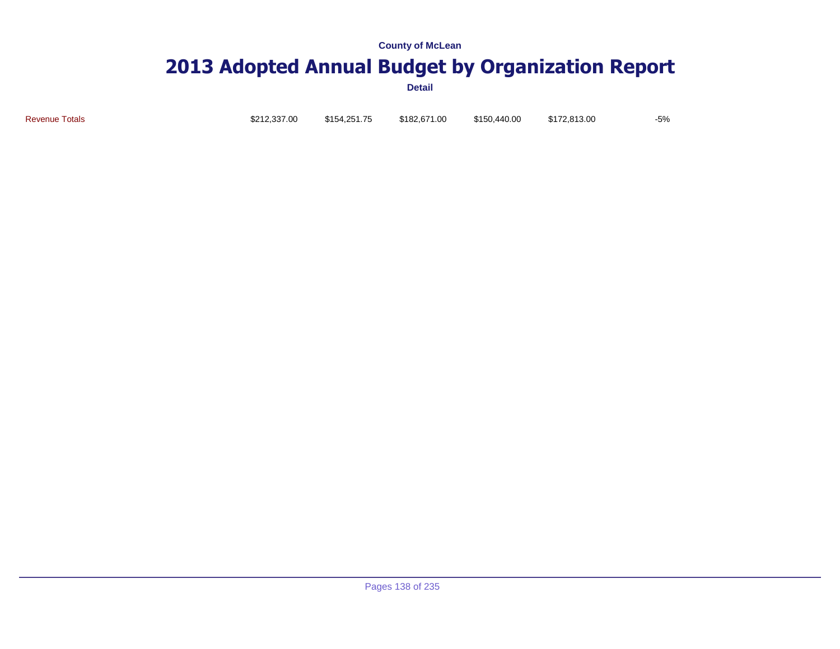# **2013 Adopted Annual Budget by Organization Report**

**Detail**

Revenue Totals \$212,337.00 \$154,251.75 \$182,671.00 \$150,440.00 \$172,813.00 -5%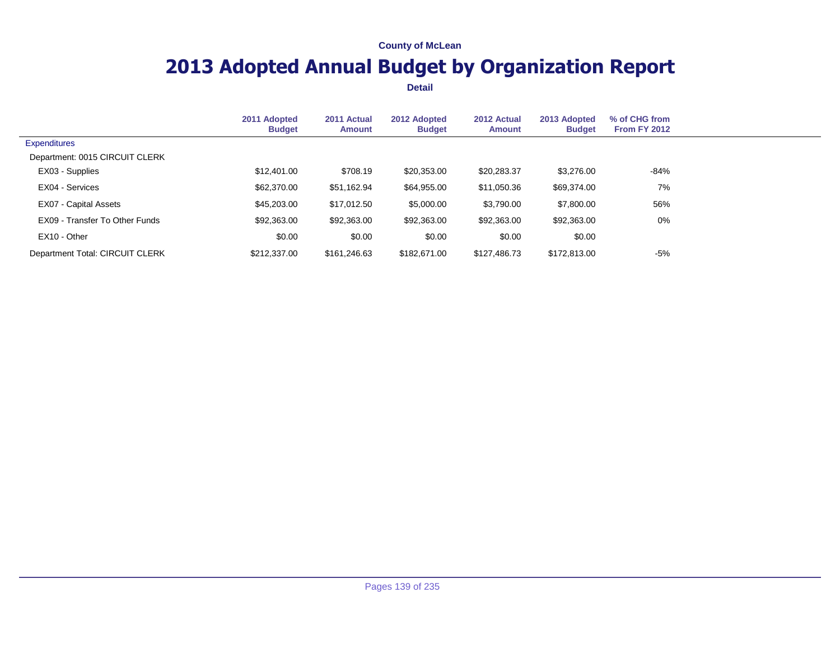## **2013 Adopted Annual Budget by Organization Report**

|                                 | 2011 Adopted<br><b>Budget</b> | 2011 Actual<br>Amount | 2012 Adopted<br><b>Budget</b> | 2012 Actual<br>Amount | 2013 Adopted<br><b>Budget</b> | % of CHG from<br><b>From FY 2012</b> |  |
|---------------------------------|-------------------------------|-----------------------|-------------------------------|-----------------------|-------------------------------|--------------------------------------|--|
| <b>Expenditures</b>             |                               |                       |                               |                       |                               |                                      |  |
| Department: 0015 CIRCUIT CLERK  |                               |                       |                               |                       |                               |                                      |  |
| EX03 - Supplies                 | \$12,401.00                   | \$708.19              | \$20,353.00                   | \$20,283.37           | \$3,276.00                    | $-84%$                               |  |
| EX04 - Services                 | \$62,370.00                   | \$51,162.94           | \$64,955.00                   | \$11,050.36           | \$69,374.00                   | 7%                                   |  |
| EX07 - Capital Assets           | \$45,203.00                   | \$17,012.50           | \$5,000.00                    | \$3,790.00            | \$7,800.00                    | 56%                                  |  |
| EX09 - Transfer To Other Funds  | \$92,363.00                   | \$92,363.00           | \$92,363.00                   | \$92,363.00           | \$92,363.00                   | 0%                                   |  |
| EX10 - Other                    | \$0.00                        | \$0.00                | \$0.00                        | \$0.00                | \$0.00                        |                                      |  |
| Department Total: CIRCUIT CLERK | \$212,337.00                  | \$161,246.63          | \$182,671.00                  | \$127,486.73          | \$172,813.00                  | $-5%$                                |  |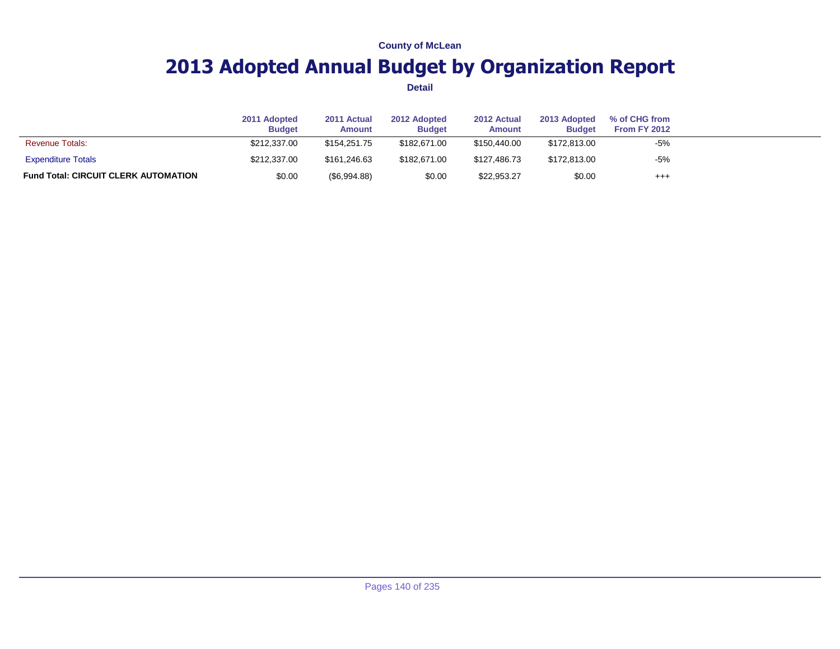## **2013 Adopted Annual Budget by Organization Report**

|                                             | 2011 Adopted<br><b>Budget</b> | 2011 Actual<br><b>Amount</b> | 2012 Adopted<br><b>Budget</b> | 2012 Actual<br><b>Amount</b> | 2013 Adopted<br><b>Budget</b> | % of CHG from<br>From FY 2012 |  |
|---------------------------------------------|-------------------------------|------------------------------|-------------------------------|------------------------------|-------------------------------|-------------------------------|--|
| <b>Revenue Totals:</b>                      | \$212,337.00                  | \$154.251.75                 | \$182,671,00                  | \$150,440.00                 | \$172,813,00                  | $-5%$                         |  |
| <b>Expenditure Totals</b>                   | \$212,337.00                  | \$161.246.63                 | \$182,671,00                  | \$127,486.73                 | \$172,813,00                  | $-5%$                         |  |
| <b>Fund Total: CIRCUIT CLERK AUTOMATION</b> | \$0.00                        | $(\$6,994.88)$               | \$0.00                        | \$22,953.27                  | \$0.00                        | $^{++}$                       |  |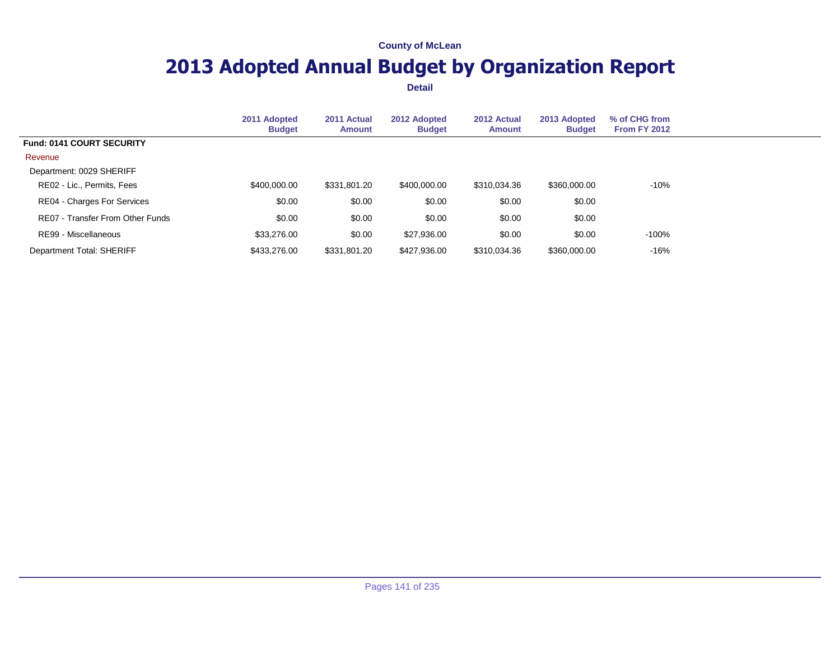## **2013 Adopted Annual Budget by Organization Report**

|                                  | 2011 Adopted<br><b>Budget</b> | 2011 Actual<br><b>Amount</b> | 2012 Adopted<br><b>Budget</b> | 2012 Actual<br><b>Amount</b> | 2013 Adopted<br><b>Budget</b> | % of CHG from<br><b>From FY 2012</b> |  |
|----------------------------------|-------------------------------|------------------------------|-------------------------------|------------------------------|-------------------------------|--------------------------------------|--|
| <b>Fund: 0141 COURT SECURITY</b> |                               |                              |                               |                              |                               |                                      |  |
| Revenue                          |                               |                              |                               |                              |                               |                                      |  |
| Department: 0029 SHERIFF         |                               |                              |                               |                              |                               |                                      |  |
| RE02 - Lic., Permits, Fees       | \$400,000.00                  | \$331,801.20                 | \$400,000.00                  | \$310,034.36                 | \$360,000.00                  | $-10%$                               |  |
| RE04 - Charges For Services      | \$0.00                        | \$0.00                       | \$0.00                        | \$0.00                       | \$0.00                        |                                      |  |
| RE07 - Transfer From Other Funds | \$0.00                        | \$0.00                       | \$0.00                        | \$0.00                       | \$0.00                        |                                      |  |
| RE99 - Miscellaneous             | \$33,276.00                   | \$0.00                       | \$27,936.00                   | \$0.00                       | \$0.00                        | -100%                                |  |
| Department Total: SHERIFF        | \$433,276.00                  | \$331,801.20                 | \$427,936.00                  | \$310.034.36                 | \$360,000.00                  | $-16%$                               |  |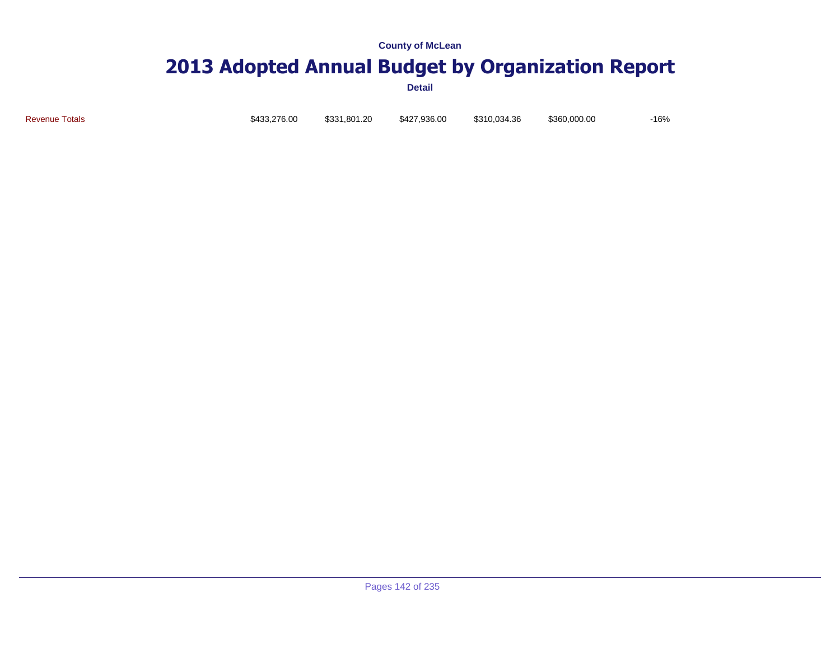# **2013 Adopted Annual Budget by Organization Report**

**Detail**

Revenue Totals \$433,276.00 \$331,801.20 \$427,936.00 \$310,034.36 \$360,000.00 -16%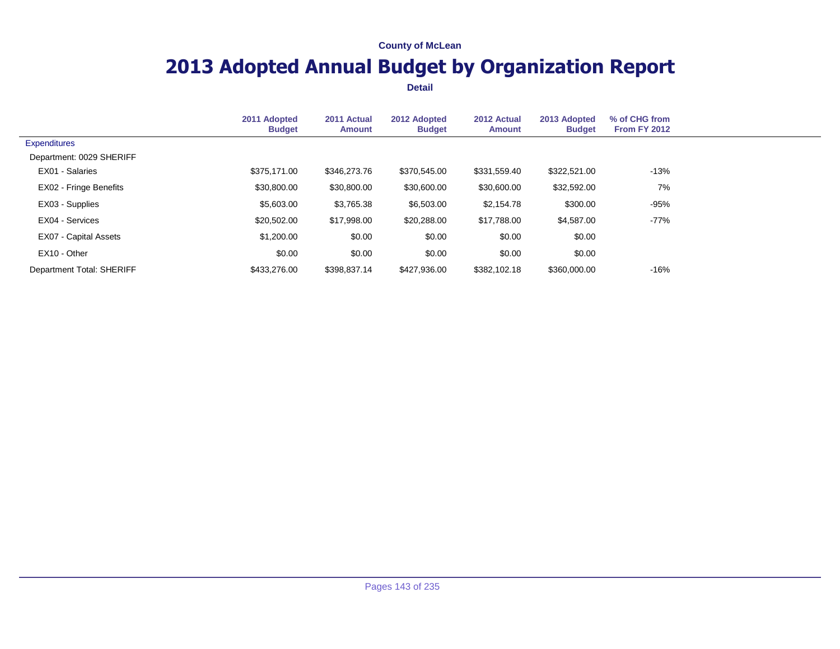## **2013 Adopted Annual Budget by Organization Report**

|                              | 2011 Adopted<br><b>Budget</b> | 2011 Actual<br><b>Amount</b> | 2012 Adopted<br><b>Budget</b> | 2012 Actual<br><b>Amount</b> | 2013 Adopted<br><b>Budget</b> | % of CHG from<br>From FY 2012 |  |
|------------------------------|-------------------------------|------------------------------|-------------------------------|------------------------------|-------------------------------|-------------------------------|--|
| <b>Expenditures</b>          |                               |                              |                               |                              |                               |                               |  |
| Department: 0029 SHERIFF     |                               |                              |                               |                              |                               |                               |  |
| EX01 - Salaries              | \$375.171.00                  | \$346,273.76                 | \$370,545.00                  | \$331,559.40                 | \$322,521.00                  | $-13%$                        |  |
| EX02 - Fringe Benefits       | \$30,800.00                   | \$30,800.00                  | \$30,600.00                   | \$30,600.00                  | \$32,592.00                   | 7%                            |  |
| EX03 - Supplies              | \$5,603.00                    | \$3,765.38                   | \$6,503.00                    | \$2,154.78                   | \$300.00                      | $-95%$                        |  |
| EX04 - Services              | \$20,502.00                   | \$17,998.00                  | \$20,288.00                   | \$17,788.00                  | \$4,587.00                    | $-77%$                        |  |
| <b>EX07 - Capital Assets</b> | \$1,200.00                    | \$0.00                       | \$0.00                        | \$0.00                       | \$0.00                        |                               |  |
| EX10 - Other                 | \$0.00                        | \$0.00                       | \$0.00                        | \$0.00                       | \$0.00                        |                               |  |
| Department Total: SHERIFF    | \$433,276.00                  | \$398,837.14                 | \$427,936.00                  | \$382,102.18                 | \$360,000.00                  | $-16%$                        |  |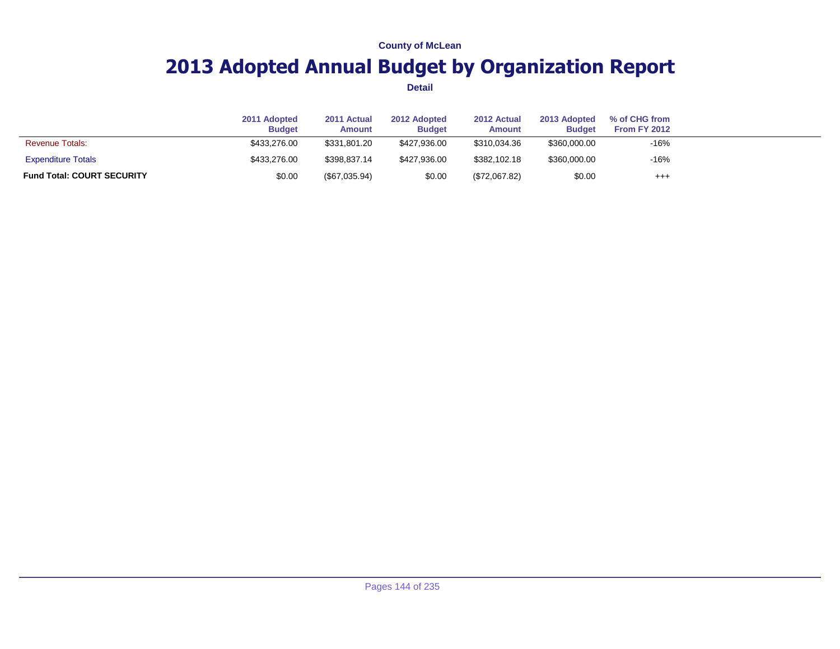## **2013 Adopted Annual Budget by Organization Report**

|                                   | 2011 Adopted<br><b>Budget</b> | 2011 Actual<br><b>Amount</b> | 2012 Adopted<br><b>Budget</b> | 2012 Actual<br>Amount | 2013 Adopted<br><b>Budget</b> | % of CHG from<br><b>From FY 2012</b> |  |
|-----------------------------------|-------------------------------|------------------------------|-------------------------------|-----------------------|-------------------------------|--------------------------------------|--|
| <b>Revenue Totals:</b>            | \$433,276,00                  | \$331.801.20                 | \$427,936,00                  | \$310.034.36          | \$360,000.00                  | $-16%$                               |  |
| <b>Expenditure Totals</b>         | \$433,276,00                  | \$398,837.14                 | \$427,936,00                  | \$382.102.18          | \$360,000.00                  | $-16%$                               |  |
| <b>Fund Total: COURT SECURITY</b> | \$0.00                        | (\$67,035.94)                | \$0.00                        | (\$72,067.82)         | \$0.00                        | $^{+++}$                             |  |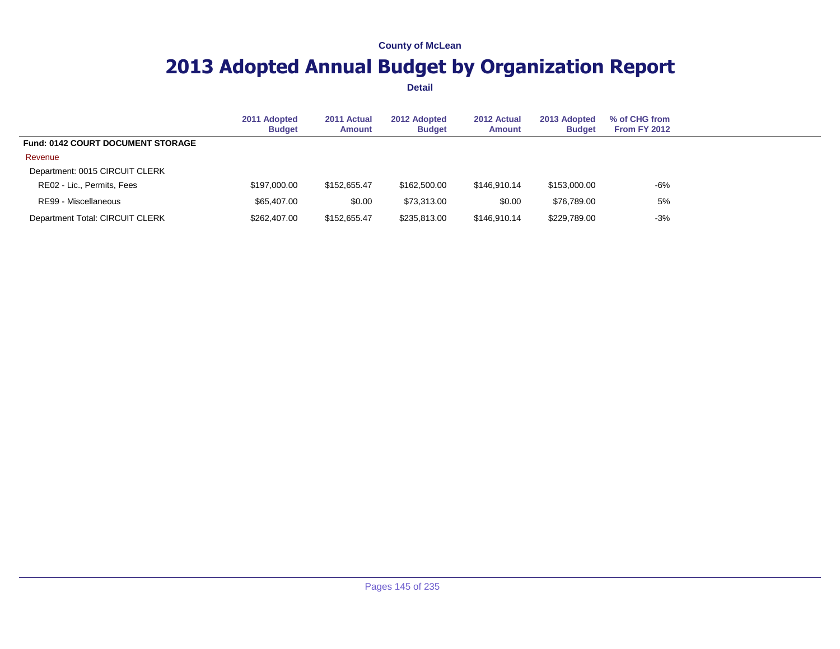## **2013 Adopted Annual Budget by Organization Report**

|                                          | 2011 Adopted<br><b>Budget</b> | 2011 Actual<br>Amount | 2012 Adopted<br><b>Budget</b> | 2012 Actual<br><b>Amount</b> | 2013 Adopted<br><b>Budget</b> | % of CHG from<br><b>From FY 2012</b> |  |
|------------------------------------------|-------------------------------|-----------------------|-------------------------------|------------------------------|-------------------------------|--------------------------------------|--|
| <b>Fund: 0142 COURT DOCUMENT STORAGE</b> |                               |                       |                               |                              |                               |                                      |  |
| Revenue                                  |                               |                       |                               |                              |                               |                                      |  |
| Department: 0015 CIRCUIT CLERK           |                               |                       |                               |                              |                               |                                      |  |
| RE02 - Lic., Permits, Fees               | \$197,000,00                  | \$152,655,47          | \$162,500.00                  | \$146.910.14                 | \$153,000.00                  | $-6%$                                |  |
| RE99 - Miscellaneous                     | \$65,407.00                   | \$0.00                | \$73,313,00                   | \$0.00                       | \$76.789.00                   | 5%                                   |  |
| Department Total: CIRCUIT CLERK          | \$262,407.00                  | \$152,655.47          | \$235,813.00                  | \$146,910.14                 | \$229,789.00                  | $-3%$                                |  |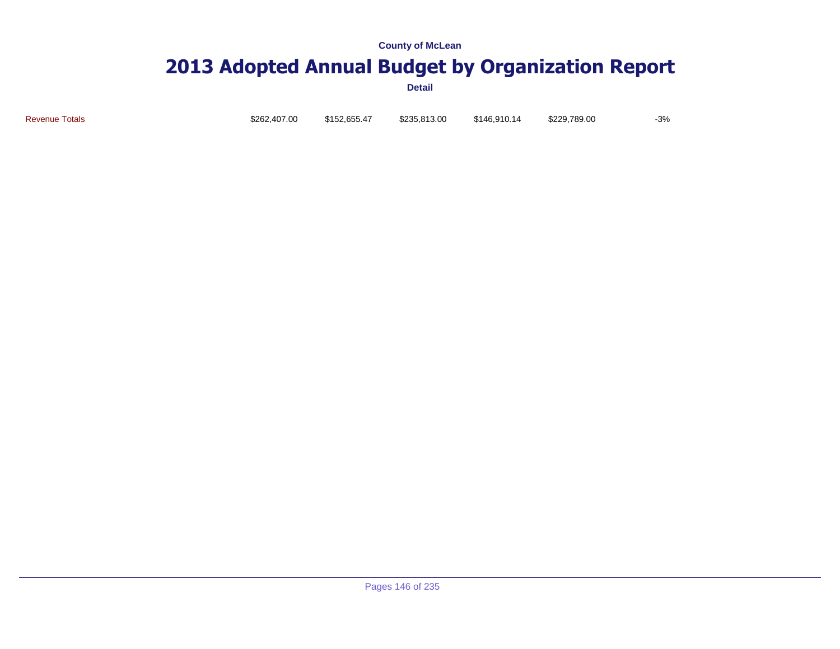# **2013 Adopted Annual Budget by Organization Report**

**Detail**

Revenue Totals \$262,407.00 \$152,655.47 \$235,813.00 \$146,910.14 \$229,789.00 -3%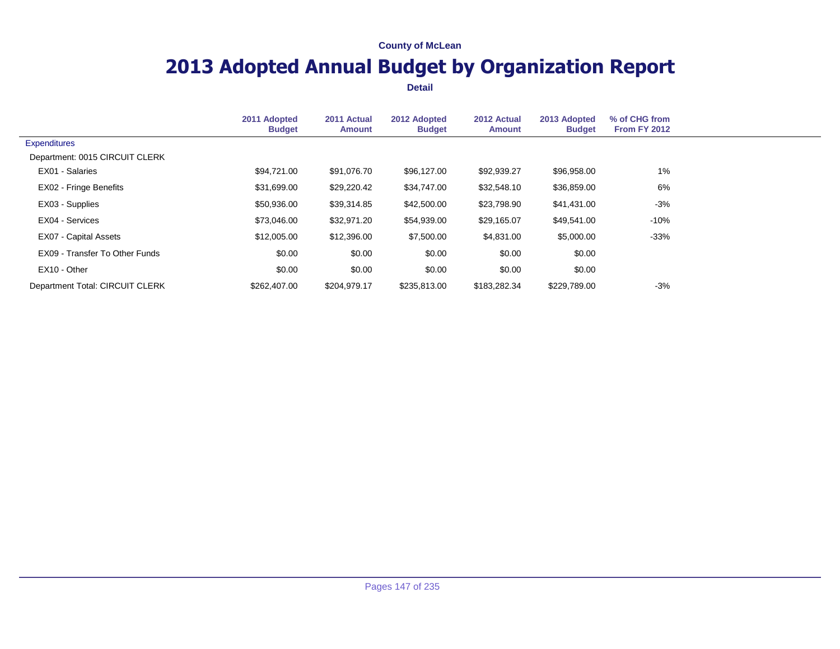## **2013 Adopted Annual Budget by Organization Report**

|                                 | 2011 Adopted<br><b>Budget</b> | 2011 Actual<br><b>Amount</b> | 2012 Adopted<br><b>Budget</b> | 2012 Actual<br><b>Amount</b> | 2013 Adopted<br><b>Budget</b> | % of CHG from<br><b>From FY 2012</b> |  |
|---------------------------------|-------------------------------|------------------------------|-------------------------------|------------------------------|-------------------------------|--------------------------------------|--|
| <b>Expenditures</b>             |                               |                              |                               |                              |                               |                                      |  |
| Department: 0015 CIRCUIT CLERK  |                               |                              |                               |                              |                               |                                      |  |
| EX01 - Salaries                 | \$94,721.00                   | \$91,076.70                  | \$96,127.00                   | \$92,939.27                  | \$96,958.00                   | 1%                                   |  |
| EX02 - Fringe Benefits          | \$31,699.00                   | \$29,220.42                  | \$34,747.00                   | \$32,548.10                  | \$36,859.00                   | 6%                                   |  |
| EX03 - Supplies                 | \$50,936.00                   | \$39,314.85                  | \$42,500.00                   | \$23,798.90                  | \$41,431.00                   | $-3%$                                |  |
| EX04 - Services                 | \$73,046.00                   | \$32,971.20                  | \$54,939.00                   | \$29,165.07                  | \$49,541.00                   | $-10%$                               |  |
| EX07 - Capital Assets           | \$12,005.00                   | \$12,396.00                  | \$7,500.00                    | \$4,831.00                   | \$5,000.00                    | $-33%$                               |  |
| EX09 - Transfer To Other Funds  | \$0.00                        | \$0.00                       | \$0.00                        | \$0.00                       | \$0.00                        |                                      |  |
| EX10 - Other                    | \$0.00                        | \$0.00                       | \$0.00                        | \$0.00                       | \$0.00                        |                                      |  |
| Department Total: CIRCUIT CLERK | \$262,407,00                  | \$204,979.17                 | \$235,813.00                  | \$183,282.34                 | \$229,789.00                  | $-3%$                                |  |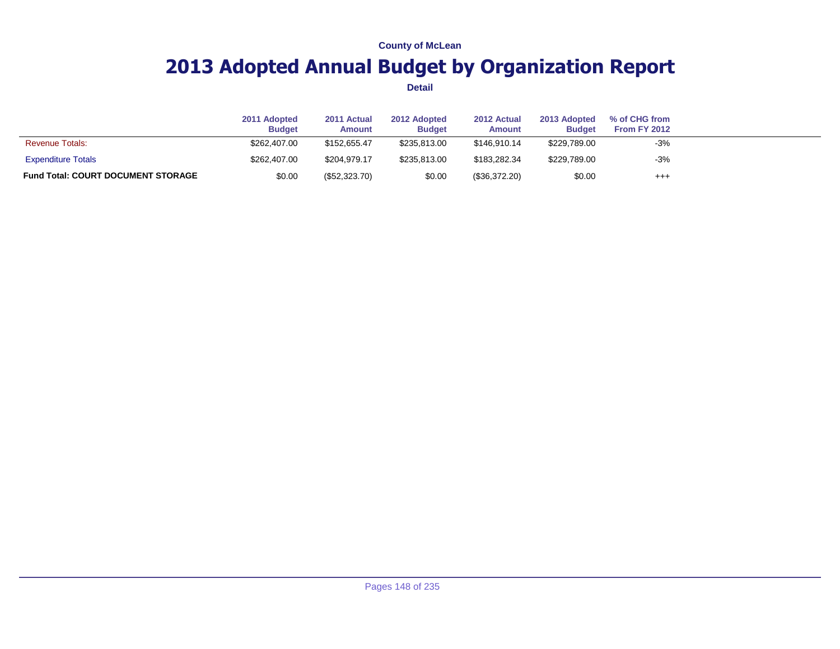## **2013 Adopted Annual Budget by Organization Report**

|                                           | 2011 Adopted<br><b>Budget</b> | 2011 Actual<br><b>Amount</b> | 2012 Adopted<br><b>Budget</b> | 2012 Actual<br><b>Amount</b> | 2013 Adopted<br><b>Budget</b> | % of CHG from<br>From FY 2012 |  |
|-------------------------------------------|-------------------------------|------------------------------|-------------------------------|------------------------------|-------------------------------|-------------------------------|--|
| <b>Revenue Totals:</b>                    | \$262,407.00                  | \$152,655.47                 | \$235.813.00                  | \$146,910.14                 | \$229,789.00                  | $-3%$                         |  |
| <b>Expenditure Totals</b>                 | \$262,407.00                  | \$204.979.17                 | \$235,813,00                  | \$183.282.34                 | \$229,789.00                  | $-3%$                         |  |
| <b>Fund Total: COURT DOCUMENT STORAGE</b> | \$0.00                        | (\$52,323.70)                | \$0.00                        | (\$36,372.20)                | \$0.00                        | $^{++}$                       |  |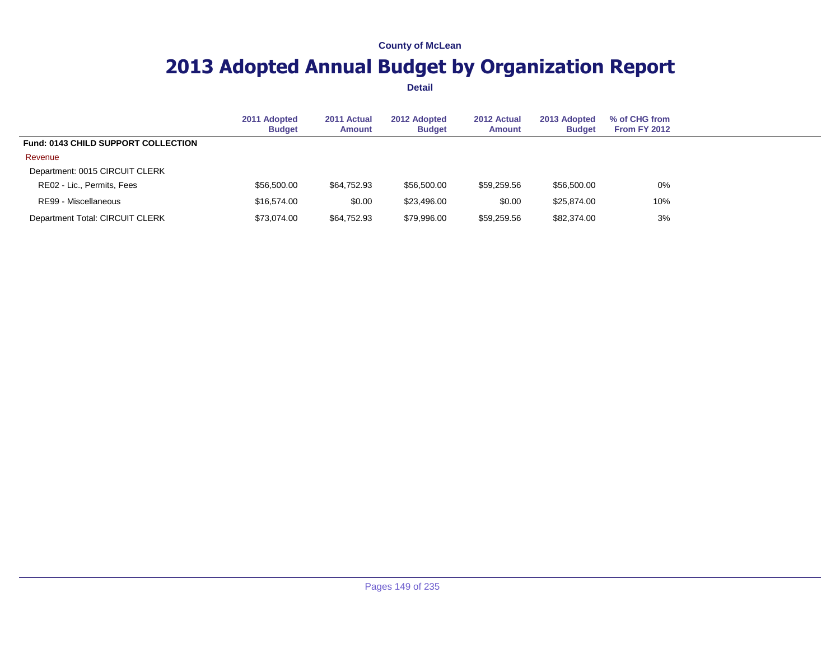## **2013 Adopted Annual Budget by Organization Report**

|                                            | 2011 Adopted<br><b>Budget</b> | 2011 Actual<br>Amount | 2012 Adopted<br><b>Budget</b> | 2012 Actual<br><b>Amount</b> | 2013 Adopted<br><b>Budget</b> | % of CHG from<br><b>From FY 2012</b> |  |
|--------------------------------------------|-------------------------------|-----------------------|-------------------------------|------------------------------|-------------------------------|--------------------------------------|--|
| <b>Fund: 0143 CHILD SUPPORT COLLECTION</b> |                               |                       |                               |                              |                               |                                      |  |
| Revenue                                    |                               |                       |                               |                              |                               |                                      |  |
| Department: 0015 CIRCUIT CLERK             |                               |                       |                               |                              |                               |                                      |  |
| RE02 - Lic., Permits, Fees                 | \$56,500.00                   | \$64.752.93           | \$56,500.00                   | \$59,259.56                  | \$56,500.00                   | 0%                                   |  |
| RE99 - Miscellaneous                       | \$16,574.00                   | \$0.00                | \$23,496.00                   | \$0.00                       | \$25,874.00                   | 10%                                  |  |
| Department Total: CIRCUIT CLERK            | \$73,074.00                   | \$64,752.93           | \$79,996.00                   | \$59,259.56                  | \$82,374.00                   | 3%                                   |  |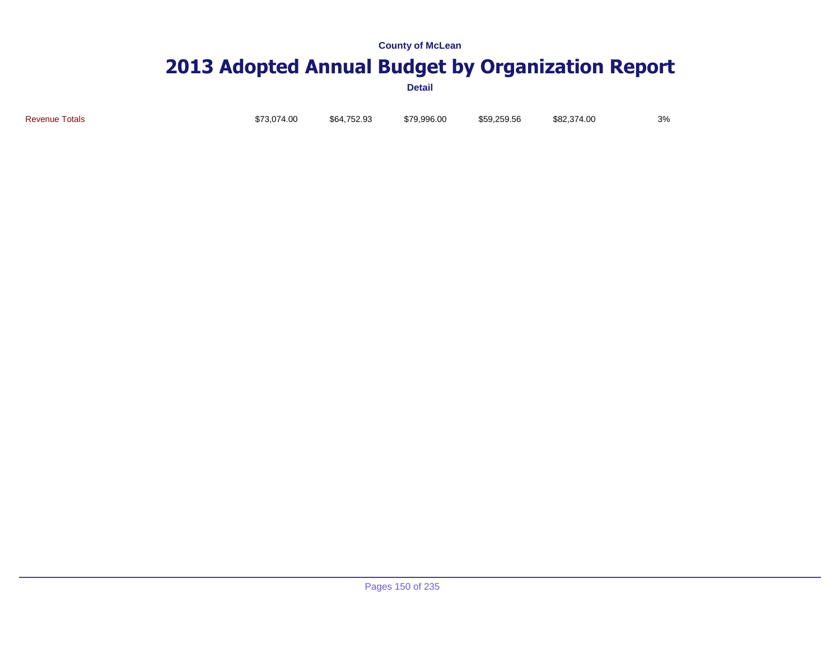# **2013 Adopted Annual Budget by Organization Report**

**Detail**

Revenue Totals \$73,074.00 \$64,752.93 \$79,996.00 \$59,259.56 \$82,374.00 3%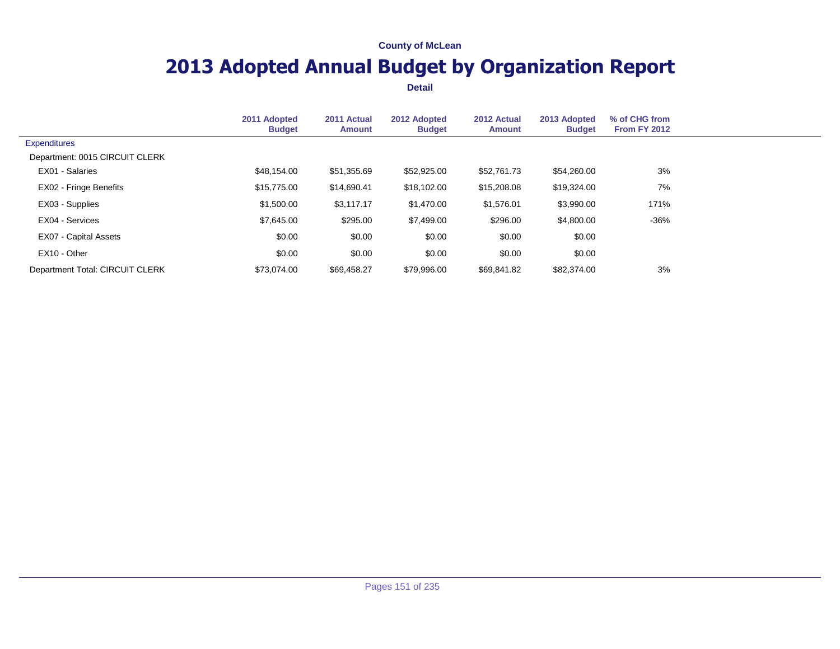## **2013 Adopted Annual Budget by Organization Report**

|                                 | 2011 Adopted<br><b>Budget</b> | 2011 Actual<br><b>Amount</b> | 2012 Adopted<br><b>Budget</b> | 2012 Actual<br><b>Amount</b> | 2013 Adopted<br><b>Budget</b> | % of CHG from<br><b>From FY 2012</b> |  |
|---------------------------------|-------------------------------|------------------------------|-------------------------------|------------------------------|-------------------------------|--------------------------------------|--|
| <b>Expenditures</b>             |                               |                              |                               |                              |                               |                                      |  |
| Department: 0015 CIRCUIT CLERK  |                               |                              |                               |                              |                               |                                      |  |
| EX01 - Salaries                 | \$48,154.00                   | \$51,355.69                  | \$52,925.00                   | \$52,761.73                  | \$54,260.00                   | 3%                                   |  |
| EX02 - Fringe Benefits          | \$15,775.00                   | \$14,690.41                  | \$18,102.00                   | \$15,208.08                  | \$19,324.00                   | 7%                                   |  |
| EX03 - Supplies                 | \$1,500.00                    | \$3,117.17                   | \$1,470.00                    | \$1,576.01                   | \$3,990.00                    | 171%                                 |  |
| EX04 - Services                 | \$7,645.00                    | \$295.00                     | \$7,499.00                    | \$296.00                     | \$4,800.00                    | $-36%$                               |  |
| <b>EX07 - Capital Assets</b>    | \$0.00                        | \$0.00                       | \$0.00                        | \$0.00                       | \$0.00                        |                                      |  |
| EX10 - Other                    | \$0.00                        | \$0.00                       | \$0.00                        | \$0.00                       | \$0.00                        |                                      |  |
| Department Total: CIRCUIT CLERK | \$73,074,00                   | \$69,458.27                  | \$79,996.00                   | \$69.841.82                  | \$82,374.00                   | 3%                                   |  |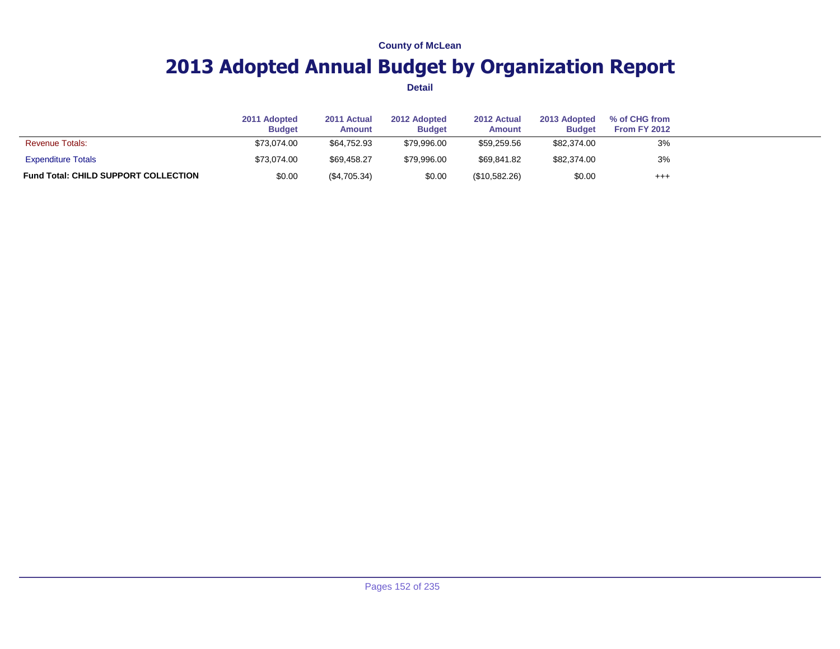## **2013 Adopted Annual Budget by Organization Report**

|                                             | 2011 Adopted<br><b>Budget</b> | 2011 Actual<br><b>Amount</b> | 2012 Adopted<br><b>Budget</b> | 2012 Actual<br><b>Amount</b> | 2013 Adopted<br><b>Budget</b> | % of CHG from<br>From FY 2012 |  |
|---------------------------------------------|-------------------------------|------------------------------|-------------------------------|------------------------------|-------------------------------|-------------------------------|--|
| <b>Revenue Totals:</b>                      | \$73.074.00                   | \$64.752.93                  | \$79.996.00                   | \$59.259.56                  | \$82,374.00                   | 3%                            |  |
| <b>Expenditure Totals</b>                   | \$73.074.00                   | \$69,458.27                  | \$79.996.00                   | \$69.841.82                  | \$82,374.00                   | 3%                            |  |
| <b>Fund Total: CHILD SUPPORT COLLECTION</b> | \$0.00                        | (\$4,705.34)                 | \$0.00                        | (\$10,582.26)                | \$0.00                        | $^{+++}$                      |  |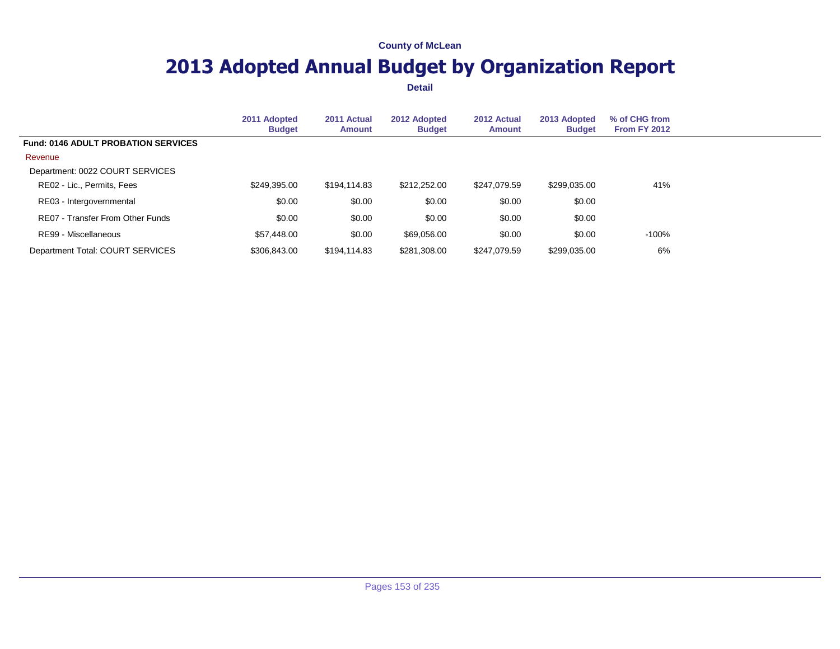## **2013 Adopted Annual Budget by Organization Report**

|                                            | 2011 Adopted<br><b>Budget</b> | 2011 Actual<br><b>Amount</b> | 2012 Adopted<br><b>Budget</b> | 2012 Actual<br><b>Amount</b> | 2013 Adopted<br><b>Budget</b> | % of CHG from<br><b>From FY 2012</b> |  |
|--------------------------------------------|-------------------------------|------------------------------|-------------------------------|------------------------------|-------------------------------|--------------------------------------|--|
| <b>Fund: 0146 ADULT PROBATION SERVICES</b> |                               |                              |                               |                              |                               |                                      |  |
| Revenue                                    |                               |                              |                               |                              |                               |                                      |  |
| Department: 0022 COURT SERVICES            |                               |                              |                               |                              |                               |                                      |  |
| RE02 - Lic., Permits, Fees                 | \$249,395.00                  | \$194,114.83                 | \$212,252.00                  | \$247.079.59                 | \$299.035.00                  | 41%                                  |  |
| RE03 - Intergovernmental                   | \$0.00                        | \$0.00                       | \$0.00                        | \$0.00                       | \$0.00                        |                                      |  |
| RE07 - Transfer From Other Funds           | \$0.00                        | \$0.00                       | \$0.00                        | \$0.00                       | \$0.00                        |                                      |  |
| RE99 - Miscellaneous                       | \$57,448.00                   | \$0.00                       | \$69,056.00                   | \$0.00                       | \$0.00                        | $-100%$                              |  |
| Department Total: COURT SERVICES           | \$306,843.00                  | \$194.114.83                 | \$281.308.00                  | \$247.079.59                 | \$299,035.00                  | 6%                                   |  |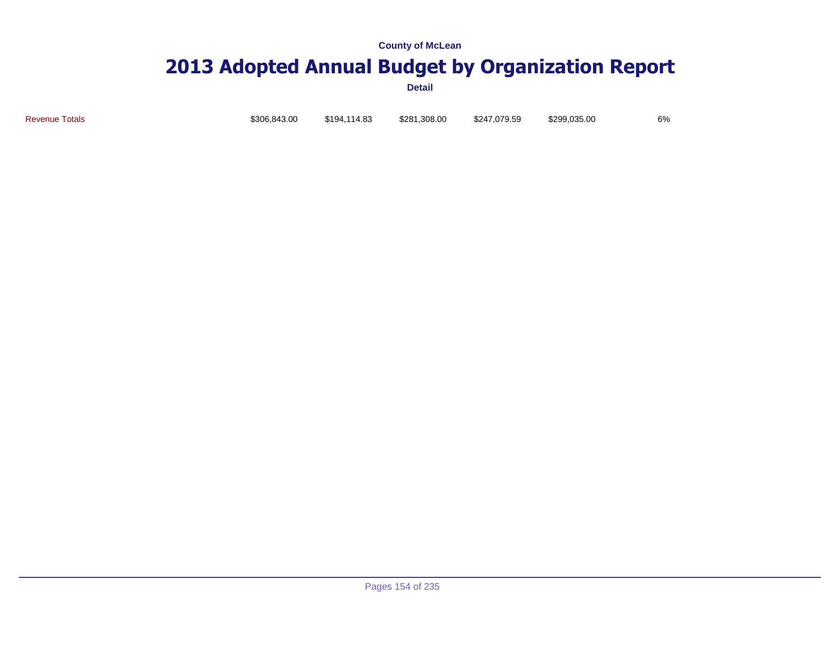# **2013 Adopted Annual Budget by Organization Report**

**Detail**

Revenue Totals \$306,843.00 \$194,114.83 \$281,308.00 \$247,079.59 \$299,035.00 6%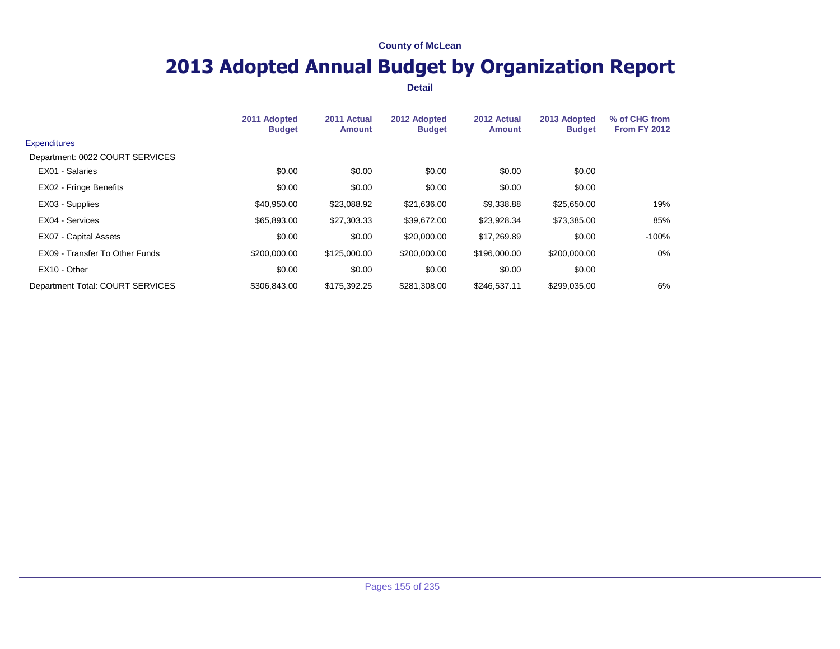## **2013 Adopted Annual Budget by Organization Report**

|                                  | 2011 Adopted<br><b>Budget</b> | 2011 Actual<br><b>Amount</b> | 2012 Adopted<br><b>Budget</b> | 2012 Actual<br><b>Amount</b> | 2013 Adopted<br><b>Budget</b> | % of CHG from<br><b>From FY 2012</b> |  |
|----------------------------------|-------------------------------|------------------------------|-------------------------------|------------------------------|-------------------------------|--------------------------------------|--|
| <b>Expenditures</b>              |                               |                              |                               |                              |                               |                                      |  |
| Department: 0022 COURT SERVICES  |                               |                              |                               |                              |                               |                                      |  |
| EX01 - Salaries                  | \$0.00                        | \$0.00                       | \$0.00                        | \$0.00                       | \$0.00                        |                                      |  |
| EX02 - Fringe Benefits           | \$0.00                        | \$0.00                       | \$0.00                        | \$0.00                       | \$0.00                        |                                      |  |
| EX03 - Supplies                  | \$40,950.00                   | \$23,088.92                  | \$21,636.00                   | \$9,338.88                   | \$25,650.00                   | 19%                                  |  |
| EX04 - Services                  | \$65,893.00                   | \$27,303.33                  | \$39,672.00                   | \$23,928.34                  | \$73,385.00                   | 85%                                  |  |
| EX07 - Capital Assets            | \$0.00                        | \$0.00                       | \$20,000.00                   | \$17,269.89                  | \$0.00                        | $-100%$                              |  |
| EX09 - Transfer To Other Funds   | \$200,000.00                  | \$125,000.00                 | \$200,000.00                  | \$196,000.00                 | \$200,000.00                  | 0%                                   |  |
| EX10 - Other                     | \$0.00                        | \$0.00                       | \$0.00                        | \$0.00                       | \$0.00                        |                                      |  |
| Department Total: COURT SERVICES | \$306,843.00                  | \$175,392.25                 | \$281,308.00                  | \$246,537.11                 | \$299,035.00                  | 6%                                   |  |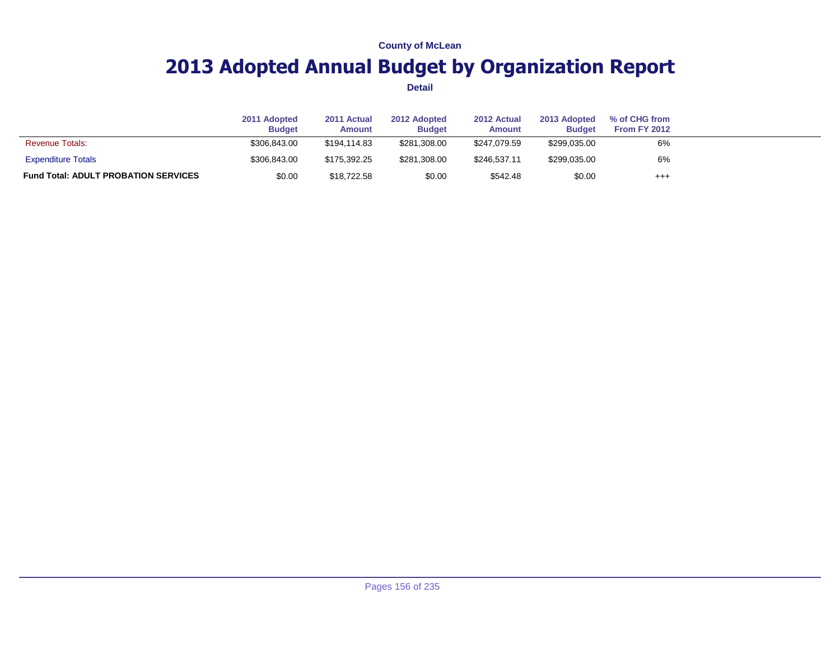## **2013 Adopted Annual Budget by Organization Report**

|                                             | 2011 Adopted<br><b>Budget</b> | 2011 Actual<br><b>Amount</b> | 2012 Adopted<br><b>Budget</b> | 2012 Actual<br><b>Amount</b> | 2013 Adopted<br><b>Budget</b> | % of CHG from<br>From FY 2012 |  |
|---------------------------------------------|-------------------------------|------------------------------|-------------------------------|------------------------------|-------------------------------|-------------------------------|--|
| <b>Revenue Totals:</b>                      | \$306,843.00                  | \$194.114.83                 | \$281,308.00                  | \$247.079.59                 | \$299,035.00                  | 6%                            |  |
| <b>Expenditure Totals</b>                   | \$306,843,00                  | \$175.392.25                 | \$281,308.00                  | \$246.537.11                 | \$299,035.00                  | 6%                            |  |
| <b>Fund Total: ADULT PROBATION SERVICES</b> | \$0.00                        | \$18,722.58                  | \$0.00                        | \$542.48                     | \$0.00                        | $^{+++}$                      |  |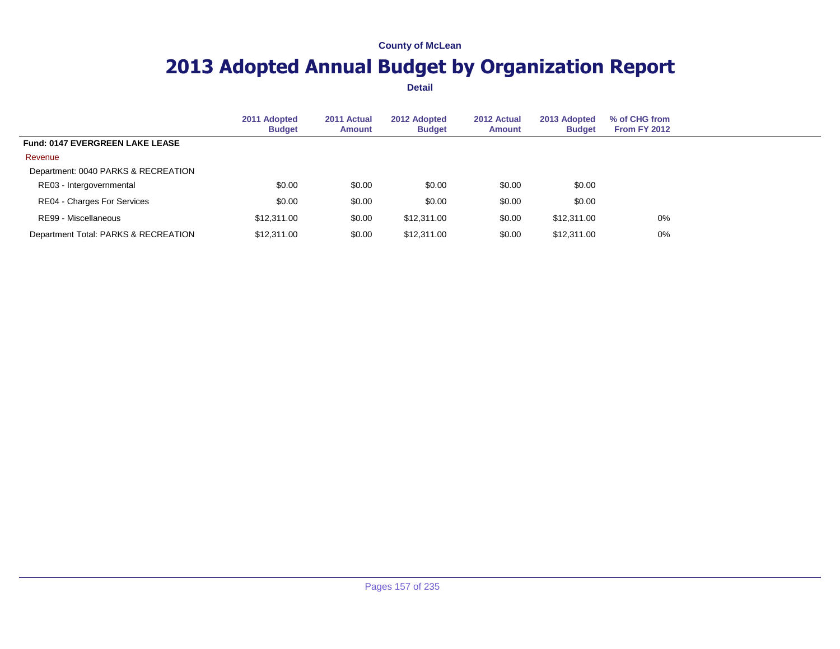## **2013 Adopted Annual Budget by Organization Report**

|                                        | 2011 Adopted<br><b>Budget</b> | 2011 Actual<br><b>Amount</b> | 2012 Adopted<br><b>Budget</b> | 2012 Actual<br><b>Amount</b> | 2013 Adopted<br><b>Budget</b> | % of CHG from<br><b>From FY 2012</b> |  |
|----------------------------------------|-------------------------------|------------------------------|-------------------------------|------------------------------|-------------------------------|--------------------------------------|--|
| <b>Fund: 0147 EVERGREEN LAKE LEASE</b> |                               |                              |                               |                              |                               |                                      |  |
| Revenue                                |                               |                              |                               |                              |                               |                                      |  |
| Department: 0040 PARKS & RECREATION    |                               |                              |                               |                              |                               |                                      |  |
| RE03 - Intergovernmental               | \$0.00                        | \$0.00                       | \$0.00                        | \$0.00                       | \$0.00                        |                                      |  |
| RE04 - Charges For Services            | \$0.00                        | \$0.00                       | \$0.00                        | \$0.00                       | \$0.00                        |                                      |  |
| RE99 - Miscellaneous                   | \$12,311,00                   | \$0.00                       | \$12,311.00                   | \$0.00                       | \$12,311.00                   | $0\%$                                |  |
| Department Total: PARKS & RECREATION   | \$12,311.00                   | \$0.00                       | \$12,311.00                   | \$0.00                       | \$12,311.00                   | 0%                                   |  |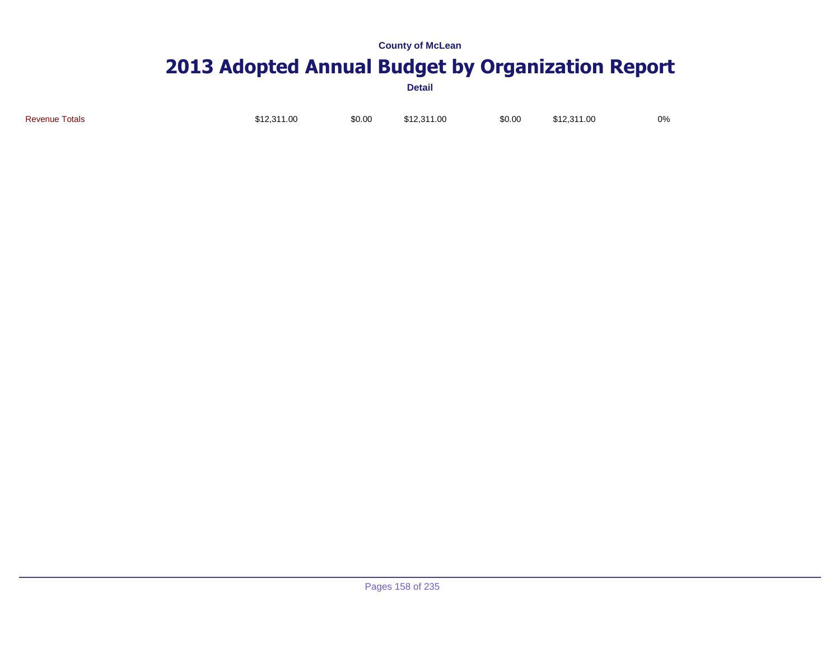## **2013 Adopted Annual Budget by Organization Report**

| <b>Revenue Totals</b> | \$12,311.00 | \$0.00 | \$12,311.00 | \$0.00 | \$12,311.00 | 0% |
|-----------------------|-------------|--------|-------------|--------|-------------|----|
|                       |             |        |             |        |             |    |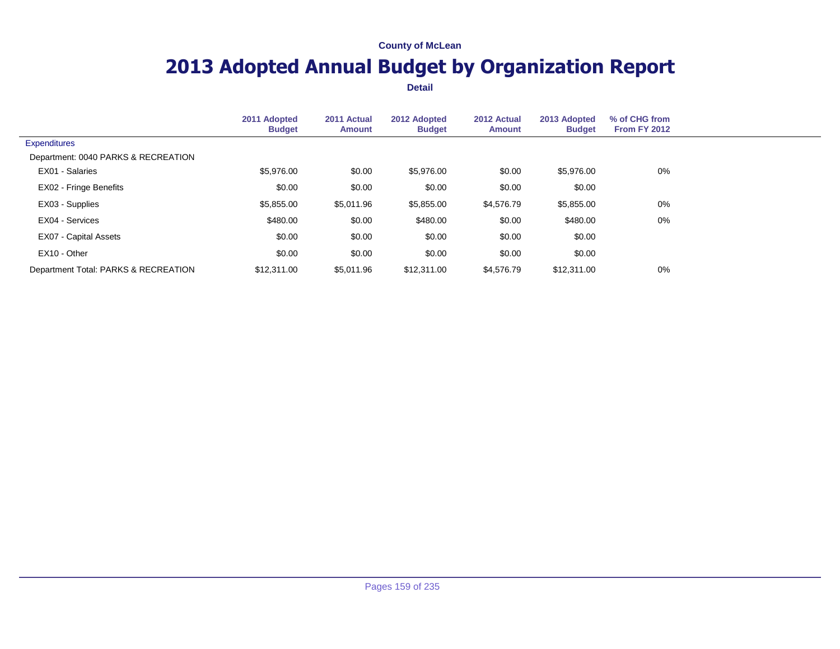## **2013 Adopted Annual Budget by Organization Report**

|                                      | 2011 Adopted<br><b>Budget</b> | 2011 Actual<br><b>Amount</b> | 2012 Adopted<br><b>Budget</b> | 2012 Actual<br>Amount | 2013 Adopted<br><b>Budget</b> | % of CHG from<br><b>From FY 2012</b> |  |
|--------------------------------------|-------------------------------|------------------------------|-------------------------------|-----------------------|-------------------------------|--------------------------------------|--|
| <b>Expenditures</b>                  |                               |                              |                               |                       |                               |                                      |  |
| Department: 0040 PARKS & RECREATION  |                               |                              |                               |                       |                               |                                      |  |
| EX01 - Salaries                      | \$5,976.00                    | \$0.00                       | \$5,976.00                    | \$0.00                | \$5,976.00                    | $0\%$                                |  |
| EX02 - Fringe Benefits               | \$0.00                        | \$0.00                       | \$0.00                        | \$0.00                | \$0.00                        |                                      |  |
| EX03 - Supplies                      | \$5,855.00                    | \$5,011.96                   | \$5,855.00                    | \$4,576.79            | \$5,855.00                    | 0%                                   |  |
| EX04 - Services                      | \$480.00                      | \$0.00                       | \$480.00                      | \$0.00                | \$480.00                      | $0\%$                                |  |
| EX07 - Capital Assets                | \$0.00                        | \$0.00                       | \$0.00                        | \$0.00                | \$0.00                        |                                      |  |
| EX10 - Other                         | \$0.00                        | \$0.00                       | \$0.00                        | \$0.00                | \$0.00                        |                                      |  |
| Department Total: PARKS & RECREATION | \$12,311.00                   | \$5,011.96                   | \$12,311.00                   | \$4,576.79            | \$12,311.00                   | 0%                                   |  |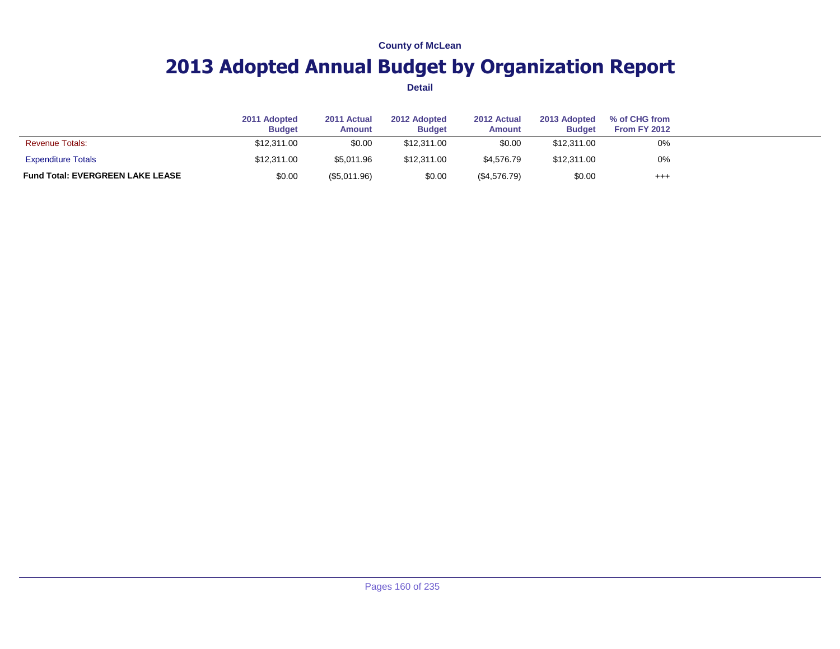## **2013 Adopted Annual Budget by Organization Report**

|                                         | 2011 Adopted<br><b>Budget</b> | 2011 Actual<br><b>Amount</b> | 2012 Adopted<br><b>Budget</b> | 2012 Actual<br><b>Amount</b> | 2013 Adopted<br><b>Budget</b> | % of CHG from<br>From FY 2012 |  |
|-----------------------------------------|-------------------------------|------------------------------|-------------------------------|------------------------------|-------------------------------|-------------------------------|--|
| <b>Revenue Totals:</b>                  | \$12,311.00                   | \$0.00                       | \$12,311,00                   | \$0.00                       | \$12,311.00                   | 0%                            |  |
| <b>Expenditure Totals</b>               | \$12,311.00                   | \$5.011.96                   | \$12,311.00                   | \$4,576,79                   | \$12,311.00                   | 0%                            |  |
| <b>Fund Total: EVERGREEN LAKE LEASE</b> | \$0.00                        | $(\$5,011.96)$               | \$0.00                        | (\$4,576.79)                 | \$0.00                        | $^{++}$                       |  |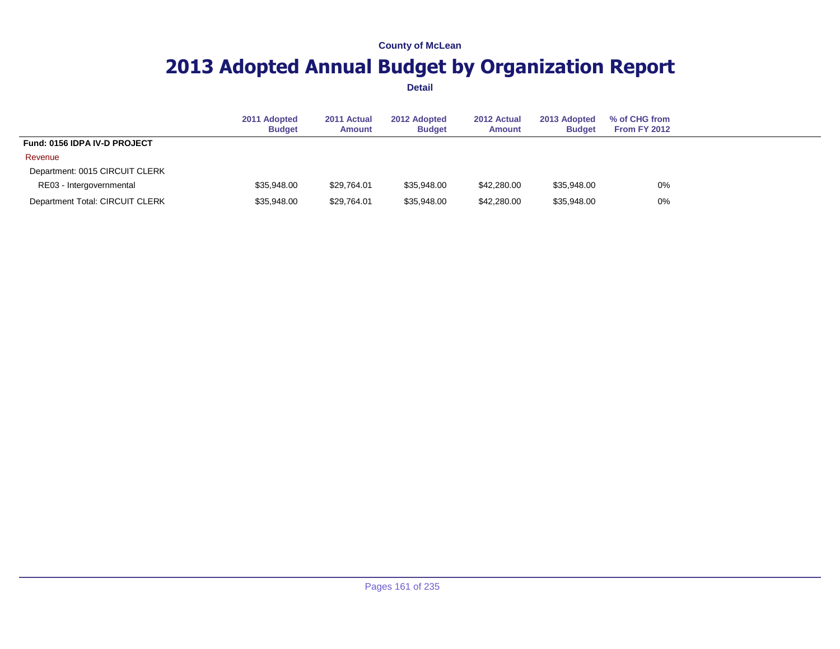## **2013 Adopted Annual Budget by Organization Report**

|                                 | 2011 Adopted<br><b>Budget</b> | 2011 Actual<br><b>Amount</b> | 2012 Adopted<br><b>Budget</b> | 2012 Actual<br><b>Amount</b> | 2013 Adopted<br><b>Budget</b> | % of CHG from<br><b>From FY 2012</b> |
|---------------------------------|-------------------------------|------------------------------|-------------------------------|------------------------------|-------------------------------|--------------------------------------|
| Fund: 0156 IDPA IV-D PROJECT    |                               |                              |                               |                              |                               |                                      |
| Revenue                         |                               |                              |                               |                              |                               |                                      |
| Department: 0015 CIRCUIT CLERK  |                               |                              |                               |                              |                               |                                      |
| RE03 - Intergovernmental        | \$35,948,00                   | \$29.764.01                  | \$35,948,00                   | \$42,280.00                  | \$35,948.00                   | 0%                                   |
| Department Total: CIRCUIT CLERK | \$35,948.00                   | \$29,764.01                  | \$35,948.00                   | \$42,280.00                  | \$35,948.00                   | 0%                                   |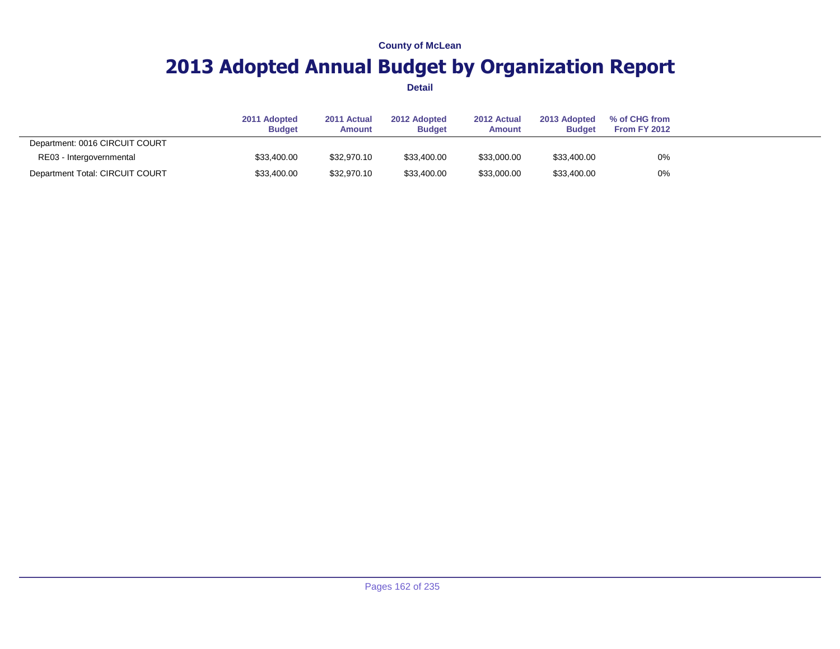## **2013 Adopted Annual Budget by Organization Report**

|                                 | 2011 Adopted<br><b>Budget</b> | 2011 Actual<br><b>Amount</b> | 2012 Adopted<br><b>Budget</b> | 2012 Actual<br><b>Amount</b> | 2013 Adopted<br><b>Budget</b> | % of CHG from<br>From FY 2012 |  |
|---------------------------------|-------------------------------|------------------------------|-------------------------------|------------------------------|-------------------------------|-------------------------------|--|
| Department: 0016 CIRCUIT COURT  |                               |                              |                               |                              |                               |                               |  |
| RE03 - Intergovernmental        | \$33,400.00                   | \$32,970.10                  | \$33,400.00                   | \$33,000.00                  | \$33,400.00                   | 0%                            |  |
| Department Total: CIRCUIT COURT | \$33,400.00                   | \$32,970.10                  | \$33,400.00                   | \$33,000.00                  | \$33,400.00                   | 0%                            |  |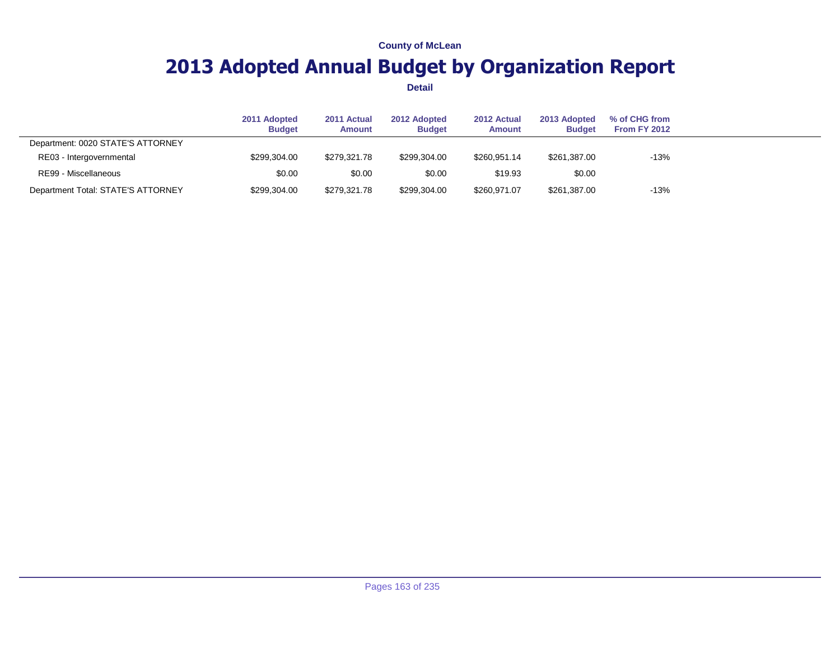## **2013 Adopted Annual Budget by Organization Report**

|                                    | 2011 Adopted<br><b>Budget</b> | 2011 Actual<br><b>Amount</b> | 2012 Adopted<br><b>Budget</b> | 2012 Actual<br><b>Amount</b> | 2013 Adopted<br><b>Budget</b> | % of CHG from<br>From FY 2012 |  |
|------------------------------------|-------------------------------|------------------------------|-------------------------------|------------------------------|-------------------------------|-------------------------------|--|
| Department: 0020 STATE'S ATTORNEY  |                               |                              |                               |                              |                               |                               |  |
| RE03 - Intergovernmental           | \$299,304.00                  | \$279.321.78                 | \$299.304.00                  | \$260.951.14                 | \$261,387.00                  | $-13%$                        |  |
| RE99 - Miscellaneous               | \$0.00                        | \$0.00                       | \$0.00                        | \$19.93                      | \$0.00                        |                               |  |
| Department Total: STATE'S ATTORNEY | \$299,304.00                  | \$279,321.78                 | \$299,304.00                  | \$260,971.07                 | \$261,387.00                  | $-13%$                        |  |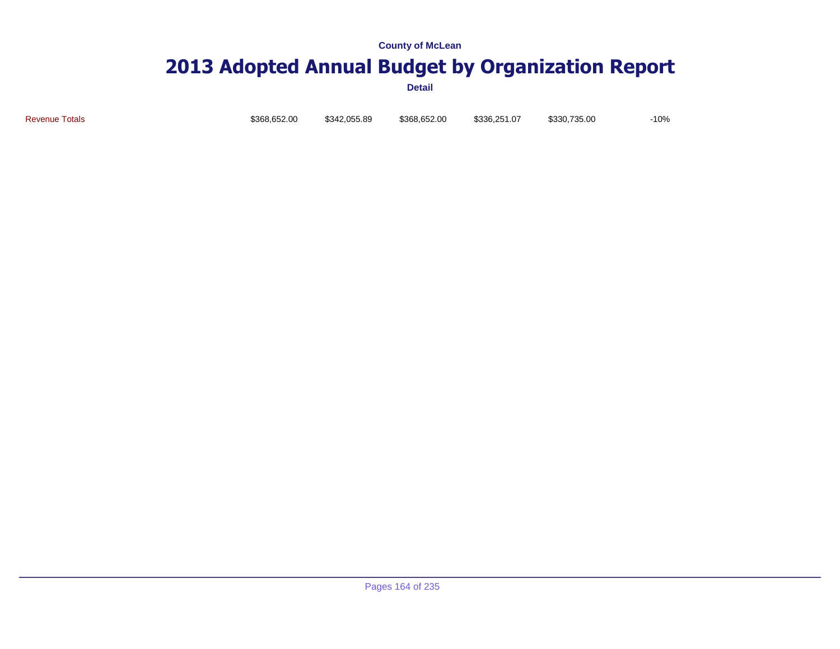### **2013 Adopted Annual Budget by Organization Report**

**Detail**

Revenue Totals \$368,652.00 \$342,055.89 \$368,652.00 \$336,251.07 \$330,735.00 -10%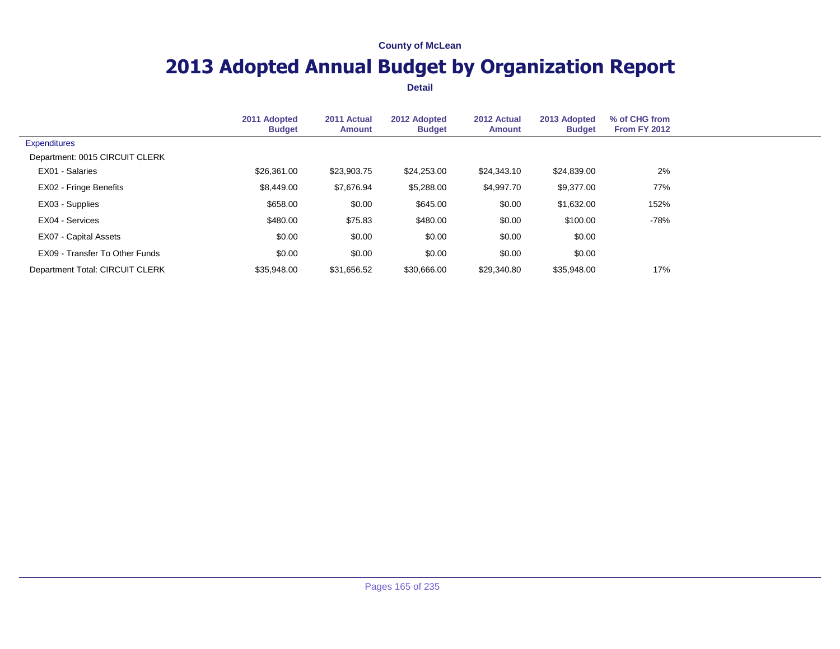## **2013 Adopted Annual Budget by Organization Report**

|                                 | 2011 Adopted<br><b>Budget</b> | 2011 Actual<br><b>Amount</b> | 2012 Adopted<br><b>Budget</b> | 2012 Actual<br><b>Amount</b> | 2013 Adopted<br><b>Budget</b> | % of CHG from<br>From FY 2012 |  |
|---------------------------------|-------------------------------|------------------------------|-------------------------------|------------------------------|-------------------------------|-------------------------------|--|
| <b>Expenditures</b>             |                               |                              |                               |                              |                               |                               |  |
| Department: 0015 CIRCUIT CLERK  |                               |                              |                               |                              |                               |                               |  |
| EX01 - Salaries                 | \$26,361,00                   | \$23,903.75                  | \$24,253.00                   | \$24,343.10                  | \$24,839.00                   | 2%                            |  |
| EX02 - Fringe Benefits          | \$8,449.00                    | \$7,676.94                   | \$5,288.00                    | \$4,997.70                   | \$9,377.00                    | 77%                           |  |
| EX03 - Supplies                 | \$658.00                      | \$0.00                       | \$645.00                      | \$0.00                       | \$1,632.00                    | 152%                          |  |
| EX04 - Services                 | \$480.00                      | \$75.83                      | \$480.00                      | \$0.00                       | \$100.00                      | -78%                          |  |
| EX07 - Capital Assets           | \$0.00                        | \$0.00                       | \$0.00                        | \$0.00                       | \$0.00                        |                               |  |
| EX09 - Transfer To Other Funds  | \$0.00                        | \$0.00                       | \$0.00                        | \$0.00                       | \$0.00                        |                               |  |
| Department Total: CIRCUIT CLERK | \$35,948.00                   | \$31,656.52                  | \$30,666.00                   | \$29,340.80                  | \$35,948.00                   | 17%                           |  |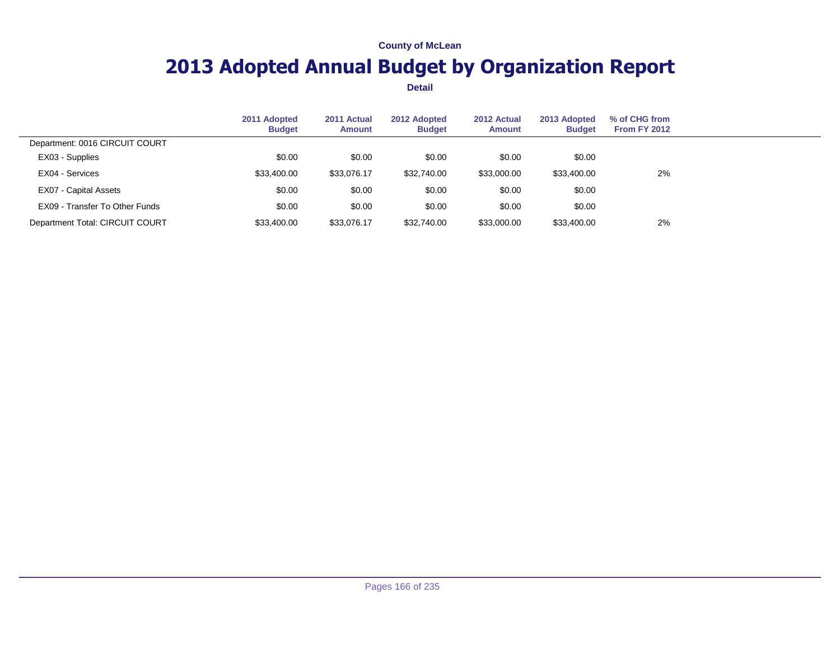## **2013 Adopted Annual Budget by Organization Report**

|                                 | 2011 Adopted<br><b>Budget</b> | 2011 Actual<br>Amount | 2012 Adopted<br><b>Budget</b> | 2012 Actual<br><b>Amount</b> | 2013 Adopted<br><b>Budget</b> | % of CHG from<br><b>From FY 2012</b> |  |
|---------------------------------|-------------------------------|-----------------------|-------------------------------|------------------------------|-------------------------------|--------------------------------------|--|
| Department: 0016 CIRCUIT COURT  |                               |                       |                               |                              |                               |                                      |  |
| EX03 - Supplies                 | \$0.00                        | \$0.00                | \$0.00                        | \$0.00                       | \$0.00                        |                                      |  |
| EX04 - Services                 | \$33,400.00                   | \$33.076.17           | \$32,740.00                   | \$33,000.00                  | \$33,400.00                   | 2%                                   |  |
| EX07 - Capital Assets           | \$0.00                        | \$0.00                | \$0.00                        | \$0.00                       | \$0.00                        |                                      |  |
| EX09 - Transfer To Other Funds  | \$0.00                        | \$0.00                | \$0.00                        | \$0.00                       | \$0.00                        |                                      |  |
| Department Total: CIRCUIT COURT | \$33,400.00                   | \$33,076.17           | \$32,740.00                   | \$33,000.00                  | \$33,400.00                   | 2%                                   |  |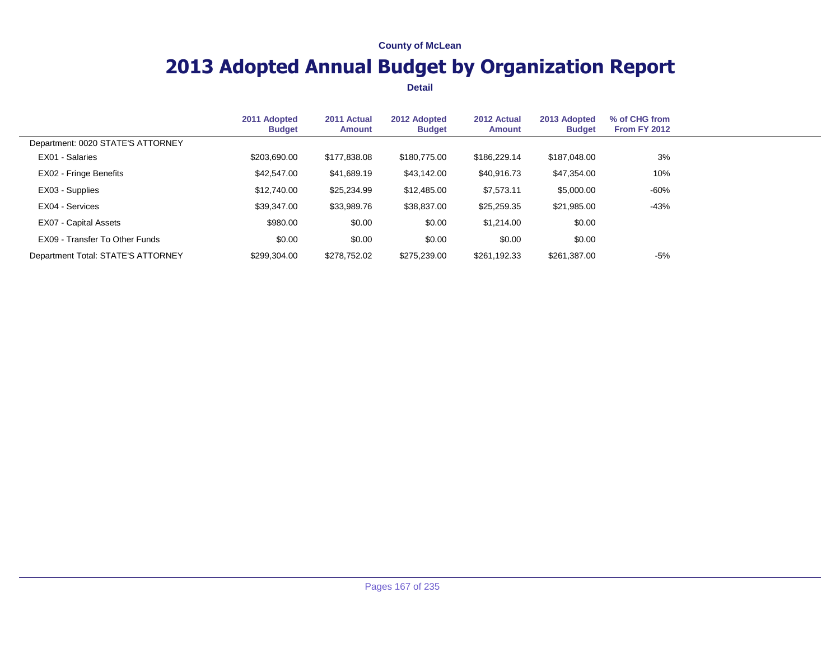## **2013 Adopted Annual Budget by Organization Report**

|                                    | 2011 Adopted<br><b>Budget</b> | 2011 Actual<br>Amount | 2012 Adopted<br><b>Budget</b> | 2012 Actual<br>Amount | 2013 Adopted<br><b>Budget</b> | % of CHG from<br><b>From FY 2012</b> |  |
|------------------------------------|-------------------------------|-----------------------|-------------------------------|-----------------------|-------------------------------|--------------------------------------|--|
| Department: 0020 STATE'S ATTORNEY  |                               |                       |                               |                       |                               |                                      |  |
| EX01 - Salaries                    | \$203,690.00                  | \$177,838.08          | \$180,775,00                  | \$186,229.14          | \$187,048.00                  | 3%                                   |  |
| EX02 - Fringe Benefits             | \$42,547.00                   | \$41,689.19           | \$43,142.00                   | \$40,916.73           | \$47,354.00                   | 10%                                  |  |
| EX03 - Supplies                    | \$12,740.00                   | \$25,234.99           | \$12,485.00                   | \$7,573.11            | \$5,000.00                    | $-60%$                               |  |
| EX04 - Services                    | \$39,347,00                   | \$33,989.76           | \$38,837.00                   | \$25,259.35           | \$21,985.00                   | $-43%$                               |  |
| EX07 - Capital Assets              | \$980.00                      | \$0.00                | \$0.00                        | \$1,214.00            | \$0.00                        |                                      |  |
| EX09 - Transfer To Other Funds     | \$0.00                        | \$0.00                | \$0.00                        | \$0.00                | \$0.00                        |                                      |  |
| Department Total: STATE'S ATTORNEY | \$299.304.00                  | \$278,752.02          | \$275.239.00                  | \$261.192.33          | \$261,387.00                  | -5%                                  |  |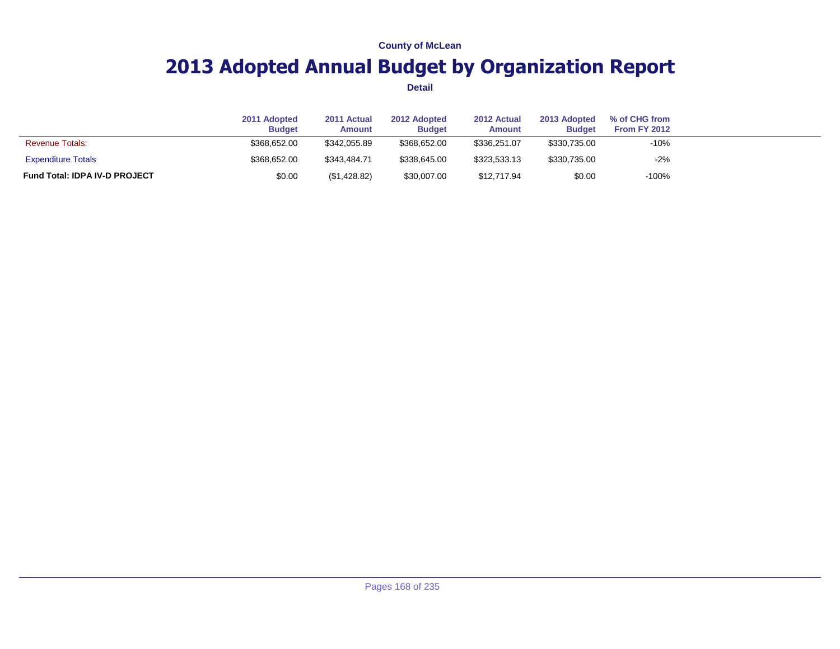## **2013 Adopted Annual Budget by Organization Report**

|                                      | 2011 Adopted<br><b>Budget</b> | 2011 Actual<br><b>Amount</b> | 2012 Adopted<br><b>Budget</b> | 2012 Actual<br>Amount | 2013 Adopted<br><b>Budget</b> | % of CHG from<br>From FY 2012 |  |
|--------------------------------------|-------------------------------|------------------------------|-------------------------------|-----------------------|-------------------------------|-------------------------------|--|
| <b>Revenue Totals:</b>               | \$368,652,00                  | \$342.055.89                 | \$368,652,00                  | \$336,251,07          | \$330,735.00                  | $-10%$                        |  |
| <b>Expenditure Totals</b>            | \$368,652.00                  | \$343,484.71                 | \$338,645.00                  | \$323.533.13          | \$330,735.00                  | $-2%$                         |  |
| <b>Fund Total: IDPA IV-D PROJECT</b> | \$0.00                        | (\$1,428.82)                 | \$30,007.00                   | \$12,717.94           | \$0.00                        | $-100%$                       |  |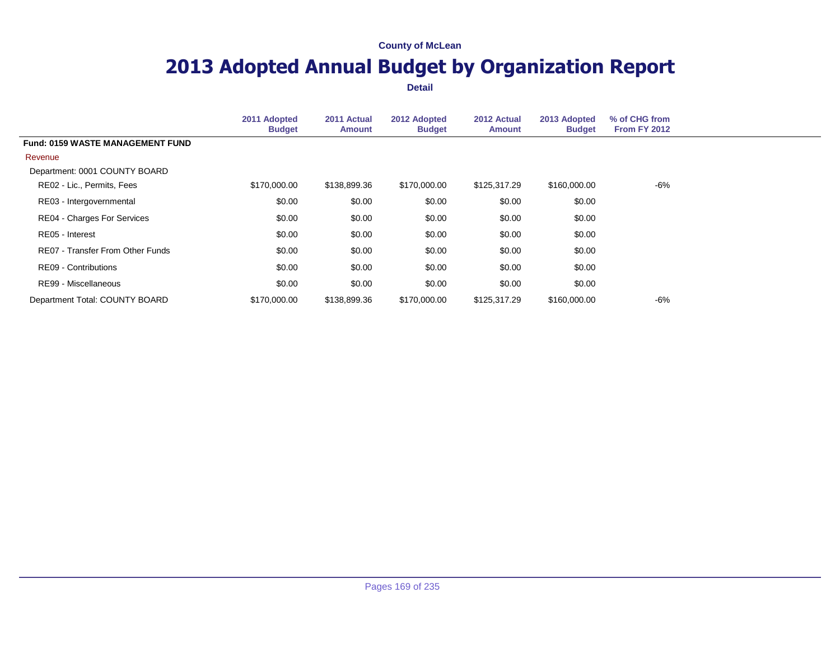## **2013 Adopted Annual Budget by Organization Report**

|                                         | 2011 Adopted<br><b>Budget</b> | 2011 Actual<br><b>Amount</b> | 2012 Adopted<br><b>Budget</b> | 2012 Actual<br><b>Amount</b> | 2013 Adopted<br><b>Budget</b> | % of CHG from<br><b>From FY 2012</b> |
|-----------------------------------------|-------------------------------|------------------------------|-------------------------------|------------------------------|-------------------------------|--------------------------------------|
| <b>Fund: 0159 WASTE MANAGEMENT FUND</b> |                               |                              |                               |                              |                               |                                      |
| Revenue                                 |                               |                              |                               |                              |                               |                                      |
| Department: 0001 COUNTY BOARD           |                               |                              |                               |                              |                               |                                      |
| RE02 - Lic., Permits, Fees              | \$170,000.00                  | \$138,899.36                 | \$170,000.00                  | \$125,317.29                 | \$160,000.00                  | -6%                                  |
| RE03 - Intergovernmental                | \$0.00                        | \$0.00                       | \$0.00                        | \$0.00                       | \$0.00                        |                                      |
| RE04 - Charges For Services             | \$0.00                        | \$0.00                       | \$0.00                        | \$0.00                       | \$0.00                        |                                      |
| RE05 - Interest                         | \$0.00                        | \$0.00                       | \$0.00                        | \$0.00                       | \$0.00                        |                                      |
| RE07 - Transfer From Other Funds        | \$0.00                        | \$0.00                       | \$0.00                        | \$0.00                       | \$0.00                        |                                      |
| RE09 - Contributions                    | \$0.00                        | \$0.00                       | \$0.00                        | \$0.00                       | \$0.00                        |                                      |
| RE99 - Miscellaneous                    | \$0.00                        | \$0.00                       | \$0.00                        | \$0.00                       | \$0.00                        |                                      |
| Department Total: COUNTY BOARD          | \$170,000.00                  | \$138,899.36                 | \$170,000,00                  | \$125,317.29                 | \$160,000.00                  | -6%                                  |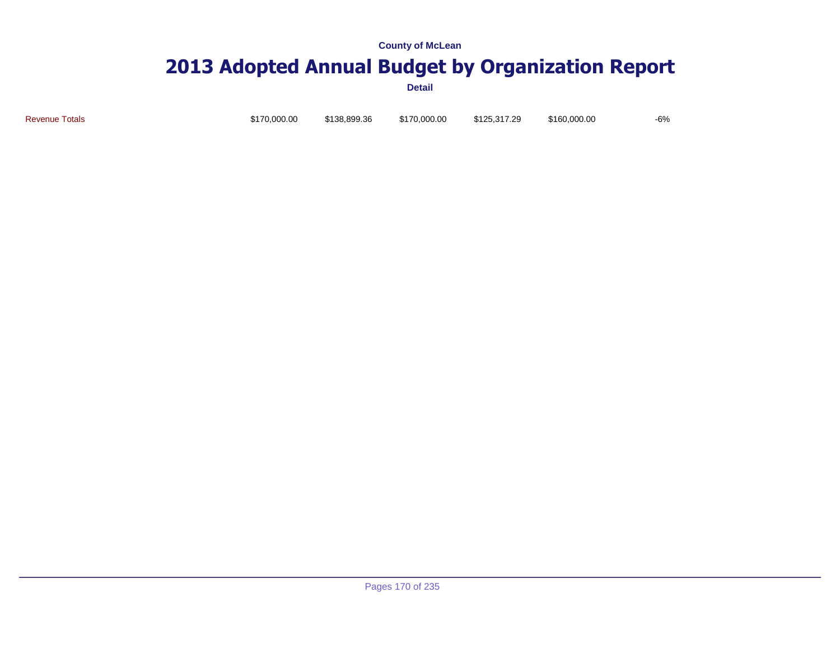# **2013 Adopted Annual Budget by Organization Report**

**Detail**

Revenue Totals \$170,000.00 \$138,899.36 \$170,000.00 \$125,317.29 \$160,000.00 -6%

Pages 170 of 235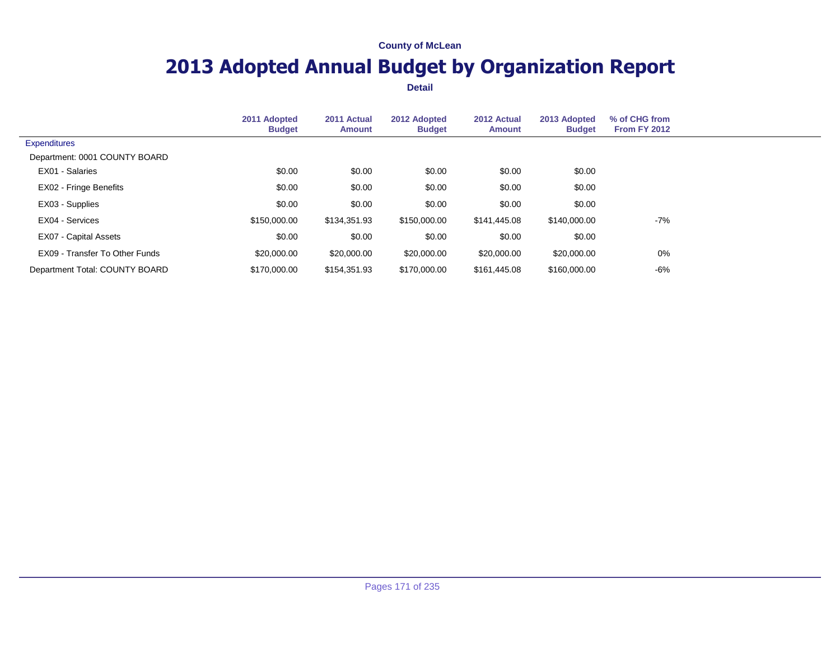## **2013 Adopted Annual Budget by Organization Report**

|                                | 2011 Adopted<br><b>Budget</b> | 2011 Actual<br><b>Amount</b> | 2012 Adopted<br><b>Budget</b> | 2012 Actual<br><b>Amount</b> | 2013 Adopted<br><b>Budget</b> | % of CHG from<br><b>From FY 2012</b> |  |
|--------------------------------|-------------------------------|------------------------------|-------------------------------|------------------------------|-------------------------------|--------------------------------------|--|
| <b>Expenditures</b>            |                               |                              |                               |                              |                               |                                      |  |
| Department: 0001 COUNTY BOARD  |                               |                              |                               |                              |                               |                                      |  |
| EX01 - Salaries                | \$0.00                        | \$0.00                       | \$0.00                        | \$0.00                       | \$0.00                        |                                      |  |
| EX02 - Fringe Benefits         | \$0.00                        | \$0.00                       | \$0.00                        | \$0.00                       | \$0.00                        |                                      |  |
| EX03 - Supplies                | \$0.00                        | \$0.00                       | \$0.00                        | \$0.00                       | \$0.00                        |                                      |  |
| EX04 - Services                | \$150,000.00                  | \$134,351.93                 | \$150,000.00                  | \$141,445.08                 | \$140,000.00                  | $-7%$                                |  |
| EX07 - Capital Assets          | \$0.00                        | \$0.00                       | \$0.00                        | \$0.00                       | \$0.00                        |                                      |  |
| EX09 - Transfer To Other Funds | \$20,000.00                   | \$20,000.00                  | \$20,000.00                   | \$20,000.00                  | \$20,000.00                   | 0%                                   |  |
| Department Total: COUNTY BOARD | \$170,000.00                  | \$154.351.93                 | \$170,000,00                  | \$161.445.08                 | \$160,000.00                  | -6%                                  |  |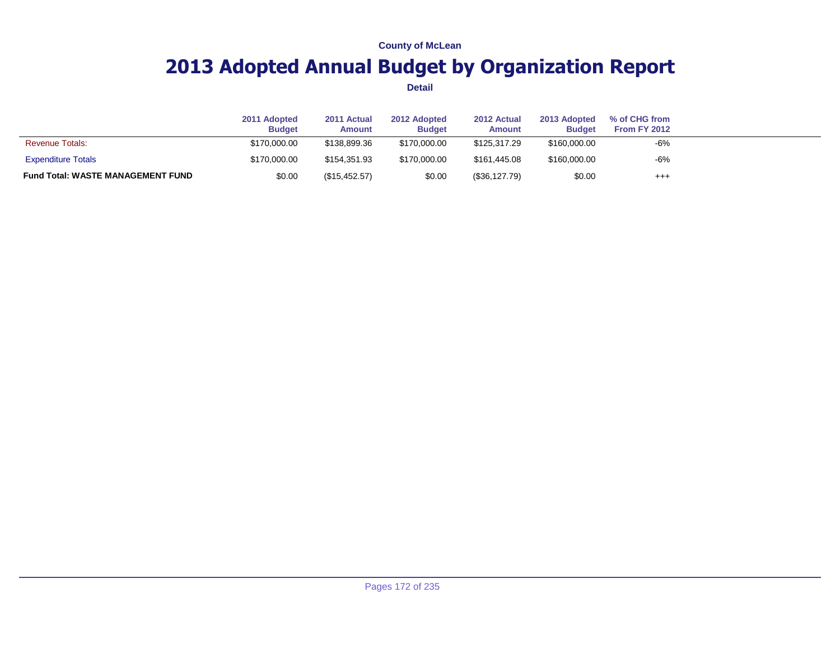## **2013 Adopted Annual Budget by Organization Report**

|                                          | 2011 Adopted<br><b>Budget</b> | 2011 Actual<br><b>Amount</b> | 2012 Adopted<br><b>Budget</b> | 2012 Actual<br><b>Amount</b> | 2013 Adopted<br><b>Budget</b> | % of CHG from<br>From FY 2012 |  |
|------------------------------------------|-------------------------------|------------------------------|-------------------------------|------------------------------|-------------------------------|-------------------------------|--|
| <b>Revenue Totals:</b>                   | \$170,000,00                  | \$138,899.36                 | \$170,000.00                  | \$125,317,29                 | \$160,000.00                  | -6%                           |  |
| <b>Expenditure Totals</b>                | \$170,000.00                  | \$154.351.93                 | \$170,000,00                  | \$161,445.08                 | \$160,000.00                  | $-6%$                         |  |
| <b>Fund Total: WASTE MANAGEMENT FUND</b> | \$0.00                        | (\$15,452.57)                | \$0.00                        | $(\$36,127.79)$              | \$0.00                        | $^{++}$                       |  |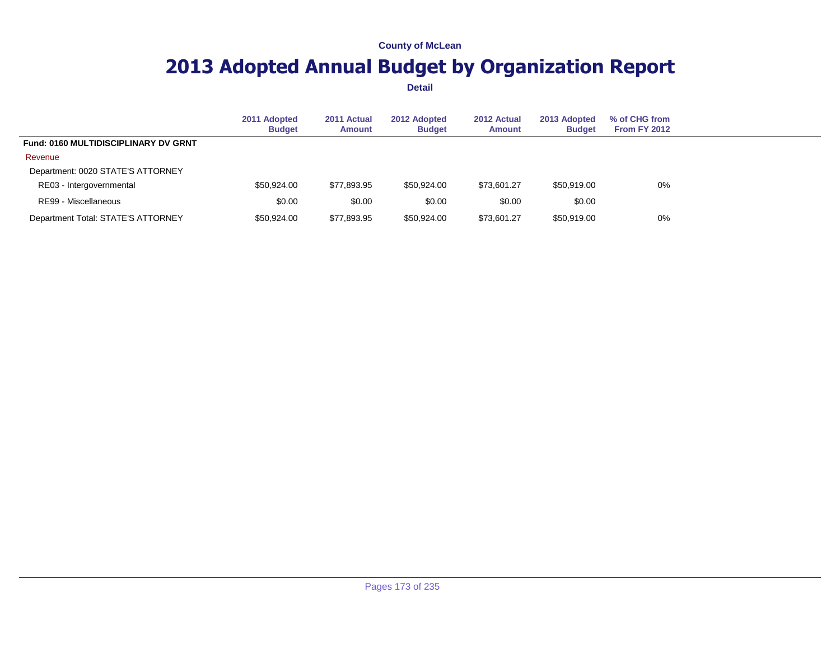## **2013 Adopted Annual Budget by Organization Report**

|                                             | 2011 Adopted<br><b>Budget</b> | 2011 Actual<br><b>Amount</b> | 2012 Adopted<br><b>Budget</b> | 2012 Actual<br><b>Amount</b> | 2013 Adopted<br><b>Budget</b> | % of CHG from<br><b>From FY 2012</b> |  |
|---------------------------------------------|-------------------------------|------------------------------|-------------------------------|------------------------------|-------------------------------|--------------------------------------|--|
| <b>Fund: 0160 MULTIDISCIPLINARY DV GRNT</b> |                               |                              |                               |                              |                               |                                      |  |
| Revenue                                     |                               |                              |                               |                              |                               |                                      |  |
| Department: 0020 STATE'S ATTORNEY           |                               |                              |                               |                              |                               |                                      |  |
| RE03 - Intergovernmental                    | \$50,924,00                   | \$77,893.95                  | \$50.924.00                   | \$73,601.27                  | \$50,919,00                   | $0\%$                                |  |
| RE99 - Miscellaneous                        | \$0.00                        | \$0.00                       | \$0.00                        | \$0.00                       | \$0.00                        |                                      |  |
| Department Total: STATE'S ATTORNEY          | \$50,924,00                   | \$77,893.95                  | \$50,924.00                   | \$73,601.27                  | \$50,919,00                   | 0%                                   |  |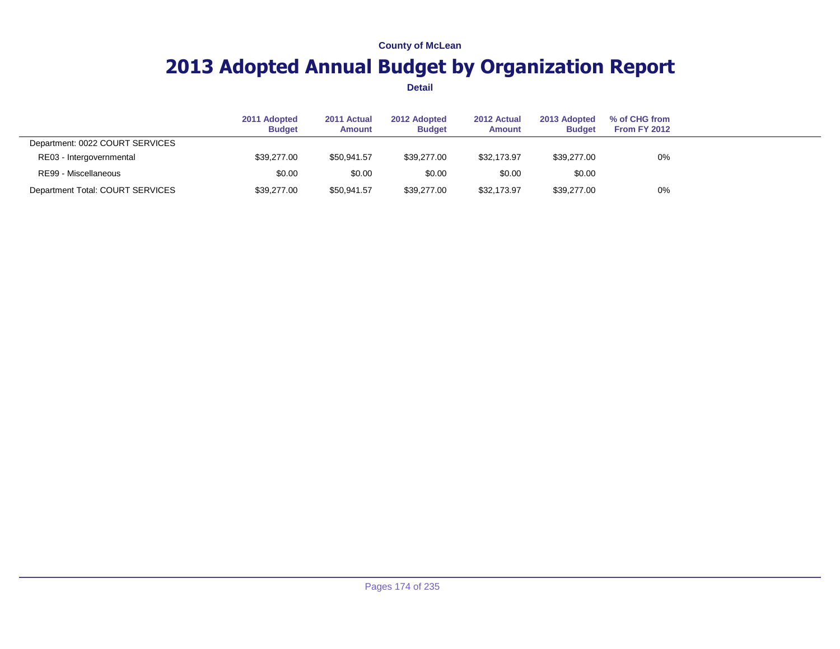## **2013 Adopted Annual Budget by Organization Report**

|                                  | 2011 Adopted<br><b>Budget</b> | 2011 Actual<br><b>Amount</b> | 2012 Adopted<br><b>Budget</b> | 2012 Actual<br><b>Amount</b> | 2013 Adopted<br><b>Budget</b> | % of CHG from<br><b>From FY 2012</b> |  |
|----------------------------------|-------------------------------|------------------------------|-------------------------------|------------------------------|-------------------------------|--------------------------------------|--|
| Department: 0022 COURT SERVICES  |                               |                              |                               |                              |                               |                                      |  |
| RE03 - Intergovernmental         | \$39,277.00                   | \$50,941.57                  | \$39,277.00                   | \$32,173.97                  | \$39,277.00                   | 0%                                   |  |
| RE99 - Miscellaneous             | \$0.00                        | \$0.00                       | \$0.00                        | \$0.00                       | \$0.00                        |                                      |  |
| Department Total: COURT SERVICES | \$39,277.00                   | \$50,941.57                  | \$39,277.00                   | \$32,173.97                  | \$39,277.00                   | 0%                                   |  |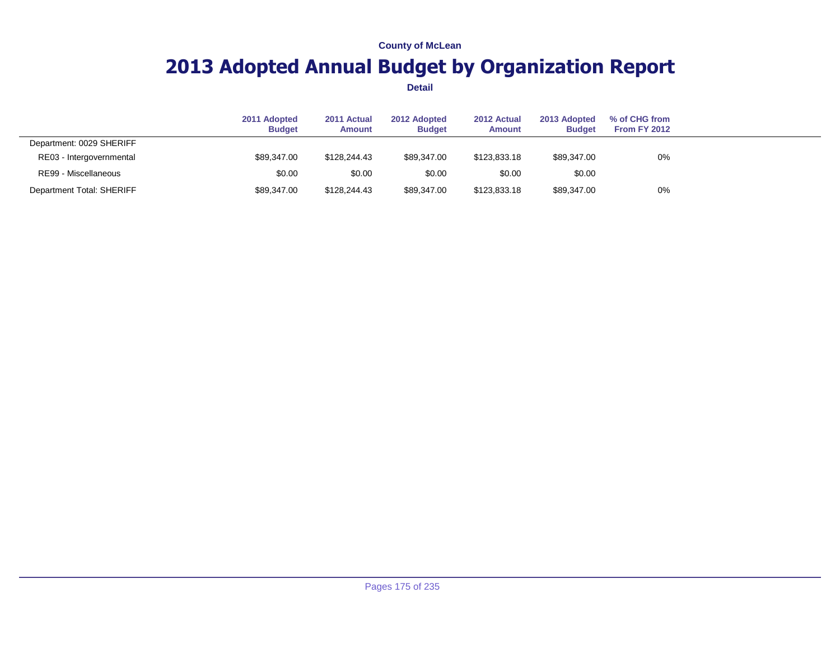## **2013 Adopted Annual Budget by Organization Report**

|                           | 2011 Adopted<br><b>Budget</b> | 2011 Actual<br>Amount | 2012 Adopted<br><b>Budget</b> | 2012 Actual<br>Amount | 2013 Adopted<br><b>Budget</b> | % of CHG from<br><b>From FY 2012</b> |  |
|---------------------------|-------------------------------|-----------------------|-------------------------------|-----------------------|-------------------------------|--------------------------------------|--|
| Department: 0029 SHERIFF  |                               |                       |                               |                       |                               |                                      |  |
| RE03 - Intergovernmental  | \$89,347,00                   | \$128,244.43          | \$89.347.00                   | \$123,833,18          | \$89,347.00                   | 0%                                   |  |
| RE99 - Miscellaneous      | \$0.00                        | \$0.00                | \$0.00                        | \$0.00                | \$0.00                        |                                      |  |
| Department Total: SHERIFF | \$89,347.00                   | \$128,244.43          | \$89.347.00                   | \$123,833.18          | \$89,347.00                   | 0%                                   |  |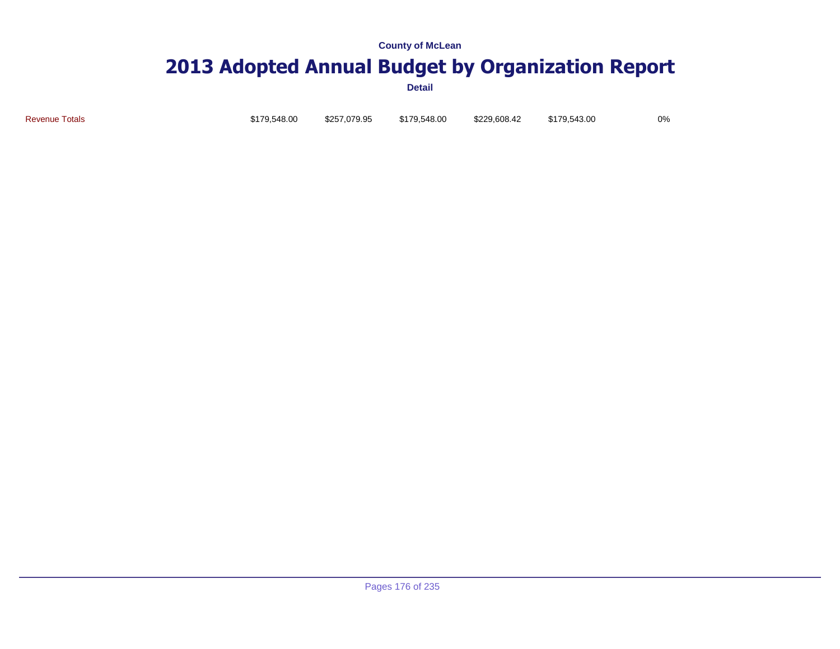# **2013 Adopted Annual Budget by Organization Report**

**Detail**

Revenue Totals \$179,548.00 \$257,079.95 \$179,548.00 \$229,608.42 \$179,543.00 0%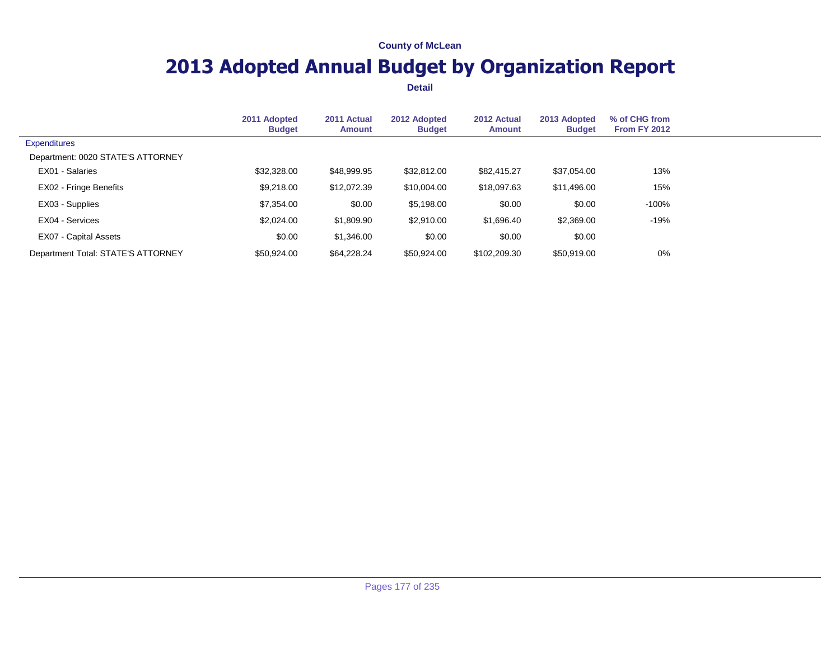## **2013 Adopted Annual Budget by Organization Report**

|                                    | 2011 Adopted<br><b>Budget</b> | 2011 Actual<br>Amount | 2012 Adopted<br><b>Budget</b> | 2012 Actual<br><b>Amount</b> | 2013 Adopted<br><b>Budget</b> | % of CHG from<br>From FY 2012 |  |
|------------------------------------|-------------------------------|-----------------------|-------------------------------|------------------------------|-------------------------------|-------------------------------|--|
| <b>Expenditures</b>                |                               |                       |                               |                              |                               |                               |  |
| Department: 0020 STATE'S ATTORNEY  |                               |                       |                               |                              |                               |                               |  |
| EX01 - Salaries                    | \$32,328.00                   | \$48,999.95           | \$32,812.00                   | \$82,415.27                  | \$37,054.00                   | 13%                           |  |
| EX02 - Fringe Benefits             | \$9,218.00                    | \$12,072.39           | \$10,004.00                   | \$18,097.63                  | \$11,496.00                   | 15%                           |  |
| EX03 - Supplies                    | \$7,354.00                    | \$0.00                | \$5,198.00                    | \$0.00                       | \$0.00                        | -100%                         |  |
| EX04 - Services                    | \$2,024.00                    | \$1,809.90            | \$2,910.00                    | \$1,696.40                   | \$2,369.00                    | -19%                          |  |
| EX07 - Capital Assets              | \$0.00                        | \$1,346.00            | \$0.00                        | \$0.00                       | \$0.00                        |                               |  |
| Department Total: STATE'S ATTORNEY | \$50,924.00                   | \$64,228.24           | \$50,924.00                   | \$102,209.30                 | \$50,919.00                   | 0%                            |  |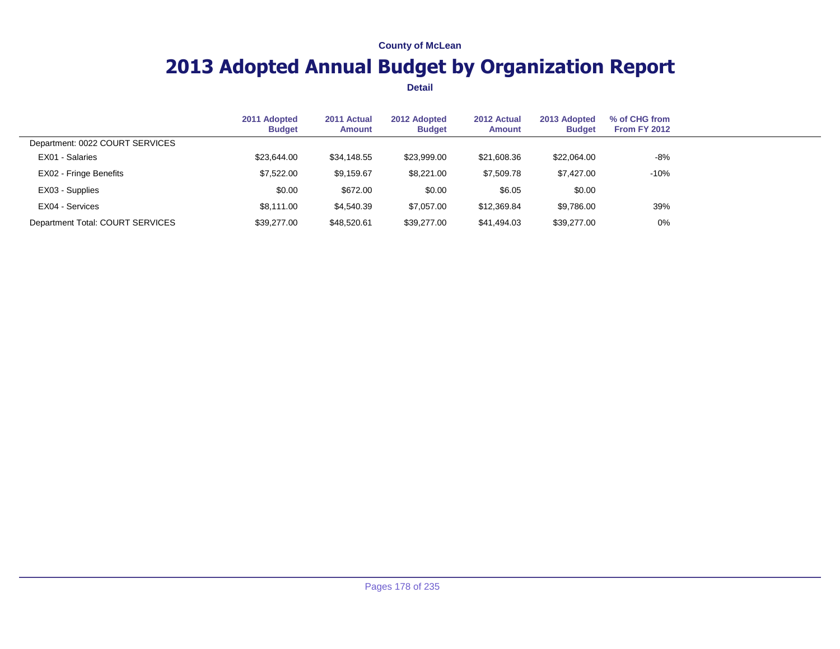## **2013 Adopted Annual Budget by Organization Report**

|                                  | 2011 Adopted<br><b>Budget</b> | 2011 Actual<br><b>Amount</b> | 2012 Adopted<br><b>Budget</b> | 2012 Actual<br><b>Amount</b> | 2013 Adopted<br><b>Budget</b> | % of CHG from<br><b>From FY 2012</b> |  |
|----------------------------------|-------------------------------|------------------------------|-------------------------------|------------------------------|-------------------------------|--------------------------------------|--|
| Department: 0022 COURT SERVICES  |                               |                              |                               |                              |                               |                                      |  |
| EX01 - Salaries                  | \$23,644.00                   | \$34,148.55                  | \$23,999.00                   | \$21,608.36                  | \$22,064.00                   | $-8%$                                |  |
| EX02 - Fringe Benefits           | \$7,522.00                    | \$9,159.67                   | \$8,221.00                    | \$7,509.78                   | \$7,427.00                    | $-10%$                               |  |
| EX03 - Supplies                  | \$0.00                        | \$672.00                     | \$0.00                        | \$6.05                       | \$0.00                        |                                      |  |
| EX04 - Services                  | \$8.111.00                    | \$4,540.39                   | \$7.057.00                    | \$12,369.84                  | \$9,786.00                    | 39%                                  |  |
| Department Total: COURT SERVICES | \$39,277,00                   | \$48,520.61                  | \$39,277,00                   | \$41,494.03                  | \$39,277.00                   | $0\%$                                |  |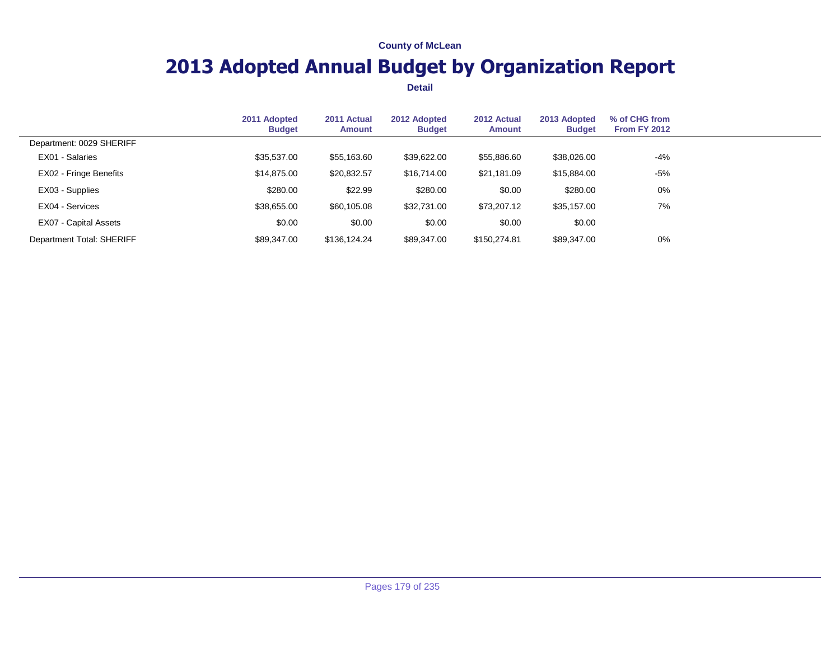## **2013 Adopted Annual Budget by Organization Report**

|                           | 2011 Adopted<br><b>Budget</b> | 2011 Actual<br><b>Amount</b> | 2012 Adopted<br><b>Budget</b> | 2012 Actual<br><b>Amount</b> | 2013 Adopted<br><b>Budget</b> | % of CHG from<br><b>From FY 2012</b> |  |
|---------------------------|-------------------------------|------------------------------|-------------------------------|------------------------------|-------------------------------|--------------------------------------|--|
| Department: 0029 SHERIFF  |                               |                              |                               |                              |                               |                                      |  |
| EX01 - Salaries           | \$35,537.00                   | \$55,163.60                  | \$39,622.00                   | \$55,886.60                  | \$38,026.00                   | $-4%$                                |  |
| EX02 - Fringe Benefits    | \$14,875.00                   | \$20,832.57                  | \$16,714.00                   | \$21,181.09                  | \$15,884.00                   | -5%                                  |  |
| EX03 - Supplies           | \$280.00                      | \$22.99                      | \$280.00                      | \$0.00                       | \$280.00                      | 0%                                   |  |
| EX04 - Services           | \$38,655.00                   | \$60,105.08                  | \$32,731.00                   | \$73,207.12                  | \$35,157.00                   | 7%                                   |  |
| EX07 - Capital Assets     | \$0.00                        | \$0.00                       | \$0.00                        | \$0.00                       | \$0.00                        |                                      |  |
| Department Total: SHERIFF | \$89,347.00                   | \$136,124.24                 | \$89,347.00                   | \$150,274.81                 | \$89,347.00                   | $0\%$                                |  |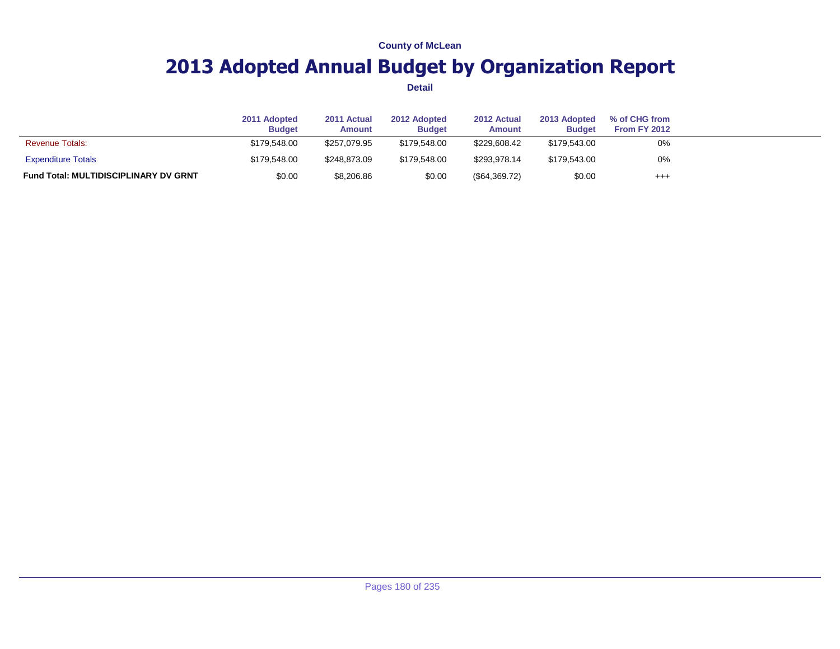## **2013 Adopted Annual Budget by Organization Report**

|                                              | 2011 Adopted<br><b>Budget</b> | 2011 Actual<br><b>Amount</b> | 2012 Adopted<br><b>Budget</b> | 2012 Actual<br><b>Amount</b> | 2013 Adopted<br><b>Budget</b> | % of CHG from<br><b>From FY 2012</b> |  |
|----------------------------------------------|-------------------------------|------------------------------|-------------------------------|------------------------------|-------------------------------|--------------------------------------|--|
| <b>Revenue Totals:</b>                       | \$179.548.00                  | \$257.079.95                 | \$179.548.00                  | \$229,608.42                 | \$179.543.00                  | 0%                                   |  |
| <b>Expenditure Totals</b>                    | \$179.548.00                  | \$248.873.09                 | \$179.548.00                  | \$293.978.14                 | \$179,543.00                  | 0%                                   |  |
| <b>Fund Total: MULTIDISCIPLINARY DV GRNT</b> | \$0.00                        | \$8,206.86                   | \$0.00                        | $(\$64,369.72)$              | \$0.00                        | $^{+++}$                             |  |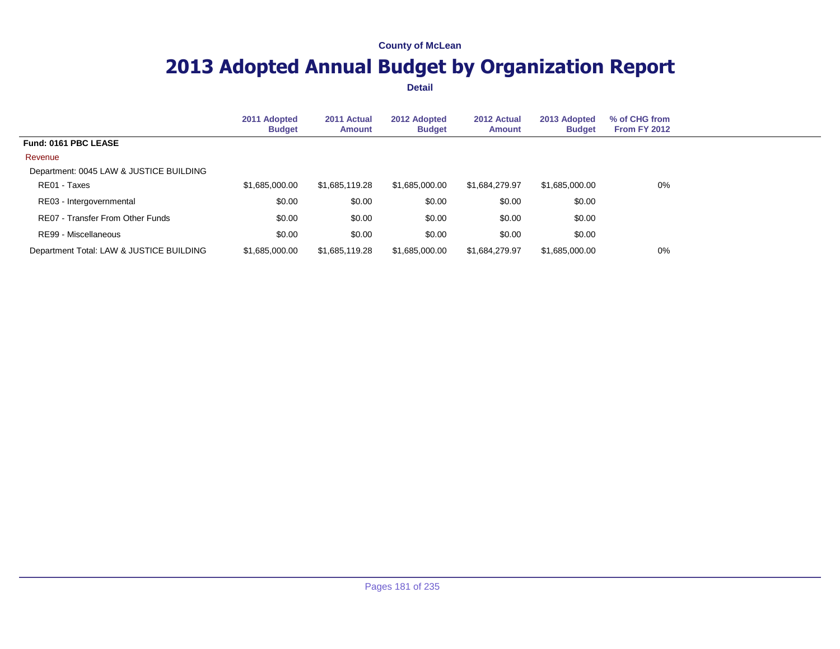## **2013 Adopted Annual Budget by Organization Report**

|                                          | 2011 Adopted<br><b>Budget</b> | 2011 Actual<br><b>Amount</b> | 2012 Adopted<br><b>Budget</b> | 2012 Actual<br><b>Amount</b> | 2013 Adopted<br><b>Budget</b> | % of CHG from<br><b>From FY 2012</b> |  |
|------------------------------------------|-------------------------------|------------------------------|-------------------------------|------------------------------|-------------------------------|--------------------------------------|--|
| Fund: 0161 PBC LEASE                     |                               |                              |                               |                              |                               |                                      |  |
| Revenue                                  |                               |                              |                               |                              |                               |                                      |  |
| Department: 0045 LAW & JUSTICE BUILDING  |                               |                              |                               |                              |                               |                                      |  |
| RE01 - Taxes                             | \$1,685,000.00                | \$1,685,119.28               | \$1,685,000.00                | \$1,684,279.97               | \$1,685,000.00                | $0\%$                                |  |
| RE03 - Intergovernmental                 | \$0.00                        | \$0.00                       | \$0.00                        | \$0.00                       | \$0.00                        |                                      |  |
| RE07 - Transfer From Other Funds         | \$0.00                        | \$0.00                       | \$0.00                        | \$0.00                       | \$0.00                        |                                      |  |
| RE99 - Miscellaneous                     | \$0.00                        | \$0.00                       | \$0.00                        | \$0.00                       | \$0.00                        |                                      |  |
| Department Total: LAW & JUSTICE BUILDING | \$1.685,000,00                | \$1,685,119,28               | \$1,685,000.00                | \$1.684.279.97               | \$1,685,000.00                | $0\%$                                |  |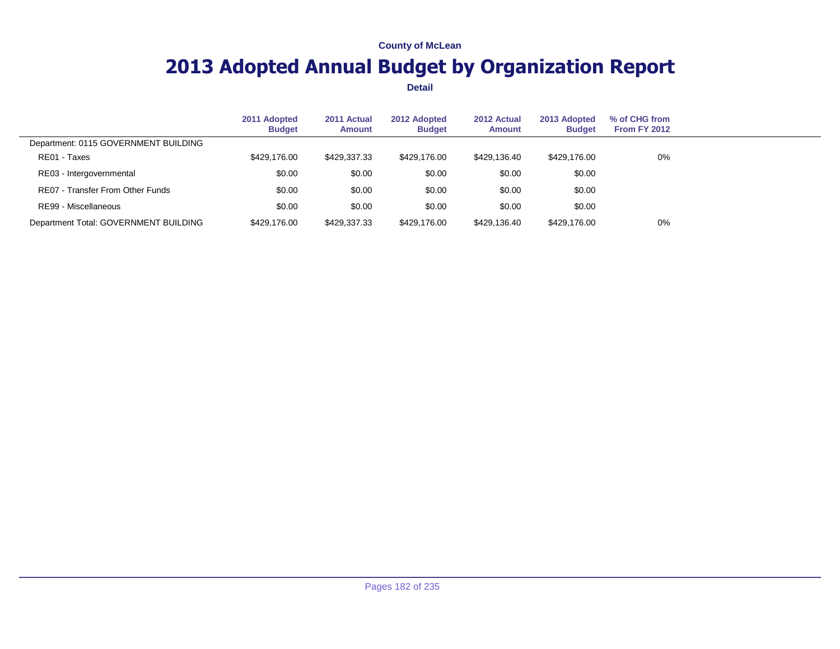## **2013 Adopted Annual Budget by Organization Report**

|                                       | 2011 Adopted<br><b>Budget</b> | 2011 Actual<br>Amount | 2012 Adopted<br><b>Budget</b> | 2012 Actual<br><b>Amount</b> | 2013 Adopted<br><b>Budget</b> | % of CHG from<br><b>From FY 2012</b> |  |
|---------------------------------------|-------------------------------|-----------------------|-------------------------------|------------------------------|-------------------------------|--------------------------------------|--|
| Department: 0115 GOVERNMENT BUILDING  |                               |                       |                               |                              |                               |                                      |  |
| RE01 - Taxes                          | \$429,176.00                  | \$429,337.33          | \$429,176,00                  | \$429,136,40                 | \$429,176.00                  | 0%                                   |  |
| RE03 - Intergovernmental              | \$0.00                        | \$0.00                | \$0.00                        | \$0.00                       | \$0.00                        |                                      |  |
| RE07 - Transfer From Other Funds      | \$0.00                        | \$0.00                | \$0.00                        | \$0.00                       | \$0.00                        |                                      |  |
| RE99 - Miscellaneous                  | \$0.00                        | \$0.00                | \$0.00                        | \$0.00                       | \$0.00                        |                                      |  |
| Department Total: GOVERNMENT BUILDING | \$429,176,00                  | \$429,337.33          | \$429,176.00                  | \$429,136.40                 | \$429,176.00                  | 0%                                   |  |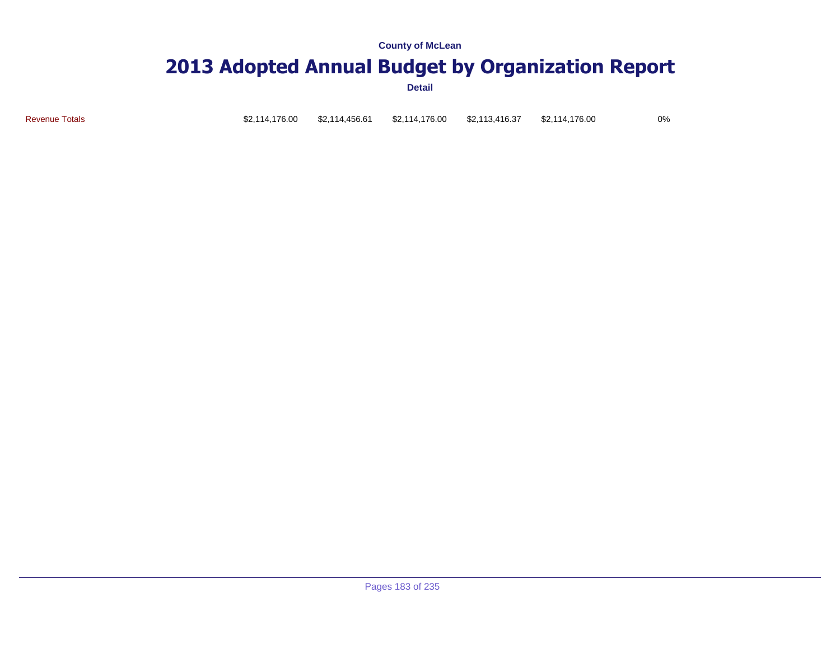## **2013 Adopted Annual Budget by Organization Report**

| <b>Revenue Totals</b> |  |  | \$2,114,176.00    \$2,114,456.61    \$2,114,176.00    \$2,113,416.37 |  | \$2,114,176.00 | 0% |
|-----------------------|--|--|----------------------------------------------------------------------|--|----------------|----|
|-----------------------|--|--|----------------------------------------------------------------------|--|----------------|----|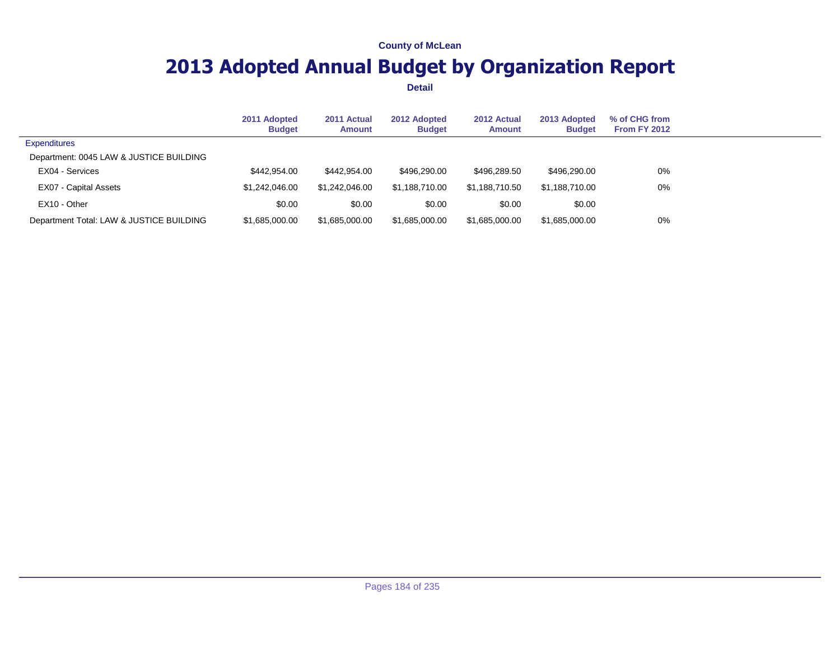## **2013 Adopted Annual Budget by Organization Report**

|                                          | 2011 Adopted<br><b>Budget</b> | 2011 Actual<br>Amount | 2012 Adopted<br><b>Budget</b> | 2012 Actual<br><b>Amount</b> | 2013 Adopted<br><b>Budget</b> | % of CHG from<br><b>From FY 2012</b> |  |
|------------------------------------------|-------------------------------|-----------------------|-------------------------------|------------------------------|-------------------------------|--------------------------------------|--|
| <b>Expenditures</b>                      |                               |                       |                               |                              |                               |                                      |  |
| Department: 0045 LAW & JUSTICE BUILDING  |                               |                       |                               |                              |                               |                                      |  |
| EX04 - Services                          | \$442,954,00                  | \$442,954,00          | \$496,290,00                  | \$496,289.50                 | \$496,290.00                  | $0\%$                                |  |
| EX07 - Capital Assets                    | \$1,242,046,00                | \$1,242,046,00        | \$1.188.710.00                | \$1.188.710.50               | \$1.188.710.00                | $0\%$                                |  |
| EX10 - Other                             | \$0.00                        | \$0.00                | \$0.00                        | \$0.00                       | \$0.00                        |                                      |  |
| Department Total: LAW & JUSTICE BUILDING | \$1,685,000.00                | \$1,685,000.00        | \$1,685,000.00                | \$1,685,000.00               | \$1,685,000.00                | $0\%$                                |  |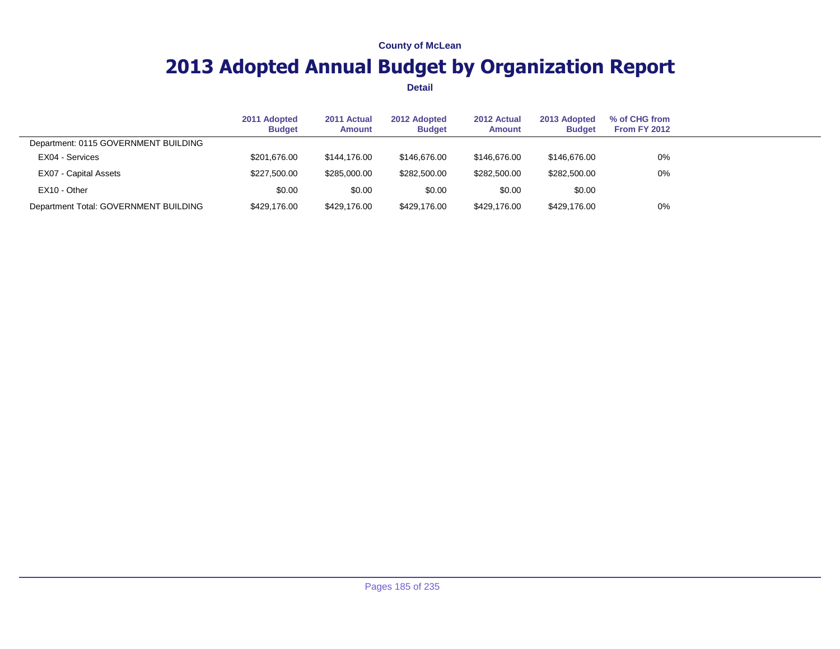## **2013 Adopted Annual Budget by Organization Report**

|                                       | 2011 Adopted<br><b>Budget</b> | 2011 Actual<br><b>Amount</b> | 2012 Adopted<br><b>Budget</b> | 2012 Actual<br><b>Amount</b> | 2013 Adopted<br><b>Budget</b> | % of CHG from<br>From FY 2012 |  |
|---------------------------------------|-------------------------------|------------------------------|-------------------------------|------------------------------|-------------------------------|-------------------------------|--|
| Department: 0115 GOVERNMENT BUILDING  |                               |                              |                               |                              |                               |                               |  |
| EX04 - Services                       | \$201,676.00                  | \$144.176.00                 | \$146,676,00                  | \$146.676.00                 | \$146,676.00                  | 0%                            |  |
| EX07 - Capital Assets                 | \$227,500.00                  | \$285,000.00                 | \$282,500.00                  | \$282,500.00                 | \$282,500.00                  | 0%                            |  |
| EX10 - Other                          | \$0.00                        | \$0.00                       | \$0.00                        | \$0.00                       | \$0.00                        |                               |  |
| Department Total: GOVERNMENT BUILDING | \$429,176.00                  | \$429,176.00                 | \$429,176.00                  | \$429,176.00                 | \$429,176.00                  | 0%                            |  |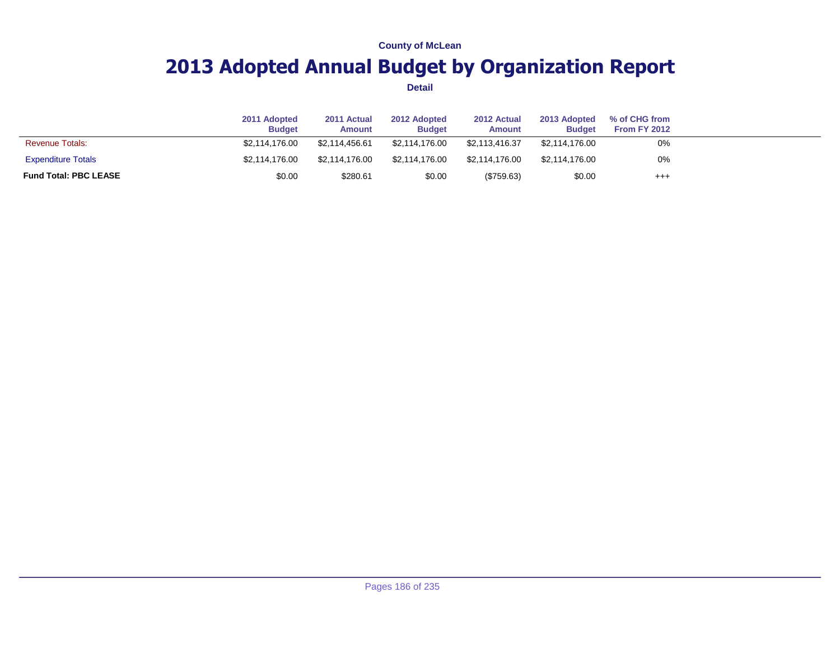## **2013 Adopted Annual Budget by Organization Report**

|                              | 2011 Adopted<br><b>Budget</b> | 2011 Actual<br>Amount | 2012 Adopted<br><b>Budget</b> | 2012 Actual<br><b>Amount</b> | 2013 Adopted<br><b>Budget</b> | % of CHG from<br>From FY 2012 |  |
|------------------------------|-------------------------------|-----------------------|-------------------------------|------------------------------|-------------------------------|-------------------------------|--|
| <b>Revenue Totals:</b>       | \$2.114.176.00                | \$2.114.456.61        | \$2.114.176.00                | \$2.113.416.37               | \$2,114,176.00                | 0%                            |  |
| <b>Expenditure Totals</b>    | \$2.114.176.00                | \$2.114.176.00        | \$2.114.176.00                | \$2.114.176.00               | \$2,114,176.00                | 0%                            |  |
| <b>Fund Total: PBC LEASE</b> | \$0.00                        | \$280.61              | \$0.00                        | (\$759.63)                   | \$0.00                        | $^{+++}$                      |  |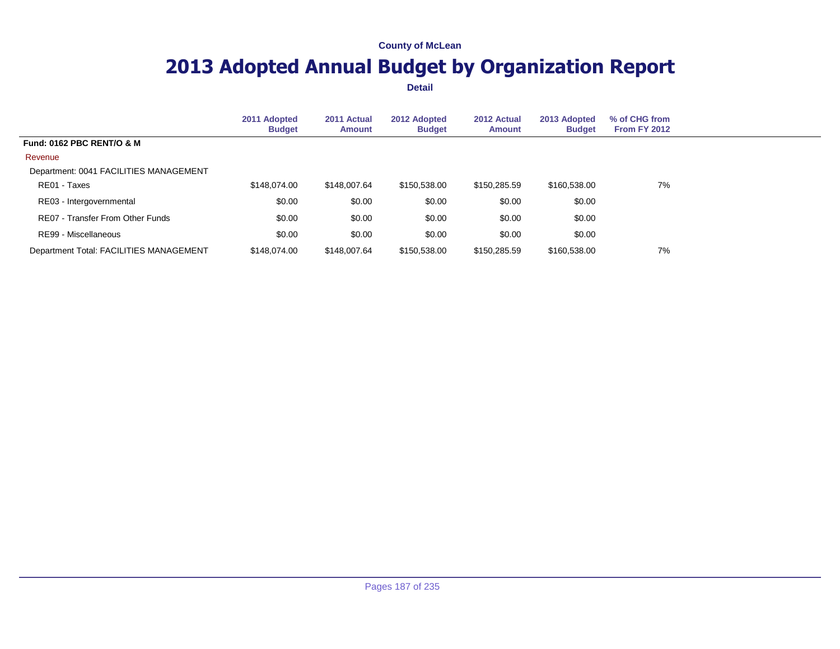## **2013 Adopted Annual Budget by Organization Report**

|                                         | 2011 Adopted<br><b>Budget</b> | 2011 Actual<br><b>Amount</b> | 2012 Adopted<br><b>Budget</b> | 2012 Actual<br><b>Amount</b> | 2013 Adopted<br><b>Budget</b> | % of CHG from<br><b>From FY 2012</b> |  |
|-----------------------------------------|-------------------------------|------------------------------|-------------------------------|------------------------------|-------------------------------|--------------------------------------|--|
| <b>Fund: 0162 PBC RENT/O &amp; M</b>    |                               |                              |                               |                              |                               |                                      |  |
| Revenue                                 |                               |                              |                               |                              |                               |                                      |  |
| Department: 0041 FACILITIES MANAGEMENT  |                               |                              |                               |                              |                               |                                      |  |
| RE01 - Taxes                            | \$148,074.00                  | \$148,007.64                 | \$150,538.00                  | \$150,285.59                 | \$160,538.00                  | 7%                                   |  |
| RE03 - Intergovernmental                | \$0.00                        | \$0.00                       | \$0.00                        | \$0.00                       | \$0.00                        |                                      |  |
| RE07 - Transfer From Other Funds        | \$0.00                        | \$0.00                       | \$0.00                        | \$0.00                       | \$0.00                        |                                      |  |
| RE99 - Miscellaneous                    | \$0.00                        | \$0.00                       | \$0.00                        | \$0.00                       | \$0.00                        |                                      |  |
| Department Total: FACILITIES MANAGEMENT | \$148,074,00                  | \$148,007.64                 | \$150,538.00                  | \$150,285.59                 | \$160,538,00                  | 7%                                   |  |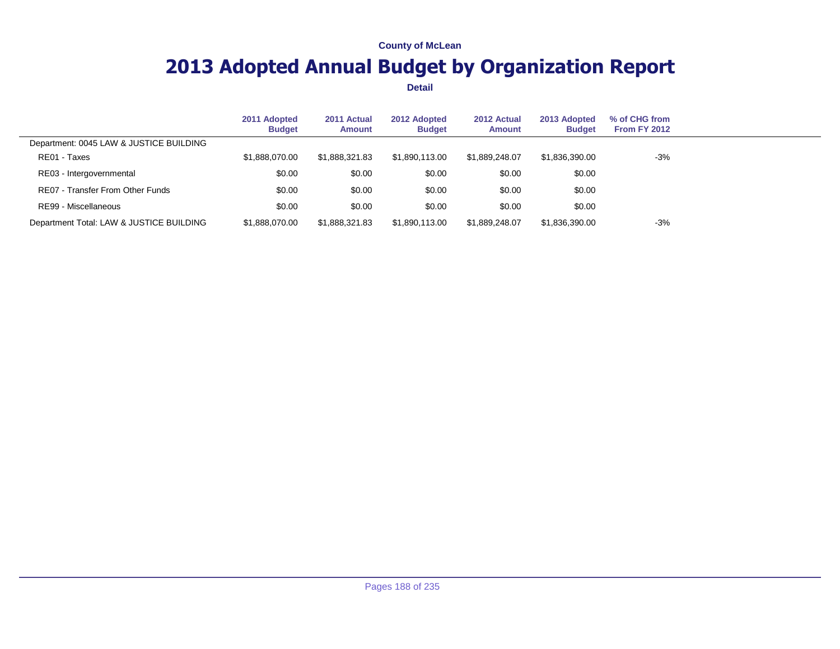## **2013 Adopted Annual Budget by Organization Report**

|                                          | 2011 Adopted<br><b>Budget</b> | 2011 Actual<br>Amount | 2012 Adopted<br><b>Budget</b> | 2012 Actual<br>Amount | 2013 Adopted<br><b>Budget</b> | % of CHG from<br>From FY 2012 |  |
|------------------------------------------|-------------------------------|-----------------------|-------------------------------|-----------------------|-------------------------------|-------------------------------|--|
| Department: 0045 LAW & JUSTICE BUILDING  |                               |                       |                               |                       |                               |                               |  |
| RE01 - Taxes                             | \$1.888.070.00                | \$1.888.321.83        | \$1.890.113.00                | \$1.889.248.07        | \$1.836.390.00                | $-3%$                         |  |
| RE03 - Intergovernmental                 | \$0.00                        | \$0.00                | \$0.00                        | \$0.00                | \$0.00                        |                               |  |
| RE07 - Transfer From Other Funds         | \$0.00                        | \$0.00                | \$0.00                        | \$0.00                | \$0.00                        |                               |  |
| RE99 - Miscellaneous                     | \$0.00                        | \$0.00                | \$0.00                        | \$0.00                | \$0.00                        |                               |  |
| Department Total: LAW & JUSTICE BUILDING | \$1,888,070,00                | \$1.888.321.83        | \$1.890.113.00                | \$1.889.248.07        | \$1,836,390.00                | $-3%$                         |  |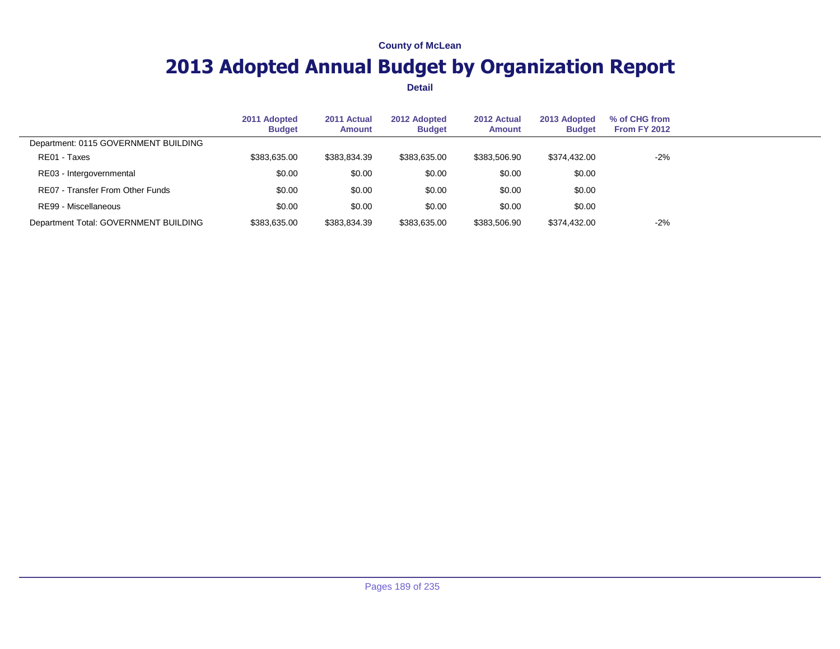## **2013 Adopted Annual Budget by Organization Report**

|                                         | 2011 Adopted<br><b>Budget</b> | 2011 Actual<br>Amount | 2012 Adopted<br><b>Budget</b> | 2012 Actual<br>Amount | 2013 Adopted<br><b>Budget</b> | % of CHG from<br><b>From FY 2012</b> |  |
|-----------------------------------------|-------------------------------|-----------------------|-------------------------------|-----------------------|-------------------------------|--------------------------------------|--|
| Department: 0115 GOVERNMENT BUILDING    |                               |                       |                               |                       |                               |                                      |  |
| RE01 - Taxes                            | \$383,635,00                  | \$383,834.39          | \$383.635.00                  | \$383,506.90          | \$374,432,00                  | $-2%$                                |  |
| RE03 - Intergovernmental                | \$0.00                        | \$0.00                | \$0.00                        | \$0.00                | \$0.00                        |                                      |  |
| <b>RE07 - Transfer From Other Funds</b> | \$0.00                        | \$0.00                | \$0.00                        | \$0.00                | \$0.00                        |                                      |  |
| RE99 - Miscellaneous                    | \$0.00                        | \$0.00                | \$0.00                        | \$0.00                | \$0.00                        |                                      |  |
| Department Total: GOVERNMENT BUILDING   | \$383,635.00                  | \$383.834.39          | \$383,635.00                  | \$383,506.90          | \$374.432.00                  | $-2%$                                |  |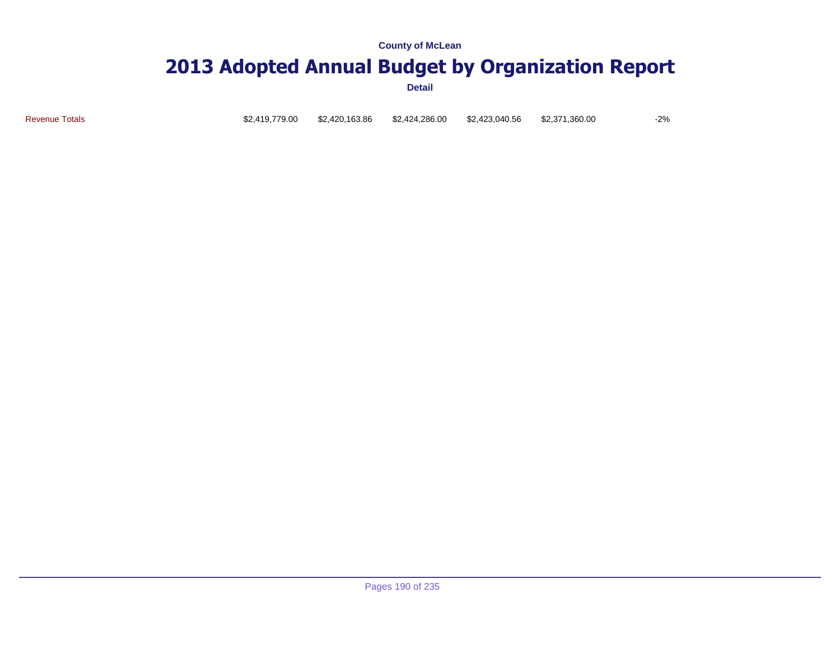### **2013 Adopted Annual Budget by Organization Report**

**Detail**

Revenue Totals \$2,419,779.00 \$2,420,163.86 \$2,424,286.00 \$2,423,040.56 \$2,371,360.00 -2%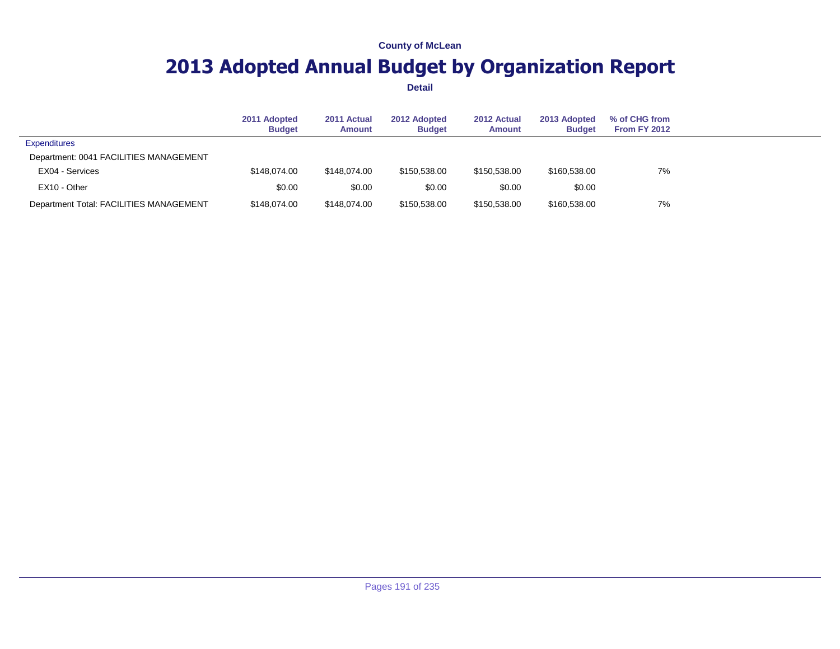## **2013 Adopted Annual Budget by Organization Report**

|                                         | 2011 Adopted<br><b>Budget</b> | 2011 Actual<br>Amount | 2012 Adopted<br><b>Budget</b> | 2012 Actual<br><b>Amount</b> | 2013 Adopted<br><b>Budget</b> | % of CHG from<br><b>From FY 2012</b> |  |
|-----------------------------------------|-------------------------------|-----------------------|-------------------------------|------------------------------|-------------------------------|--------------------------------------|--|
| <b>Expenditures</b>                     |                               |                       |                               |                              |                               |                                      |  |
| Department: 0041 FACILITIES MANAGEMENT  |                               |                       |                               |                              |                               |                                      |  |
| EX04 - Services                         | \$148,074,00                  | \$148,074,00          | \$150.538.00                  | \$150.538.00                 | \$160,538,00                  | 7%                                   |  |
| EX10 - Other                            | \$0.00                        | \$0.00                | \$0.00                        | \$0.00                       | \$0.00                        |                                      |  |
| Department Total: FACILITIES MANAGEMENT | \$148,074,00                  | \$148,074,00          | \$150,538.00                  | \$150,538.00                 | \$160,538.00                  | 7%                                   |  |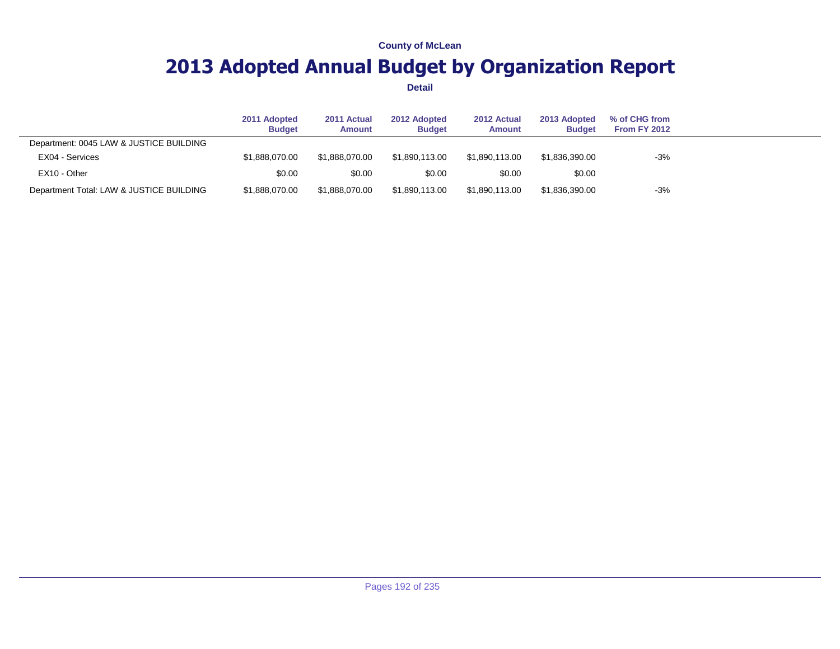## **2013 Adopted Annual Budget by Organization Report**

|                                          | 2011 Adopted<br><b>Budget</b> | 2011 Actual<br><b>Amount</b> | 2012 Adopted<br><b>Budget</b> | 2012 Actual<br><b>Amount</b> | 2013 Adopted<br><b>Budget</b> | % of CHG from<br>From FY 2012 |  |
|------------------------------------------|-------------------------------|------------------------------|-------------------------------|------------------------------|-------------------------------|-------------------------------|--|
| Department: 0045 LAW & JUSTICE BUILDING  |                               |                              |                               |                              |                               |                               |  |
| EX04 - Services                          | \$1.888.070.00                | \$1.888.070.00               | \$1.890.113.00                | \$1.890.113.00               | \$1.836.390.00                | $-3%$                         |  |
| EX10 - Other                             | \$0.00                        | \$0.00                       | \$0.00                        | \$0.00                       | \$0.00                        |                               |  |
| Department Total: LAW & JUSTICE BUILDING | \$1,888,070.00                | \$1.888.070.00               | \$1.890.113.00                | \$1.890.113.00               | \$1,836,390.00                | $-3%$                         |  |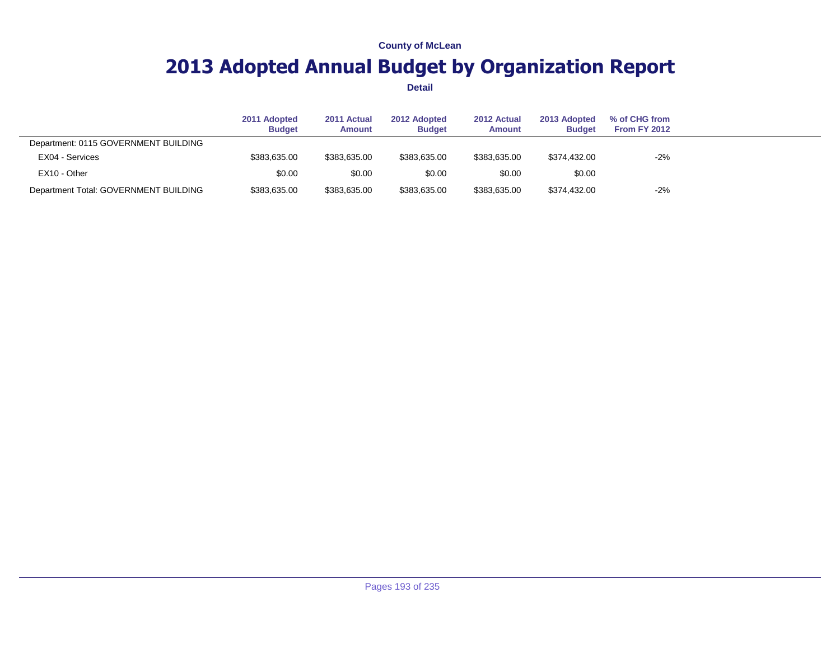## **2013 Adopted Annual Budget by Organization Report**

|                                       | 2011 Adopted<br><b>Budget</b> | 2011 Actual<br><b>Amount</b> | 2012 Adopted<br><b>Budget</b> | 2012 Actual<br><b>Amount</b> | 2013 Adopted<br><b>Budget</b> | % of CHG from<br><b>From FY 2012</b> |  |
|---------------------------------------|-------------------------------|------------------------------|-------------------------------|------------------------------|-------------------------------|--------------------------------------|--|
| Department: 0115 GOVERNMENT BUILDING  |                               |                              |                               |                              |                               |                                      |  |
| EX04 - Services                       | \$383,635.00                  | \$383.635.00                 | \$383,635.00                  | \$383.635.00                 | \$374,432.00                  | $-2%$                                |  |
| EX10 - Other                          | \$0.00                        | \$0.00                       | \$0.00                        | \$0.00                       | \$0.00                        |                                      |  |
| Department Total: GOVERNMENT BUILDING | \$383,635.00                  | \$383,635.00                 | \$383,635.00                  | \$383,635.00                 | \$374,432.00                  | $-2%$                                |  |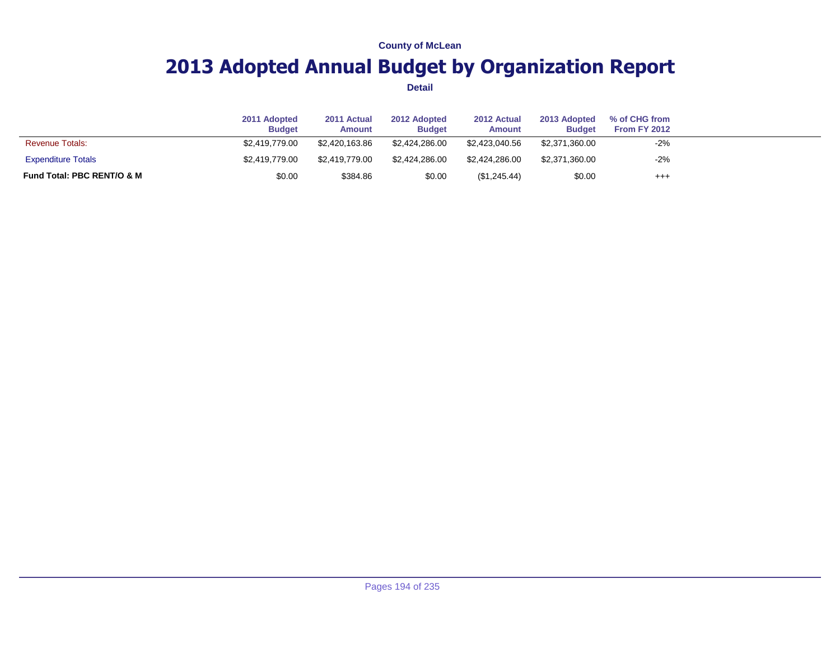## **2013 Adopted Annual Budget by Organization Report**

|                            | 2011 Adopted<br><b>Budget</b> | 2011 Actual<br><b>Amount</b> | 2012 Adopted<br><b>Budget</b> | 2012 Actual<br><b>Amount</b> | 2013 Adopted<br><b>Budget</b> | % of CHG from<br>From FY 2012 |  |
|----------------------------|-------------------------------|------------------------------|-------------------------------|------------------------------|-------------------------------|-------------------------------|--|
| <b>Revenue Totals:</b>     | \$2,419,779,00                | \$2,420,163,86               | \$2.424.286.00                | \$2,423,040.56               | \$2,371,360.00                | $-2%$                         |  |
| <b>Expenditure Totals</b>  | \$2,419,779,00                | \$2,419,779.00               | \$2.424.286.00                | \$2.424.286.00               | \$2,371,360.00                | $-2%$                         |  |
| Fund Total: PBC RENT/O & M | \$0.00                        | \$384.86                     | \$0.00                        | (\$1,245.44)                 | \$0.00                        | $^{+++}$                      |  |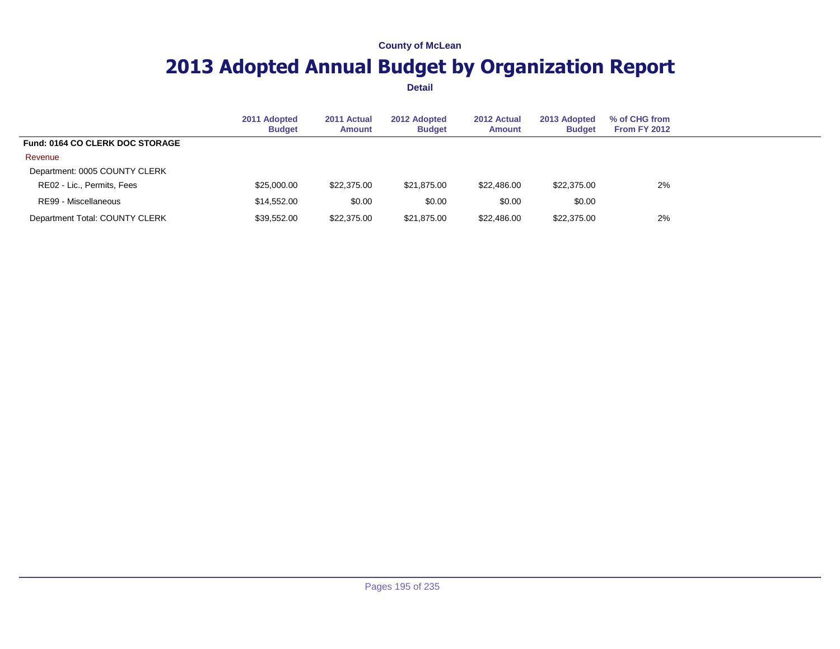## **2013 Adopted Annual Budget by Organization Report**

|                                        | 2011 Adopted<br><b>Budget</b> | 2011 Actual<br><b>Amount</b> | 2012 Adopted<br><b>Budget</b> | 2012 Actual<br><b>Amount</b> | 2013 Adopted<br><b>Budget</b> | % of CHG from<br>From FY 2012 |  |
|----------------------------------------|-------------------------------|------------------------------|-------------------------------|------------------------------|-------------------------------|-------------------------------|--|
| <b>Fund: 0164 CO CLERK DOC STORAGE</b> |                               |                              |                               |                              |                               |                               |  |
| Revenue                                |                               |                              |                               |                              |                               |                               |  |
| Department: 0005 COUNTY CLERK          |                               |                              |                               |                              |                               |                               |  |
| RE02 - Lic., Permits, Fees             | \$25,000.00                   | \$22,375.00                  | \$21.875.00                   | \$22,486.00                  | \$22,375.00                   | 2%                            |  |
| RE99 - Miscellaneous                   | \$14,552.00                   | \$0.00                       | \$0.00                        | \$0.00                       | \$0.00                        |                               |  |
| Department Total: COUNTY CLERK         | \$39,552.00                   | \$22,375.00                  | \$21,875.00                   | \$22,486.00                  | \$22,375.00                   | 2%                            |  |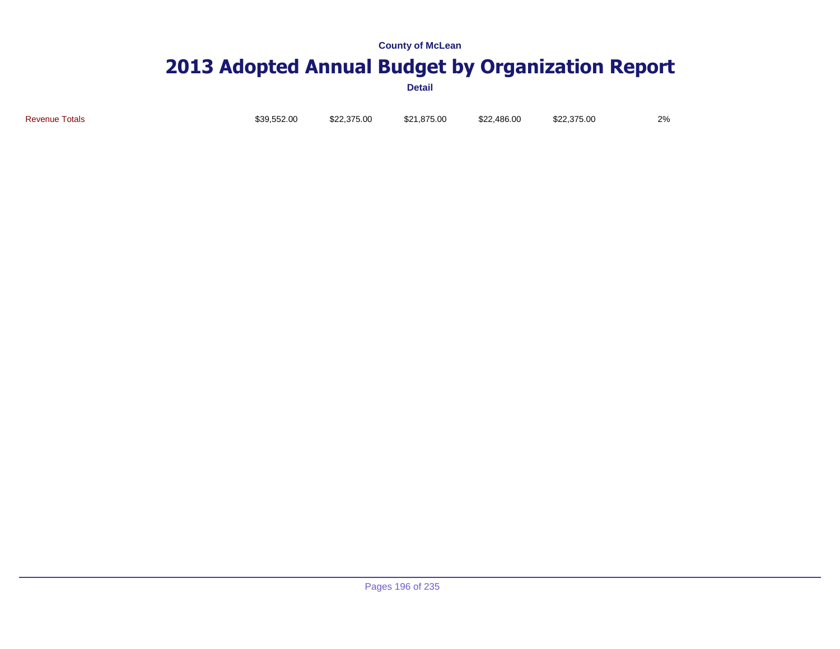## **2013 Adopted Annual Budget by Organization Report**

| <b>Revenue Totals</b><br>\$21,875.00<br>\$22,486,00<br>\$39.552.00<br>\$22,375,00<br>\$22,375,00 |  |  |  |  |  |  | 2% |
|--------------------------------------------------------------------------------------------------|--|--|--|--|--|--|----|
|--------------------------------------------------------------------------------------------------|--|--|--|--|--|--|----|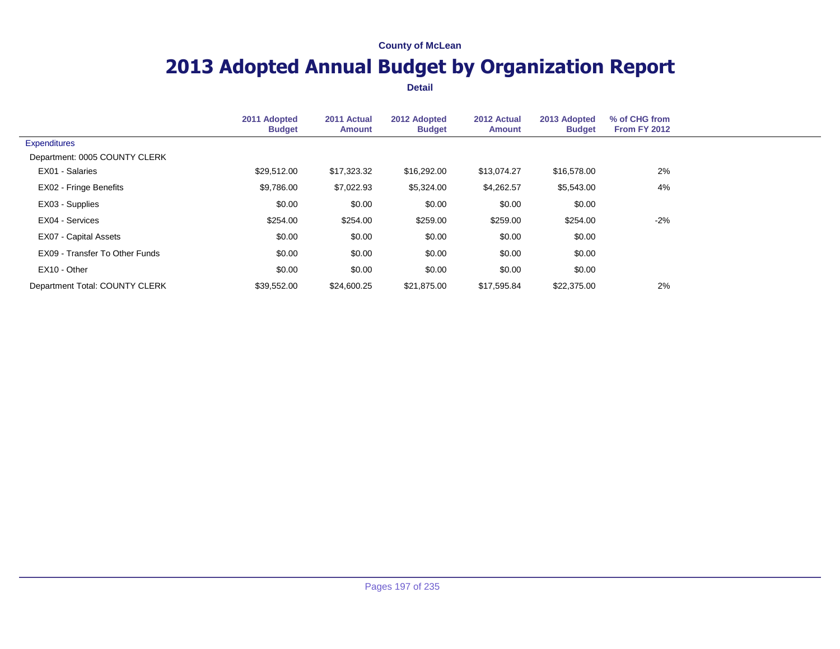## **2013 Adopted Annual Budget by Organization Report**

|                                | 2011 Adopted<br><b>Budget</b> | 2011 Actual<br><b>Amount</b> | 2012 Adopted<br><b>Budget</b> | 2012 Actual<br><b>Amount</b> | 2013 Adopted<br><b>Budget</b> | % of CHG from<br><b>From FY 2012</b> |  |
|--------------------------------|-------------------------------|------------------------------|-------------------------------|------------------------------|-------------------------------|--------------------------------------|--|
| <b>Expenditures</b>            |                               |                              |                               |                              |                               |                                      |  |
| Department: 0005 COUNTY CLERK  |                               |                              |                               |                              |                               |                                      |  |
| EX01 - Salaries                | \$29,512.00                   | \$17,323.32                  | \$16,292.00                   | \$13,074.27                  | \$16,578.00                   | 2%                                   |  |
| <b>EX02 - Fringe Benefits</b>  | \$9,786.00                    | \$7,022.93                   | \$5,324.00                    | \$4,262.57                   | \$5,543.00                    | 4%                                   |  |
| EX03 - Supplies                | \$0.00                        | \$0.00                       | \$0.00                        | \$0.00                       | \$0.00                        |                                      |  |
| EX04 - Services                | \$254.00                      | \$254.00                     | \$259.00                      | \$259.00                     | \$254.00                      | $-2%$                                |  |
| EX07 - Capital Assets          | \$0.00                        | \$0.00                       | \$0.00                        | \$0.00                       | \$0.00                        |                                      |  |
| EX09 - Transfer To Other Funds | \$0.00                        | \$0.00                       | \$0.00                        | \$0.00                       | \$0.00                        |                                      |  |
| EX10 - Other                   | \$0.00                        | \$0.00                       | \$0.00                        | \$0.00                       | \$0.00                        |                                      |  |
| Department Total: COUNTY CLERK | \$39,552,00                   | \$24,600.25                  | \$21.875.00                   | \$17,595.84                  | \$22,375.00                   | 2%                                   |  |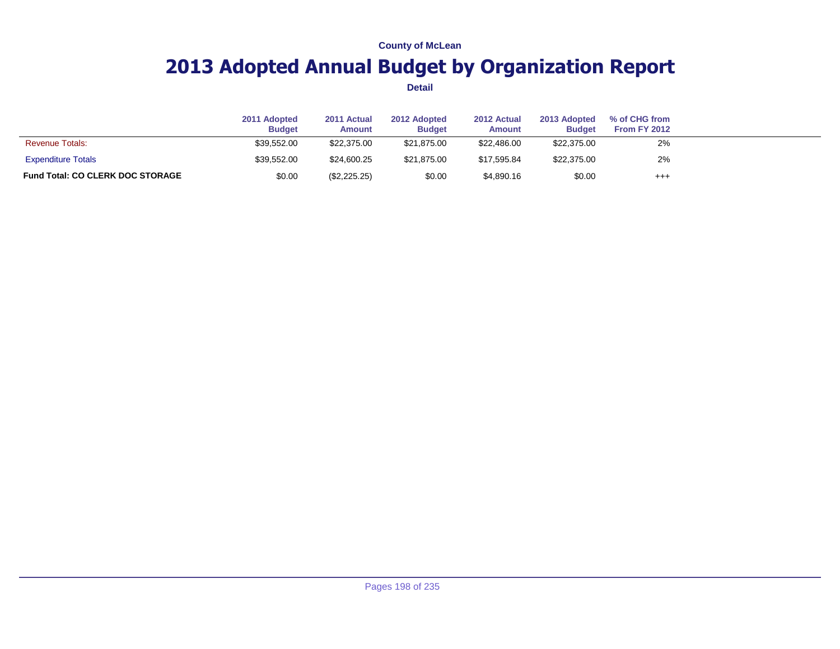## **2013 Adopted Annual Budget by Organization Report**

|                                         | 2011 Adopted<br><b>Budget</b> | 2011 Actual<br><b>Amount</b> | 2012 Adopted<br><b>Budget</b> | 2012 Actual<br><b>Amount</b> | 2013 Adopted<br><b>Budget</b> | % of CHG from<br><b>From FY 2012</b> |  |
|-----------------------------------------|-------------------------------|------------------------------|-------------------------------|------------------------------|-------------------------------|--------------------------------------|--|
| <b>Revenue Totals:</b>                  | \$39.552.00                   | \$22,375,00                  | \$21.875.00                   | \$22,486,00                  | \$22,375.00                   | 2%                                   |  |
| <b>Expenditure Totals</b>               | \$39,552.00                   | \$24,600.25                  | \$21.875.00                   | \$17.595.84                  | \$22,375.00                   | 2%                                   |  |
| <b>Fund Total: CO CLERK DOC STORAGE</b> | \$0.00                        | $(\$2,225.25)$               | \$0.00                        | \$4,890.16                   | \$0.00                        | $^{+++}$                             |  |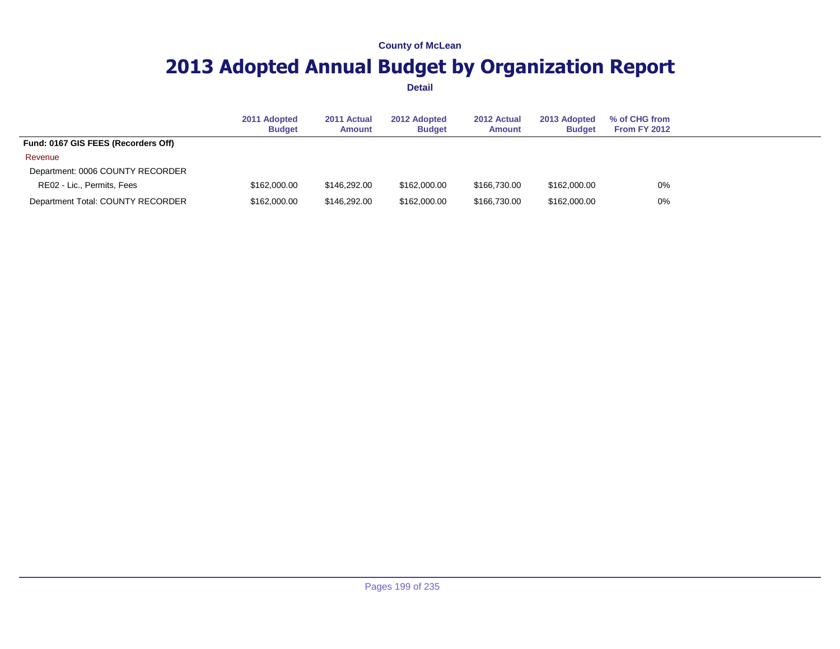## **2013 Adopted Annual Budget by Organization Report**

|                                     | 2011 Adopted<br><b>Budget</b> | 2011 Actual<br><b>Amount</b> | 2012 Adopted<br><b>Budget</b> | 2012 Actual<br><b>Amount</b> | 2013 Adopted<br><b>Budget</b> | % of CHG from<br><b>From FY 2012</b> |
|-------------------------------------|-------------------------------|------------------------------|-------------------------------|------------------------------|-------------------------------|--------------------------------------|
| Fund: 0167 GIS FEES (Recorders Off) |                               |                              |                               |                              |                               |                                      |
| Revenue                             |                               |                              |                               |                              |                               |                                      |
| Department: 0006 COUNTY RECORDER    |                               |                              |                               |                              |                               |                                      |
| RE02 - Lic., Permits, Fees          | \$162,000,00                  | \$146.292.00                 | \$162,000,00                  | \$166,730,00                 | \$162,000,00                  | 0%                                   |
| Department Total: COUNTY RECORDER   | \$162,000,00                  | \$146.292.00                 | \$162,000.00                  | \$166,730,00                 | \$162,000.00                  | 0%                                   |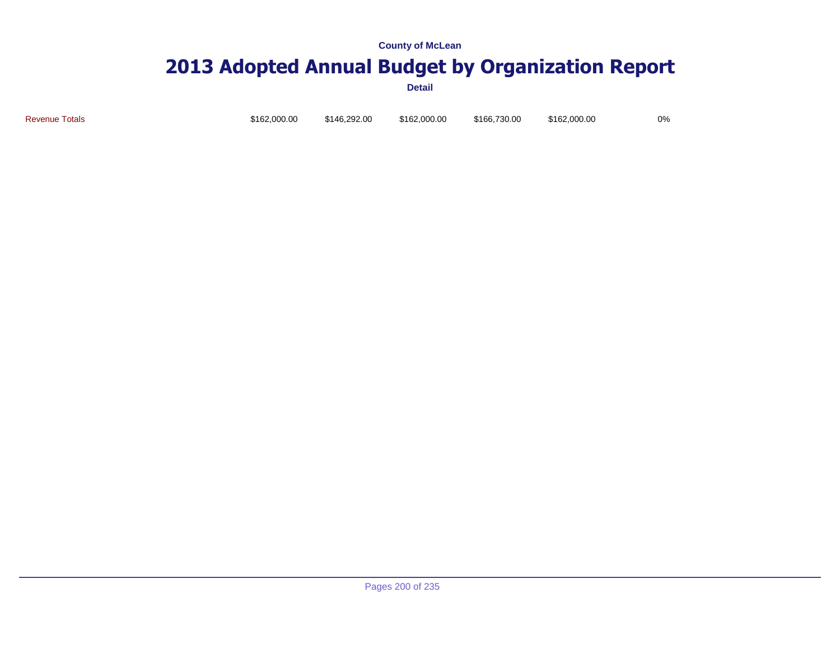# **2013 Adopted Annual Budget by Organization Report**

**Detail**

Revenue Totals \$162,000.00 \$146,292.00 \$162,000.00 \$166,730.00 \$162,000.00 0%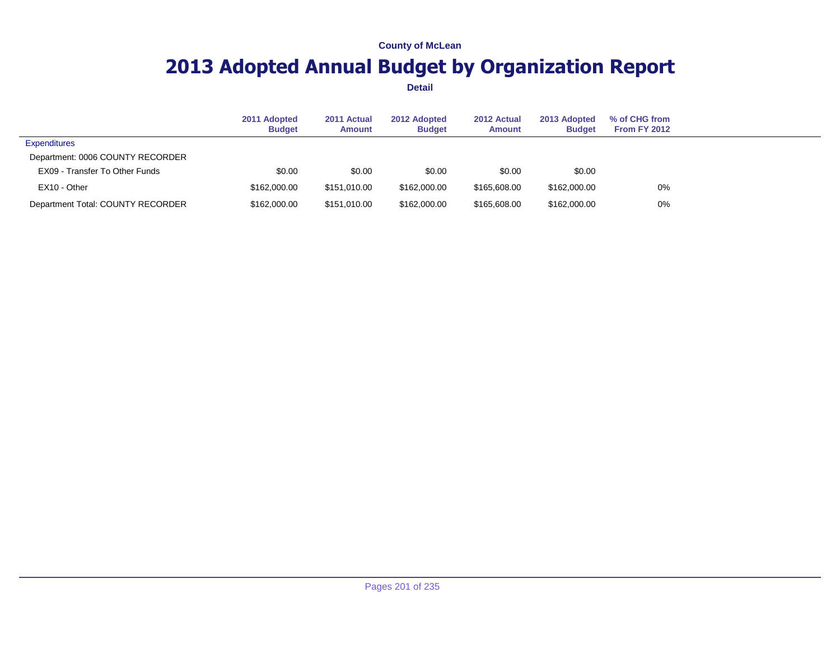## **2013 Adopted Annual Budget by Organization Report**

|                                   | 2011 Adopted<br><b>Budget</b> | 2011 Actual<br>Amount | 2012 Adopted<br><b>Budget</b> | 2012 Actual<br><b>Amount</b> | 2013 Adopted<br><b>Budget</b> | % of CHG from<br>From FY 2012 |  |
|-----------------------------------|-------------------------------|-----------------------|-------------------------------|------------------------------|-------------------------------|-------------------------------|--|
| <b>Expenditures</b>               |                               |                       |                               |                              |                               |                               |  |
| Department: 0006 COUNTY RECORDER  |                               |                       |                               |                              |                               |                               |  |
| EX09 - Transfer To Other Funds    | \$0.00                        | \$0.00                | \$0.00                        | \$0.00                       | \$0.00                        |                               |  |
| EX10 - Other                      | \$162,000.00                  | \$151.010.00          | \$162,000.00                  | \$165,608.00                 | \$162,000.00                  | 0%                            |  |
| Department Total: COUNTY RECORDER | \$162,000,00                  | \$151.010.00          | \$162,000.00                  | \$165,608.00                 | \$162,000.00                  | 0%                            |  |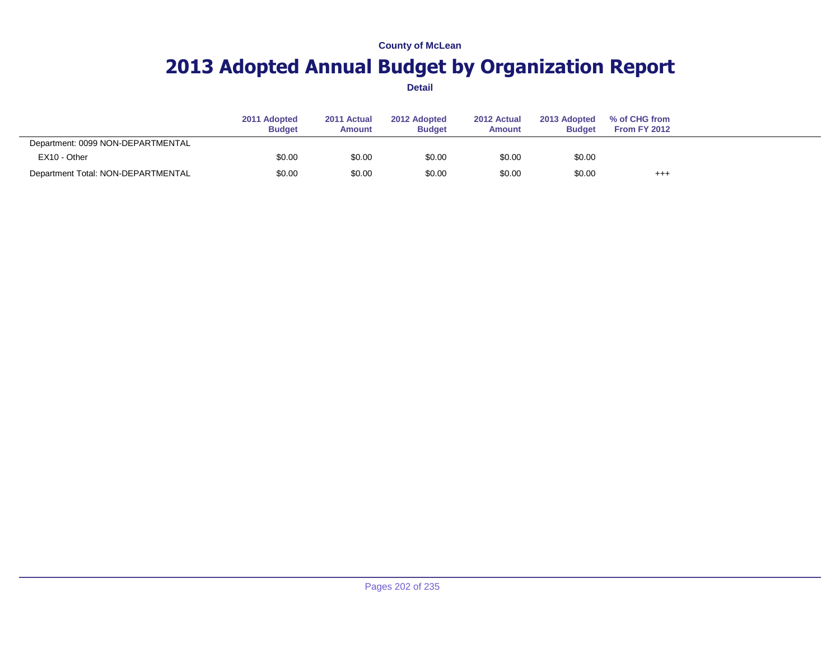## **2013 Adopted Annual Budget by Organization Report**

|                                    | 2011 Adopted<br><b>Budget</b> | 2011 Actual<br><b>Amount</b> | 2012 Adopted<br><b>Budget</b> | 2012 Actual<br><b>Amount</b> | 2013 Adopted<br><b>Budget</b> | % of CHG from<br><b>From FY 2012</b> |  |
|------------------------------------|-------------------------------|------------------------------|-------------------------------|------------------------------|-------------------------------|--------------------------------------|--|
| Department: 0099 NON-DEPARTMENTAL  |                               |                              |                               |                              |                               |                                      |  |
| EX10 - Other                       | \$0.00                        | \$0.00                       | \$0.00                        | \$0.00                       | \$0.00                        |                                      |  |
| Department Total: NON-DEPARTMENTAL | \$0.00                        | \$0.00                       | \$0.00                        | \$0.00                       | \$0.00                        | $^{++}$                              |  |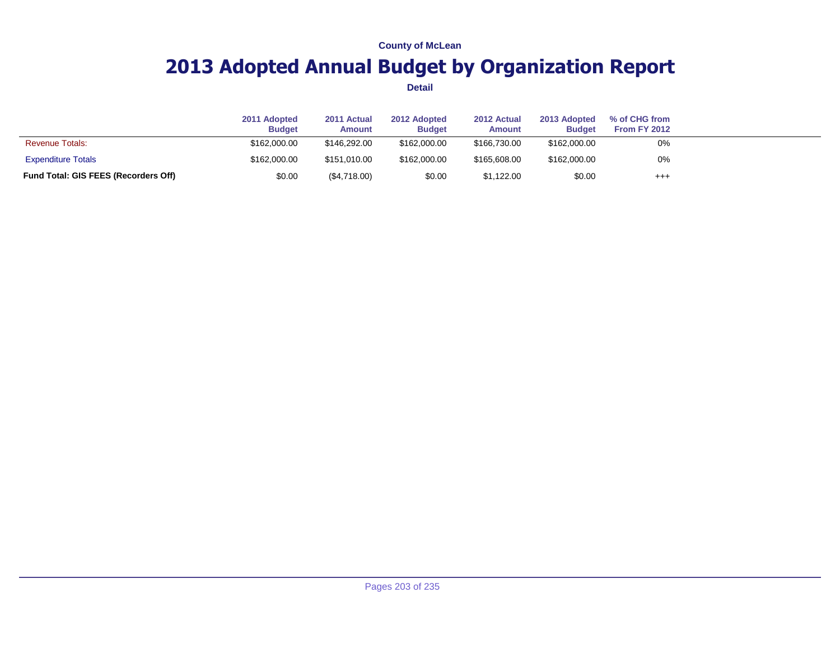## **2013 Adopted Annual Budget by Organization Report**

|                                      | 2011 Adopted<br><b>Budget</b> | 2011 Actual<br><b>Amount</b> | 2012 Adopted<br><b>Budget</b> | 2012 Actual<br><b>Amount</b> | 2013 Adopted<br><b>Budget</b> | % of CHG from<br><b>From FY 2012</b> |  |
|--------------------------------------|-------------------------------|------------------------------|-------------------------------|------------------------------|-------------------------------|--------------------------------------|--|
| <b>Revenue Totals:</b>               | \$162,000.00                  | \$146,292.00                 | \$162,000,00                  | \$166,730,00                 | \$162,000.00                  | 0%                                   |  |
| <b>Expenditure Totals</b>            | \$162,000.00                  | \$151.010.00                 | \$162,000.00                  | \$165,608,00                 | \$162,000.00                  | 0%                                   |  |
| Fund Total: GIS FEES (Recorders Off) | \$0.00                        | $(\$4,718.00)$               | \$0.00                        | \$1,122.00                   | \$0.00                        | $^{++}$                              |  |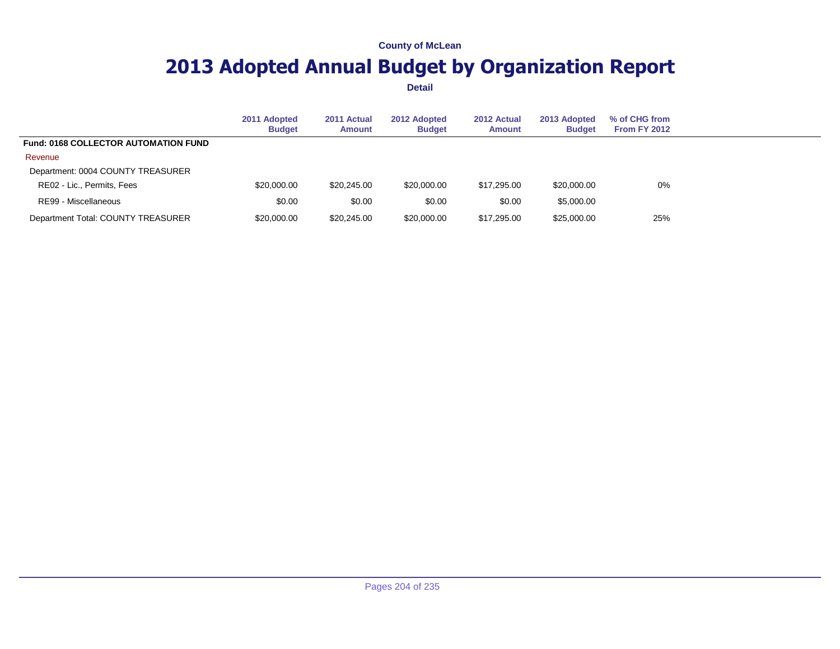## **2013 Adopted Annual Budget by Organization Report**

|                                             | 2011 Adopted<br><b>Budget</b> | 2011 Actual<br>Amount | 2012 Adopted<br><b>Budget</b> | 2012 Actual<br><b>Amount</b> | 2013 Adopted<br><b>Budget</b> | % of CHG from<br><b>From FY 2012</b> |  |
|---------------------------------------------|-------------------------------|-----------------------|-------------------------------|------------------------------|-------------------------------|--------------------------------------|--|
| <b>Fund: 0168 COLLECTOR AUTOMATION FUND</b> |                               |                       |                               |                              |                               |                                      |  |
| Revenue                                     |                               |                       |                               |                              |                               |                                      |  |
| Department: 0004 COUNTY TREASURER           |                               |                       |                               |                              |                               |                                      |  |
| RE02 - Lic., Permits, Fees                  | \$20,000.00                   | \$20,245,00           | \$20,000.00                   | \$17,295.00                  | \$20,000.00                   | 0%                                   |  |
| RE99 - Miscellaneous                        | \$0.00                        | \$0.00                | \$0.00                        | \$0.00                       | \$5,000.00                    |                                      |  |
| Department Total: COUNTY TREASURER          | \$20,000.00                   | \$20,245.00           | \$20,000.00                   | \$17,295.00                  | \$25,000.00                   | 25%                                  |  |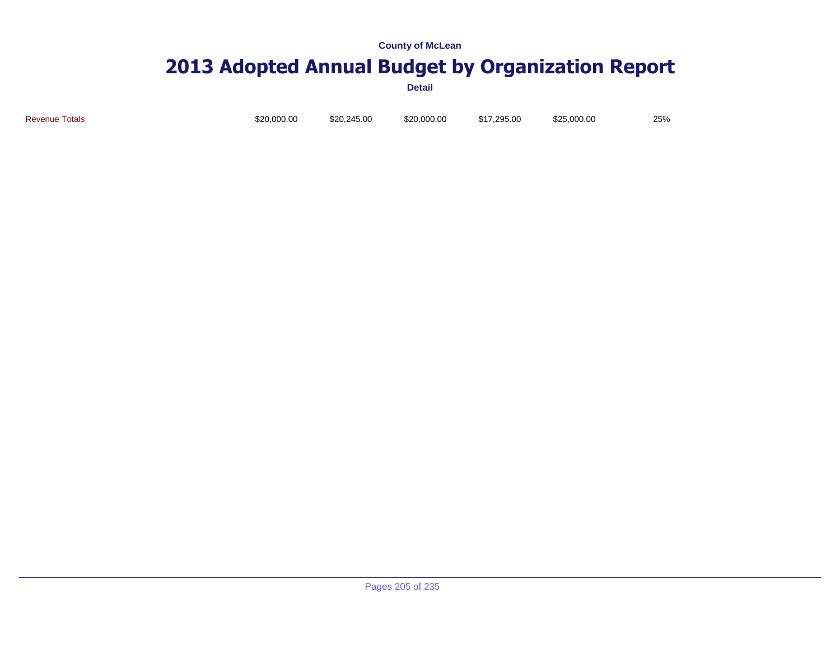# **2013 Adopted Annual Budget by Organization Report**

**Detail**

Revenue Totals \$20,000.00 \$20,245.00 \$20,000.00 \$17,295.00 \$25,000.00 25%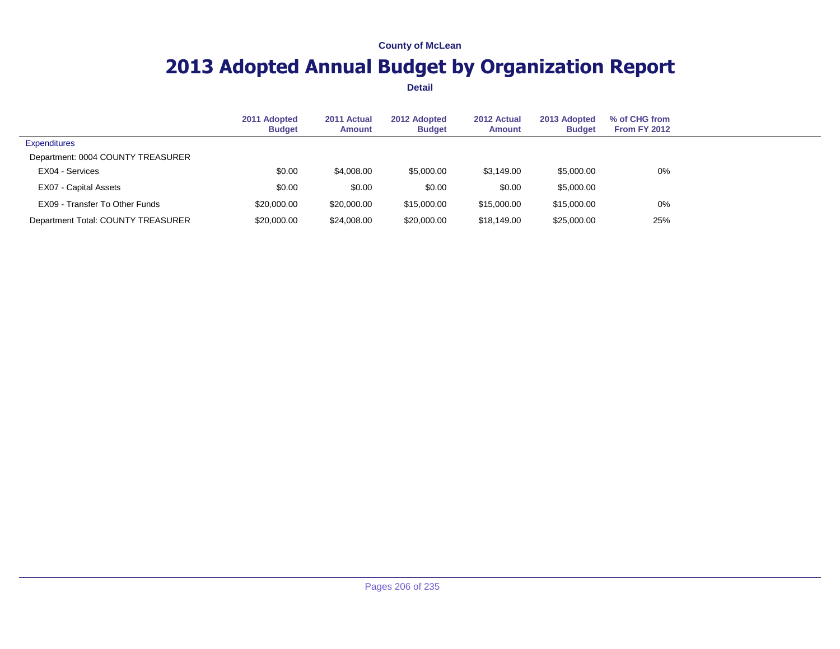## **2013 Adopted Annual Budget by Organization Report**

|                                    | 2011 Adopted<br><b>Budget</b> | 2011 Actual<br>Amount | 2012 Adopted<br><b>Budget</b> | 2012 Actual<br><b>Amount</b> | 2013 Adopted<br><b>Budget</b> | % of CHG from<br><b>From FY 2012</b> |  |
|------------------------------------|-------------------------------|-----------------------|-------------------------------|------------------------------|-------------------------------|--------------------------------------|--|
| <b>Expenditures</b>                |                               |                       |                               |                              |                               |                                      |  |
| Department: 0004 COUNTY TREASURER  |                               |                       |                               |                              |                               |                                      |  |
| EX04 - Services                    | \$0.00                        | \$4,008.00            | \$5,000.00                    | \$3,149.00                   | \$5,000.00                    | 0%                                   |  |
| EX07 - Capital Assets              | \$0.00                        | \$0.00                | \$0.00                        | \$0.00                       | \$5,000.00                    |                                      |  |
| EX09 - Transfer To Other Funds     | \$20,000.00                   | \$20,000.00           | \$15,000.00                   | \$15,000.00                  | \$15,000.00                   | 0%                                   |  |
| Department Total: COUNTY TREASURER | \$20,000.00                   | \$24,008.00           | \$20,000.00                   | \$18,149.00                  | \$25,000.00                   | 25%                                  |  |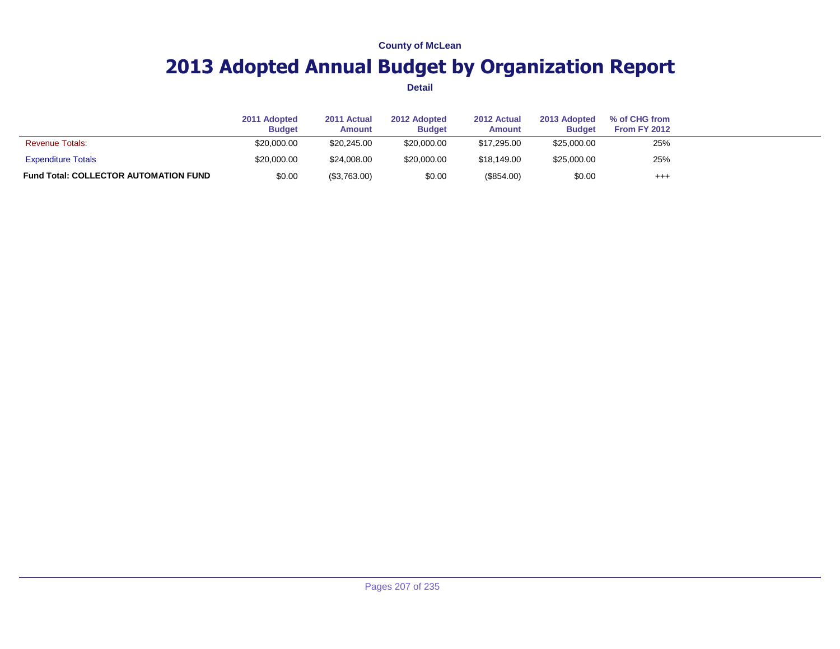## **2013 Adopted Annual Budget by Organization Report**

|                                              | 2011 Adopted<br><b>Budget</b> | 2011 Actual<br>Amount | 2012 Adopted<br><b>Budget</b> | 2012 Actual<br>Amount | 2013 Adopted<br><b>Budget</b> | % of CHG from<br><b>From FY 2012</b> |  |
|----------------------------------------------|-------------------------------|-----------------------|-------------------------------|-----------------------|-------------------------------|--------------------------------------|--|
| <b>Revenue Totals:</b>                       | \$20,000.00                   | \$20,245,00           | \$20,000.00                   | \$17,295,00           | \$25,000.00                   | 25%                                  |  |
| <b>Expenditure Totals</b>                    | \$20,000.00                   | \$24,008.00           | \$20,000.00                   | \$18,149.00           | \$25,000.00                   | 25%                                  |  |
| <b>Fund Total: COLLECTOR AUTOMATION FUND</b> | \$0.00                        | (\$3,763.00)          | \$0.00                        | (\$854.00)            | \$0.00                        | $^{+++}$                             |  |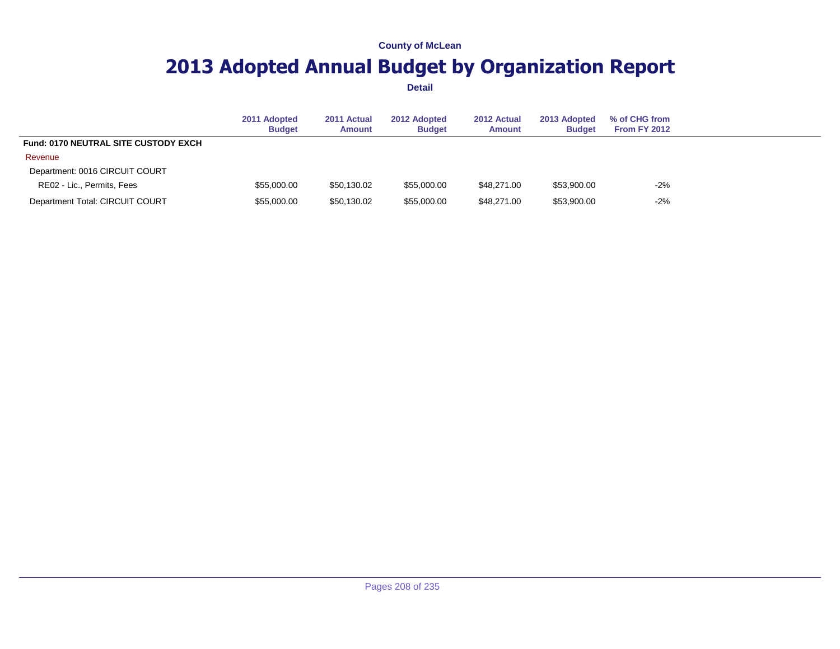## **2013 Adopted Annual Budget by Organization Report**

|                                             | 2011 Adopted<br><b>Budget</b> | 2011 Actual<br>Amount | 2012 Adopted<br><b>Budget</b> | 2012 Actual<br><b>Amount</b> | 2013 Adopted<br><b>Budget</b> | % of CHG from<br>From FY 2012 |
|---------------------------------------------|-------------------------------|-----------------------|-------------------------------|------------------------------|-------------------------------|-------------------------------|
| <b>Fund: 0170 NEUTRAL SITE CUSTODY EXCH</b> |                               |                       |                               |                              |                               |                               |
| Revenue                                     |                               |                       |                               |                              |                               |                               |
| Department: 0016 CIRCUIT COURT              |                               |                       |                               |                              |                               |                               |
| RE02 - Lic., Permits, Fees                  | \$55,000.00                   | \$50.130.02           | \$55,000.00                   | \$48.271.00                  | \$53,900.00                   | $-2%$                         |
| Department Total: CIRCUIT COURT             | \$55,000.00                   | \$50,130.02           | \$55,000.00                   | \$48,271.00                  | \$53,900.00                   | $-2%$                         |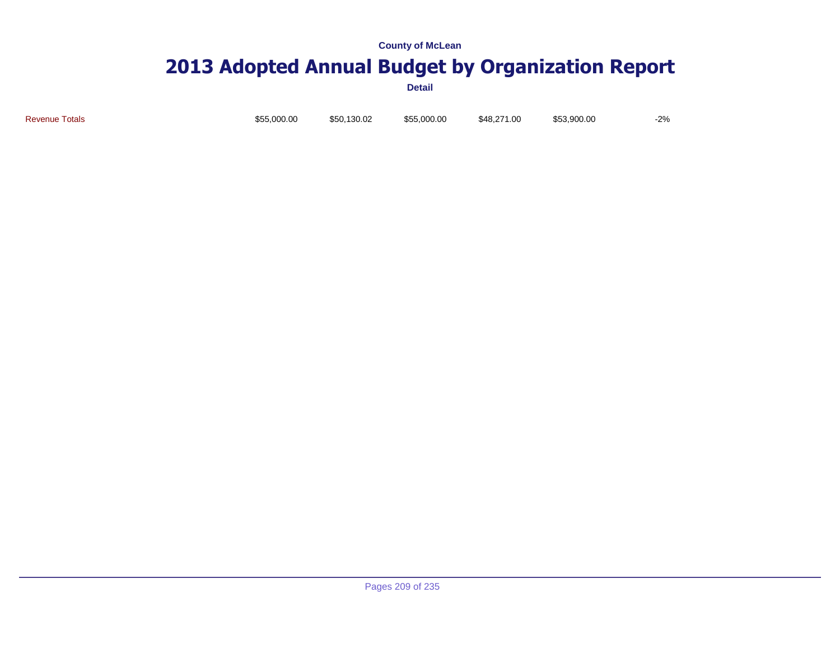# **2013 Adopted Annual Budget by Organization Report**

**Detail**

Revenue Totals \$55,000.00 \$50,130.02 \$55,000.00 \$48,271.00 \$53,900.00 -2%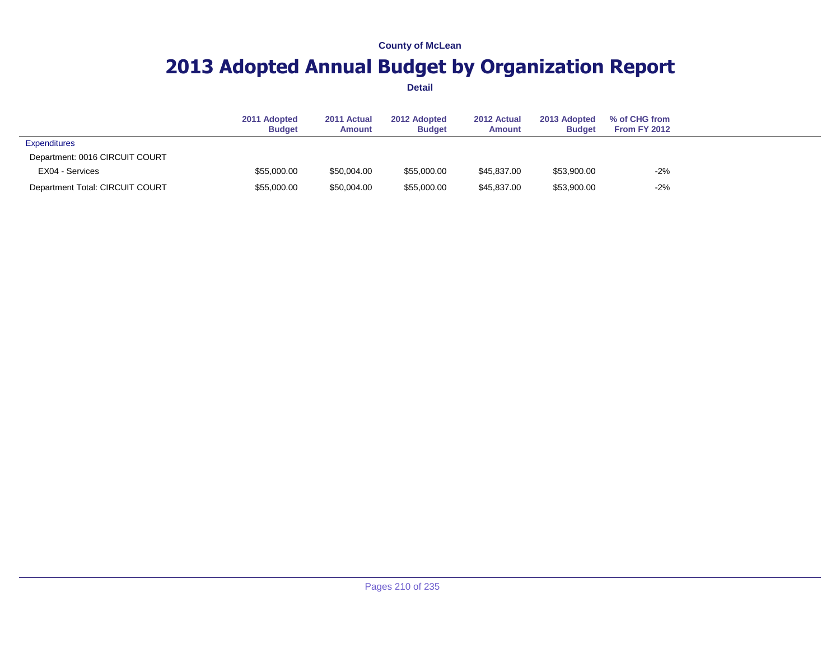## **2013 Adopted Annual Budget by Organization Report**

|                                 | 2011 Adopted<br><b>Budget</b> | 2011 Actual<br>Amount | 2012 Adopted<br><b>Budget</b> | 2012 Actual<br><b>Amount</b> | 2013 Adopted<br><b>Budget</b> | % of CHG from<br><b>From FY 2012</b> |  |
|---------------------------------|-------------------------------|-----------------------|-------------------------------|------------------------------|-------------------------------|--------------------------------------|--|
| <b>Expenditures</b>             |                               |                       |                               |                              |                               |                                      |  |
| Department: 0016 CIRCUIT COURT  |                               |                       |                               |                              |                               |                                      |  |
| EX04 - Services                 | \$55,000.00                   | \$50,004.00           | \$55,000.00                   | \$45,837.00                  | \$53,900.00                   | $-2%$                                |  |
| Department Total: CIRCUIT COURT | \$55,000.00                   | \$50,004.00           | \$55,000.00                   | \$45.837.00                  | \$53,900.00                   | $-2%$                                |  |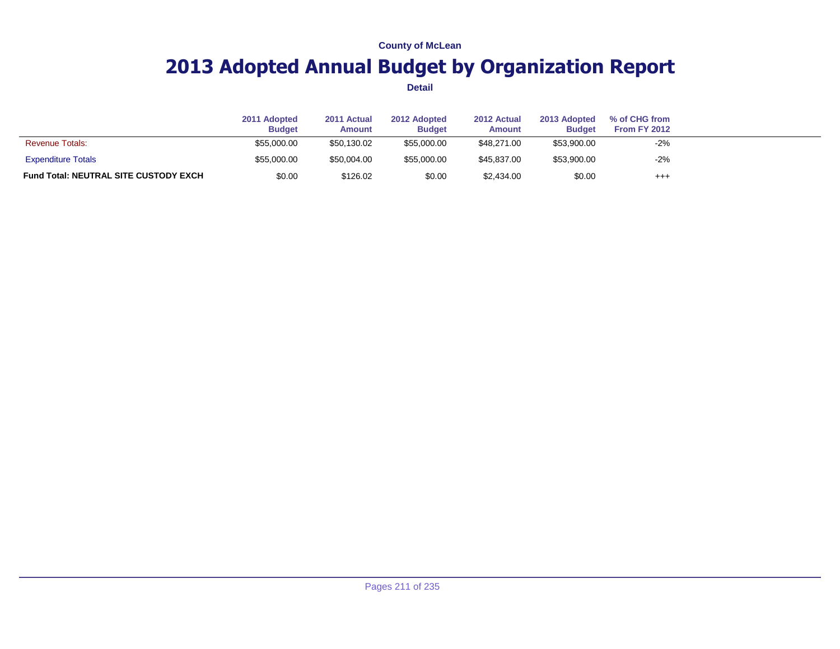## **2013 Adopted Annual Budget by Organization Report**

|                                              | 2011 Adopted<br><b>Budget</b> | 2011 Actual<br><b>Amount</b> | 2012 Adopted<br><b>Budget</b> | 2012 Actual<br><b>Amount</b> | 2013 Adopted<br><b>Budget</b> | % of CHG from<br><b>From FY 2012</b> |  |
|----------------------------------------------|-------------------------------|------------------------------|-------------------------------|------------------------------|-------------------------------|--------------------------------------|--|
| <b>Revenue Totals:</b>                       | \$55,000.00                   | \$50,130.02                  | \$55,000.00                   | \$48,271,00                  | \$53,900.00                   | $-2%$                                |  |
| <b>Expenditure Totals</b>                    | \$55,000.00                   | \$50,004.00                  | \$55,000.00                   | \$45,837,00                  | \$53,900.00                   | $-2%$                                |  |
| <b>Fund Total: NEUTRAL SITE CUSTODY EXCH</b> | \$0.00                        | \$126.02                     | \$0.00                        | \$2,434.00                   | \$0.00                        | $^{+++}$                             |  |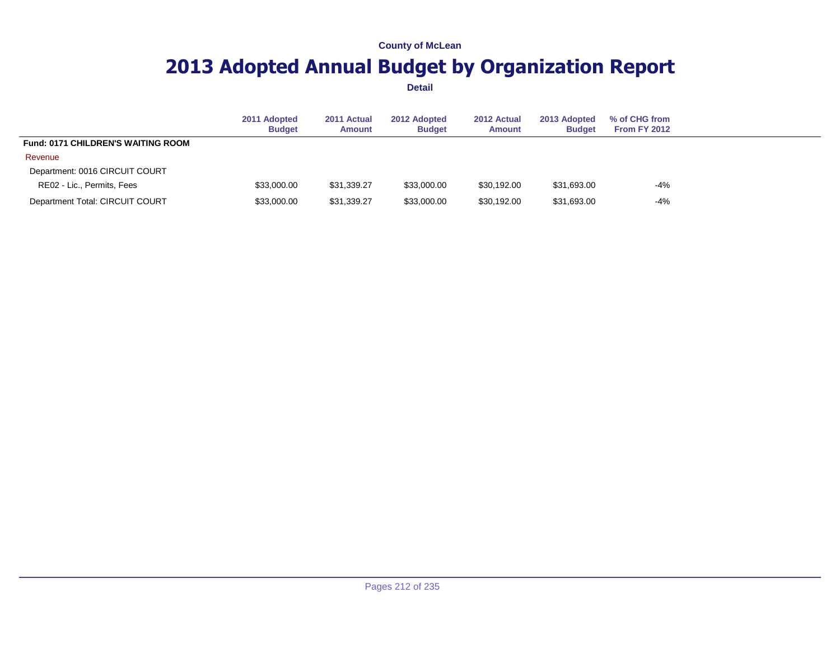## **2013 Adopted Annual Budget by Organization Report**

|                                           | 2011 Adopted<br><b>Budget</b> | 2011 Actual<br>Amount | 2012 Adopted<br><b>Budget</b> | 2012 Actual<br><b>Amount</b> | 2013 Adopted<br><b>Budget</b> | % of CHG from<br><b>From FY 2012</b> |
|-------------------------------------------|-------------------------------|-----------------------|-------------------------------|------------------------------|-------------------------------|--------------------------------------|
| <b>Fund: 0171 CHILDREN'S WAITING ROOM</b> |                               |                       |                               |                              |                               |                                      |
| Revenue                                   |                               |                       |                               |                              |                               |                                      |
| Department: 0016 CIRCUIT COURT            |                               |                       |                               |                              |                               |                                      |
| RE02 - Lic., Permits, Fees                | \$33,000.00                   | \$31.339.27           | \$33,000.00                   | \$30.192.00                  | \$31,693.00                   | $-4%$                                |
| Department Total: CIRCUIT COURT           | \$33,000.00                   | \$31,339.27           | \$33,000.00                   | \$30,192.00                  | \$31,693.00                   | $-4%$                                |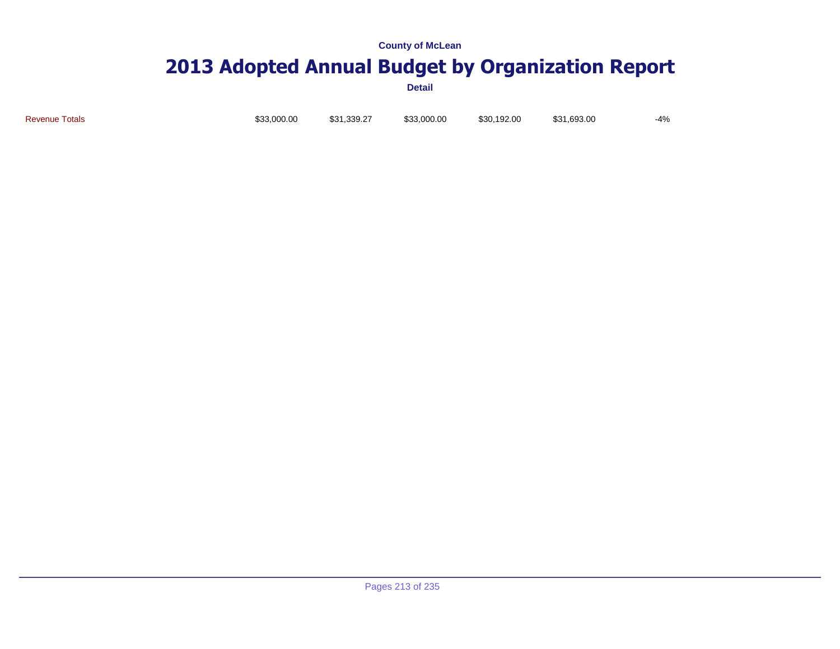# **2013 Adopted Annual Budget by Organization Report**

**Detail**

Revenue Totals \$33,000.00 \$31,339.27 \$33,000.00 \$30,192.00 \$31,693.00 -4%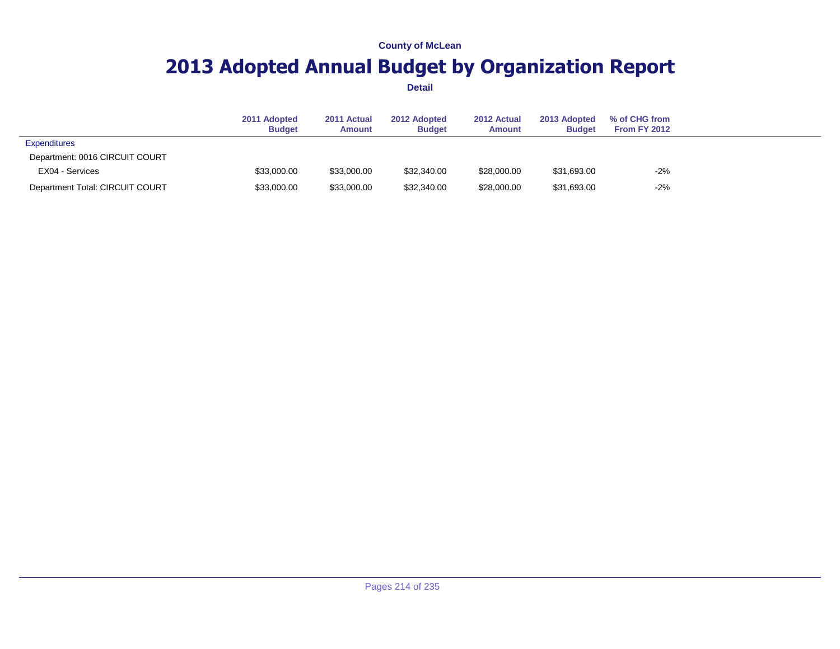## **2013 Adopted Annual Budget by Organization Report**

|                                 | 2011 Adopted<br><b>Budget</b> | 2011 Actual<br>Amount | 2012 Adopted<br><b>Budget</b> | 2012 Actual<br><b>Amount</b> | 2013 Adopted<br><b>Budget</b> | % of CHG from<br><b>From FY 2012</b> |  |
|---------------------------------|-------------------------------|-----------------------|-------------------------------|------------------------------|-------------------------------|--------------------------------------|--|
| <b>Expenditures</b>             |                               |                       |                               |                              |                               |                                      |  |
| Department: 0016 CIRCUIT COURT  |                               |                       |                               |                              |                               |                                      |  |
| EX04 - Services                 | \$33,000.00                   | \$33,000.00           | \$32,340.00                   | \$28,000.00                  | \$31,693.00                   | $-2%$                                |  |
| Department Total: CIRCUIT COURT | \$33,000.00                   | \$33,000.00           | \$32,340.00                   | \$28,000.00                  | \$31,693.00                   | $-2%$                                |  |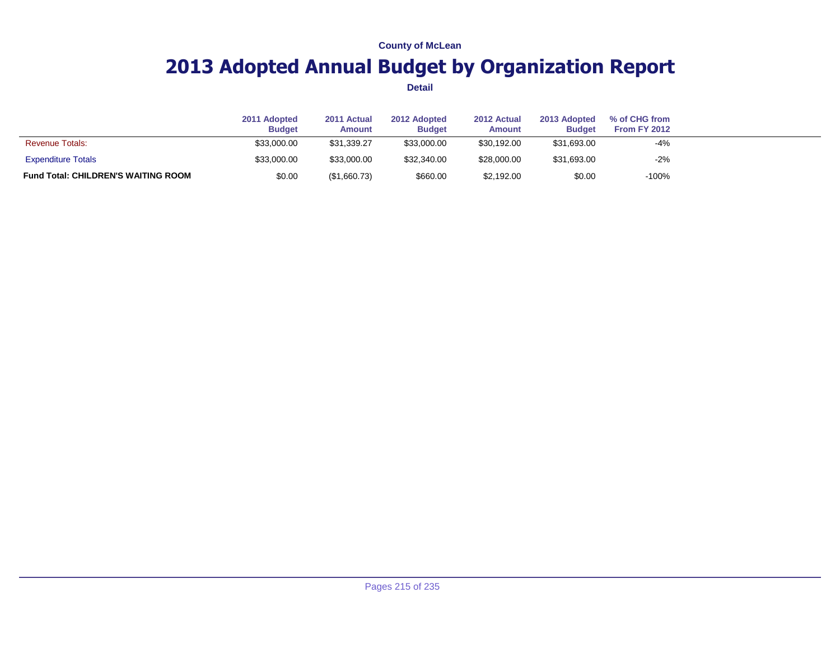## **2013 Adopted Annual Budget by Organization Report**

|                                            | 2011 Adopted<br><b>Budget</b> | 2011 Actual<br><b>Amount</b> | 2012 Adopted<br><b>Budget</b> | 2012 Actual<br><b>Amount</b> | 2013 Adopted<br><b>Budget</b> | % of CHG from<br><b>From FY 2012</b> |  |
|--------------------------------------------|-------------------------------|------------------------------|-------------------------------|------------------------------|-------------------------------|--------------------------------------|--|
| <b>Revenue Totals:</b>                     | \$33,000.00                   | \$31.339.27                  | \$33,000.00                   | \$30.192.00                  | \$31,693.00                   | $-4%$                                |  |
| <b>Expenditure Totals</b>                  | \$33,000.00                   | \$33,000.00                  | \$32,340.00                   | \$28,000.00                  | \$31,693.00                   | $-2%$                                |  |
| <b>Fund Total: CHILDREN'S WAITING ROOM</b> | \$0.00                        | (\$1,660.73)                 | \$660.00                      | \$2,192.00                   | \$0.00                        | $-100%$                              |  |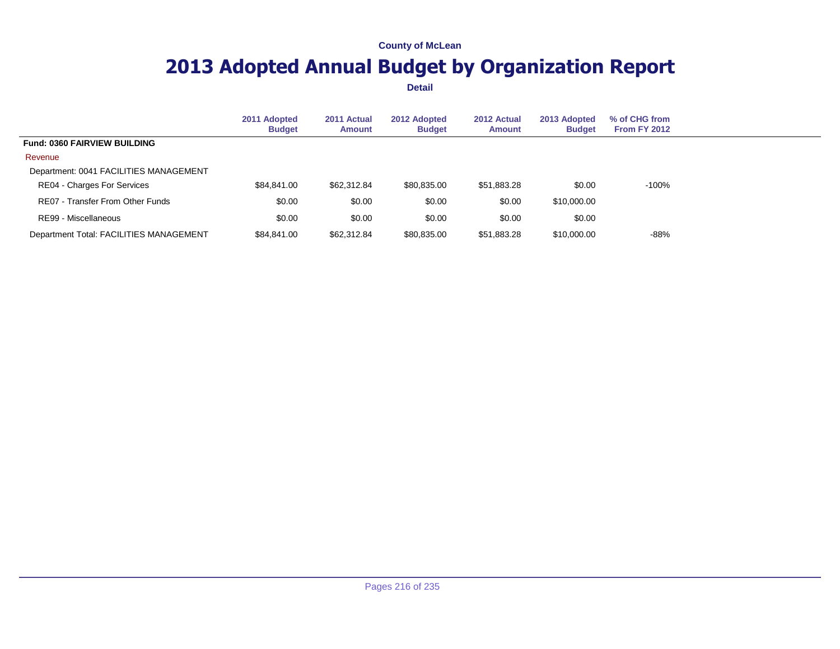## **2013 Adopted Annual Budget by Organization Report**

|                                         | 2011 Adopted<br><b>Budget</b> | 2011 Actual<br><b>Amount</b> | 2012 Adopted<br><b>Budget</b> | 2012 Actual<br><b>Amount</b> | 2013 Adopted<br><b>Budget</b> | % of CHG from<br>From FY 2012 |  |
|-----------------------------------------|-------------------------------|------------------------------|-------------------------------|------------------------------|-------------------------------|-------------------------------|--|
| Fund: 0360 FAIRVIEW BUILDING            |                               |                              |                               |                              |                               |                               |  |
| Revenue                                 |                               |                              |                               |                              |                               |                               |  |
| Department: 0041 FACILITIES MANAGEMENT  |                               |                              |                               |                              |                               |                               |  |
| RE04 - Charges For Services             | \$84.841.00                   | \$62,312.84                  | \$80,835.00                   | \$51,883.28                  | \$0.00                        | $-100%$                       |  |
| RE07 - Transfer From Other Funds        | \$0.00                        | \$0.00                       | \$0.00                        | \$0.00                       | \$10,000.00                   |                               |  |
| RE99 - Miscellaneous                    | \$0.00                        | \$0.00                       | \$0.00                        | \$0.00                       | \$0.00                        |                               |  |
| Department Total: FACILITIES MANAGEMENT | \$84.841.00                   | \$62,312.84                  | \$80,835.00                   | \$51,883.28                  | \$10,000,00                   | -88%                          |  |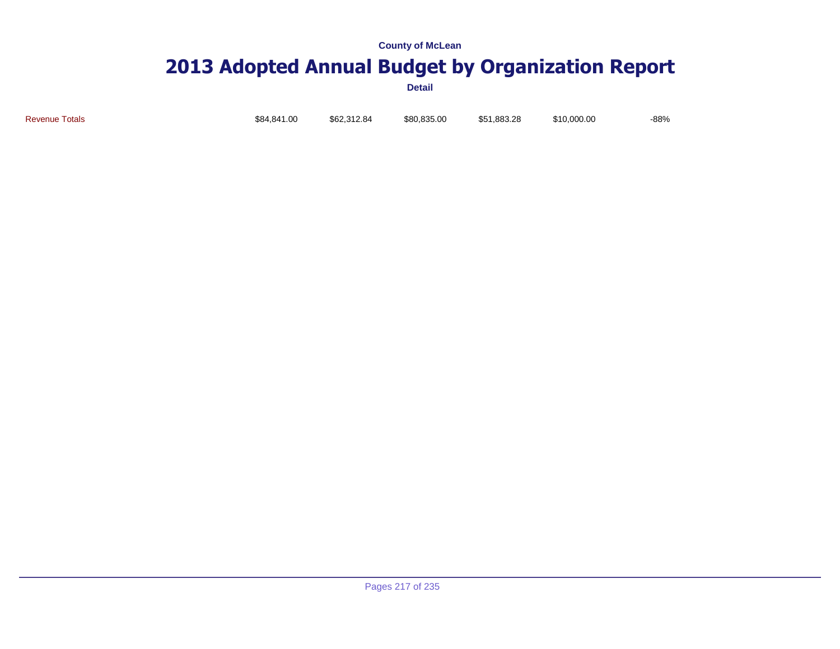# **2013 Adopted Annual Budget by Organization Report**

**Detail**

Revenue Totals \$84,841.00 \$62,312.84 \$80,835.00 \$51,883.28 \$10,000.00 -88%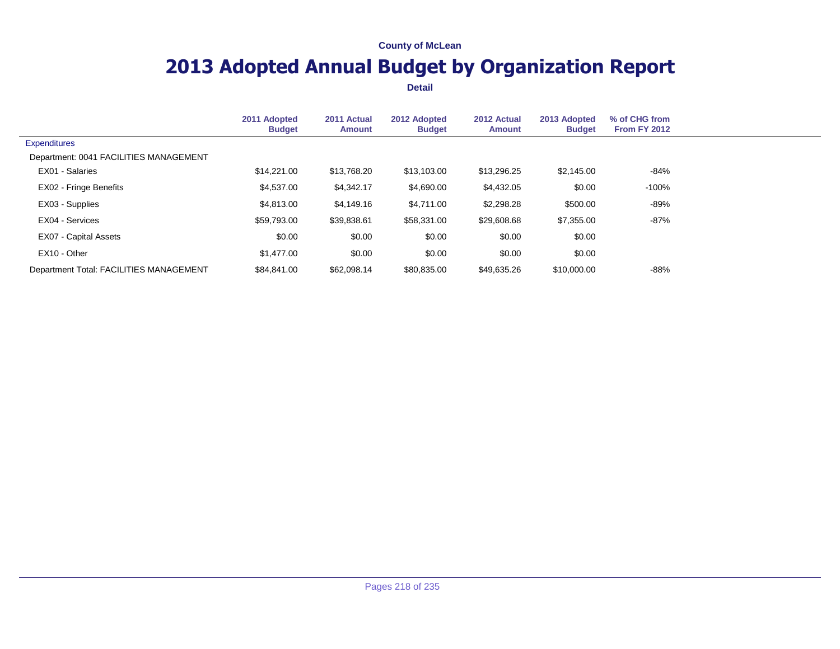## **2013 Adopted Annual Budget by Organization Report**

|                                         | 2011 Adopted<br><b>Budget</b> | 2011 Actual<br><b>Amount</b> | 2012 Adopted<br><b>Budget</b> | 2012 Actual<br><b>Amount</b> | 2013 Adopted<br><b>Budget</b> | % of CHG from<br><b>From FY 2012</b> |  |
|-----------------------------------------|-------------------------------|------------------------------|-------------------------------|------------------------------|-------------------------------|--------------------------------------|--|
| <b>Expenditures</b>                     |                               |                              |                               |                              |                               |                                      |  |
| Department: 0041 FACILITIES MANAGEMENT  |                               |                              |                               |                              |                               |                                      |  |
| EX01 - Salaries                         | \$14,221.00                   | \$13,768.20                  | \$13,103.00                   | \$13,296.25                  | \$2,145.00                    | -84%                                 |  |
| EX02 - Fringe Benefits                  | \$4,537.00                    | \$4,342.17                   | \$4,690.00                    | \$4,432.05                   | \$0.00                        | $-100%$                              |  |
| EX03 - Supplies                         | \$4,813,00                    | \$4,149.16                   | \$4,711.00                    | \$2,298.28                   | \$500.00                      | -89%                                 |  |
| EX04 - Services                         | \$59,793.00                   | \$39,838.61                  | \$58,331.00                   | \$29,608.68                  | \$7,355.00                    | -87%                                 |  |
| <b>EX07 - Capital Assets</b>            | \$0.00                        | \$0.00                       | \$0.00                        | \$0.00                       | \$0.00                        |                                      |  |
| EX10 - Other                            | \$1,477.00                    | \$0.00                       | \$0.00                        | \$0.00                       | \$0.00                        |                                      |  |
| Department Total: FACILITIES MANAGEMENT | \$84.841.00                   | \$62,098.14                  | \$80,835.00                   | \$49,635.26                  | \$10,000.00                   | $-88%$                               |  |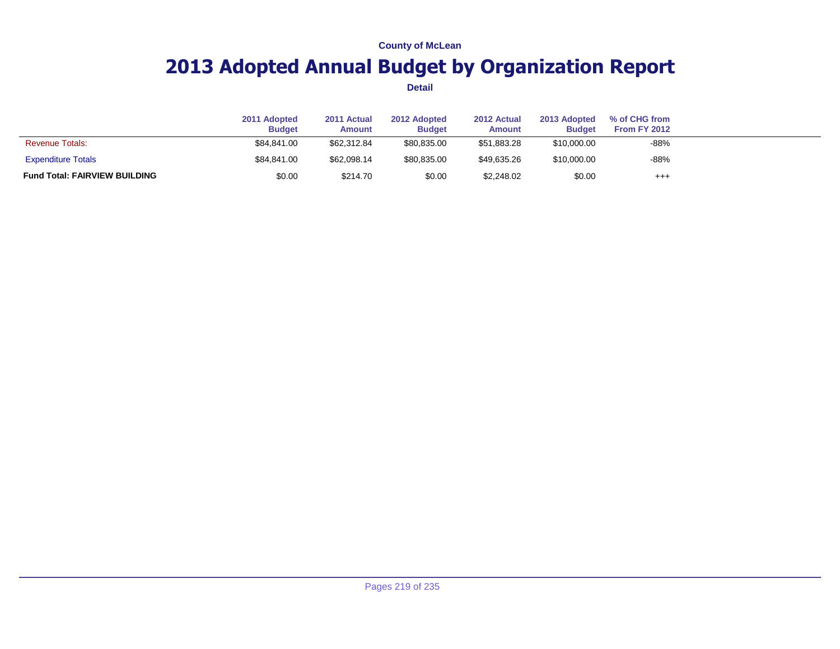## **2013 Adopted Annual Budget by Organization Report**

|                                      | 2011 Adopted<br><b>Budget</b> | 2011 Actual<br>Amount | 2012 Adopted<br><b>Budget</b> | 2012 Actual<br>Amount | 2013 Adopted<br><b>Budget</b> | % of CHG from<br><b>From FY 2012</b> |  |
|--------------------------------------|-------------------------------|-----------------------|-------------------------------|-----------------------|-------------------------------|--------------------------------------|--|
| <b>Revenue Totals:</b>               | \$84.841.00                   | \$62,312.84           | \$80.835.00                   | \$51,883.28           | \$10,000.00                   | $-88%$                               |  |
| <b>Expenditure Totals</b>            | \$84.841.00                   | \$62,098.14           | \$80,835.00                   | \$49.635.26           | \$10,000.00                   | $-88%$                               |  |
| <b>Fund Total: FAIRVIEW BUILDING</b> | \$0.00                        | \$214.70              | \$0.00                        | \$2,248.02            | \$0.00                        | $^{+++}$                             |  |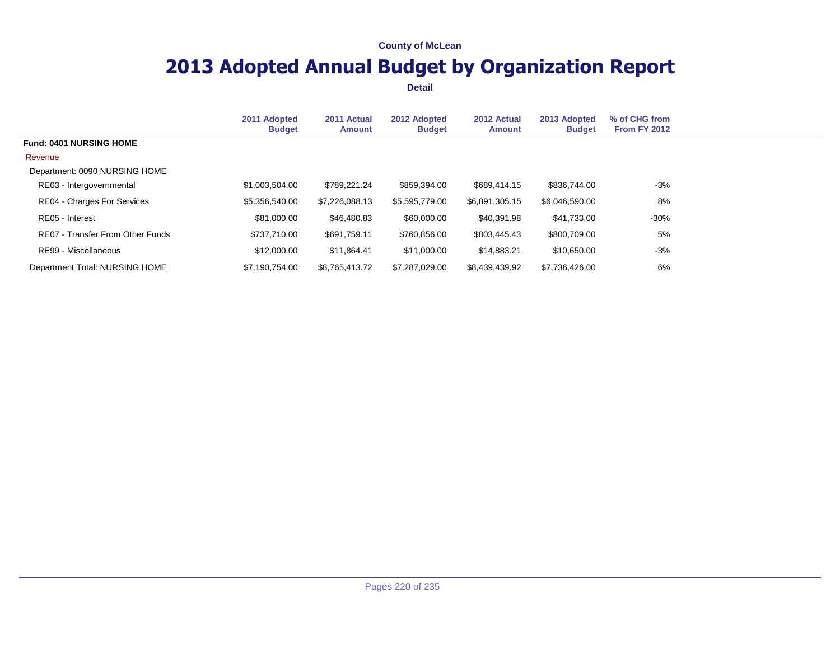## **2013 Adopted Annual Budget by Organization Report**

|                                    | 2011 Adopted<br><b>Budget</b> | 2011 Actual<br><b>Amount</b> | 2012 Adopted<br><b>Budget</b> | 2012 Actual<br>Amount | 2013 Adopted<br><b>Budget</b> | % of CHG from<br><b>From FY 2012</b> |  |
|------------------------------------|-------------------------------|------------------------------|-------------------------------|-----------------------|-------------------------------|--------------------------------------|--|
| <b>Fund: 0401 NURSING HOME</b>     |                               |                              |                               |                       |                               |                                      |  |
| Revenue                            |                               |                              |                               |                       |                               |                                      |  |
| Department: 0090 NURSING HOME      |                               |                              |                               |                       |                               |                                      |  |
| RE03 - Intergovernmental           | \$1,003,504.00                | \$789,221.24                 | \$859,394.00                  | \$689,414.15          | \$836,744.00                  | -3%                                  |  |
| <b>RE04 - Charges For Services</b> | \$5,356,540.00                | \$7,226,088.13               | \$5,595,779.00                | \$6,891,305.15        | \$6,046,590.00                | 8%                                   |  |
| RE05 - Interest                    | \$81,000.00                   | \$46,480.83                  | \$60,000.00                   | \$40,391.98           | \$41,733.00                   | $-30%$                               |  |
| RE07 - Transfer From Other Funds   | \$737,710.00                  | \$691,759.11                 | \$760,856.00                  | \$803,445.43          | \$800,709.00                  | 5%                                   |  |
| RE99 - Miscellaneous               | \$12,000.00                   | \$11.864.41                  | \$11,000.00                   | \$14,883.21           | \$10,650,00                   | -3%                                  |  |
| Department Total: NURSING HOME     | \$7.190.754.00                | \$8.765.413.72               | \$7,287,029.00                | \$8,439,439,92        | \$7.736.426.00                | 6%                                   |  |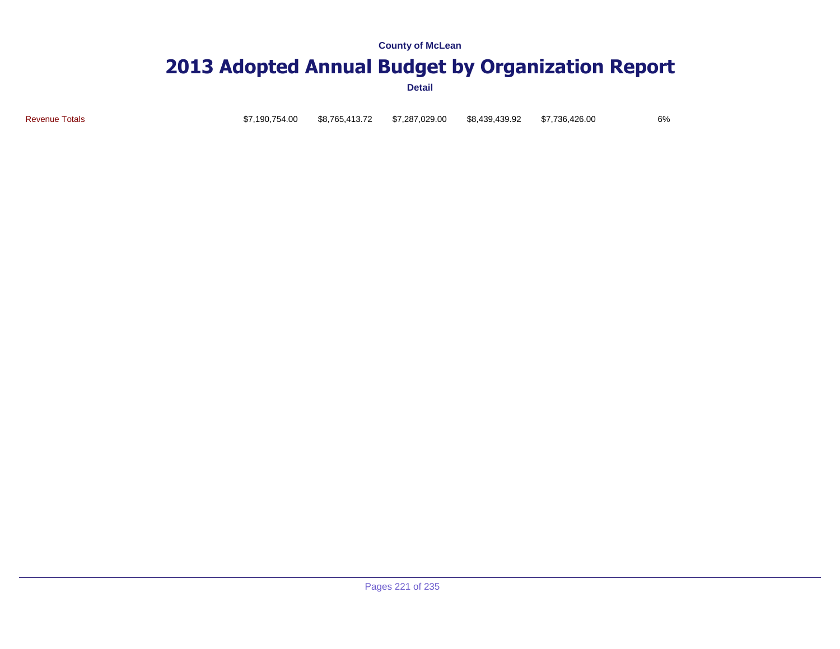### **2013 Adopted Annual Budget by Organization Report**

**Detail**

Revenue Totals \$7,190,754.00 \$8,765,413.72 \$7,287,029.00 \$8,439,439.92 \$7,736,426.00 6%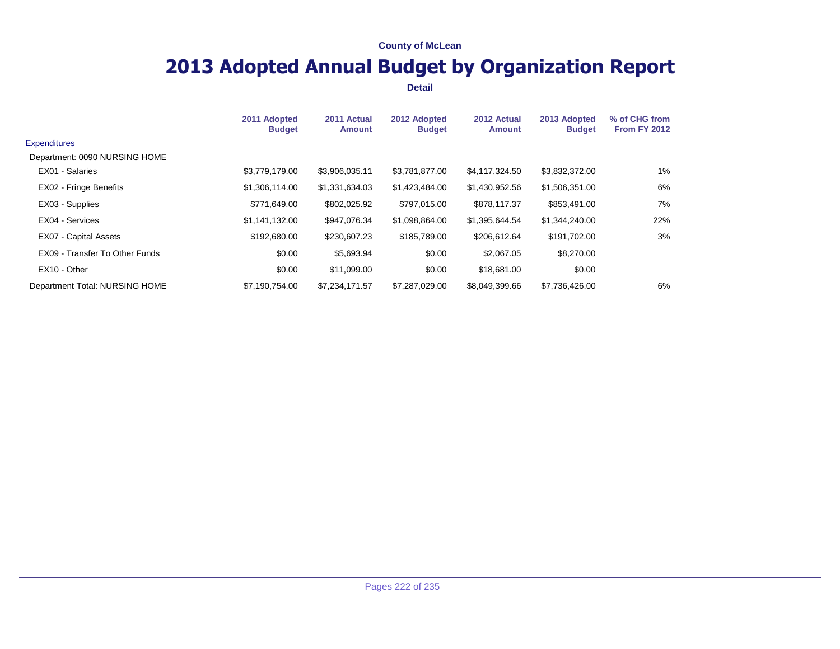## **2013 Adopted Annual Budget by Organization Report**

|                                | 2011 Adopted<br><b>Budget</b> | 2011 Actual<br><b>Amount</b> | 2012 Adopted<br><b>Budget</b> | 2012 Actual<br><b>Amount</b> | 2013 Adopted<br><b>Budget</b> | % of CHG from<br><b>From FY 2012</b> |  |
|--------------------------------|-------------------------------|------------------------------|-------------------------------|------------------------------|-------------------------------|--------------------------------------|--|
| <b>Expenditures</b>            |                               |                              |                               |                              |                               |                                      |  |
| Department: 0090 NURSING HOME  |                               |                              |                               |                              |                               |                                      |  |
| EX01 - Salaries                | \$3,779,179.00                | \$3,906,035.11               | \$3,781,877.00                | \$4,117,324.50               | \$3,832,372.00                | 1%                                   |  |
| <b>EX02 - Fringe Benefits</b>  | \$1,306,114.00                | \$1,331,634.03               | \$1,423,484.00                | \$1,430,952.56               | \$1,506,351.00                | 6%                                   |  |
| EX03 - Supplies                | \$771,649.00                  | \$802,025.92                 | \$797,015.00                  | \$878,117.37                 | \$853,491.00                  | 7%                                   |  |
| EX04 - Services                | \$1,141,132.00                | \$947,076.34                 | \$1,098,864.00                | \$1,395,644.54               | \$1,344,240.00                | 22%                                  |  |
| EX07 - Capital Assets          | \$192,680,00                  | \$230,607.23                 | \$185,789.00                  | \$206,612.64                 | \$191.702.00                  | 3%                                   |  |
| EX09 - Transfer To Other Funds | \$0.00                        | \$5,693.94                   | \$0.00                        | \$2,067.05                   | \$8,270.00                    |                                      |  |
| EX10 - Other                   | \$0.00                        | \$11,099.00                  | \$0.00                        | \$18,681.00                  | \$0.00                        |                                      |  |
| Department Total: NURSING HOME | \$7,190,754.00                | \$7,234,171.57               | \$7,287,029.00                | \$8,049,399.66               | \$7,736,426.00                | 6%                                   |  |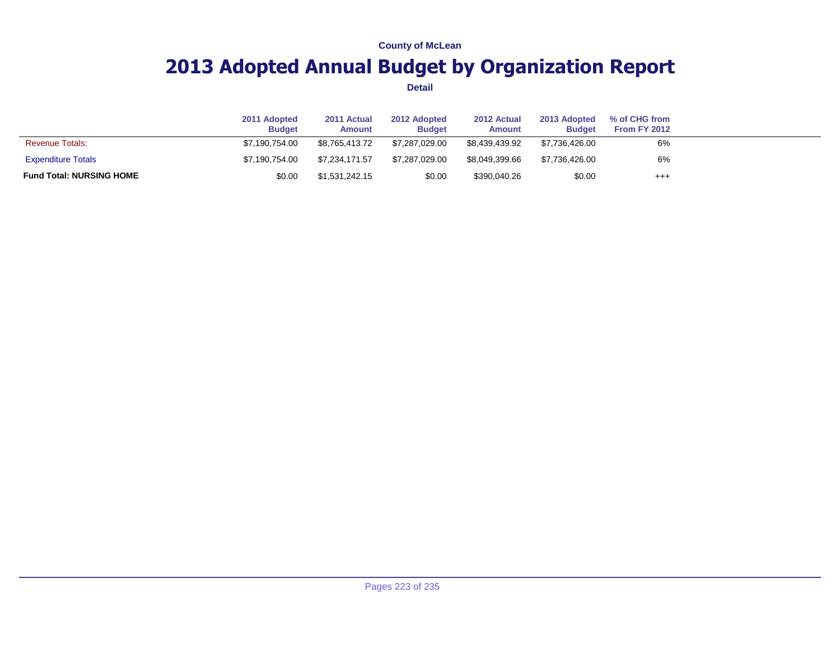## **2013 Adopted Annual Budget by Organization Report**

|                                 | 2011 Adopted<br><b>Budget</b> | 2011 Actual<br>Amount | 2012 Adopted<br><b>Budget</b> | 2012 Actual<br><b>Amount</b> | 2013 Adopted<br><b>Budget</b> | % of CHG from<br>From FY 2012 |  |
|---------------------------------|-------------------------------|-----------------------|-------------------------------|------------------------------|-------------------------------|-------------------------------|--|
| <b>Revenue Totals:</b>          | \$7.190.754.00                | \$8.765.413.72        | \$7.287.029.00                | \$8.439.439.92               | \$7.736.426.00                | 6%                            |  |
| <b>Expenditure Totals</b>       | \$7.190.754.00                | \$7.234.171.57        | \$7,287,029.00                | \$8.049.399.66               | \$7.736.426.00                | 6%                            |  |
| <b>Fund Total: NURSING HOME</b> | \$0.00                        | \$1,531,242.15        | \$0.00                        | \$390,040.26                 | \$0.00                        | $^{+++}$                      |  |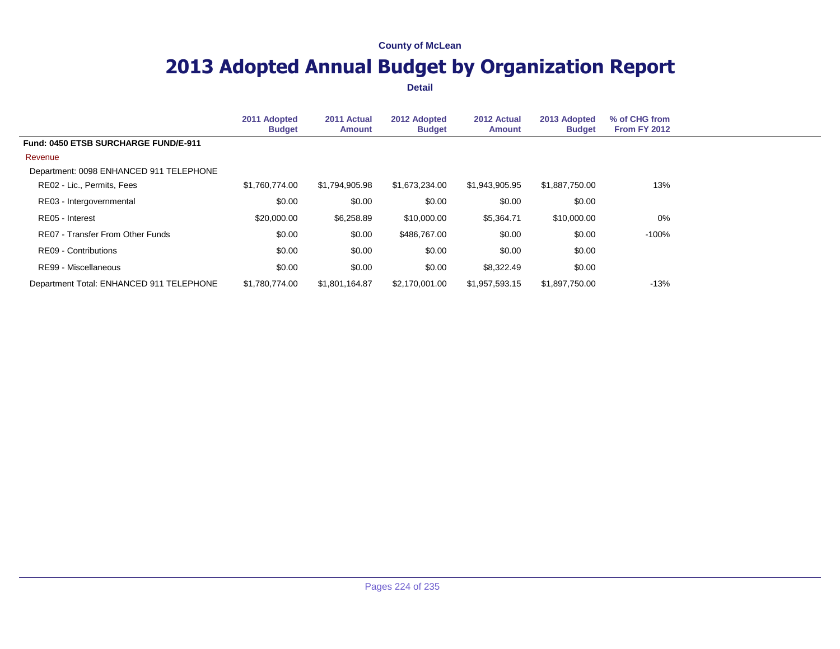## **2013 Adopted Annual Budget by Organization Report**

|                                          | 2011 Adopted<br><b>Budget</b> | 2011 Actual<br><b>Amount</b> | 2012 Adopted<br><b>Budget</b> | 2012 Actual<br>Amount | 2013 Adopted<br><b>Budget</b> | % of CHG from<br><b>From FY 2012</b> |
|------------------------------------------|-------------------------------|------------------------------|-------------------------------|-----------------------|-------------------------------|--------------------------------------|
| Fund: 0450 ETSB SURCHARGE FUND/E-911     |                               |                              |                               |                       |                               |                                      |
| Revenue                                  |                               |                              |                               |                       |                               |                                      |
| Department: 0098 ENHANCED 911 TELEPHONE  |                               |                              |                               |                       |                               |                                      |
| RE02 - Lic., Permits, Fees               | \$1,760,774.00                | \$1,794,905.98               | \$1,673,234.00                | \$1,943,905,95        | \$1,887,750.00                | 13%                                  |
| RE03 - Intergovernmental                 | \$0.00                        | \$0.00                       | \$0.00                        | \$0.00                | \$0.00                        |                                      |
| RE05 - Interest                          | \$20,000.00                   | \$6,258.89                   | \$10,000.00                   | \$5,364.71            | \$10,000.00                   | 0%                                   |
| RE07 - Transfer From Other Funds         | \$0.00                        | \$0.00                       | \$486,767,00                  | \$0.00                | \$0.00                        | $-100%$                              |
| RE09 - Contributions                     | \$0.00                        | \$0.00                       | \$0.00                        | \$0.00                | \$0.00                        |                                      |
| RE99 - Miscellaneous                     | \$0.00                        | \$0.00                       | \$0.00                        | \$8,322.49            | \$0.00                        |                                      |
| Department Total: ENHANCED 911 TELEPHONE | \$1.780.774.00                | \$1,801,164.87               | \$2,170,001.00                | \$1,957,593.15        | \$1,897,750.00                | $-13%$                               |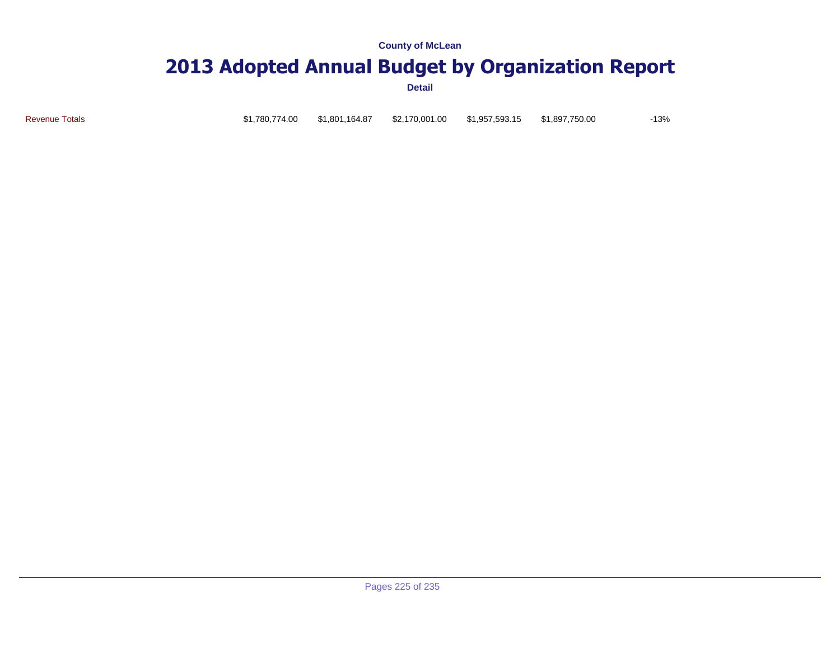# **2013 Adopted Annual Budget by Organization Report**

**Detail**

Revenue Totals \$1,780,774.00 \$1,801,164.87 \$2,170,001.00 \$1,957,593.15 \$1,897,750.00 -13%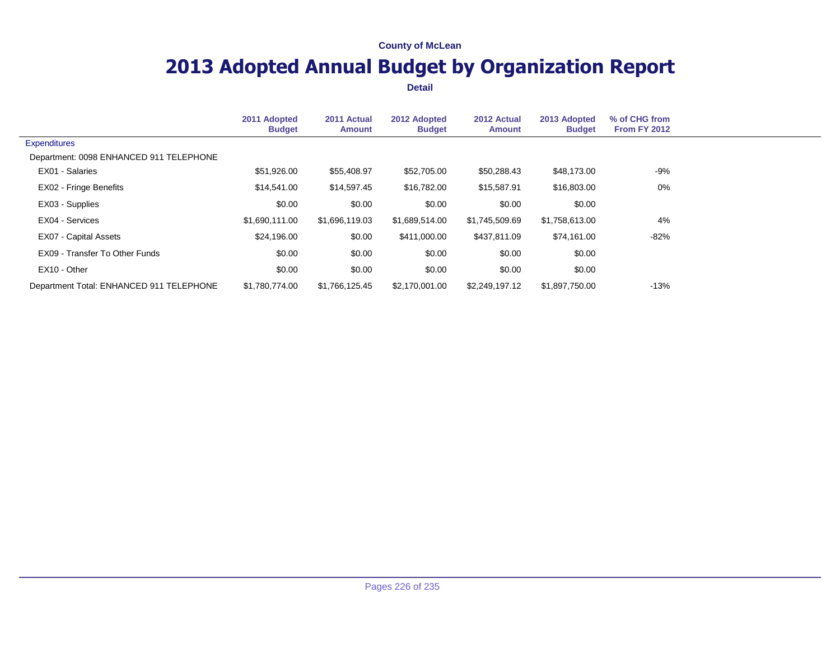## **2013 Adopted Annual Budget by Organization Report**

|                                          | 2011 Adopted<br><b>Budget</b> | 2011 Actual<br><b>Amount</b> | 2012 Adopted<br><b>Budget</b> | 2012 Actual<br><b>Amount</b> | 2013 Adopted<br><b>Budget</b> | % of CHG from<br><b>From FY 2012</b> |  |
|------------------------------------------|-------------------------------|------------------------------|-------------------------------|------------------------------|-------------------------------|--------------------------------------|--|
| <b>Expenditures</b>                      |                               |                              |                               |                              |                               |                                      |  |
| Department: 0098 ENHANCED 911 TELEPHONE  |                               |                              |                               |                              |                               |                                      |  |
| EX01 - Salaries                          | \$51,926.00                   | \$55,408.97                  | \$52,705.00                   | \$50,288.43                  | \$48,173.00                   | -9%                                  |  |
| <b>EX02 - Fringe Benefits</b>            | \$14,541.00                   | \$14,597.45                  | \$16,782.00                   | \$15,587.91                  | \$16,803.00                   | 0%                                   |  |
| EX03 - Supplies                          | \$0.00                        | \$0.00                       | \$0.00                        | \$0.00                       | \$0.00                        |                                      |  |
| EX04 - Services                          | \$1.690.111.00                | \$1,696,119.03               | \$1,689,514.00                | \$1,745,509.69               | \$1,758,613.00                | 4%                                   |  |
| EX07 - Capital Assets                    | \$24,196.00                   | \$0.00                       | \$411,000.00                  | \$437,811.09                 | \$74,161.00                   | -82%                                 |  |
| EX09 - Transfer To Other Funds           | \$0.00                        | \$0.00                       | \$0.00                        | \$0.00                       | \$0.00                        |                                      |  |
| EX10 - Other                             | \$0.00                        | \$0.00                       | \$0.00                        | \$0.00                       | \$0.00                        |                                      |  |
| Department Total: ENHANCED 911 TELEPHONE | \$1,780,774.00                | \$1,766,125.45               | \$2,170,001.00                | \$2,249,197.12               | \$1,897,750.00                | $-13%$                               |  |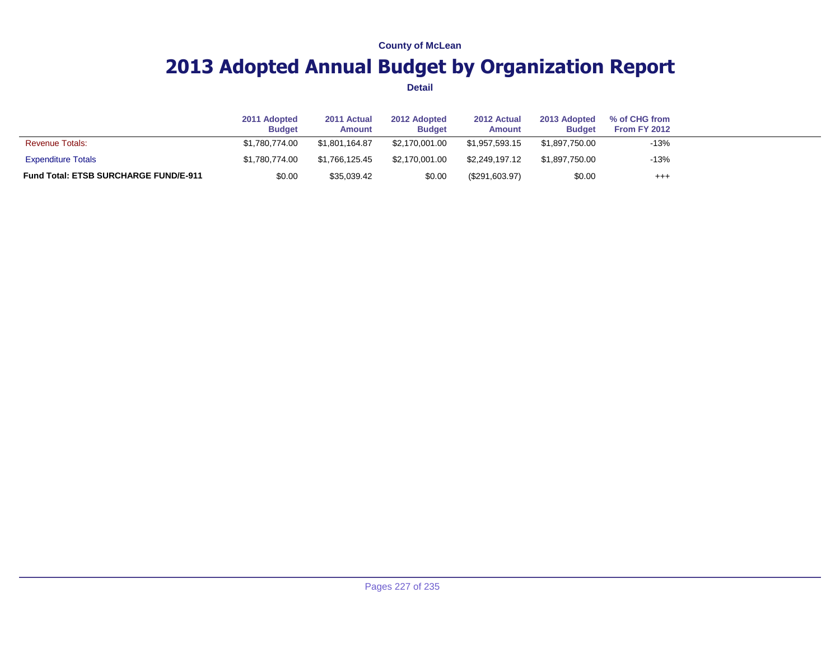## **2013 Adopted Annual Budget by Organization Report**

|                                              | 2011 Adopted<br><b>Budget</b> | 2011 Actual<br>Amount | 2012 Adopted<br><b>Budget</b> | 2012 Actual<br>Amount | 2013 Adopted<br><b>Budget</b> | % of CHG from<br>From FY 2012 |  |
|----------------------------------------------|-------------------------------|-----------------------|-------------------------------|-----------------------|-------------------------------|-------------------------------|--|
| <b>Revenue Totals:</b>                       | \$1.780.774.00                | \$1.801.164.87        | \$2.170.001.00                | \$1.957.593.15        | \$1,897,750.00                | $-13%$                        |  |
| <b>Expenditure Totals</b>                    | \$1.780.774.00                | \$1.766.125.45        | \$2.170.001.00                | \$2.249.197.12        | \$1.897.750.00                | $-13%$                        |  |
| <b>Fund Total: ETSB SURCHARGE FUND/E-911</b> | \$0.00                        | \$35,039.42           | \$0.00                        | (\$291,603.97)        | \$0.00                        | $^{+++}$                      |  |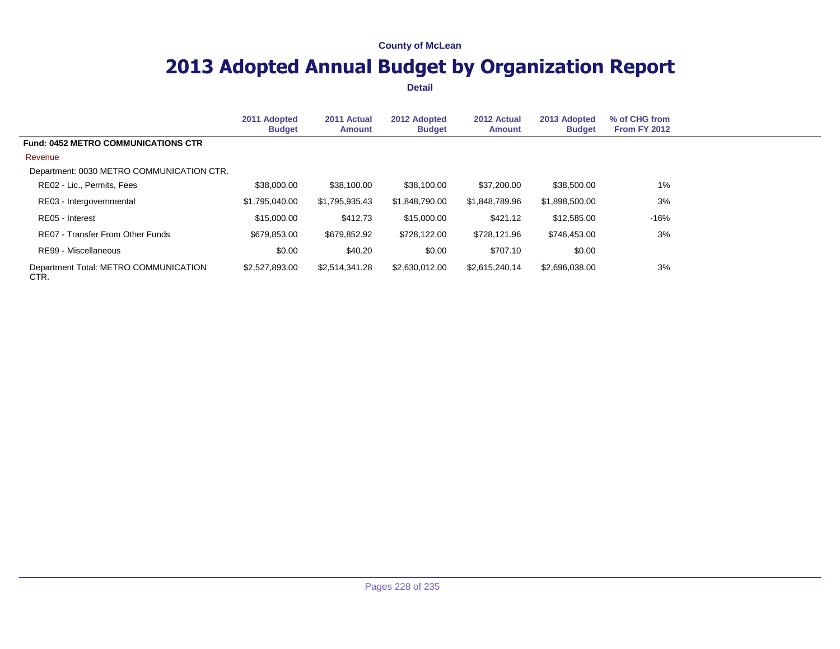## **2013 Adopted Annual Budget by Organization Report**

|                                               | 2011 Adopted<br><b>Budget</b> | 2011 Actual<br><b>Amount</b> | 2012 Adopted<br><b>Budget</b> | 2012 Actual<br><b>Amount</b> | 2013 Adopted<br><b>Budget</b> | % of CHG from<br><b>From FY 2012</b> |
|-----------------------------------------------|-------------------------------|------------------------------|-------------------------------|------------------------------|-------------------------------|--------------------------------------|
| <b>Fund: 0452 METRO COMMUNICATIONS CTR</b>    |                               |                              |                               |                              |                               |                                      |
| Revenue                                       |                               |                              |                               |                              |                               |                                      |
| Department: 0030 METRO COMMUNICATION CTR.     |                               |                              |                               |                              |                               |                                      |
| RE02 - Lic., Permits, Fees                    | \$38,000.00                   | \$38,100.00                  | \$38,100,00                   | \$37,200,00                  | \$38,500.00                   | $1\%$                                |
| RE03 - Intergovernmental                      | \$1.795.040.00                | \$1,795,935.43               | \$1.848.790.00                | \$1.848.789.96               | \$1,898,500.00                | 3%                                   |
| RE05 - Interest                               | \$15,000.00                   | \$412.73                     | \$15,000.00                   | \$421.12                     | \$12,585.00                   | $-16%$                               |
| <b>RE07 - Transfer From Other Funds</b>       | \$679,853.00                  | \$679,852.92                 | \$728,122,00                  | \$728,121.96                 | \$746.453.00                  | 3%                                   |
| RE99 - Miscellaneous                          | \$0.00                        | \$40.20                      | \$0.00                        | \$707.10                     | \$0.00                        |                                      |
| Department Total: METRO COMMUNICATION<br>CTR. | \$2,527,893.00                | \$2,514,341.28               | \$2,630,012.00                | \$2,615,240.14               | \$2,696,038.00                | 3%                                   |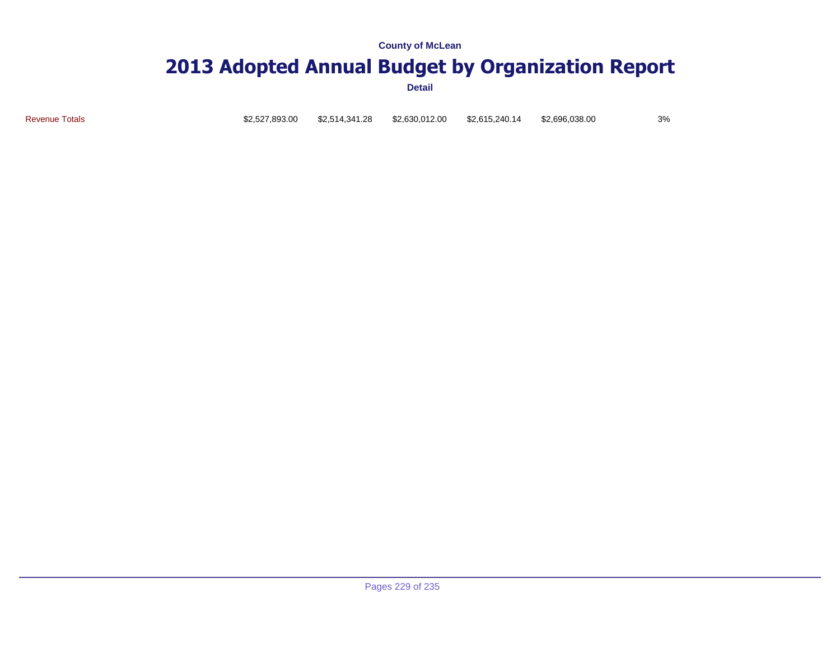### **2013 Adopted Annual Budget by Organization Report**

**Detail**

Revenue Totals \$2,527,893.00 \$2,514,341.28 \$2,630,012.00 \$2,615,240.14 \$2,696,038.00 3%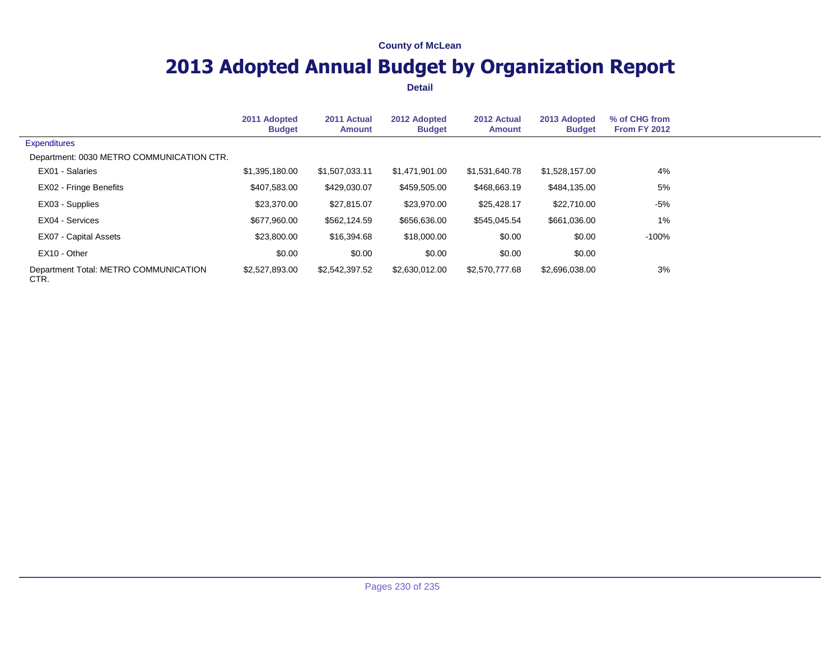## **2013 Adopted Annual Budget by Organization Report**

|                                               | 2011 Adopted<br><b>Budget</b> | 2011 Actual<br><b>Amount</b> | 2012 Adopted<br><b>Budget</b> | 2012 Actual<br><b>Amount</b> | 2013 Adopted<br><b>Budget</b> | % of CHG from<br><b>From FY 2012</b> |  |
|-----------------------------------------------|-------------------------------|------------------------------|-------------------------------|------------------------------|-------------------------------|--------------------------------------|--|
| <b>Expenditures</b>                           |                               |                              |                               |                              |                               |                                      |  |
| Department: 0030 METRO COMMUNICATION CTR.     |                               |                              |                               |                              |                               |                                      |  |
| EX01 - Salaries                               | \$1,395,180.00                | \$1,507,033.11               | \$1,471,901.00                | \$1,531,640.78               | \$1,528,157.00                | 4%                                   |  |
| EX02 - Fringe Benefits                        | \$407,583.00                  | \$429,030.07                 | \$459,505.00                  | \$468,663.19                 | \$484,135.00                  | 5%                                   |  |
| EX03 - Supplies                               | \$23,370.00                   | \$27,815.07                  | \$23,970.00                   | \$25,428.17                  | \$22,710.00                   | -5%                                  |  |
| EX04 - Services                               | \$677,960.00                  | \$562,124.59                 | \$656,636.00                  | \$545,045.54                 | \$661,036.00                  | 1%                                   |  |
| EX07 - Capital Assets                         | \$23,800.00                   | \$16,394.68                  | \$18,000.00                   | \$0.00                       | \$0.00                        | -100%                                |  |
| EX10 - Other                                  | \$0.00                        | \$0.00                       | \$0.00                        | \$0.00                       | \$0.00                        |                                      |  |
| Department Total: METRO COMMUNICATION<br>CTR. | \$2,527,893.00                | \$2,542,397.52               | \$2,630,012.00                | \$2,570,777.68               | \$2,696,038.00                | 3%                                   |  |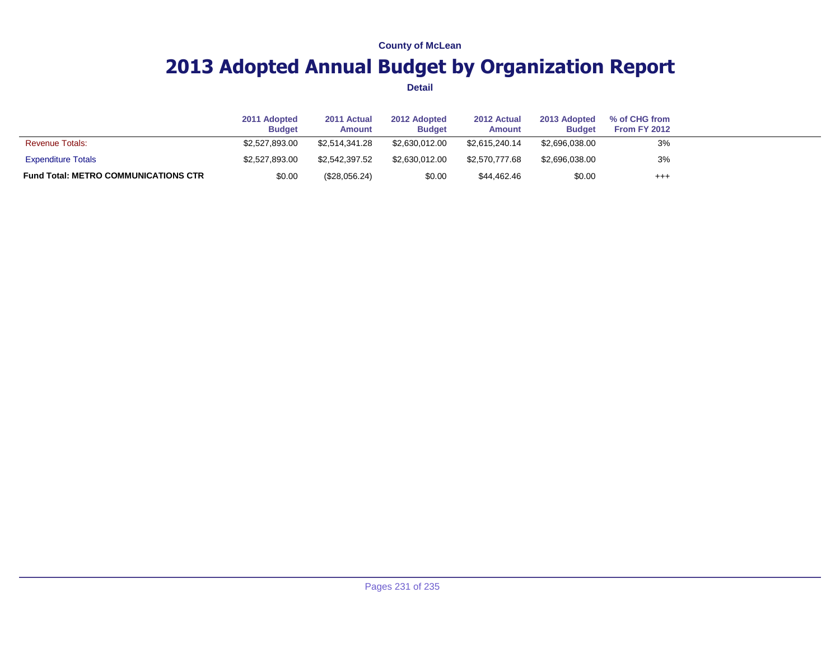## **2013 Adopted Annual Budget by Organization Report**

|                                             | 2011 Adopted<br><b>Budget</b> | 2011 Actual<br>Amount | 2012 Adopted<br><b>Budget</b> | 2012 Actual<br><b>Amount</b> | 2013 Adopted<br><b>Budget</b> | % of CHG from<br>From FY 2012 |  |
|---------------------------------------------|-------------------------------|-----------------------|-------------------------------|------------------------------|-------------------------------|-------------------------------|--|
| <b>Revenue Totals:</b>                      | \$2,527,893.00                | \$2.514.341.28        | \$2.630.012.00                | \$2.615.240.14               | \$2,696,038.00                | 3%                            |  |
| <b>Expenditure Totals</b>                   | \$2,527,893.00                | \$2.542.397.52        | \$2.630.012.00                | \$2.570.777.68               | \$2,696,038.00                | 3%                            |  |
| <b>Fund Total: METRO COMMUNICATIONS CTR</b> | \$0.00                        | (\$28,056.24)         | \$0.00                        | \$44.462.46                  | \$0.00                        | $^{+++}$                      |  |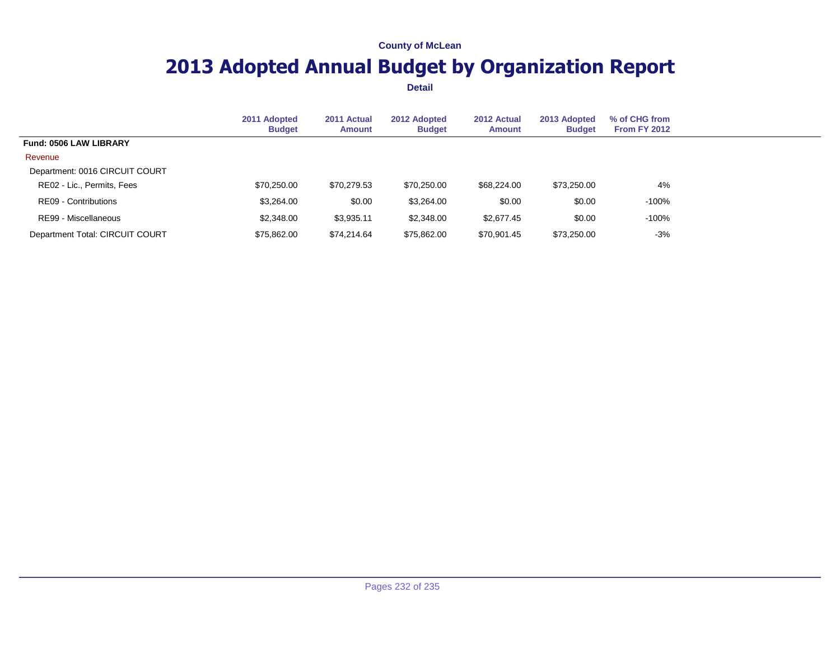## **2013 Adopted Annual Budget by Organization Report**

|                                 | 2011 Adopted<br><b>Budget</b> | 2011 Actual<br><b>Amount</b> | 2012 Adopted<br><b>Budget</b> | 2012 Actual<br>Amount | 2013 Adopted<br><b>Budget</b> | % of CHG from<br><b>From FY 2012</b> |  |
|---------------------------------|-------------------------------|------------------------------|-------------------------------|-----------------------|-------------------------------|--------------------------------------|--|
| <b>Fund: 0506 LAW LIBRARY</b>   |                               |                              |                               |                       |                               |                                      |  |
| Revenue                         |                               |                              |                               |                       |                               |                                      |  |
| Department: 0016 CIRCUIT COURT  |                               |                              |                               |                       |                               |                                      |  |
| RE02 - Lic., Permits, Fees      | \$70,250.00                   | \$70,279.53                  | \$70,250.00                   | \$68,224,00           | \$73,250.00                   | 4%                                   |  |
| RE09 - Contributions            | \$3,264.00                    | \$0.00                       | \$3,264.00                    | \$0.00                | \$0.00                        | -100%                                |  |
| RE99 - Miscellaneous            | \$2,348.00                    | \$3,935.11                   | \$2,348.00                    | \$2.677.45            | \$0.00                        | -100%                                |  |
| Department Total: CIRCUIT COURT | \$75,862.00                   | \$74.214.64                  | \$75.862.00                   | \$70,901.45           | \$73,250.00                   | $-3%$                                |  |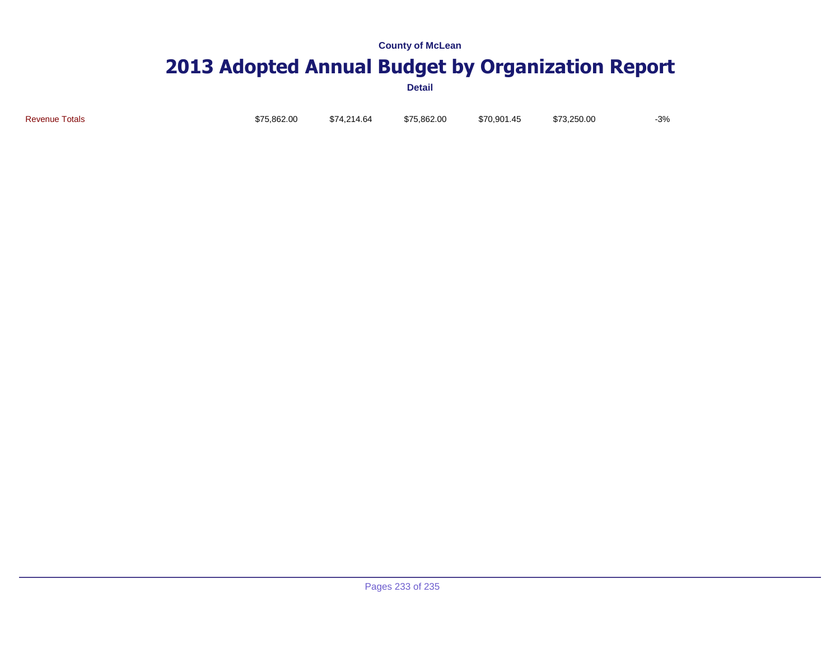# **2013 Adopted Annual Budget by Organization Report**

**Detail**

Revenue Totals \$75,862.00 \$74,214.64 \$75,862.00 \$70,901.45 \$73,250.00 -3%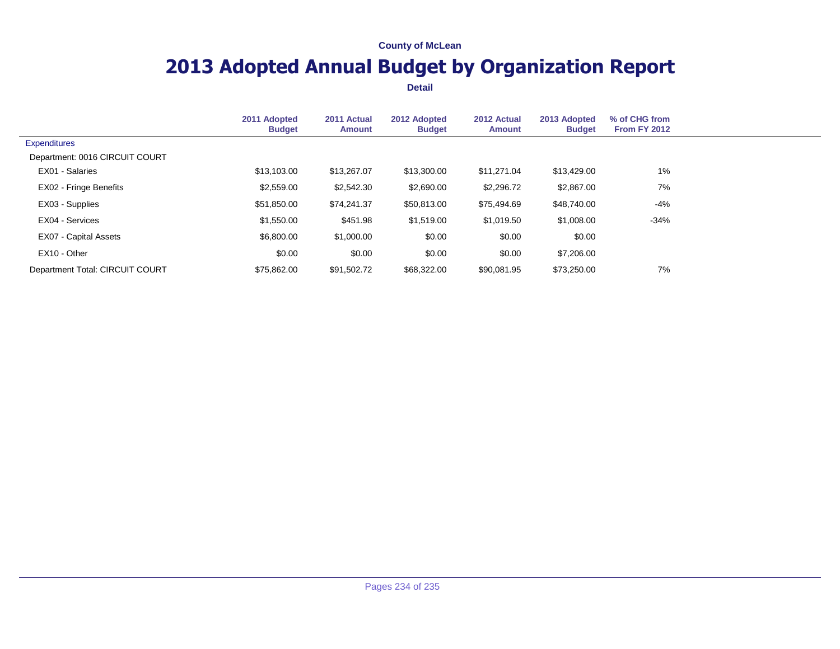## **2013 Adopted Annual Budget by Organization Report**

|                                 | 2011 Adopted<br><b>Budget</b> | 2011 Actual<br><b>Amount</b> | 2012 Adopted<br><b>Budget</b> | 2012 Actual<br>Amount | 2013 Adopted<br><b>Budget</b> | % of CHG from<br><b>From FY 2012</b> |  |
|---------------------------------|-------------------------------|------------------------------|-------------------------------|-----------------------|-------------------------------|--------------------------------------|--|
| <b>Expenditures</b>             |                               |                              |                               |                       |                               |                                      |  |
| Department: 0016 CIRCUIT COURT  |                               |                              |                               |                       |                               |                                      |  |
| EX01 - Salaries                 | \$13,103,00                   | \$13,267.07                  | \$13,300.00                   | \$11.271.04           | \$13,429.00                   | 1%                                   |  |
| EX02 - Fringe Benefits          | \$2,559.00                    | \$2,542.30                   | \$2,690.00                    | \$2,296.72            | \$2,867.00                    | 7%                                   |  |
| EX03 - Supplies                 | \$51,850.00                   | \$74,241.37                  | \$50,813.00                   | \$75,494.69           | \$48,740.00                   | -4%                                  |  |
| EX04 - Services                 | \$1,550.00                    | \$451.98                     | \$1,519.00                    | \$1,019.50            | \$1,008.00                    | $-34%$                               |  |
| <b>EX07 - Capital Assets</b>    | \$6,800.00                    | \$1,000.00                   | \$0.00                        | \$0.00                | \$0.00                        |                                      |  |
| EX10 - Other                    | \$0.00                        | \$0.00                       | \$0.00                        | \$0.00                | \$7,206.00                    |                                      |  |
| Department Total: CIRCUIT COURT | \$75,862,00                   | \$91,502.72                  | \$68,322,00                   | \$90.081.95           | \$73,250,00                   | 7%                                   |  |